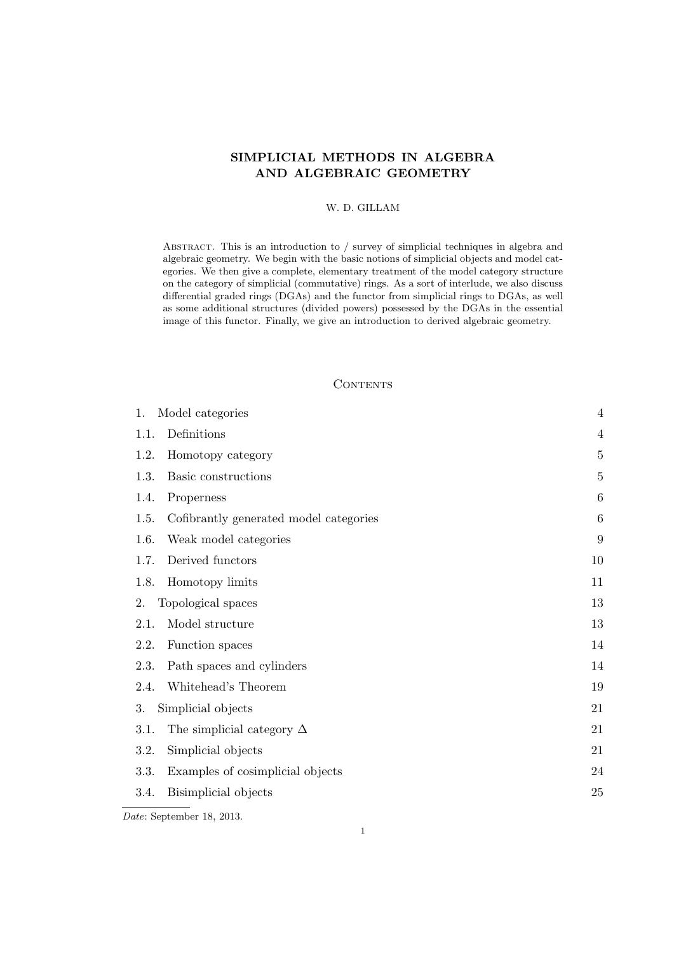# SIMPLICIAL METHODS IN ALGEBRA AND ALGEBRAIC GEOMETRY

## W. D. GILLAM

ABSTRACT. This is an introduction to / survey of simplicial techniques in algebra and algebraic geometry. We begin with the basic notions of simplicial objects and model categories. We then give a complete, elementary treatment of the model category structure on the category of simplicial (commutative) rings. As a sort of interlude, we also discuss differential graded rings (DGAs) and the functor from simplicial rings to DGAs, as well as some additional structures (divided powers) possessed by the DGAs in the essential image of this functor. Finally, we give an introduction to derived algebraic geometry.

#### **CONTENTS**

| 1.<br>Model categories                         | $\overline{4}$ |
|------------------------------------------------|----------------|
| Definitions<br>1.1.                            | $\overline{4}$ |
| Homotopy category<br>1.2.                      | $\overline{5}$ |
| 1.3.<br>Basic constructions                    | $\overline{5}$ |
| 1.4.<br>Properness                             | 6              |
| Cofibrantly generated model categories<br>1.5. | 6              |
| 1.6.<br>Weak model categories                  | 9              |
| Derived functors<br>1.7.                       | 10             |
| 1.8.<br>Homotopy limits                        | 11             |
| Topological spaces<br>2.                       | 13             |
| Model structure<br>2.1.                        | 13             |
| 2.2.<br>Function spaces                        | 14             |
| 2.3.<br>Path spaces and cylinders              | 14             |
| Whitehead's Theorem<br>2.4.                    | 19             |
| 3.<br>Simplicial objects                       | 21             |
| 3.1.<br>The simplicial category $\Delta$       | 21             |
| Simplicial objects<br>3.2.                     | 21             |
| Examples of cosimplicial objects<br>3.3.       | 24             |
| Bisimplicial objects<br>3.4.                   | 25             |
|                                                |                |

Date: September 18, 2013.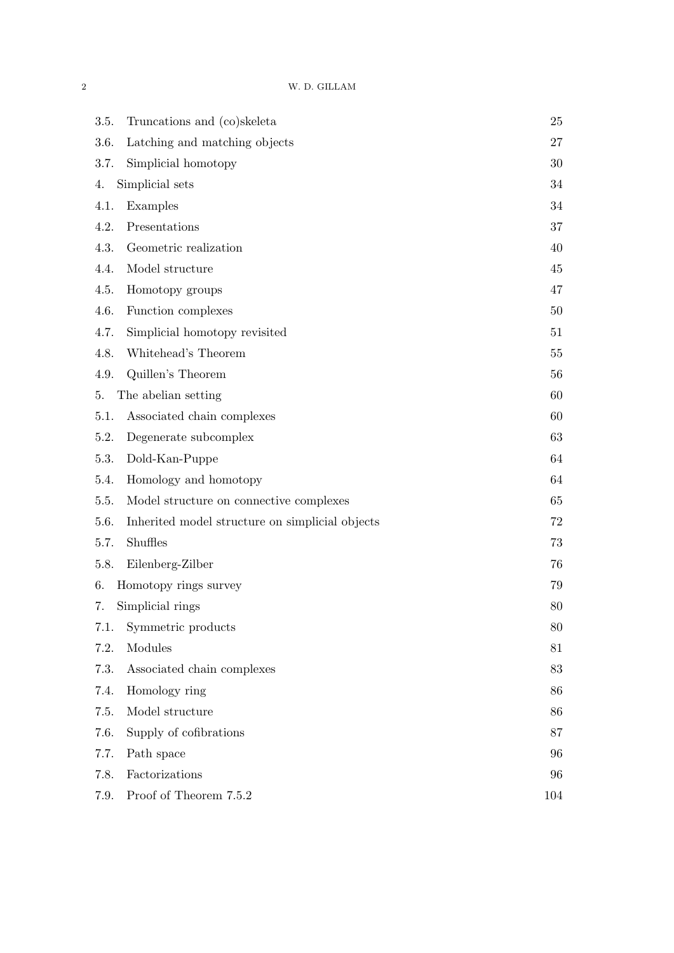| Truncations and (co)skeleta<br>3.5.                     | 25  |
|---------------------------------------------------------|-----|
| Latching and matching objects<br>3.6.                   | 27  |
| Simplicial homotopy<br>3.7.                             | 30  |
| Simplicial sets<br>4.                                   | 34  |
| Examples<br>4.1.                                        | 34  |
| 4.2.<br>Presentations                                   | 37  |
| 4.3.<br>Geometric realization                           | 40  |
| 4.4.<br>Model structure                                 | 45  |
| 4.5.<br>Homotopy groups                                 | 47  |
| 4.6.<br>Function complexes                              | 50  |
| 4.7.<br>Simplicial homotopy revisited                   | 51  |
| Whitehead's Theorem<br>4.8.                             | 55  |
| Quillen's Theorem<br>4.9.                               | 56  |
| The abelian setting<br>5.                               | 60  |
| Associated chain complexes<br>5.1.                      | 60  |
| 5.2.<br>Degenerate subcomplex                           | 63  |
| 5.3.<br>Dold-Kan-Puppe                                  | 64  |
| Homology and homotopy<br>5.4.                           | 64  |
| Model structure on connective complexes<br>5.5.         | 65  |
| 5.6.<br>Inherited model structure on simplicial objects | 72  |
| Shuffles<br>5.7.                                        | 73  |
| Eilenberg-Zilber<br>5.8.                                | 76  |
| Homotopy rings survey<br>6.                             | 79  |
| Simplicial rings<br>7.                                  | 80  |
| Symmetric products<br>7.1.                              | 80  |
| 7.2.<br>Modules                                         | 81  |
| 7.3.<br>Associated chain complexes                      | 83  |
| 7.4.<br>Homology ring                                   | 86  |
| Model structure<br>7.5.                                 | 86  |
| Supply of cofibrations<br>7.6.                          | 87  |
| 7.7.<br>Path space                                      | 96  |
| Factorizations<br>7.8.                                  | 96  |
| Proof of Theorem 7.5.2<br>7.9.                          | 104 |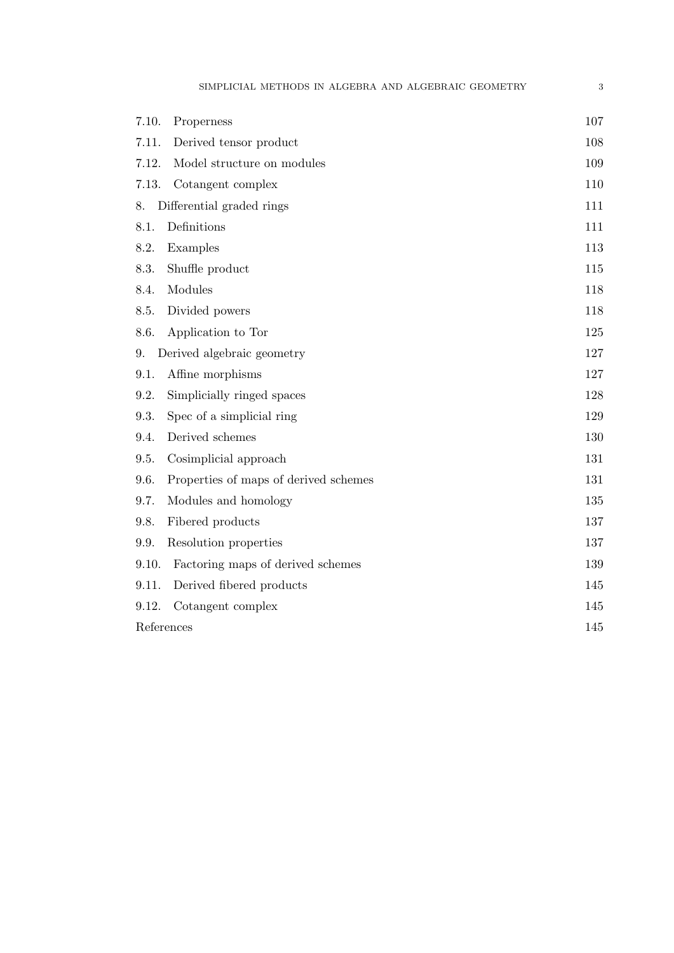| 7.10.      | Properness                            | 107 |
|------------|---------------------------------------|-----|
| 7.11.      | Derived tensor product                | 108 |
| 7.12.      | Model structure on modules            | 109 |
| 7.13.      | Cotangent complex                     | 110 |
| 8.         | Differential graded rings             | 111 |
| 8.1.       | Definitions                           | 111 |
| 8.2.       | Examples                              | 113 |
| 8.3.       | Shuffle product                       | 115 |
| 8.4.       | Modules                               | 118 |
| 8.5.       | Divided powers                        | 118 |
| 8.6.       | Application to Tor                    | 125 |
| 9.         | Derived algebraic geometry            | 127 |
| 9.1.       | Affine morphisms                      | 127 |
| 9.2.       | Simplicially ringed spaces            | 128 |
| 9.3.       | Spec of a simplicial ring             | 129 |
| 9.4.       | Derived schemes                       | 130 |
| 9.5.       | Cosimplicial approach                 | 131 |
| 9.6.       | Properties of maps of derived schemes | 131 |
| 9.7.       | Modules and homology                  | 135 |
| 9.8.       | Fibered products                      | 137 |
| 9.9.       | Resolution properties                 | 137 |
| 9.10.      | Factoring maps of derived schemes     | 139 |
| 9.11.      | Derived fibered products              | 145 |
| 9.12.      | Cotangent complex                     | 145 |
| References |                                       | 145 |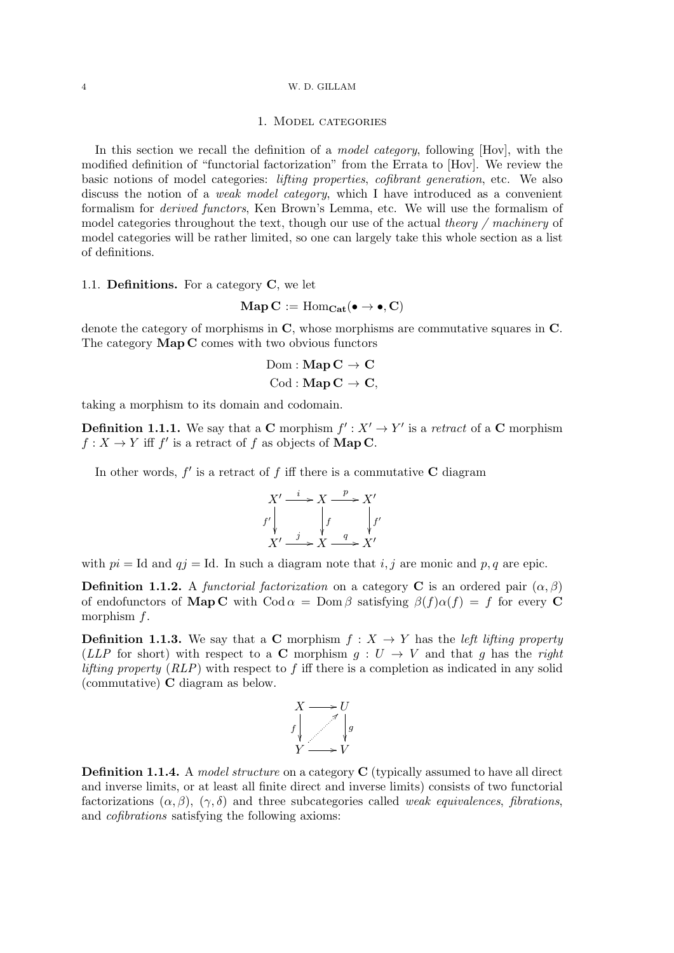### 1. Model categories

In this section we recall the definition of a *model category*, following [Hov], with the modified definition of "functorial factorization" from the Errata to [Hov]. We review the basic notions of model categories: lifting properties, cofibrant generation, etc. We also discuss the notion of a weak model category, which I have introduced as a convenient formalism for derived functors, Ken Brown's Lemma, etc. We will use the formalism of model categories throughout the text, though our use of the actual theory  $/$  machinery of model categories will be rather limited, so one can largely take this whole section as a list of definitions.

### 1.1. Definitions. For a category C, we let

$$
\mathbf{Map}\,C:=\mathrm{Hom}_{\mathbf{Cat}}(\bullet\to\bullet,C)
$$

denote the category of morphisms in C, whose morphisms are commutative squares in C. The category **Map C** comes with two obvious functors

$$
\mathrm{Dom} : \mathbf{Map}\,\mathbf{C} \to \mathbf{C}
$$

$$
\mathrm{Cod} : \mathbf{Map}\,\mathbf{C} \to \mathbf{C},
$$

taking a morphism to its domain and codomain.

**Definition 1.1.1.** We say that a **C** morphism  $f': X' \to Y'$  is a retract of a **C** morphism  $f: X \to Y$  iff f' is a retract of f as objects of **Map C**.

In other words,  $f'$  is a retract of f iff there is a commutative C diagram

$$
X' \xrightarrow{i} X \xrightarrow{p} X'
$$
  

$$
f' \downarrow \qquad f \downarrow f'
$$
  

$$
X' \xrightarrow{j} X \xrightarrow{q} X'
$$

with  $pi = Id$  and  $qj = Id$ . In such a diagram note that i, j are monic and p, q are epic.

**Definition 1.1.2.** A functorial factorization on a category C is an ordered pair  $(\alpha, \beta)$ of endofunctors of **Map C** with Cod  $\alpha = \text{Dom }\beta$  satisfying  $\beta(f)\alpha(f) = f$  for every **C** morphism f.

**Definition 1.1.3.** We say that a C morphism  $f: X \rightarrow Y$  has the left lifting property (LLP for short) with respect to a C morphism  $g: U \to V$  and that g has the right *lifting property (RLP)* with respect to f iff there is a completion as indicated in any solid (commutative) C diagram as below.

$$
\begin{array}{ccc}\nX & \longrightarrow & U \\
f & \searrow & g \\
Y & \longrightarrow & V\n\end{array}
$$

Definition 1.1.4. A model structure on a category C (typically assumed to have all direct and inverse limits, or at least all finite direct and inverse limits) consists of two functorial factorizations  $(\alpha, \beta)$ ,  $(\gamma, \delta)$  and three subcategories called weak equivalences, fibrations, and cofibrations satisfying the following axioms: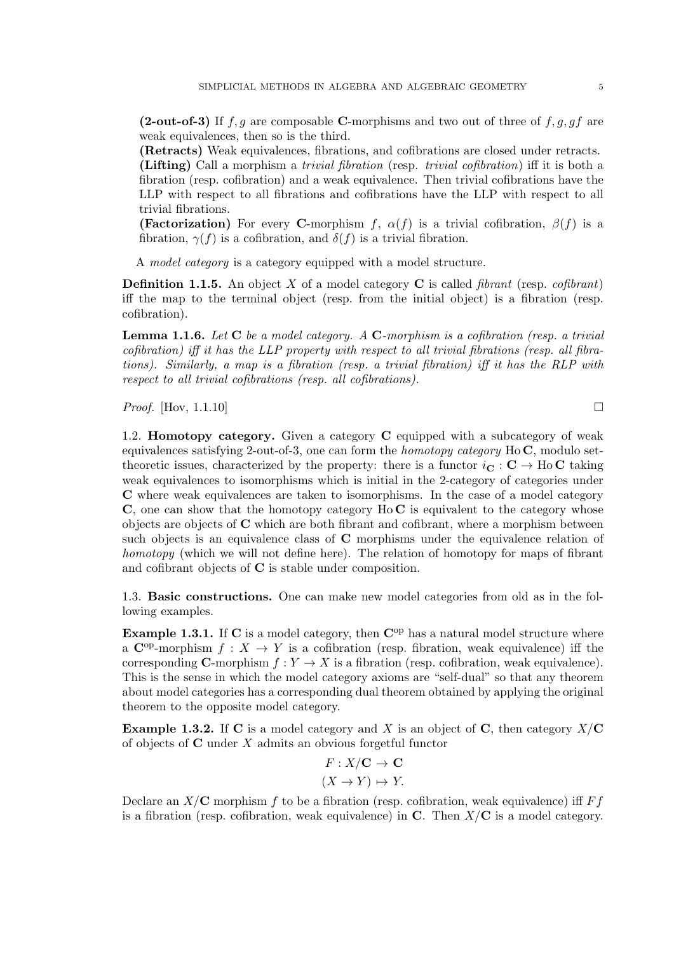(2-out-of-3) If  $f, g$  are composable C-morphisms and two out of three of  $f, g, gf$  are weak equivalences, then so is the third.

(Retracts) Weak equivalences, fibrations, and cofibrations are closed under retracts. (Lifting) Call a morphism a trivial fibration (resp. trivial cofibration) iff it is both a fibration (resp. cofibration) and a weak equivalence. Then trivial cofibrations have the LLP with respect to all fibrations and cofibrations have the LLP with respect to all trivial fibrations.

(Factorization) For every C-morphism f,  $\alpha(f)$  is a trivial cofibration,  $\beta(f)$  is a fibration,  $\gamma(f)$  is a cofibration, and  $\delta(f)$  is a trivial fibration.

A model category is a category equipped with a model structure.

**Definition 1.1.5.** An object X of a model category C is called *fibrant* (resp. *cofibrant*) iff the map to the terminal object (resp. from the initial object) is a fibration (resp. cofibration).

**Lemma 1.1.6.** Let  $C$  be a model category. A  $C$ -morphism is a cofibration (resp. a trivial cofibration) iff it has the LLP property with respect to all trivial fibrations (resp. all fibrations). Similarly, a map is a fibration (resp. a trivial fibration) iff it has the RLP with respect to all trivial cofibrations (resp. all cofibrations).

*Proof.* [Hov, 1.1.10]

1.2. Homotopy category. Given a category C equipped with a subcategory of weak equivalences satisfying 2-out-of-3, one can form the *homotopy category* Ho  $\mathbb{C}$ , modulo settheoretic issues, characterized by the property: there is a functor  $i_{\mathbf{C}} : \mathbf{C} \to \text{Ho}\,\mathbf{C}$  taking weak equivalences to isomorphisms which is initial in the 2-category of categories under C where weak equivalences are taken to isomorphisms. In the case of a model category  $C$ , one can show that the homotopy category Ho  $C$  is equivalent to the category whose objects are objects of  $C$  which are both fibrant and cofibrant, where a morphism between such objects is an equivalence class of C morphisms under the equivalence relation of homotopy (which we will not define here). The relation of homotopy for maps of fibrant and cofibrant objects of C is stable under composition.

1.3. Basic constructions. One can make new model categories from old as in the following examples.

Example 1.3.1. If  $C$  is a model category, then  $C^{op}$  has a natural model structure where a  $\mathbb{C}^{\text{op}}$ -morphism  $f: X \to Y$  is a cofibration (resp. fibration, weak equivalence) iff the corresponding C-morphism  $f: Y \to X$  is a fibration (resp. cofibration, weak equivalence). This is the sense in which the model category axioms are "self-dual" so that any theorem about model categories has a corresponding dual theorem obtained by applying the original theorem to the opposite model category.

**Example 1.3.2.** If C is a model category and X is an object of C, then category  $X/C$ of objects of C under X admits an obvious forgetful functor

$$
F: X/\mathbf{C} \to \mathbf{C}
$$

$$
(X \to Y) \mapsto Y.
$$

Declare an  $X/C$  morphism f to be a fibration (resp. cofibration, weak equivalence) iff  $Ff$ is a fibration (resp. cofibration, weak equivalence) in  $\mathbf C$ . Then  $X/\mathbf C$  is a model category.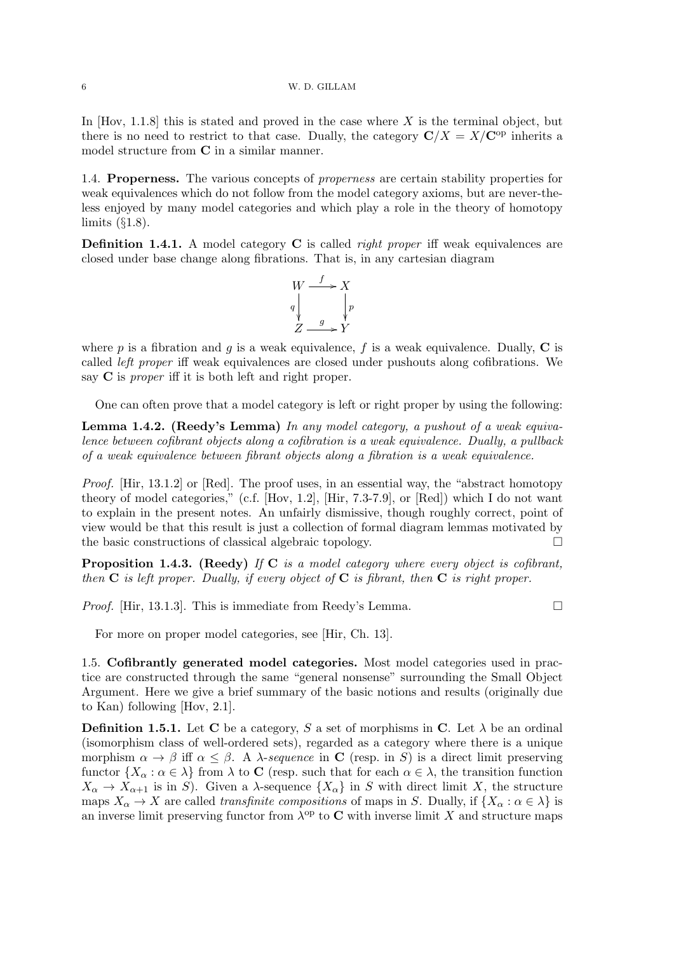In  $[Hov, 1.1.8]$  this is stated and proved in the case where X is the terminal object, but there is no need to restrict to that case. Dually, the category  $\mathbf{C}/X = X/\mathbf{C}^{\mathrm{op}}$  inherits a model structure from C in a similar manner.

1.4. Properness. The various concepts of properness are certain stability properties for weak equivalences which do not follow from the model category axioms, but are never-theless enjoyed by many model categories and which play a role in the theory of homotopy limits  $(\S1.8)$ .

**Definition 1.4.1.** A model category **C** is called *right proper* iff weak equivalences are closed under base change along fibrations. That is, in any cartesian diagram



where p is a fibration and q is a weak equivalence, f is a weak equivalence. Dually,  $C$  is called left proper iff weak equivalences are closed under pushouts along cofibrations. We say  $C$  is *proper* iff it is both left and right proper.

One can often prove that a model category is left or right proper by using the following:

Lemma 1.4.2. (Reedy's Lemma) In any model category, a pushout of a weak equivalence between cofibrant objects along a cofibration is a weak equivalence. Dually, a pullback of a weak equivalence between fibrant objects along a fibration is a weak equivalence.

Proof. [Hir, 13.1.2] or [Red]. The proof uses, in an essential way, the "abstract homotopy" theory of model categories," (c.f. [Hov, 1.2], [Hir, 7.3-7.9], or [Red]) which I do not want to explain in the present notes. An unfairly dismissive, though roughly correct, point of view would be that this result is just a collection of formal diagram lemmas motivated by the basic constructions of classical algebraic topology.

**Proposition 1.4.3.** (Reedy) If C is a model category where every object is cofibrant, then  $C$  is left proper. Dually, if every object of  $C$  is fibrant, then  $C$  is right proper.

*Proof.* [Hir, 13.1.3]. This is immediate from Reedy's Lemma.  $\Box$ 

For more on proper model categories, see [Hir, Ch. 13].

1.5. Cofibrantly generated model categories. Most model categories used in practice are constructed through the same "general nonsense" surrounding the Small Object Argument. Here we give a brief summary of the basic notions and results (originally due to Kan) following [Hov, 2.1].

**Definition 1.5.1.** Let C be a category, S a set of morphisms in C. Let  $\lambda$  be an ordinal (isomorphism class of well-ordered sets), regarded as a category where there is a unique morphism  $\alpha \to \beta$  iff  $\alpha \leq \beta$ . A  $\lambda$ -sequence in C (resp. in S) is a direct limit preserving functor  $\{X_\alpha : \alpha \in \lambda\}$  from  $\lambda$  to C (resp. such that for each  $\alpha \in \lambda$ , the transition function  $X_{\alpha} \to X_{\alpha+1}$  is in S). Given a  $\lambda$ -sequence  $\{X_{\alpha}\}\$ in S with direct limit X, the structure maps  $X_{\alpha} \to X$  are called transfinite compositions of maps in S. Dually, if  $\{X_{\alpha} : \alpha \in \lambda\}$  is an inverse limit preserving functor from  $\lambda^{\text{op}}$  to C with inverse limit X and structure maps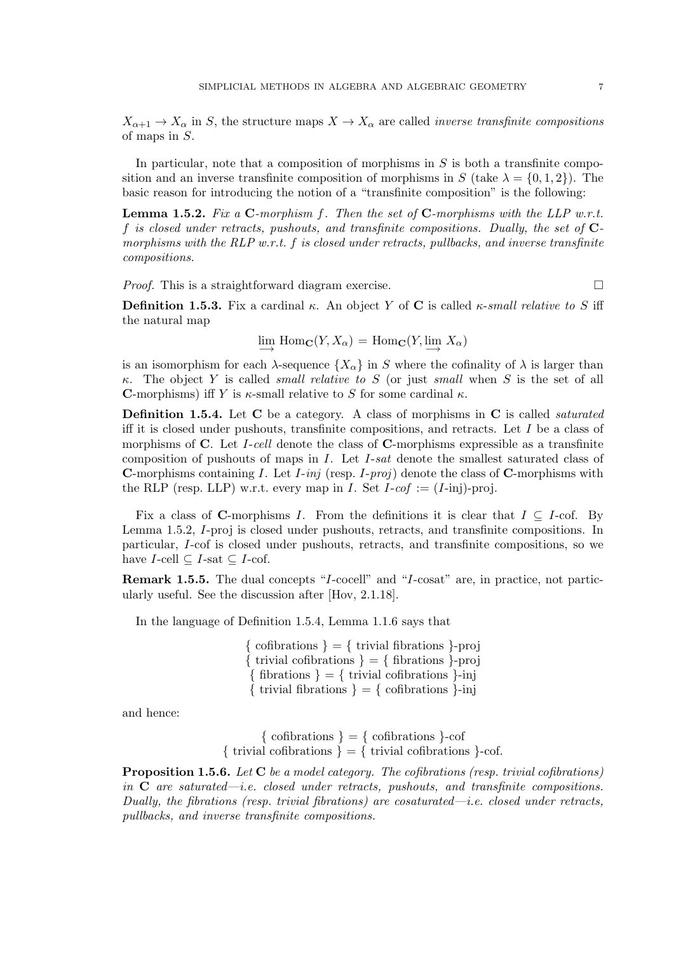$X_{\alpha+1} \to X_{\alpha}$  in S, the structure maps  $X \to X_{\alpha}$  are called *inverse transfinite compositions* of maps in S.

In particular, note that a composition of morphisms in  $S$  is both a transfinite composition and an inverse transfinite composition of morphisms in S (take  $\lambda = \{0, 1, 2\}$ ). The basic reason for introducing the notion of a "transfinite composition" is the following:

**Lemma 1.5.2.** Fix a  $C$ -morphism  $f$ . Then the set of  $C$ -morphisms with the LLP w.r.t. f is closed under retracts, pushouts, and transfinite compositions. Dually, the set of Cmorphisms with the RLP w.r.t.  $f$  is closed under retracts, pullbacks, and inverse transfinite compositions.

*Proof.* This is a straightforward diagram exercise.  $\square$ 

**Definition 1.5.3.** Fix a cardinal  $\kappa$ . An object Y of C is called  $\kappa$ -small relative to S iff the natural map

 $\lim_{\longrightarrow}$  Hom<sub>**C**</sub> $(Y, X_\alpha)$  = Hom<sub>**C**</sub> $(Y, \lim_{\longrightarrow} X_\alpha)$ 

is an isomorphism for each  $\lambda$ -sequence  $\{X_{\alpha}\}\$ in S where the cofinality of  $\lambda$  is larger than κ. The object Y is called *small relative to S* (or just *small* when S is the set of all C-morphisms) iff Y is  $\kappa$ -small relative to S for some cardinal  $\kappa$ .

Definition 1.5.4. Let C be a category. A class of morphisms in C is called *saturated* iff it is closed under pushouts, transfinite compositions, and retracts. Let  $I$  be a class of morphisms of  $C$ . Let I-cell denote the class of  $C$ -morphisms expressible as a transfinite composition of pushouts of maps in I. Let I-sat denote the smallest saturated class of **C**-morphisms containing I. Let  $I$ -inj (resp. I-proj) denote the class of **C**-morphisms with the RLP (resp. LLP) w.r.t. every map in *I*. Set  $I\text{-}cof := (I\text{-}inj)\text{-}\text{-}proj.$ 

Fix a class of C-morphisms I. From the definitions it is clear that  $I \subseteq I$ -cof. By Lemma 1.5.2, I-proj is closed under pushouts, retracts, and transfinite compositions. In particular, I-cof is closed under pushouts, retracts, and transfinite compositions, so we have *I*-cell  $\subseteq$  *I*-sat  $\subseteq$  *I*-cof.

Remark 1.5.5. The dual concepts "I-cocell" and "I-cosat" are, in practice, not particularly useful. See the discussion after [Hov, 2.1.18].

In the language of Definition 1.5.4, Lemma 1.1.6 says that

 $\{$  cofibrations  $\} = \{$  trivial fibrations  $\}$ -proj  $\{$  trivial cofibrations  $\} = \{$  fibrations  $\}$ -proj  $\{$  fibrations  $\} = \{$  trivial cofibrations  $\}$ -inj { trivial fibrations } = { cofibrations }-inj

and hence:

 $\{$  cofibrations  $\} = \{$  cofibrations  $\}$ -cof { trivial cofibrations } = { trivial cofibrations }-cof.

**Proposition 1.5.6.** Let  $C$  be a model category. The cofibrations (resp. trivial cofibrations) in  $C$  are saturated—i.e. closed under retracts, pushouts, and transfinite compositions. Dually, the fibrations (resp. trivial fibrations) are cosaturated—i.e. closed under retracts, pullbacks, and inverse transfinite compositions.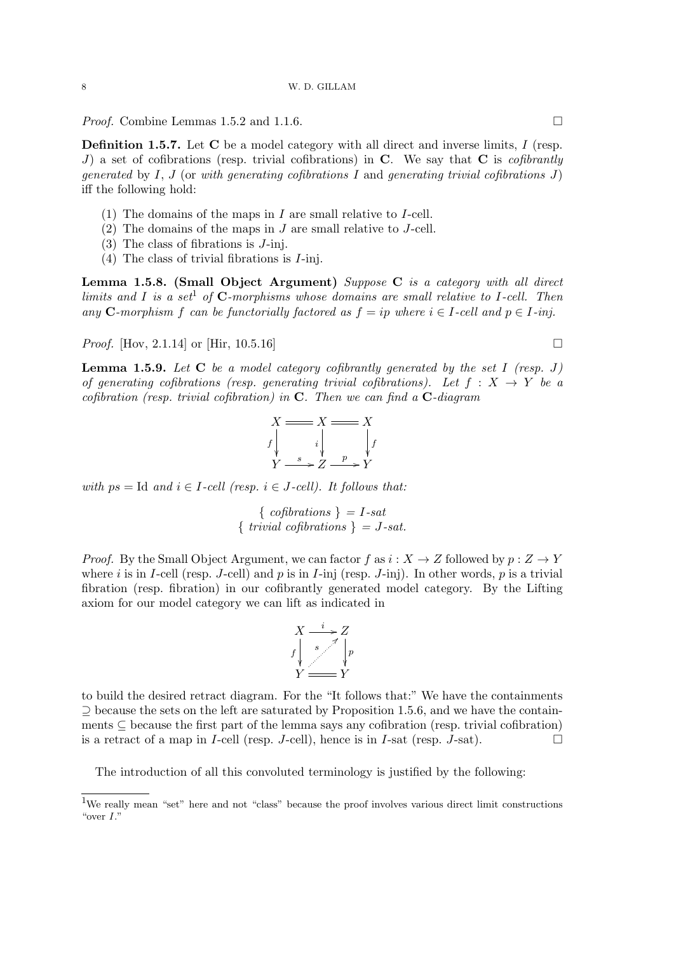*Proof.* Combine Lemmas 1.5.2 and 1.1.6. □

Definition 1.5.7. Let C be a model category with all direct and inverse limits, I (resp. J) a set of cofibrations (resp. trivial cofibrations) in  $C$ . We say that  $C$  is *cofibrantly* generated by I, J (or with generating cofibrations I and generating trivial cofibrations J) iff the following hold:

- (1) The domains of the maps in  $I$  are small relative to  $I$ -cell.
- $(2)$  The domains of the maps in J are small relative to J-cell.
- (3) The class of fibrations is J-inj.
- (4) The class of trivial fibrations is I-inj.

Lemma 1.5.8. (Small Object Argument) Suppose C is a category with all direct limits and I is a set<sup>1</sup> of  $C$ -morphisms whose domains are small relative to I-cell. Then any C-morphism f can be functorially factored as  $f = ip$  where  $i \in I$ -cell and  $p \in I$ -inj.

*Proof.* [Hov, 2.1.14] or [Hir, 10.5.16]

**Lemma 1.5.9.** Let  $C$  be a model category cofibrantly generated by the set I (resp. J) of generating cofibrations (resp. generating trivial cofibrations). Let  $f : X \rightarrow Y$  be a cofibration (resp. trivial cofibration) in  $C$ . Then we can find a  $C$ -diagram

$$
X \longrightarrow X \longrightarrow X
$$
\n
$$
f \downarrow \qquad \qquad i \downarrow \qquad \qquad f
$$
\n
$$
Y \longrightarrow Z \longrightarrow Y
$$

with  $ps = Id$  and  $i \in I$ -cell (resp.  $i \in J$ -cell). It follows that:

 $\{ cofibrations\} = I-sat$  $\{ trivial \ cofibrations \} = J-sat.$ 

*Proof.* By the Small Object Argument, we can factor f as  $i: X \to Z$  followed by  $p: Z \to Y$ where i is in I-cell (resp. J-cell) and p is in I-inj (resp. J-inj). In other words, p is a trivial fibration (resp. fibration) in our cofibrantly generated model category. By the Lifting axiom for our model category we can lift as indicated in



to build the desired retract diagram. For the "It follows that:" We have the containments ⊇ because the sets on the left are saturated by Proposition 1.5.6, and we have the containments  $\subset$  because the first part of the lemma says any cofibration (resp. trivial cofibration) is a retract of a map in I-cell (resp. J-cell), hence is in I-sat (resp. J-sat).

The introduction of all this convoluted terminology is justified by the following:

<sup>1</sup>We really mean "set" here and not "class" because the proof involves various direct limit constructions "over I."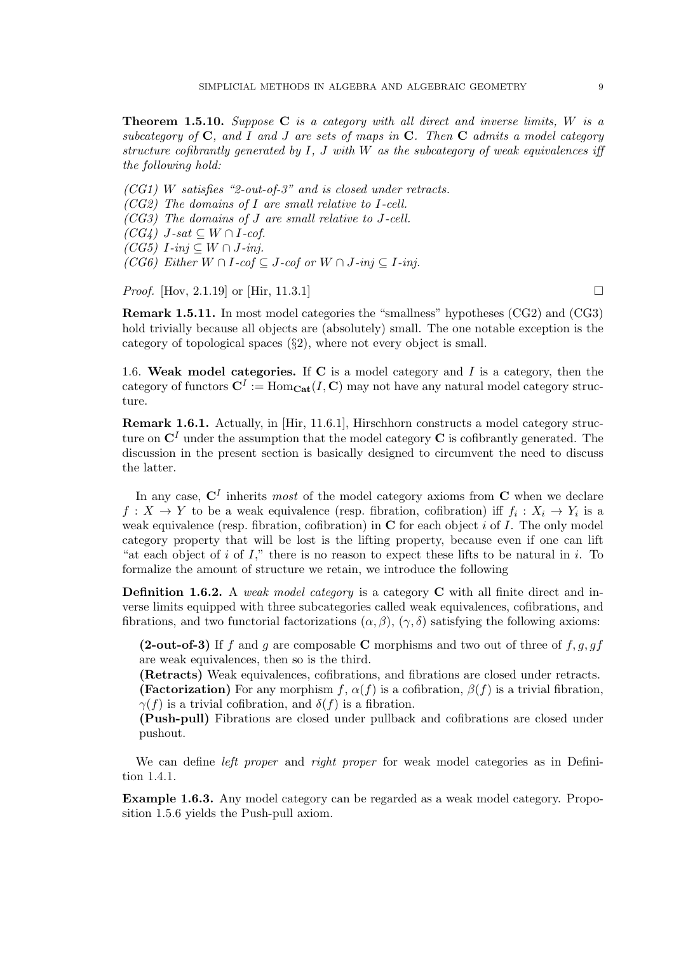**Theorem 1.5.10.** Suppose  $C$  is a category with all direct and inverse limits,  $W$  is a subcategory of  $C$ , and I and J are sets of maps in  $C$ . Then  $C$  admits a model category structure cofibrantly generated by  $I, J$  with W as the subcategory of weak equivalences iff the following hold:

(CG1) W satisfies "2-out-of-3" and is closed under retracts. (CG2) The domains of I are small relative to I-cell. (CG3) The domains of J are small relative to J-cell.  $(CG4)$  J-sat  $\subset W \cap I$ -cof.  $(CG5)$  *I*-inj  $\subseteq$  *W*  $\cap$  *J*-inj. (CG6) Either  $W \cap I$ -cof  $\subseteq J$ -cof or  $W \cap J$ -inj  $\subseteq I$ -inj.

*Proof.* [Hov, 2.1.19] or [Hir, 11.3.1]

Remark 1.5.11. In most model categories the "smallness" hypotheses (CG2) and (CG3) hold trivially because all objects are (absolutely) small. The one notable exception is the category of topological spaces (§2), where not every object is small.

1.6. Weak model categories. If C is a model category and  $I$  is a category, then the category of functors  $\mathbf{C}^I := \text{Hom}_{\mathbf{Cat}}(I, \mathbf{C})$  may not have any natural model category structure.

Remark 1.6.1. Actually, in [Hir, 11.6.1], Hirschhorn constructs a model category structure on  $\mathbb{C}^{I}$  under the assumption that the model category  $\mathbb{C}$  is cofibrantly generated. The discussion in the present section is basically designed to circumvent the need to discuss the latter.

In any case,  $\mathbf{C}^{I}$  inherits most of the model category axioms from  $\mathbf{C}$  when we declare  $f: X \to Y$  to be a weak equivalence (resp. fibration, cofibration) iff  $f_i: X_i \to Y_i$  is a weak equivalence (resp. fibration, cofibration) in  $C$  for each object i of I. The only model category property that will be lost is the lifting property, because even if one can lift "at each object of i of I," there is no reason to expect these lifts to be natural in i. To formalize the amount of structure we retain, we introduce the following

**Definition 1.6.2.** A weak model category is a category  $C$  with all finite direct and inverse limits equipped with three subcategories called weak equivalences, cofibrations, and fibrations, and two functorial factorizations  $(\alpha, \beta)$ ,  $(\gamma, \delta)$  satisfying the following axioms:

(2-out-of-3) If f and g are composable C morphisms and two out of three of  $f, g, gf$ are weak equivalences, then so is the third.

(Retracts) Weak equivalences, cofibrations, and fibrations are closed under retracts. (Factorization) For any morphism f,  $\alpha(f)$  is a cofibration,  $\beta(f)$  is a trivial fibration,  $\gamma(f)$  is a trivial cofibration, and  $\delta(f)$  is a fibration.

(Push-pull) Fibrations are closed under pullback and cofibrations are closed under pushout.

We can define *left proper* and *right proper* for weak model categories as in Definition 1.4.1.

Example 1.6.3. Any model category can be regarded as a weak model category. Proposition 1.5.6 yields the Push-pull axiom.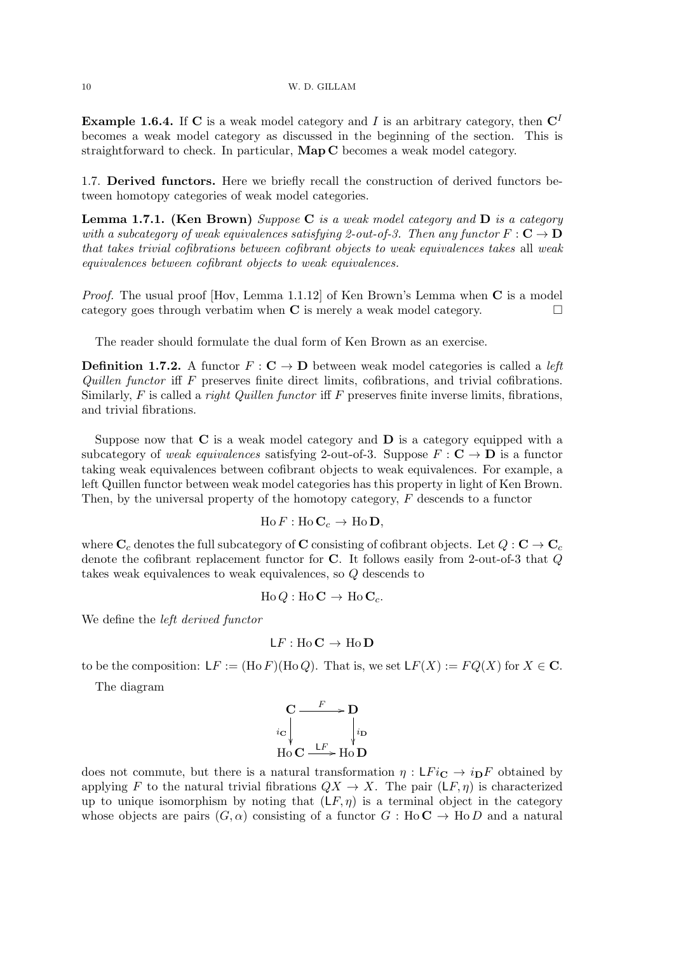**Example 1.6.4.** If C is a weak model category and I is an arbitrary category, then  $C<sup>I</sup>$ becomes a weak model category as discussed in the beginning of the section. This is straightforward to check. In particular, Map C becomes a weak model category.

1.7. Derived functors. Here we briefly recall the construction of derived functors between homotopy categories of weak model categories.

**Lemma 1.7.1.** (Ken Brown) Suppose C is a weak model category and D is a category with a subcategory of weak equivalences satisfying 2-out-of-3. Then any functor  $F: \mathbf{C} \to \mathbf{D}$ that takes trivial cofibrations between cofibrant objects to weak equivalences takes all weak equivalences between cofibrant objects to weak equivalences.

*Proof.* The usual proof [Hov, Lemma 1.1.12] of Ken Brown's Lemma when  $C$  is a model category goes through verbatim when  $C$  is merely a weak model category.

The reader should formulate the dual form of Ken Brown as an exercise.

**Definition 1.7.2.** A functor  $F: \mathbb{C} \to \mathbb{D}$  between weak model categories is called a *left* Quillen functor iff  $F$  preserves finite direct limits, cofibrations, and trivial cofibrations. Similarly,  $F$  is called a *right Quillen functor* iff  $F$  preserves finite inverse limits, fibrations, and trivial fibrations.

Suppose now that  $C$  is a weak model category and  $D$  is a category equipped with a subcategory of weak equivalences satisfying 2-out-of-3. Suppose  $F : \mathbf{C} \to \mathbf{D}$  is a functor taking weak equivalences between cofibrant objects to weak equivalences. For example, a left Quillen functor between weak model categories has this property in light of Ken Brown. Then, by the universal property of the homotopy category,  $F$  descends to a functor

$$
\text{Ho}\,F:\text{Ho}\,\mathbf{C}_c\,\to\,\text{Ho}\,\mathbf{D},
$$

where  $\mathbf{C}_c$  denotes the full subcategory of C consisting of cofibrant objects. Let  $Q: \mathbf{C} \to \mathbf{C}_c$ denote the cofibrant replacement functor for C. It follows easily from 2-out-of-3 that Q takes weak equivalences to weak equivalences, so Q descends to

$$
\text{Ho}\,Q: \text{Ho}\,\mathbf{C} \to \text{Ho}\,\mathbf{C}_c.
$$

We define the left derived functor

$$
\mathsf{L} F : \mathrm{Ho}\,\mathbf{C} \to \mathrm{Ho}\,\mathbf{D}
$$

to be the composition:  $LF := (H \circ F)(H \circ Q)$ . That is, we set  $LF(X) := FQ(X)$  for  $X \in \mathbb{C}$ .

The diagram

$$
\begin{array}{ccc}\n\mathbf{C} & \xrightarrow{F} & \mathbf{D} \\
\downarrow{i}_{\mathbf{C}} & & \downarrow{i}_{\mathbf{D}} \\
\text{Ho} & \xrightarrow{LF} & \text{Ho} & \mathbf{D}\n\end{array}
$$

does not commute, but there is a natural transformation  $\eta : \mathsf{L}Fi_{\mathbf{C}} \to i_{\mathbf{D}}F$  obtained by applying F to the natural trivial fibrations  $QX \to X$ . The pair  $(LF, \eta)$  is characterized up to unique isomorphism by noting that  $(LF, \eta)$  is a terminal object in the category whose objects are pairs  $(G, \alpha)$  consisting of a functor  $G : Ho\mathbb{C} \to Ho\mathbb{D}$  and a natural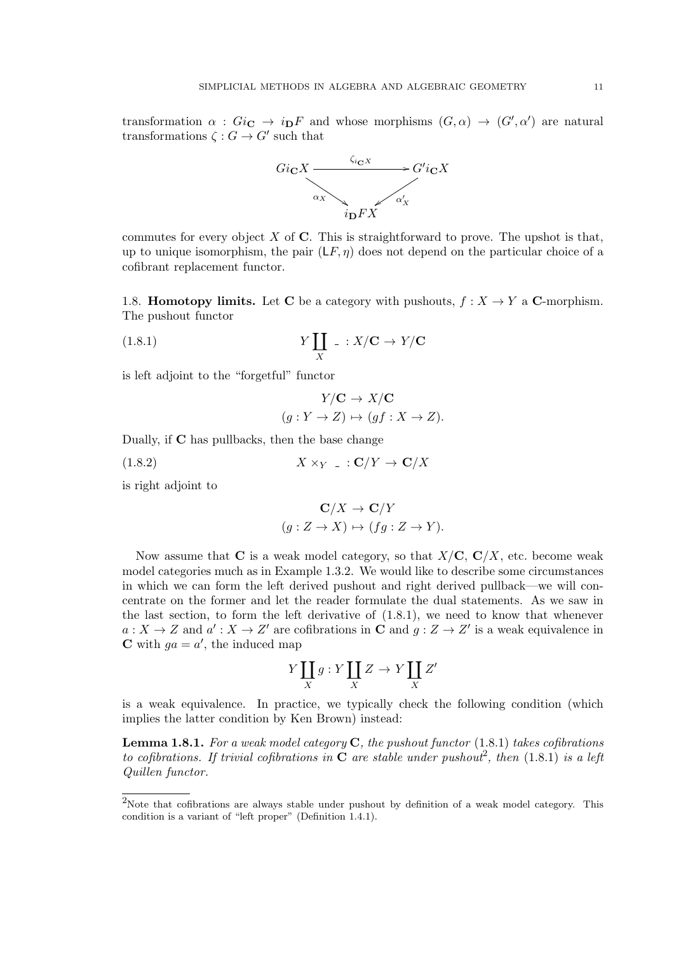transformation  $\alpha$ :  $Gi_{\mathbf{C}} \to i_{\mathbf{D}}F$  and whose morphisms  $(G, \alpha) \to (G', \alpha')$  are natural transformations  $\zeta: G \to G'$  such that



commutes for every object  $X$  of  $C$ . This is straightforward to prove. The upshot is that, up to unique isomorphism, the pair  $(LF, \eta)$  does not depend on the particular choice of a cofibrant replacement functor.

1.8. **Homotopy limits.** Let C be a category with pushouts,  $f : X \to Y$  a C-morphism. The pushout functor

(1.8.1) 
$$
Y \coprod_X \quad : X/\mathbf{C} \to Y/\mathbf{C}
$$

is left adjoint to the "forgetful" functor

$$
Y/C \to X/C
$$
  
 $(g: Y \to Z) \mapsto (gf: X \to Z).$ 

Dually, if C has pullbacks, then the base change

$$
(1.8.2) \t\t X \times_Y \t : \mathbf{C}/Y \to \mathbf{C}/X
$$

is right adjoint to

$$
\mathbf{C}/X \to \mathbf{C}/Y
$$

$$
(g: Z \to X) \mapsto (fg: Z \to Y).
$$

Now assume that C is a weak model category, so that  $X/C$ ,  $C/X$ , etc. become weak model categories much as in Example 1.3.2. We would like to describe some circumstances in which we can form the left derived pushout and right derived pullback—we will concentrate on the former and let the reader formulate the dual statements. As we saw in the last section, to form the left derivative of (1.8.1), we need to know that whenever  $a: X \to Z$  and  $a': X \to Z'$  are cofibrations in **C** and  $g: Z \to Z'$  is a weak equivalence in **C** with  $ga = a'$ , the induced map

$$
Y\coprod_X g:Y\coprod_X Z\to Y\coprod_X Z'
$$

is a weak equivalence. In practice, we typically check the following condition (which implies the latter condition by Ken Brown) instead:

**Lemma 1.8.1.** For a weak model category  $C$ , the pushout functor  $(1.8.1)$  takes cofibrations to cofibrations. If trivial cofibrations in  $C$  are stable under pushout<sup>2</sup>, then (1.8.1) is a left Quillen functor.

<sup>&</sup>lt;sup>2</sup>Note that cofibrations are always stable under pushout by definition of a weak model category. This condition is a variant of "left proper" (Definition 1.4.1).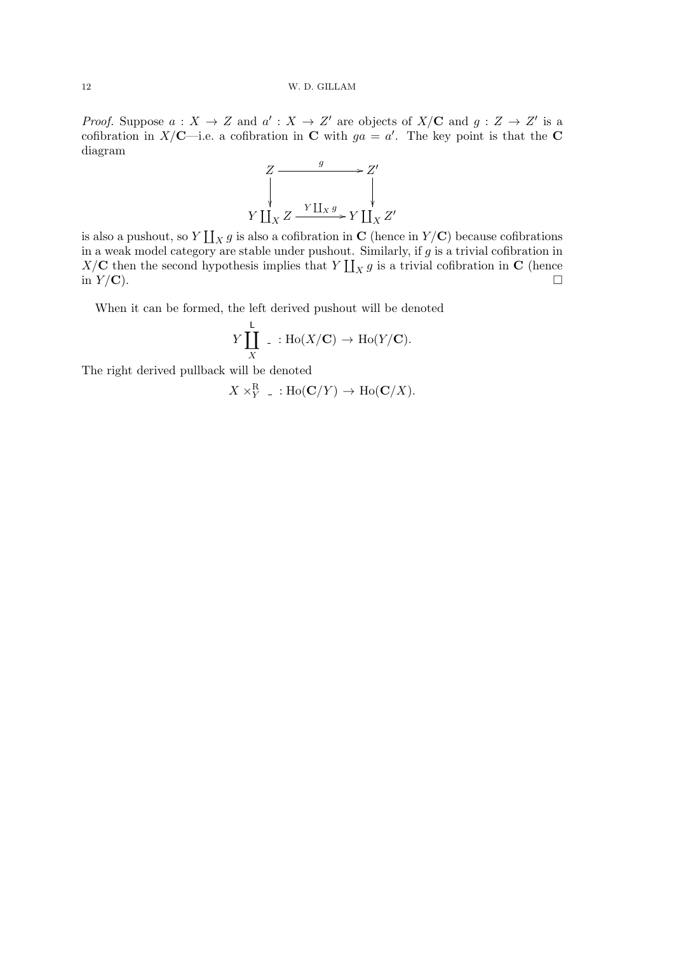*Proof.* Suppose  $a: X \to Z$  and  $a': X \to Z'$  are objects of  $X/\mathbf{C}$  and  $g: Z \to Z'$  is a cofibration in X/C—i.e. a cofibration in C with  $ga = a'$ . The key point is that the C diagram



is also a pushout, so  $Y \coprod_X g$  is also a cofibration in C (hence in  $Y/{\bf C}$ ) because cofibrations in a weak model category are stable under pushout. Similarly, if  $g$  is a trivial cofibration in  $X/\mathbf{C}$  then the second hypothesis implies that  $Y \coprod_X g$  is a trivial cofibration in  $\mathbf{C}$  (hence in  $Y/C$ ).

When it can be formed, the left derived pushout will be denoted

$$
Y\coprod_X^{\mathsf{L}}\ \_ : \mathrm{Ho}(X/\mathbf{C}) \to \mathrm{Ho}(Y/\mathbf{C}).
$$

The right derived pullback will be denoted

$$
X \times_Y^{\mathbf{R}} \dots \text{Ho}(\mathbf{C}/Y) \to \text{Ho}(\mathbf{C}/X).
$$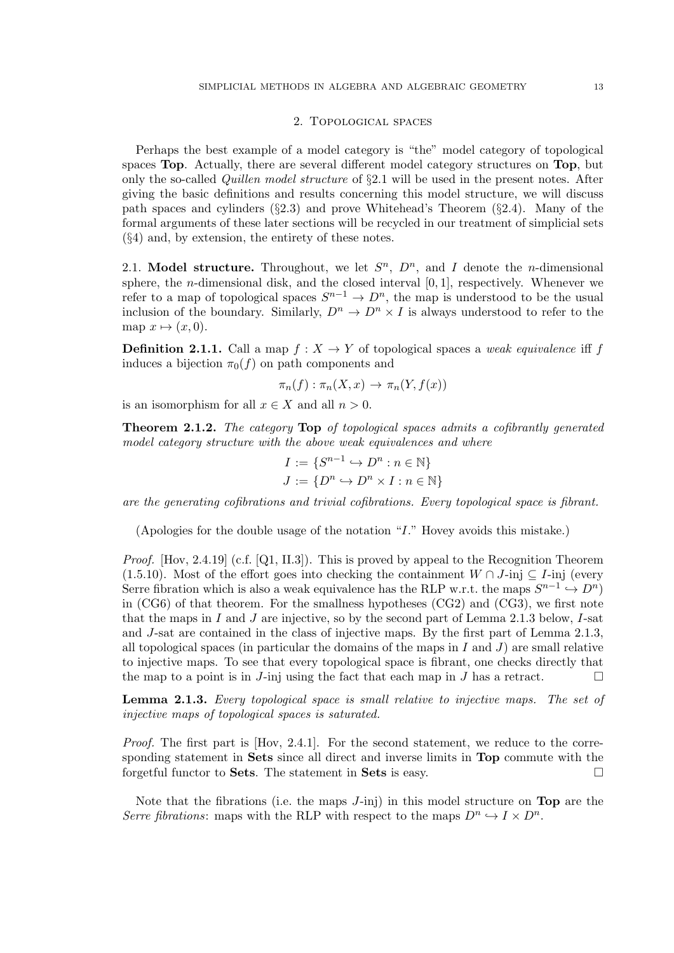#### 2. Topological spaces

Perhaps the best example of a model category is "the" model category of topological spaces Top. Actually, there are several different model category structures on Top, but only the so-called Quillen model structure of §2.1 will be used in the present notes. After giving the basic definitions and results concerning this model structure, we will discuss path spaces and cylinders  $(\S2.3)$  and prove Whitehead's Theorem  $(\S2.4)$ . Many of the formal arguments of these later sections will be recycled in our treatment of simplicial sets (§4) and, by extension, the entirety of these notes.

2.1. Model structure. Throughout, we let  $S<sup>n</sup>$ ,  $D<sup>n</sup>$ , and I denote the *n*-dimensional sphere, the *n*-dimensional disk, and the closed interval  $[0, 1]$ , respectively. Whenever we refer to a map of topological spaces  $S^{n-1} \to D^n$ , the map is understood to be the usual inclusion of the boundary. Similarly,  $D^n \to D^n \times I$  is always understood to refer to the map  $x \mapsto (x, 0)$ .

**Definition 2.1.1.** Call a map  $f : X \to Y$  of topological spaces a weak equivalence iff f induces a bijection  $\pi_0(f)$  on path components and

$$
\pi_n(f) : \pi_n(X, x) \to \pi_n(Y, f(x))
$$

is an isomorphism for all  $x \in X$  and all  $n > 0$ .

Theorem 2.1.2. The category Top of topological spaces admits a cofibrantly generated model category structure with the above weak equivalences and where

$$
I := \{S^{n-1} \hookrightarrow D^n : n \in \mathbb{N}\}
$$

$$
J := \{D^n \hookrightarrow D^n \times I : n \in \mathbb{N}\}
$$

are the generating cofibrations and trivial cofibrations. Every topological space is fibrant.

(Apologies for the double usage of the notation "I." Hovey avoids this mistake.)

Proof. [Hov, 2.4.19] (c.f. [Q1, II.3]). This is proved by appeal to the Recognition Theorem (1.5.10). Most of the effort goes into checking the containment  $W \cap J$ -inj  $\subseteq I$ -inj (every Serre fibration which is also a weak equivalence has the RLP w.r.t. the maps  $S^{n-1} \hookrightarrow D^n$ ) in (CG6) of that theorem. For the smallness hypotheses (CG2) and (CG3), we first note that the maps in I and J are injective, so by the second part of Lemma 2.1.3 below, I-sat and J-sat are contained in the class of injective maps. By the first part of Lemma 2.1.3, all topological spaces (in particular the domains of the maps in  $I$  and  $J$ ) are small relative to injective maps. To see that every topological space is fibrant, one checks directly that the map to a point is in J-inj using the fact that each map in J has a retract.  $\square$ 

Lemma 2.1.3. Every topological space is small relative to injective maps. The set of injective maps of topological spaces is saturated.

Proof. The first part is [Hov, 2.4.1]. For the second statement, we reduce to the corresponding statement in Sets since all direct and inverse limits in Top commute with the forgetful functor to **Sets**. The statement in **Sets** is easy.  $\Box$ 

Note that the fibrations (i.e. the maps J-inj) in this model structure on Top are the Serre fibrations: maps with the RLP with respect to the maps  $D^n \hookrightarrow I \times D^n$ .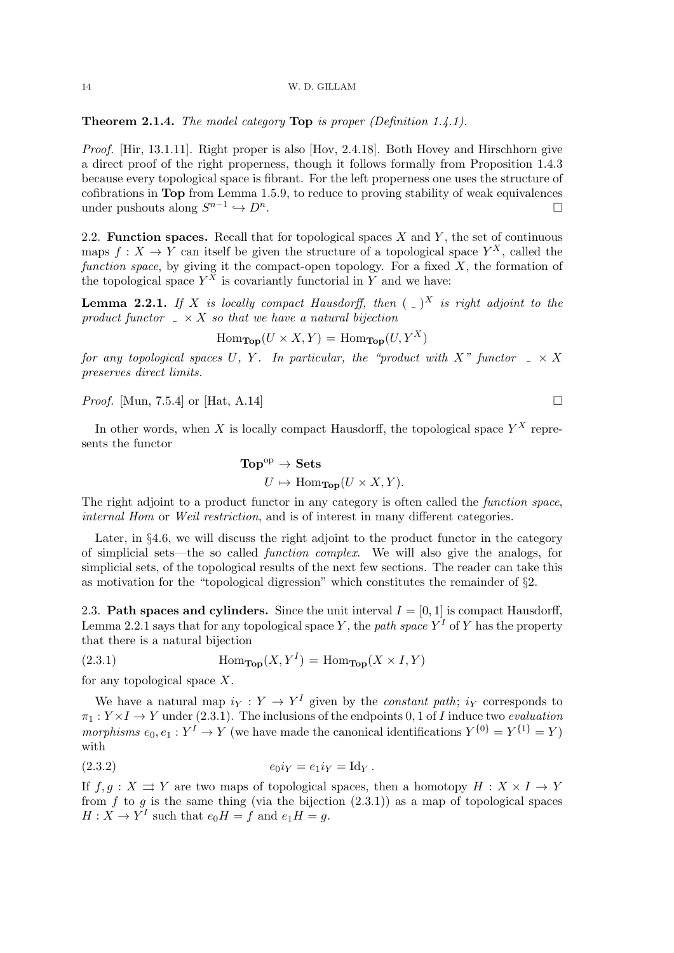**Theorem 2.1.4.** The model category **Top** is proper (Definition 1.4.1).

Proof. [Hir, 13.1.11]. Right proper is also [Hov, 2.4.18]. Both Hovey and Hirschhorn give a direct proof of the right properness, though it follows formally from Proposition 1.4.3 because every topological space is fibrant. For the left properness one uses the structure of cofibrations in Top from Lemma 1.5.9, to reduce to proving stability of weak equivalences under pushouts along  $S^{n-1} \hookrightarrow D^n$ .

2.2. Function spaces. Recall that for topological spaces  $X$  and  $Y$ , the set of continuous maps  $f: X \to Y$  can itself be given the structure of a topological space  $Y^X$ , called the function space, by giving it the compact-open topology. For a fixed  $X$ , the formation of the topological space  $Y^X$  is covariantly functorial in Y and we have:

**Lemma 2.2.1.** If X is locally compact Hausdorff, then  $(-)^X$  is right adjoint to the product functor  $\Delta X$  so that we have a natural bijection

$$
\operatorname{Hom}_{\operatorname{\mathbf{Top}}}(U \times X, Y) = \operatorname{Hom}_{\operatorname{\mathbf{Top}}}(U, Y^X)
$$

for any topological spaces U, Y. In particular, the "product with X" functor  $\Box \times X$ preserves direct limits.

*Proof.* [Mun, 7.5.4] or [Hat, A.14]

In other words, when X is locally compact Hausdorff, the topological space  $Y^X$  represents the functor

$$
\text{Top}^{\text{op}} \to \text{Sets}
$$

$$
U \mapsto \text{Hom}_{\text{Top}}(U \times X, Y).
$$

The right adjoint to a product functor in any category is often called the *function space*, internal Hom or Weil restriction, and is of interest in many different categories.

Later, in §4.6, we will discuss the right adjoint to the product functor in the category of simplicial sets—the so called function complex. We will also give the analogs, for simplicial sets, of the topological results of the next few sections. The reader can take this as motivation for the "topological digression" which constitutes the remainder of §2.

2.3. Path spaces and cylinders. Since the unit interval  $I = [0, 1]$  is compact Hausdorff, Lemma 2.2.1 says that for any topological space Y, the path space  $Y<sup>I</sup>$  of Y has the property that there is a natural bijection

(2.3.1) 
$$
\text{Hom}_{\text{Top}}(X, Y^I) = \text{Hom}_{\text{Top}}(X \times I, Y)
$$

for any topological space  $X$ .

We have a natural map  $i_Y : Y \to Y^I$  given by the *constant path*;  $i_Y$  corresponds to  $\pi_1: Y \times I \to Y$  under (2.3.1). The inclusions of the endpoints 0, 1 of I induce two evaluation morphisms  $e_0, e_1 : Y^I \to Y$  (we have made the canonical identifications  $Y^{\{0\}} = Y^{\{1\}} = Y$ ) with

(2.3.2) 
$$
e_0 i_Y = e_1 i_Y = \text{Id}_Y.
$$

If  $f, q: X \rightrightarrows Y$  are two maps of topological spaces, then a homotopy  $H: X \times I \to Y$ from f to g is the same thing (via the bijection  $(2.3.1)$ ) as a map of topological spaces  $H: X \to Y^I$  such that  $e_0H = f$  and  $e_1H = g$ .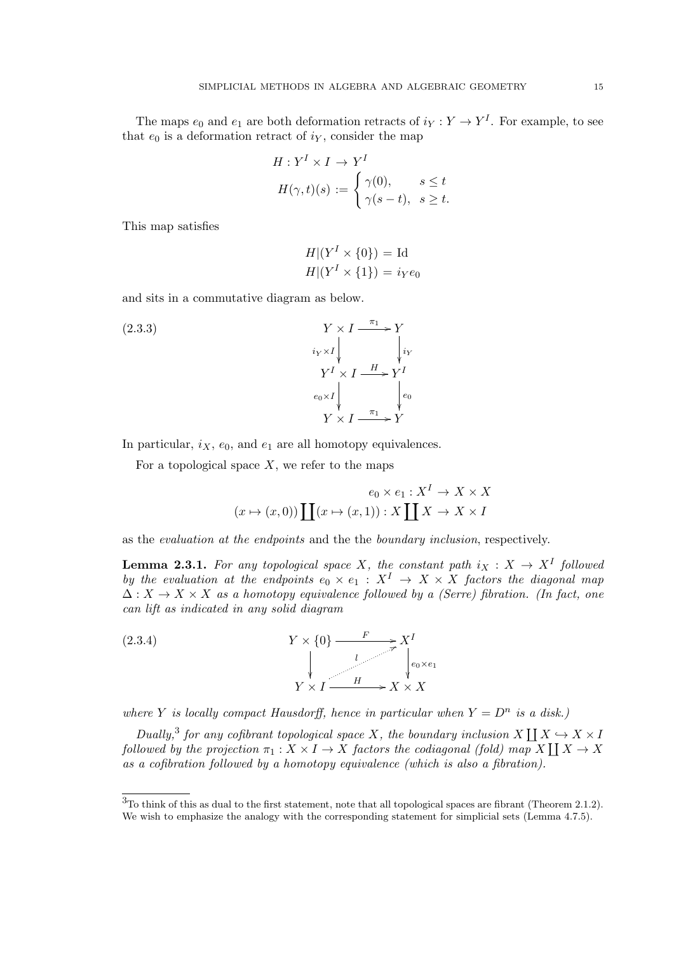The maps  $e_0$  and  $e_1$  are both deformation retracts of  $i_Y : Y \to Y^I$ . For example, to see that  $e_0$  is a deformation retract of  $i<sub>Y</sub>$ , consider the map

$$
H: YI \times I \to YI
$$
  

$$
H(\gamma, t)(s) := \begin{cases} \gamma(0), & s \le t \\ \gamma(s - t), & s \ge t. \end{cases}
$$

This map satisfies

$$
H|(Y^I \times \{0\}) = \text{Id}
$$
  

$$
H|(Y^I \times \{1\}) = i_Y e_0
$$

and sits in a commutative diagram as below.

(2.3.3)  
\n
$$
Y \times I \xrightarrow{\pi_{1}} Y
$$
\n
$$
i_{Y} \times I \xrightarrow{\pi_{1}} Y^{I}
$$
\n
$$
Y^{I} \times I \xrightarrow{\pi_{1}} Y^{I}
$$
\n
$$
e_{0} \times I \downarrow \qquad e_{0}
$$
\n
$$
Y \times I \xrightarrow{\pi_{1}} Y
$$

In particular,  $i_X$ ,  $e_0$ , and  $e_1$  are all homotopy equivalences.

For a topological space  $X$ , we refer to the maps

$$
e_0 \times e_1 : X^I \to X \times X
$$

$$
(x \mapsto (x, 0)) \coprod (x \mapsto (x, 1)) : X \coprod X \to X \times I
$$

as the evaluation at the endpoints and the the boundary inclusion, respectively.

**Lemma 2.3.1.** For any topological space X, the constant path  $i_X : X \to X^I$  followed by the evaluation at the endpoints  $e_0 \times e_1 : X^I \to X \times X$  factors the diagonal map  $\Delta: X \to X \times X$  as a homotopy equivalence followed by a (Serre) fibration. (In fact, one can lift as indicated in any solid diagram



where Y is locally compact Hausdorff, hence in particular when  $Y = D^n$  is a disk.)

Dually,<sup>3</sup> for any cofibrant topological space X, the boundary inclusion X  $\coprod X \hookrightarrow X \times I$ followed by the projection  $\pi_1: X \times I \to X$  factors the codiagonal (fold) map  $X \coprod X \to X$ as a cofibration followed by a homotopy equivalence (which is also a fibration).

<sup>3</sup>To think of this as dual to the first statement, note that all topological spaces are fibrant (Theorem 2.1.2). We wish to emphasize the analogy with the corresponding statement for simplicial sets (Lemma 4.7.5).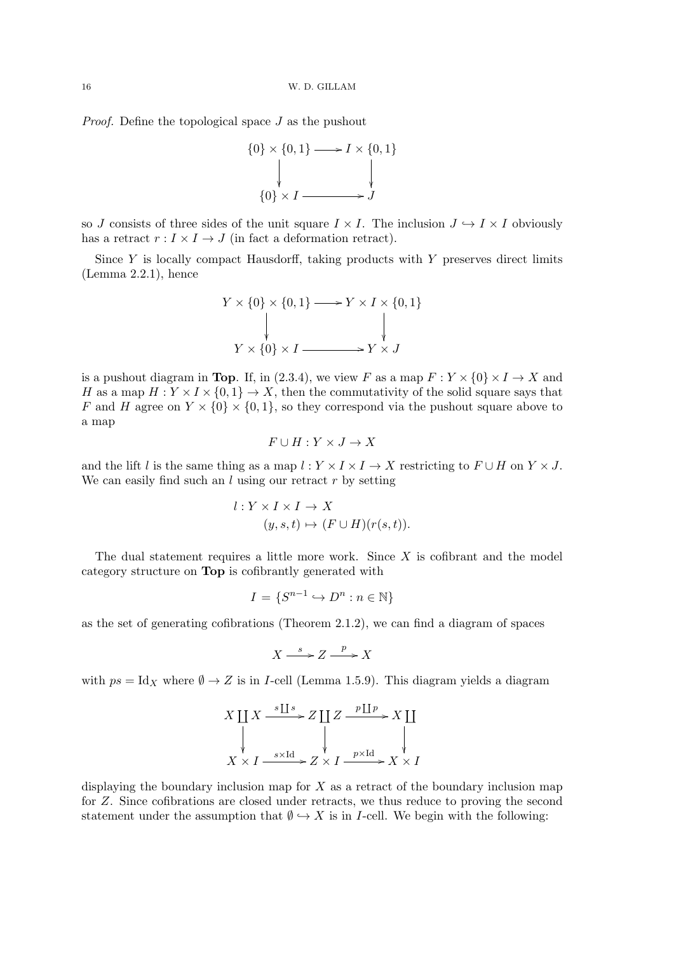Proof. Define the topological space J as the pushout



so J consists of three sides of the unit square  $I \times I$ . The inclusion  $J \hookrightarrow I \times I$  obviously has a retract  $r: I \times I \to J$  (in fact a deformation retract).

Since  $Y$  is locally compact Hausdorff, taking products with  $Y$  preserves direct limits (Lemma 2.2.1), hence

$$
Y \times \{0\} \times \{0, 1\} \longrightarrow Y \times I \times \{0, 1\}
$$
\n
$$
\downarrow \qquad \qquad \downarrow
$$
\n
$$
Y \times \{0\} \times I \longrightarrow Y \times J
$$

is a pushout diagram in Top. If, in (2.3.4), we view F as a map  $F: Y \times \{0\} \times I \to X$  and H as a map  $H: Y \times I \times \{0,1\} \to X$ , then the commutativity of the solid square says that F and H agree on  $Y \times \{0\} \times \{0,1\}$ , so they correspond via the pushout square above to a map

$$
F \cup H : Y \times J \to X
$$

and the lift l is the same thing as a map  $l : Y \times I \times I \to X$  restricting to  $F \cup H$  on  $Y \times J$ . We can easily find such an  $l$  using our retract  $r$  by setting

$$
l: Y \times I \times I \to X
$$
  

$$
(y, s, t) \mapsto (F \cup H)(r(s, t)).
$$

The dual statement requires a little more work. Since  $X$  is cofibrant and the model category structure on Top is cofibrantly generated with

$$
I = \{S^{n-1} \hookrightarrow D^n : n \in \mathbb{N}\}\
$$

as the set of generating cofibrations (Theorem 2.1.2), we can find a diagram of spaces

$$
X \xrightarrow{s} Z \xrightarrow{p} X
$$

with  $ps = \text{Id}_X$  where  $\emptyset \to Z$  is in *I*-cell (Lemma 1.5.9). This diagram yields a diagram

$$
X \coprod X \xrightarrow{s \coprod s} Z \coprod Z \xrightarrow{p \coprod p} X \coprod
$$
  
\n
$$
\downarrow \qquad \qquad \downarrow \qquad \qquad \downarrow
$$
  
\n
$$
X \times I \xrightarrow{s \times \text{Id}} Z \times I \xrightarrow{p \times \text{Id}} X \times I
$$

displaying the boundary inclusion map for  $X$  as a retract of the boundary inclusion map for Z. Since cofibrations are closed under retracts, we thus reduce to proving the second statement under the assumption that  $\emptyset \hookrightarrow X$  is in *I*-cell. We begin with the following: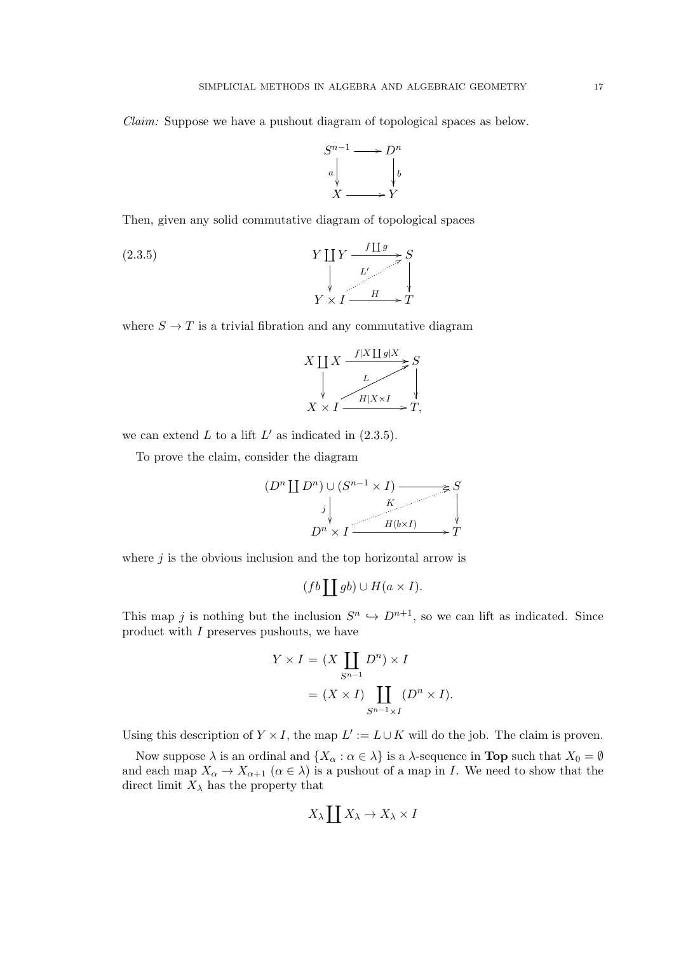Claim: Suppose we have a pushout diagram of topological spaces as below.



Then, given any solid commutative diagram of topological spaces

(2.3.5) 
$$
Y \coprod Y \xrightarrow{f \coprod g} S
$$
\n
$$
Y \times I \xrightarrow{L'} T
$$

where  $S \to T$  is a trivial fibration and any commutative diagram

$$
X \coprod_{X} X \xrightarrow{f|X \coprod g|X} S
$$
  
\n
$$
X \times I \xrightarrow{L} H|X \times I \xrightarrow{g} T,
$$

we can extend  $L$  to a lift  $L'$  as indicated in  $(2.3.5)$ .

To prove the claim, consider the diagram

$$
(D^n \coprod D^n) \cup (S^{n-1} \times I) \xrightarrow{\times} S
$$
  

$$
j \downarrow \qquad K \downarrow
$$
  

$$
D^n \times I \xrightarrow{H(b \times I)} T
$$

where  $j$  is the obvious inclusion and the top horizontal arrow is

$$
(fb \coprod gb) \cup H(a \times I).
$$

This map j is nothing but the inclusion  $S^n \hookrightarrow D^{n+1}$ , so we can lift as indicated. Since product with I preserves pushouts, we have

$$
Y \times I = (X \coprod_{S^{n-1}} D^n) \times I
$$
  
=  $(X \times I) \coprod_{S^{n-1} \times I} (D^n \times I).$ 

Using this description of  $Y \times I$ , the map  $L' := L \cup K$  will do the job. The claim is proven.

Now suppose  $\lambda$  is an ordinal and  $\{X_\alpha : \alpha \in \lambda\}$  is a  $\lambda$ -sequence in **Top** such that  $X_0 = \emptyset$ and each map  $X_{\alpha} \to X_{\alpha+1}$   $(\alpha \in \lambda)$  is a pushout of a map in I. We need to show that the direct limit  $X_{\lambda}$  has the property that

$$
X_{\lambda} \coprod X_{\lambda} \to X_{\lambda} \times I
$$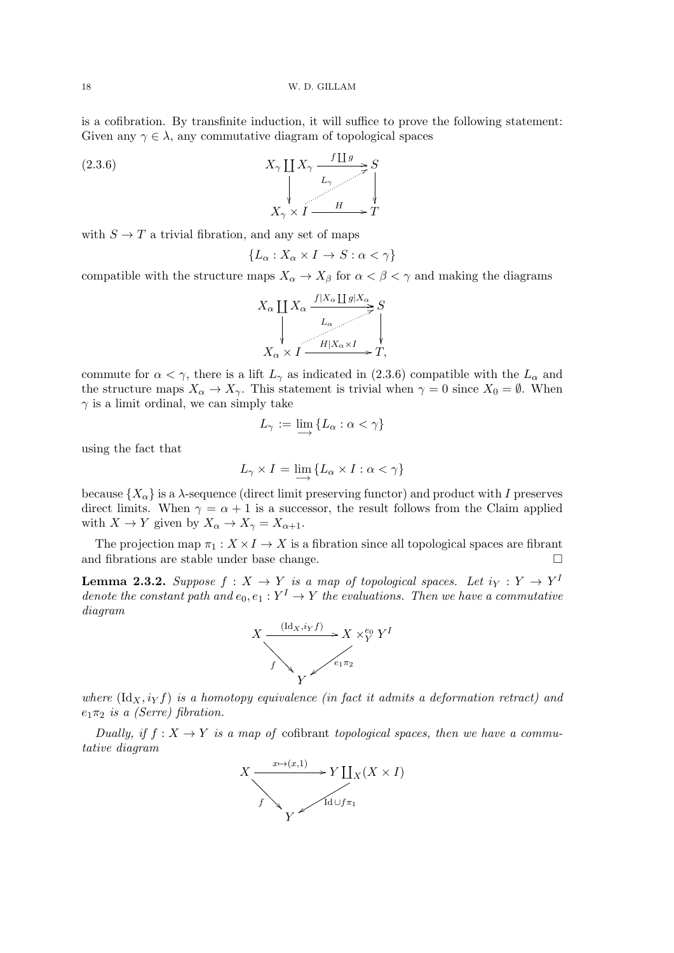is a cofibration. By transfinite induction, it will suffice to prove the following statement: Given any  $\gamma \in \lambda$ , any commutative diagram of topological spaces



with  $S \to T$  a trivial fibration, and any set of maps

$$
\{L_\alpha:X_\alpha\times I\to S:\alpha<\gamma\}
$$

compatible with the structure maps  $X_{\alpha} \to X_{\beta}$  for  $\alpha < \beta < \gamma$  and making the diagrams

$$
X_{\alpha} \coprod_{\forall} X_{\alpha} \xrightarrow{f|X_{\alpha} \coprod g|X_{\alpha}} S
$$
  

$$
\downarrow \qquad \qquad \downarrow
$$
  

$$
X_{\alpha} \times I \xrightarrow{H|X_{\alpha} \times I} T,
$$

commute for  $\alpha < \gamma$ , there is a lift  $L_{\gamma}$  as indicated in (2.3.6) compatible with the  $L_{\alpha}$  and the structure maps  $X_{\alpha} \to X_{\gamma}$ . This statement is trivial when  $\gamma = 0$  since  $X_0 = \emptyset$ . When  $\gamma$  is a limit ordinal, we can simply take

$$
L_{\gamma} := \varinjlim \{ L_{\alpha} : \alpha < \gamma \}
$$

using the fact that

$$
L_{\gamma} \times I = \lim_{\longrightarrow} \{ L_{\alpha} \times I : \alpha < \gamma \}
$$

because  $\{X_{\alpha}\}\$ is a  $\lambda$ -sequence (direct limit preserving functor) and product with I preserves direct limits. When  $\gamma = \alpha + 1$  is a successor, the result follows from the Claim applied with  $X \to Y$  given by  $X_{\alpha} \to X_{\gamma} = X_{\alpha+1}$ .

The projection map  $\pi_1 : X \times I \to X$  is a fibration since all topological spaces are fibrant and fibrations are stable under base change.

**Lemma 2.3.2.** Suppose  $f: X \to Y$  is a map of topological spaces. Let  $i_Y: Y \to Y^1$ denote the constant path and  $e_0, e_1 : Y^I \to Y$  the evaluations. Then we have a commutative diagram



where  $(\mathrm{Id}_X, i_Y f)$  is a homotopy equivalence (in fact it admits a deformation retract) and  $e_1\pi_2$  is a (Serre) fibration.

Dually, if  $f: X \to Y$  is a map of cofibrant topological spaces, then we have a commutative diagram

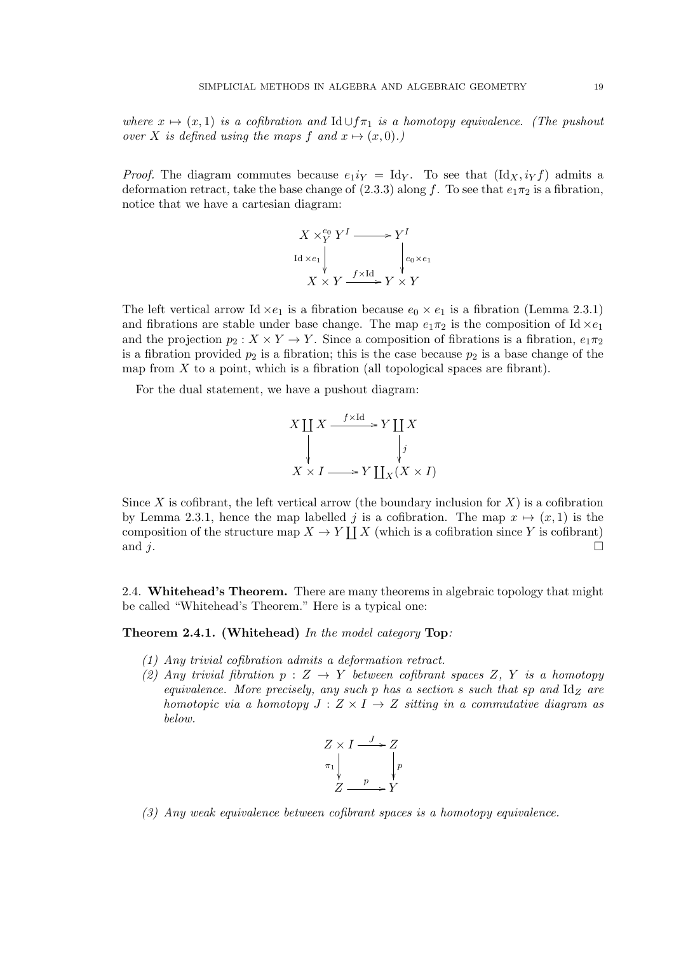where  $x \mapsto (x, 1)$  is a cofibration and Id ∪ $f_{\pi_1}$  is a homotopy equivalence. (The pushout over X is defined using the maps f and  $x \mapsto (x, 0)$ .)

*Proof.* The diagram commutes because  $e_1i_Y = \text{Id}_Y$ . To see that  $(\text{Id}_X, i_Y f)$  admits a deformation retract, take the base change of (2.3.3) along f. To see that  $e_1\pi_2$  is a fibration, notice that we have a cartesian diagram:



The left vertical arrow Id  $\times e_1$  is a fibration because  $e_0 \times e_1$  is a fibration (Lemma 2.3.1) and fibrations are stable under base change. The map  $e_1\pi_2$  is the composition of Id  $\times e_1$ and the projection  $p_2 : X \times Y \to Y$ . Since a composition of fibrations is a fibration,  $e_1 \pi_2$ is a fibration provided  $p_2$  is a fibration; this is the case because  $p_2$  is a base change of the map from  $X$  to a point, which is a fibration (all topological spaces are fibrant).

For the dual statement, we have a pushout diagram:

$$
X \coprod_{y} X \xrightarrow{f \times \text{Id}} Y \coprod_{x} X
$$
\n
$$
\downarrow \qquad \qquad \downarrow j
$$
\n
$$
X \times I \longrightarrow Y \coprod_{x} (X \times I)
$$

Since X is cofibrant, the left vertical arrow (the boundary inclusion for X) is a cofibration by Lemma 2.3.1, hence the map labelled j is a cofibration. The map  $x \mapsto (x, 1)$  is the composition of the structure map  $X \to Y \coprod X$  (which is a cofibration since Y is cofibrant) and  $j$ .

2.4. Whitehead's Theorem. There are many theorems in algebraic topology that might be called "Whitehead's Theorem." Here is a typical one:

### Theorem 2.4.1. (Whitehead) In the model category Top:

- (1) Any trivial cofibration admits a deformation retract.
- (2) Any trivial fibration  $p: Z \to Y$  between cofibrant spaces Z, Y is a homotopy equivalence. More precisely, any such p has a section s such that sp and  $\mathrm{Id}_Z$  are homotopic via a homotopy  $J: Z \times I \rightarrow Z$  sitting in a commutative diagram as below.



(3) Any weak equivalence between cofibrant spaces is a homotopy equivalence.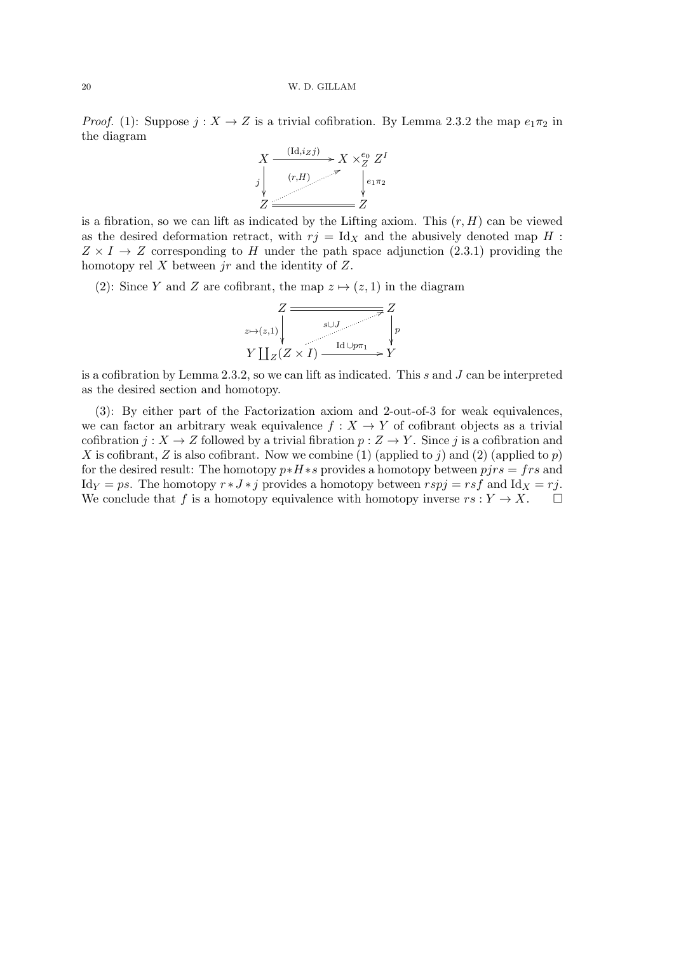*Proof.* (1): Suppose  $j: X \to Z$  is a trivial cofibration. By Lemma 2.3.2 the map  $e_1 \pi_2$  in the diagram



is a fibration, so we can lift as indicated by the Lifting axiom. This  $(r, H)$  can be viewed as the desired deformation retract, with  $rj = Id<sub>X</sub>$  and the abusively denoted map H :  $Z \times I \rightarrow Z$  corresponding to H under the path space adjunction (2.3.1) providing the homotopy rel  $X$  between  $jr$  and the identity of  $Z$ .

(2): Since Y and Z are cofibrant, the map  $z \mapsto (z, 1)$  in the diagram



is a cofibration by Lemma 2.3.2, so we can lift as indicated. This s and  $J$  can be interpreted as the desired section and homotopy.

(3): By either part of the Factorization axiom and 2-out-of-3 for weak equivalences, we can factor an arbitrary weak equivalence  $f : X \to Y$  of cofibrant objects as a trivial cofibration  $j: X \to Z$  followed by a trivial fibration  $p: Z \to Y$ . Since j is a cofibration and X is cofibrant, Z is also cofibrant. Now we combine (1) (applied to j) and (2) (applied to  $p$ ) for the desired result: The homotopy  $p * H * s$  provides a homotopy between  $p j r s = f r s$  and Id<sub>Y</sub> = ps. The homotopy  $r * J * j$  provides a homotopy between  $rspj = rsf$  and Id<sub>X</sub> = rj. We conclude that f is a homotopy equivalence with homotopy inverse  $rs: Y \to X$ .  $\Box$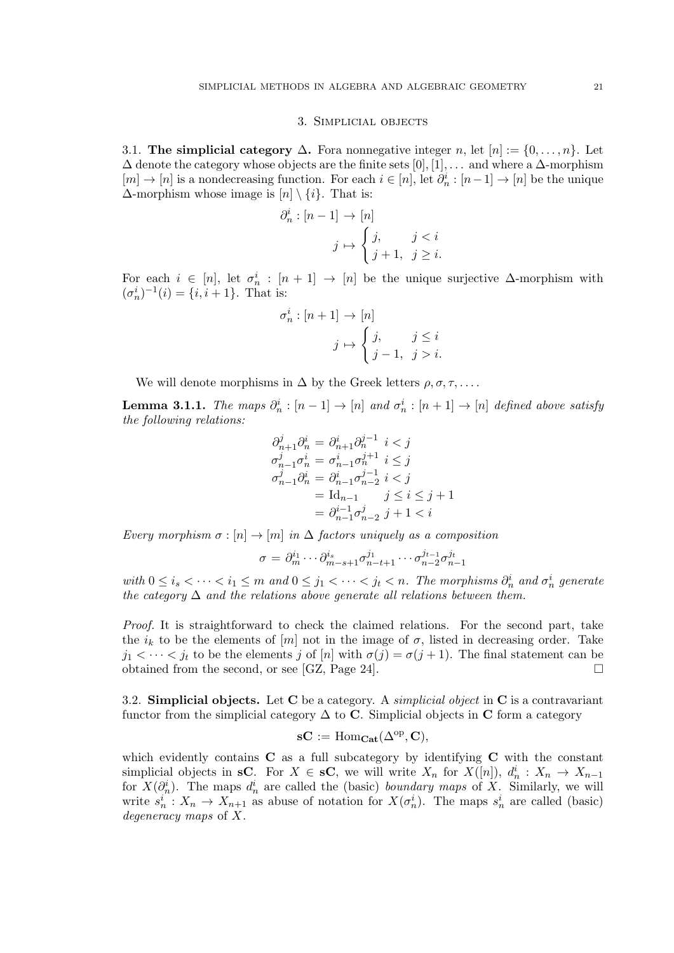#### 3. Simplicial objects

3.1. The simplicial category  $\Delta$ . Fora nonnegative integer n, let  $[n] := \{0, \ldots, n\}$ . Let  $\Delta$  denote the category whose objects are the finite sets  $[0], [1], \ldots$  and where a  $\Delta$ -morphism  $[m] \to [n]$  is a nondecreasing function. For each  $i \in [n]$ , let  $\partial_n^i : [n-1] \to [n]$  be the unique  $\Delta$ -morphism whose image is  $[n] \setminus \{i\}$ . That is:

$$
\partial_n^i : [n-1] \to [n]
$$

$$
j \mapsto \begin{cases} j, & j < i \\ j+1, & j \ge i \end{cases}
$$

For each  $i \in [n]$ , let  $\sigma_n^i : [n+1] \to [n]$  be the unique surjective  $\Delta$ -morphism with  $(\sigma_n^i)^{-1}(i) = \{i, i+1\}.$  That is:

$$
\sigma_n^i : [n+1] \to [n]
$$

$$
j \mapsto \begin{cases} j, & j \leq i \\ j-1, & j > i. \end{cases}
$$

We will denote morphisms in  $\Delta$  by the Greek letters  $\rho, \sigma, \tau, \ldots$ .

**Lemma 3.1.1.** The maps  $\partial_n^i : [n-1] \to [n]$  and  $\sigma_n^i : [n+1] \to [n]$  defined above satisfy the following relations:

$$
\partial_{n+1}^{j} \partial_{n}^{i} = \partial_{n+1}^{i} \partial_{n}^{j-1} i < j
$$
\n
$$
\sigma_{n-1}^{j} \sigma_{n}^{i} = \sigma_{n-1}^{i} \sigma_{n}^{j+1} i < j
$$
\n
$$
\sigma_{n-1}^{j} \partial_{n}^{i} = \partial_{n-1}^{i} \sigma_{n-2}^{j-1} i < j
$$
\n
$$
= \mathrm{Id}_{n-1} \qquad j \leq i \leq j+1
$$
\n
$$
= \partial_{n-1}^{i-1} \sigma_{n-2}^{j} j + 1 < i
$$

Every morphism  $\sigma : [n] \to [m]$  in  $\Delta$  factors uniquely as a composition

$$
\sigma=\partial_m^{i_1}\cdots\partial_{m-s+1}^{i_s}\sigma_{n-t+1}^{j_1}\cdots\sigma_{n-2}^{j_{t-1}}\sigma_{n-1}^{j_t}
$$

with  $0 \le i_s < \cdots < i_1 \le m$  and  $0 \le j_1 < \cdots < j_t < n$ . The morphisms  $\partial_n^i$  and  $\sigma_n^i$  generate the category  $\Delta$  and the relations above generate all relations between them.

Proof. It is straightforward to check the claimed relations. For the second part, take the  $i_k$  to be the elements of  $[m]$  not in the image of  $\sigma$ , listed in decreasing order. Take  $j_1 < \cdots < j_t$  to be the elements j of  $[n]$  with  $\sigma(j) = \sigma(j+1)$ . The final statement can be obtained from the second, or see [GZ, Page 24].  $\Box$ 

3.2. Simplicial objects. Let C be a category. A *simplicial object* in C is a contravariant functor from the simplicial category  $\Delta$  to C. Simplicial objects in C form a category

$$
\mathbf{s} \mathbf{C} := \mathrm{Hom}_{\mathbf{Cat}}(\Delta^{\mathrm{op}}, \mathbf{C}),
$$

which evidently contains  $C$  as a full subcategory by identifying  $C$  with the constant simplicial objects in sC. For  $X \in \mathbf{SC}$ , we will write  $X_n$  for  $X([n])$ ,  $d_n^i : X_n \to X_{n-1}$ for  $X(\partial_n^i)$ . The maps  $d_n^i$  are called the (basic) *boundary maps* of X. Similarly, we will write  $s_n^i: X_n \to X_{n+1}$  as abuse of notation for  $X(\sigma_n^i)$ . The maps  $s_n^i$  are called (basic) degeneracy maps of X.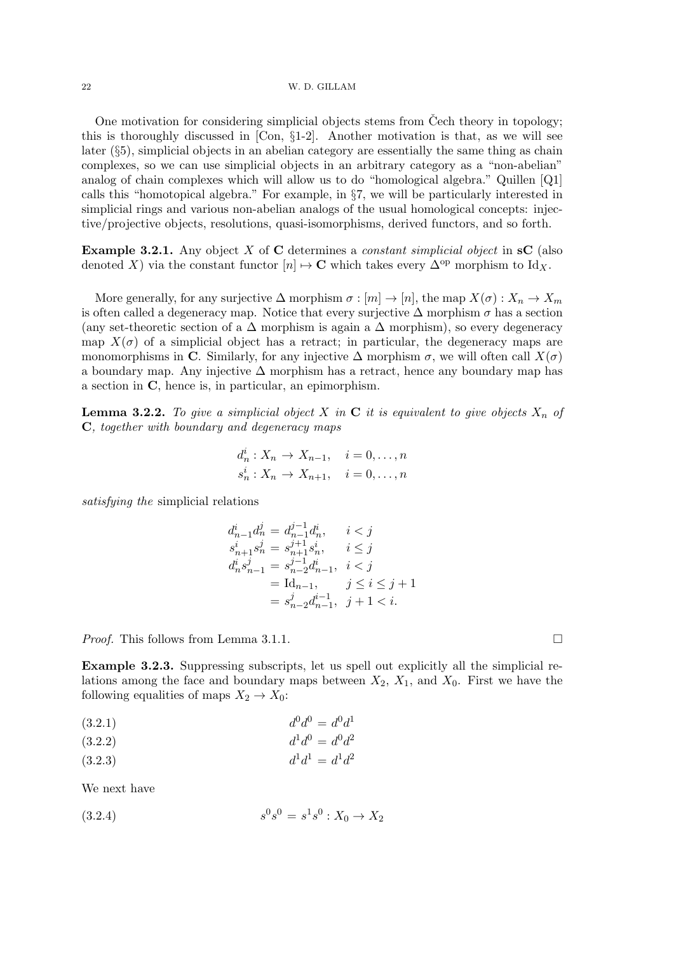One motivation for considering simplicial objects stems from  $\check{C}$ ech theory in topology; this is thoroughly discussed in [Con, §1-2]. Another motivation is that, as we will see later  $(\S_5)$ , simplicial objects in an abelian category are essentially the same thing as chain complexes, so we can use simplicial objects in an arbitrary category as a "non-abelian" analog of chain complexes which will allow us to do "homological algebra." Quillen [Q1] calls this "homotopical algebra." For example, in §7, we will be particularly interested in simplicial rings and various non-abelian analogs of the usual homological concepts: injective/projective objects, resolutions, quasi-isomorphisms, derived functors, and so forth.

**Example 3.2.1.** Any object X of C determines a *constant simplicial object* in  $\mathbf{s}C$  (also denoted X) via the constant functor  $[n] \mapsto \mathbf{C}$  which takes every  $\Delta^{\text{op}}$  morphism to Id<sub>X</sub>.

More generally, for any surjective  $\Delta$  morphism  $\sigma : [m] \to [n]$ , the map  $X(\sigma) : X_n \to X_m$ is often called a degeneracy map. Notice that every surjective  $\Delta$  morphism  $\sigma$  has a section (any set-theoretic section of a  $\Delta$  morphism is again a  $\Delta$  morphism), so every degeneracy map  $X(\sigma)$  of a simplicial object has a retract; in particular, the degeneracy maps are monomorphisms in C. Similarly, for any injective  $\Delta$  morphism  $\sigma$ , we will often call  $X(\sigma)$ a boundary map. Any injective  $\Delta$  morphism has a retract, hence any boundary map has a section in C, hence is, in particular, an epimorphism.

**Lemma 3.2.2.** To give a simplicial object X in C it is equivalent to give objects  $X_n$  of C, together with boundary and degeneracy maps

$$
d_n^i: X_n \to X_{n-1}, \quad i = 0, \dots, n
$$
  

$$
s_n^i: X_n \to X_{n+1}, \quad i = 0, \dots, n
$$

satisfying the simplicial relations

$$
d_{n-1}^i d_n^j = d_{n-1}^{j-1} d_n^i, \t i < j
$$
  
\n
$$
s_{n+1}^i s_n^j = s_{n+1}^{j+1} s_n^i, \t i \le j
$$
  
\n
$$
d_n^i s_{n-1}^j = s_{n-2}^{j-1} d_{n-1}^i, \t i < j
$$
  
\n
$$
= \mathrm{Id}_{n-1}, \t j \le i \le j+1
$$
  
\n
$$
= s_{n-2}^j d_{n-1}^{i-1}, \t j+1 < i.
$$

*Proof.* This follows from Lemma 3.1.1.

Example 3.2.3. Suppressing subscripts, let us spell out explicitly all the simplicial relations among the face and boundary maps between  $X_2$ ,  $X_1$ , and  $X_0$ . First we have the following equalities of maps  $X_2 \to X_0$ :

$$
(3.2.1) \t\t d0d0 = d0d1
$$

$$
(3.2.2) \t\t d1d0 = d0d2
$$

$$
(3.2.3) \t d1d1 = d1d2
$$

We next have

$$
(3.2.4) \t\t s0s0 = s1s0 : X0 \to X2
$$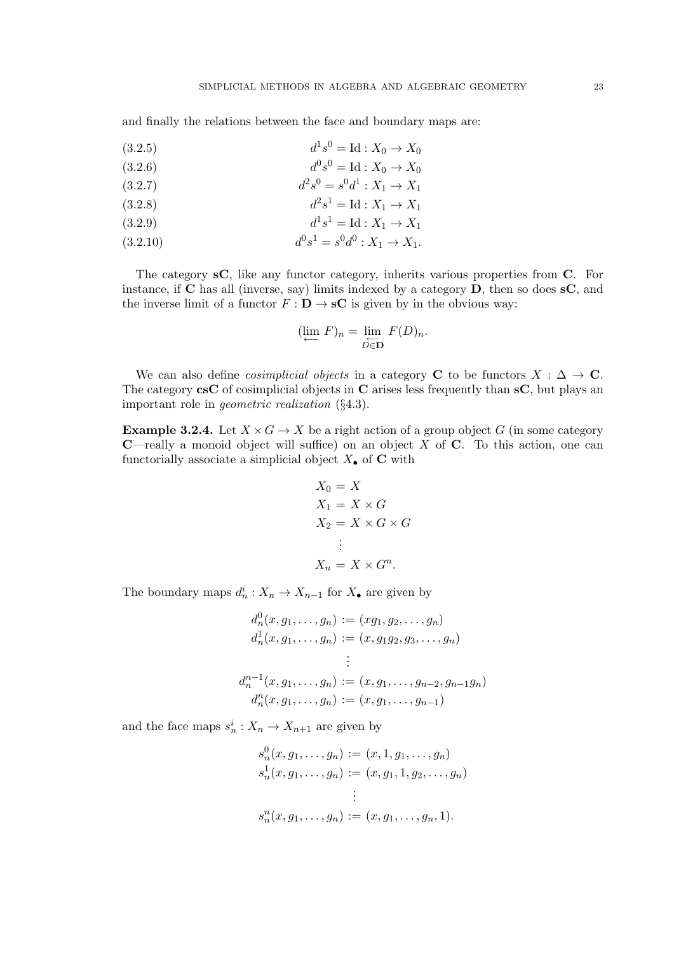and finally the relations between the face and boundary maps are:

(3.2.5) 
$$
d^1s^0 = \text{Id}: X_0 \to X_0
$$

(3.2.6) 
$$
d^0s^0 = \text{Id}: X_0 \to X_0
$$

$$
(3.2.7) \t\t d2s0 = s0d1 : X1 \to X1
$$

$$
(3.2.8) \t d2s1 = Id : X1 \to X1
$$

(3.2.9) 
$$
d^1 s^1 = \text{Id} : X_1 \to X_1
$$

(3.2.10) 
$$
d^0s^1 = s^0d^0: X_1 \to X_1.
$$

The category sC, like any functor category, inherits various properties from C. For instance, if  $C$  has all (inverse, say) limits indexed by a category  $D$ , then so does  $C$ , and the inverse limit of a functor  $F : \mathbf{D} \to \mathbf{s}C$  is given by in the obvious way:

$$
(\lim_{\longleftarrow} F)_n = \lim_{\substack{\longleftarrow \\ D \in \mathbf{D}}} F(D)_n.
$$

We can also define *cosimplicial objects* in a category **C** to be functors  $X : \Delta \to \mathbb{C}$ . The category  $\csc$  of cosimplicial objects in C arises less frequently than  $\sc s$ C, but plays an important role in geometric realization (§4.3).

**Example 3.2.4.** Let  $X \times G \to X$  be a right action of a group object G (in some category **C**—really a monoid object will suffice) on an object  $X$  of  $C$ . To this action, one can functorially associate a simplicial object  $X_{\bullet}$  of **C** with

$$
X_0 = X
$$
  
\n
$$
X_1 = X \times G
$$
  
\n
$$
X_2 = X \times G \times G
$$
  
\n:  
\n
$$
X_n = X \times G^n.
$$

The boundary maps  $d_n^i: X_n \to X_{n-1}$  for  $X_{\bullet}$  are given by

$$
d_n^0(x, g_1, \dots, g_n) := (xg_1, g_2, \dots, g_n)
$$
  
\n
$$
d_n^1(x, g_1, \dots, g_n) := (x, g_1g_2, g_3, \dots, g_n)
$$
  
\n
$$
\vdots
$$
  
\n
$$
d_n^{n-1}(x, g_1, \dots, g_n) := (x, g_1, \dots, g_{n-2}, g_{n-1}g_n)
$$
  
\n
$$
d_n^n(x, g_1, \dots, g_n) := (x, g_1, \dots, g_{n-1})
$$

and the face maps  $s_n^i: X_n \to X_{n+1}$  are given by

$$
s_n^0(x, g_1, \dots, g_n) := (x, 1, g_1, \dots, g_n)
$$
  
\n
$$
s_n^1(x, g_1, \dots, g_n) := (x, g_1, 1, g_2, \dots, g_n)
$$
  
\n
$$
\vdots
$$
  
\n
$$
s_n^n(x, g_1, \dots, g_n) := (x, g_1, \dots, g_n, 1).
$$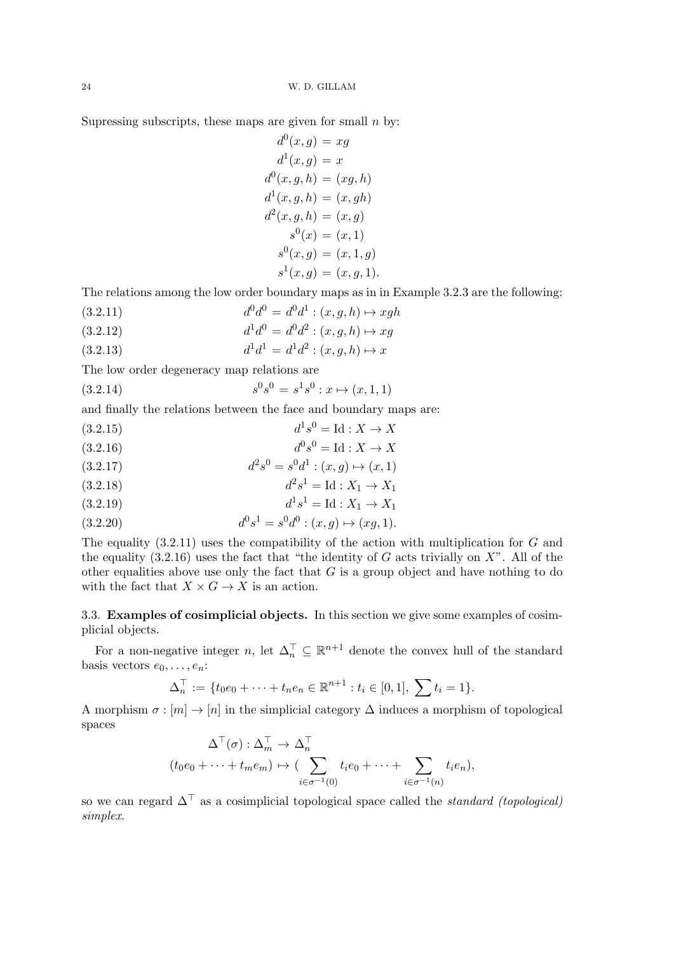Supressing subscripts, these maps are given for small  $n$  by:

$$
d^{0}(x, g) = xg
$$
  
\n
$$
d^{1}(x, g) = x
$$
  
\n
$$
d^{0}(x, g, h) = (xg, h)
$$
  
\n
$$
d^{1}(x, g, h) = (x, gh)
$$
  
\n
$$
d^{2}(x, g, h) = (x, g)
$$
  
\n
$$
s^{0}(x) = (x, 1)
$$
  
\n
$$
s^{0}(x, g) = (x, 1, g)
$$
  
\n
$$
s^{1}(x, g) = (x, g, 1).
$$

The relations among the low order boundary maps as in in Example 3.2.3 are the following:

- (3.2.11)  $d^0d^0 = d^0d^1 : (x, g, h) \mapsto xgh$
- (3.2.12)  $d^1 d^0 = d^0 d^2 : (x, g, h) \mapsto xg$
- (3.2.13)  $d^1 d^1 = d^1 d^2 : (x, g, h) \mapsto x$

The low order degeneracy map relations are

(3.2.14)  $s^0s^0 = s^1s^0 : x \mapsto (x, 1, 1)$ 

and finally the relations between the face and boundary maps are:

- (3.2.15)  $d^1s^0 = \text{Id} : X \to X$
- (3.2.16)  $d^0s^0 = \text{Id} : X \to X$
- (3.2.17)  $d^2s^0 = s^0d^1 : (x, g) \mapsto (x, 1)$
- (3.2.18)  $d^2s^1 = \text{Id} : X_1 \to X_1$

$$
(3.2.19) \t\t d1s1 = Id : X1 \to X1
$$

(3.2.20) 
$$
d^0s^1 = s^0d^0 : (x,g) \mapsto (xg,1).
$$

The equality  $(3.2.11)$  uses the compatibility of the action with multiplication for G and the equality  $(3.2.16)$  uses the fact that "the identity of G acts trivially on X". All of the other equalities above use only the fact that  $G$  is a group object and have nothing to do with the fact that  $X \times G \to X$  is an action.

3.3. Examples of cosimplicial objects. In this section we give some examples of cosimplicial objects.

For a non-negative integer n, let  $\Delta_n^{\top} \subseteq \mathbb{R}^{n+1}$  denote the convex hull of the standard basis vectors  $e_0, \ldots, e_n$ :

$$
\Delta_n^{\top} := \{ t_0 e_0 + \dots + t_n e_n \in \mathbb{R}^{n+1} : t_i \in [0,1], \sum t_i = 1 \}.
$$

A morphism  $\sigma : [m] \to [n]$  in the simplicial category  $\Delta$  induces a morphism of topological spaces

$$
\Delta^{\top}(\sigma) : \Delta_m^{\top} \to \Delta_n^{\top}
$$
  

$$
(t_0e_0 + \dots + t_me_m) \mapsto (\sum_{i \in \sigma^{-1}(0)} t_ie_0 + \dots + \sum_{i \in \sigma^{-1}(n)} t_ie_n),
$$

so we can regard  $\Delta^{\top}$  as a cosimplicial topological space called the *standard (topological)* simplex.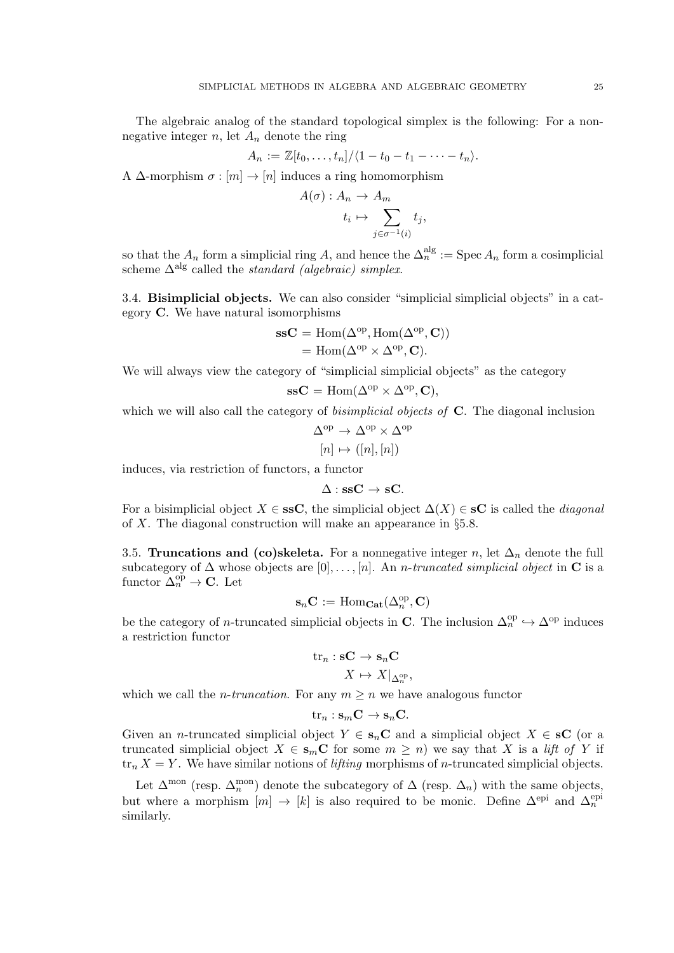The algebraic analog of the standard topological simplex is the following: For a nonnegative integer  $n$ , let  $A_n$  denote the ring

$$
A_n := \mathbb{Z}[t_0,\ldots,t_n]/\langle 1-t_0-t_1-\cdots-t_n\rangle.
$$

A  $\Delta$ -morphism  $\sigma : [m] \to [n]$  induces a ring homomorphism

$$
A(\sigma) : A_n \to A_m
$$
  

$$
t_i \mapsto \sum_{j \in \sigma^{-1}(i)} t_j,
$$

so that the  $A_n$  form a simplicial ring A, and hence the  $\Delta_n^{\text{alg}} := \text{Spec } A_n$  form a cosimplicial scheme  $\Delta^{\text{alg}}$  called the *standard (algebraic) simplex*.

3.4. Bisimplicial objects. We can also consider "simplicial simplicial objects" in a category C. We have natural isomorphisms

$$
ssC = \text{Hom}(\Delta^{\text{op}}, \text{Hom}(\Delta^{\text{op}}, C))
$$
  
= Hom( $\Delta^{\text{op}} \times \Delta^{\text{op}}, C$ ).

We will always view the category of "simplicial simplicial objects" as the category

$$
\mathbf{ssC} = \text{Hom}(\Delta^{\text{op}} \times \Delta^{\text{op}}, \mathbf{C}),
$$

which we will also call the category of *bisimplicial objects of* **C**. The diagonal inclusion

$$
\Delta^{\mathrm{op}} \to \Delta^{\mathrm{op}} \times \Delta^{\mathrm{op}}
$$

$$
[n] \mapsto ([n], [n])
$$

induces, via restriction of functors, a functor

 $\Delta$  : ssC  $\rightarrow$  sC.

For a bisimplicial object  $X \in \mathbf{ssC}$ , the simplicial object  $\Delta(X) \in \mathbf{SC}$  is called the *diagonal* of X. The diagonal construction will make an appearance in §5.8.

3.5. Truncations and (co)skeleta. For a nonnegative integer n, let  $\Delta_n$  denote the full subcategory of  $\Delta$  whose objects are [0],..., [n]. An *n*-truncated simplicial object in **C** is a functor  $\Delta_n^{\text{op}} \to \mathbf{C}$ . Let

$$
\mathbf{s}_n \mathbf{C} := \mathrm{Hom}_{\mathbf{Cat}}(\Delta^{\mathrm{op}}_n, \mathbf{C})
$$

be the category of *n*-truncated simplicial objects in **C**. The inclusion  $\Delta_n^{\text{op}} \hookrightarrow \Delta^{\text{op}}$  induces a restriction functor

$$
\mathrm{tr}_n : \mathbf{sC} \to \mathbf{s}_n \mathbf{C} X \mapsto X|_{\Delta_n^{\mathrm{op}}},
$$

which we call the *n*-truncation. For any  $m \geq n$  we have analogous functor

$$
\mathrm{tr}_n: \mathbf{s}_m \mathbf{C} \to \mathbf{s}_n \mathbf{C}.
$$

Given an *n*-truncated simplicial object  $Y \in s_nC$  and a simplicial object  $X \in sC$  (or a truncated simplicial object  $X \in s_m C$  for some  $m \geq n$ ) we say that X is a lift of Y if  $\text{tr}_n X = Y$ . We have similar notions of *lifting* morphisms of *n*-truncated simplicial objects.

Let  $\Delta^{\text{mon}}$  (resp.  $\Delta^{\text{mon}}_n$ ) denote the subcategory of  $\Delta$  (resp.  $\Delta_n$ ) with the same objects, but where a morphism  $[m] \to [k]$  is also required to be monic. Define  $\Delta^{\text{epi}}$  and  $\Delta^{\text{epi}}_n$ similarly.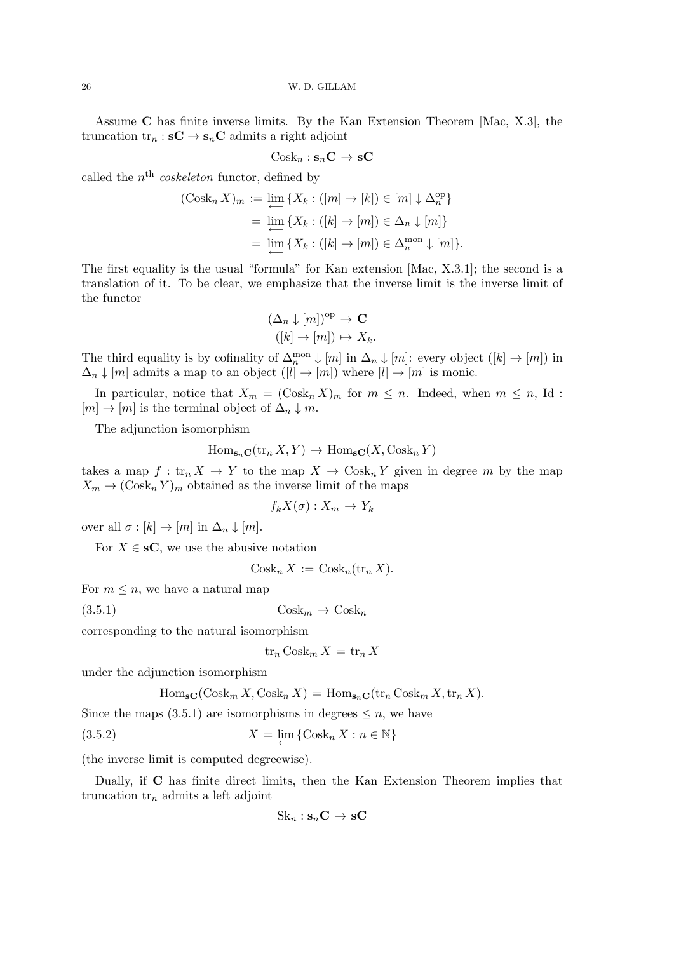Assume C has finite inverse limits. By the Kan Extension Theorem [Mac, X.3], the truncation  $\text{tr}_n : \mathbf{s} \mathbf{C} \to \mathbf{s}_n \mathbf{C}$  admits a right adjoint

$$
Cosk_n : s_nC \to sC
$$

called the  $n^{\text{th}}$  coskeleton functor, defined by

$$
(\text{Cosk}_{n} X)_{m} := \varprojlim_{\leftarrow} \{ X_{k} : ([m] \to [k]) \in [m] \downarrow \Delta_{n}^{\text{op}} \}
$$

$$
= \varprojlim_{\leftarrow} \{ X_{k} : ([k] \to [m]) \in \Delta_{n} \downarrow [m] \}
$$

$$
= \varprojlim_{\leftarrow} \{ X_{k} : ([k] \to [m]) \in \Delta_{n}^{\text{mon}} \downarrow [m] \}.
$$

The first equality is the usual "formula" for Kan extension [Mac, X.3.1]; the second is a translation of it. To be clear, we emphasize that the inverse limit is the inverse limit of the functor

$$
(\Delta_n \downarrow [m])^{\text{op}} \to \mathbf{C}
$$
  

$$
([k] \to [m]) \mapsto X_k.
$$

The third equality is by cofinality of  $\Delta_n^{\text{mon}} \downarrow [m]$  in  $\Delta_n \downarrow [m]$ : every object  $([k] \to [m])$  in  $\Delta_n \downarrow [m]$  admits a map to an object  $([l] \to [m])$  where  $[l] \to [m]$  is monic.

In particular, notice that  $X_m = (\text{Cosk}_n X)_m$  for  $m \leq n$ . Indeed, when  $m \leq n$ , Id:  $[m] \to [m]$  is the terminal object of  $\Delta_n \downarrow m$ .

The adjunction isomorphism

$$
\operatorname{Hom}_{\mathbf{s}_n\mathbf{C}}(\operatorname{tr}_n X, Y) \to \operatorname{Hom}_{\mathbf{s}\mathbf{C}}(X, \operatorname{Cosk}_n Y)
$$

takes a map  $f: \text{tr}_n X \to Y$  to the map  $X \to \text{Cosk}_n Y$  given in degree m by the map  $X_m \to (\text{Cosk}_n Y)_m$  obtained as the inverse limit of the maps

$$
f_k X(\sigma) : X_m \to Y_k
$$

over all  $\sigma : [k] \to [m]$  in  $\Delta_n \downarrow [m]$ .

For  $X \in \mathbf{S}C$ , we use the abusive notation

 $Cosk_n X := \text{Cosk}_n(\text{tr}_n X).$ 

For  $m \leq n$ , we have a natural map

$$
(3.5.1) \t\t\t \text{Cosk}_m \to \text{Cosk}_n
$$

corresponding to the natural isomorphism

$$
\operatorname{tr}_n \operatorname{Cosk}_m X = \operatorname{tr}_n X
$$

under the adjunction isomorphism

$$
\operatorname{Hom}_{\mathbf{s}\mathbf{C}}(\operatorname{Cosk}_{m} X, \operatorname{Cosk}_{n} X) = \operatorname{Hom}_{\mathbf{s}_{n}\mathbf{C}}(\operatorname{tr}_{n} \operatorname{Cosk}_{m} X, \operatorname{tr}_{n} X).
$$

Since the maps (3.5.1) are isomorphisms in degrees  $\leq n$ , we have

(3.5.2) 
$$
X = \lim_{\longleftarrow} \{ \text{Cosk}_n X : n \in \mathbb{N} \}
$$

(the inverse limit is computed degreewise).

Dually, if C has finite direct limits, then the Kan Extension Theorem implies that truncation  $tr_n$  admits a left adjoint

$$
Sk_n : s_nC \to sC
$$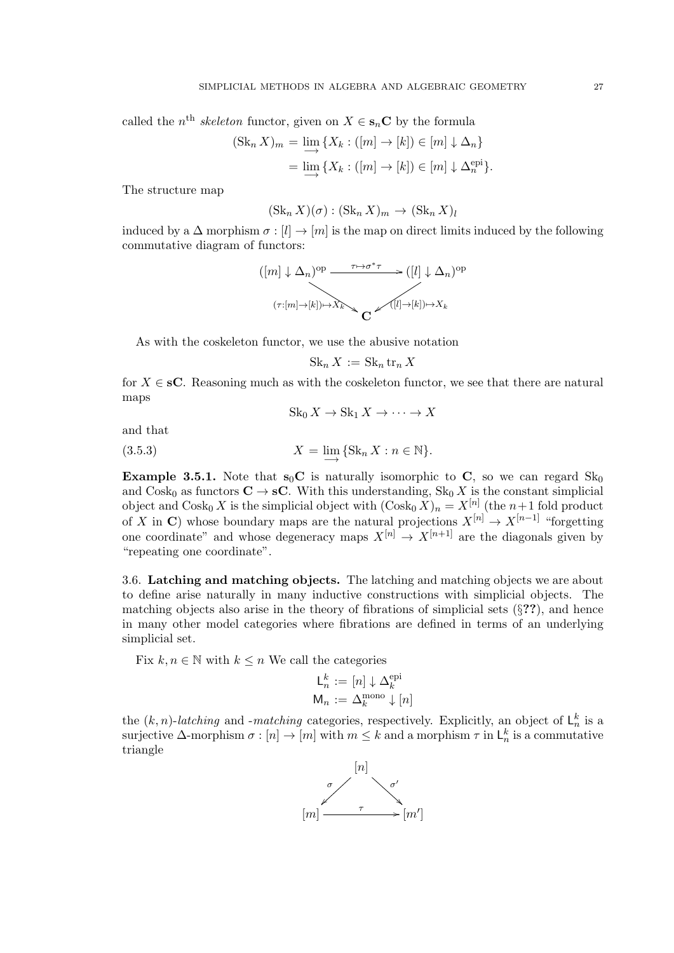called the  $n^{\text{th}}$  skeleton functor, given on  $X \in \mathbf{s}_n \mathbf{C}$  by the formula

$$
(\operatorname{Sk}_n X)_m = \varinjlim \{ X_k : ([m] \to [k]) \in [m] \downarrow \Delta_n \}
$$
  
= 
$$
\varinjlim \{ X_k : ([m] \to [k]) \in [m] \downarrow \Delta_n^{\operatorname{epi}} \}.
$$

The structure map

$$
(\operatorname{Sk}_n X)(\sigma) : (\operatorname{Sk}_n X)_m \to (\operatorname{Sk}_n X)_l
$$

induced by a  $\Delta$  morphism  $\sigma : [l] \to [m]$  is the map on direct limits induced by the following commutative diagram of functors:

$$
([m] \downarrow \Delta_n)^{\text{op}} \xrightarrow{\tau \mapsto \sigma^* \tau} ([l] \downarrow \Delta_n)^{\text{op}}
$$

$$
(\tau:[m] \to [k]) \mapsto X_k \searrow C \xrightarrow{([l] \to [k]) \mapsto X_k}
$$

As with the coskeleton functor, we use the abusive notation

$$
Sk_n X := Sk_n tr_n X
$$

for  $X \in \mathbf{sC}$ . Reasoning much as with the coskeleton functor, we see that there are natural maps

 $\operatorname{Sk}_0 X \to \operatorname{Sk}_1 X \to \cdots \to X$ 

and that

(3.5.3) 
$$
X = \lim_{n \to \infty} \{ \text{Sk}_n X : n \in \mathbb{N} \}.
$$

**Example 3.5.1.** Note that  $s_0C$  is naturally isomorphic to C, so we can regard  $Sk_0$ and Cosk<sub>0</sub> as functors  $C \rightarrow sC$ . With this understanding,  $Sk_0 X$  is the constant simplicial object and  $\text{Cosk}_0 X$  is the simplicial object with  $(\text{Cosk}_0 X)_n = X^{[n]}$  (the  $n+1$  fold product of X in C) whose boundary maps are the natural projections  $X^{[n]} \to X^{[n-1]}$  "forgetting" one coordinate" and whose degeneracy maps  $X^{[n]} \to X^{[n+1]}$  are the diagonals given by "repeating one coordinate".

3.6. Latching and matching objects. The latching and matching objects we are about to define arise naturally in many inductive constructions with simplicial objects. The matching objects also arise in the theory of fibrations of simplicial sets  $(\S, ?)$ , and hence in many other model categories where fibrations are defined in terms of an underlying simplicial set.

Fix  $k, n \in \mathbb{N}$  with  $k \leq n$  We call the categories

$$
\mathsf{L}_n^k := [n] \downarrow \Delta_k^{\mathrm{epi}}
$$

$$
\mathsf{M}_n := \Delta_k^{\mathrm{mono}} \downarrow [n]
$$

the  $(k, n)$ -latching and -matching categories, respectively. Explicitly, an object of  $\mathsf{L}_n^k$  is a surjective  $\Delta$ -morphism  $\sigma : [n] \to [m]$  with  $m \leq k$  and a morphism  $\tau$  in  $\mathsf{L}_n^k$  is a commutative triangle

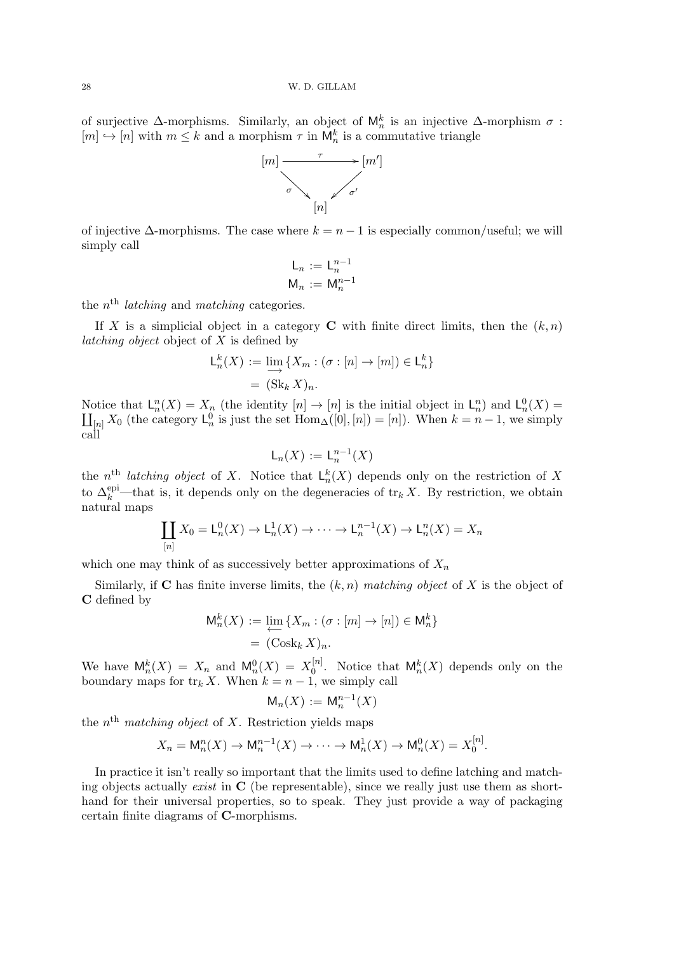of surjective  $\Delta$ -morphisms. Similarly, an object of  $\mathsf{M}_n^k$  is an injective  $\Delta$ -morphism  $\sigma$ :  $[m] \hookrightarrow [n]$  with  $m \leq k$  and a morphism  $\tau$  in  $\mathsf{M}_n^k$  is a commutative triangle



of injective  $\Delta$ -morphisms. The case where  $k = n - 1$  is especially common/useful; we will simply call

$$
L_n := L_n^{n-1}
$$

$$
M_n := M_n^{n-1}
$$

the  $n<sup>th</sup>$  latching and matching categories.

If X is a simplicial object in a category C with finite direct limits, then the  $(k, n)$ *latching object* object of  $X$  is defined by

$$
L_n^k(X) := \lim_{n \to \infty} \{ X_m : (\sigma : [n] \to [m]) \in L_n^k \}
$$

$$
= (\text{Sk}_k X)_n.
$$

Notice that  $L_n^n(X) = X_n$  (the identity  $[n] \to [n]$  is the initial object in  $L_n^n$ ) and  $L_n^0(X) = \prod_{n \ge 0} X_0$  (the category  $L_n^0$  is just the set  $\text{Hom}_{\Delta}([0], [n]) = [n]$ ). When  $k = n - 1$ , we simply  $[n]$  X<sub>0</sub> (the category  $\mathsf{L}_n^0$  is just the set  $\text{Hom}_{\Delta}([0], [n]) = [n]$ ). When  $k = n - 1$ , we simply call

$$
\mathsf{L}_n(X) := \mathsf{L}_n^{n-1}(X)
$$

the  $n^{\text{th}}$  latching object of X. Notice that  $\mathsf{L}_n^k(X)$  depends only on the restriction of X to  $\Delta_k^{\text{epi}}$ —that is, it depends only on the degeneracies of  $\text{tr}_k X$ . By restriction, we obtain natural maps

$$
\coprod_{[n]} X_0 = \mathsf{L}_n^0(X) \to \mathsf{L}_n^1(X) \to \cdots \to \mathsf{L}_n^{n-1}(X) \to \mathsf{L}_n^n(X) = X_n
$$

which one may think of as successively better approximations of  $X_n$ 

Similarly, if C has finite inverse limits, the  $(k, n)$  matching object of X is the object of C defined by

$$
M_n^k(X) := \varprojlim \{ X_m : (\sigma : [m] \to [n]) \in M_n^k \}
$$

$$
= (\operatorname{Cosk}_k X)_n.
$$

We have  $\mathsf{M}_n^k(X) = X_n$  and  $\mathsf{M}_n^0(X) = X_0^{[n]}$  $\mathsf{Q}_0^{[n]}$ . Notice that  $\mathsf{M}_n^k(X)$  depends only on the boundary maps for  $\text{tr}_k X$ . When  $k = n - 1$ , we simply call

$$
\mathsf{M}_n(X) := \mathsf{M}_n^{n-1}(X)
$$

the  $n<sup>th</sup>$  matching object of X. Restriction yields maps

$$
X_n = \mathsf{M}_n^n(X) \to \mathsf{M}_n^{n-1}(X) \to \cdots \to \mathsf{M}_n^1(X) \to \mathsf{M}_n^0(X) = X_0^{[n]}.
$$

 $\mathbf{r}$ 

In practice it isn't really so important that the limits used to define latching and matching objects actually *exist* in  $\bf{C}$  (be representable), since we really just use them as shorthand for their universal properties, so to speak. They just provide a way of packaging certain finite diagrams of C-morphisms.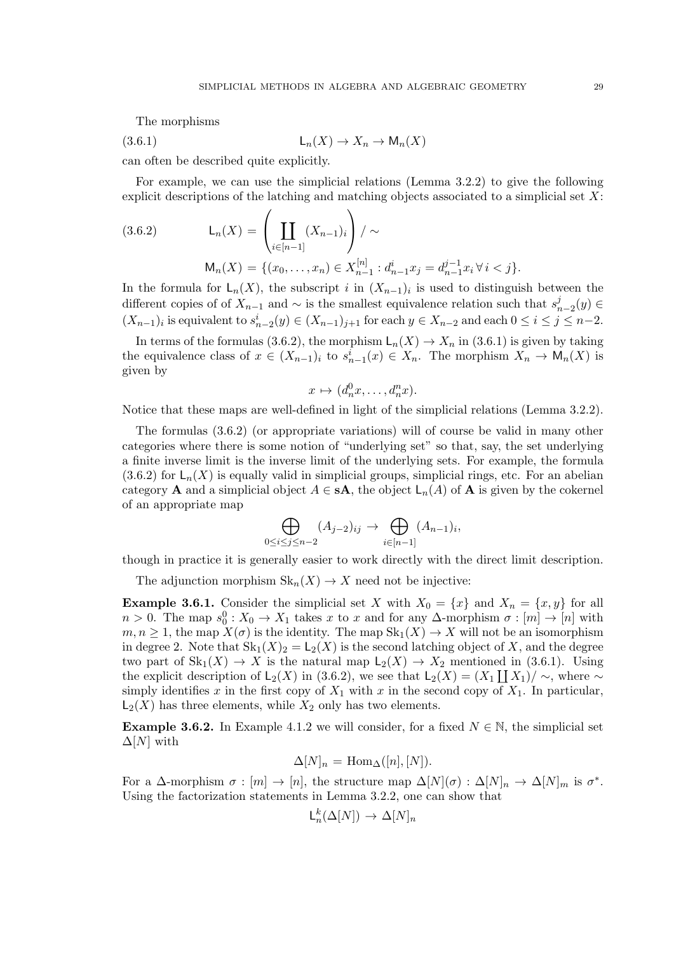The morphisms

$$
(3.6.1) \t\t\t\t L_n(X) \to X_n \to M_n(X)
$$

can often be described quite explicitly.

For example, we can use the simplicial relations (Lemma 3.2.2) to give the following explicit descriptions of the latching and matching objects associated to a simplicial set  $X$ :

(3.6.2) 
$$
L_n(X) = \left(\coprod_{i \in [n-1]} (X_{n-1})_i\right) / \sim
$$

$$
M_n(X) = \{(x_0, \dots, x_n) \in X_{n-1}^{[n]} : d_{n-1}^i x_j = d_{n-1}^{j-1} x_i \,\forall \, i < j\}.
$$

In the formula for  $\mathsf{L}_n(X)$ , the subscript i in  $(X_{n-1})$  is used to distinguish between the different copies of of  $X_{n-1}$  and  $\sim$  is the smallest equivalence relation such that  $s_i^j$  $_{n-2}^{j}(y)\in$  $(X_{n-1})_i$  is equivalent to  $s_{n-2}^i(y) \in (X_{n-1})_{j+1}$  for each  $y \in X_{n-2}$  and each  $0 \le i \le j \le n-2$ .

In terms of the formulas (3.6.2), the morphism  $\mathsf{L}_n(X) \to X_n$  in (3.6.1) is given by taking the equivalence class of  $x \in (X_{n-1})_i$  to  $s_{n-1}^i(x) \in X_n$ . The morphism  $X_n \to \mathsf{M}_n(X)$  is given by

$$
x \mapsto (d_n^0 x, \dots, d_n^n x).
$$

Notice that these maps are well-defined in light of the simplicial relations (Lemma 3.2.2).

The formulas (3.6.2) (or appropriate variations) will of course be valid in many other categories where there is some notion of "underlying set" so that, say, the set underlying a finite inverse limit is the inverse limit of the underlying sets. For example, the formula  $(3.6.2)$  for  $\mathsf{L}_n(X)$  is equally valid in simplicial groups, simplicial rings, etc. For an abelian category **A** and a simplicial object  $A \in sA$ , the object  $L_n(A)$  of **A** is given by the cokernel of an appropriate map

$$
\bigoplus_{0 \le i \le j \le n-2} (A_{j-2})_{ij} \to \bigoplus_{i \in [n-1]} (A_{n-1})_i,
$$

though in practice it is generally easier to work directly with the direct limit description.

The adjunction morphism  $\text{Sk}_n(X) \to X$  need not be injective:

**Example 3.6.1.** Consider the simplicial set X with  $X_0 = \{x\}$  and  $X_n = \{x, y\}$  for all  $n > 0$ . The map  $s_0^0 : X_0 \to X_1$  takes x to x and for any  $\Delta$ -morphism  $\sigma : [m] \to [n]$  with  $m, n \geq 1$ , the map  $X(\sigma)$  is the identity. The map  $\text{Sk}_1(X) \to X$  will not be an isomorphism in degree 2. Note that  $\text{Sk}_1(X)_2 = \text{L}_2(X)$  is the second latching object of X, and the degree two part of  $\text{Sk}_1(X) \to X$  is the natural map  $\text{L}_2(X) \to X_2$  mentioned in (3.6.1). Using the explicit description of  $\mathsf{L}_2(X)$  in (3.6.2), we see that  $\mathsf{L}_2(X) = (X_1 \coprod X_1)/\sim$ , where  $\sim$ simply identifies x in the first copy of  $X_1$  with x in the second copy of  $X_1$ . In particular,  $L_2(X)$  has three elements, while  $X_2$  only has two elements.

**Example 3.6.2.** In Example 4.1.2 we will consider, for a fixed  $N \in \mathbb{N}$ , the simplicial set  $\Delta[N]$  with

$$
\Delta[N]_n = \text{Hom}_{\Delta}([n], [N]).
$$

For a  $\Delta$ -morphism  $\sigma : [m] \to [n]$ , the structure map  $\Delta[N](\sigma) : \Delta[N]_n \to \Delta[N]_m$  is  $\sigma^*$ . Using the factorization statements in Lemma 3.2.2, one can show that

$$
\mathsf{L}_n^k(\Delta[N]) \to \Delta[N]_n
$$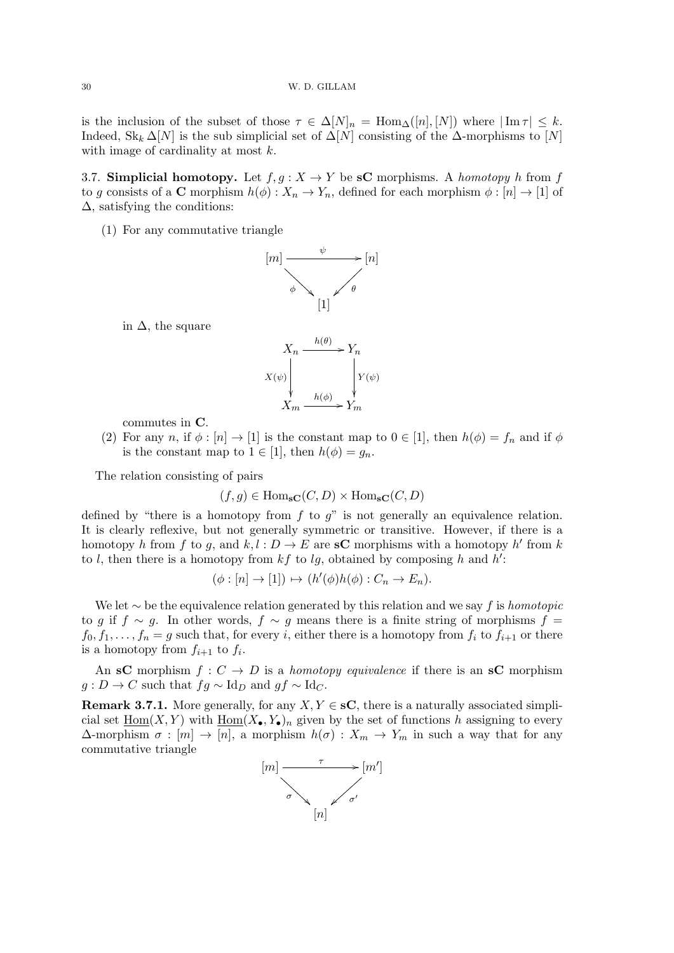is the inclusion of the subset of those  $\tau \in \Delta[N]_n = \text{Hom}_{\Delta}([n], [N])$  where  $|\text{Im }\tau| \leq k$ . Indeed,  $Sk_k \Delta[N]$  is the sub simplicial set of  $\Delta[N]$  consisting of the  $\Delta$ -morphisms to  $[N]$ with image of cardinality at most  $k$ .

3.7. Simplicial homotopy. Let  $f, g: X \to Y$  be sC morphisms. A *homotopy* h from f to g consists of a C morphism  $h(\phi) : X_n \to Y_n$ , defined for each morphism  $\phi : [n] \to [1]$  of  $\Delta$ , satisfying the conditions:

(1) For any commutative triangle



in  $\Delta$ , the square



commutes in C.

(2) For any n, if  $\phi : [n] \to [1]$  is the constant map to  $0 \in [1]$ , then  $h(\phi) = f_n$  and if  $\phi$ is the constant map to  $1 \in [1]$ , then  $h(\phi) = g_n$ .

The relation consisting of pairs

$$
(f,g) \in \text{Hom}_{\text{SC}}(C, D) \times \text{Hom}_{\text{SC}}(C, D)
$$

defined by "there is a homotopy from  $f$  to  $g$ " is not generally an equivalence relation. It is clearly reflexive, but not generally symmetric or transitive. However, if there is a homotopy h from f to g, and  $k, l : D \to E$  are sC morphisms with a homotopy h' from k to l, then there is a homotopy from  $kf$  to lg, obtained by composing h and h':

$$
(\phi : [n] \to [1]) \mapsto (h'(\phi)h(\phi) : C_n \to E_n).
$$

We let  $\sim$  be the equivalence relation generated by this relation and we say f is homotopic to g if  $f \sim g$ . In other words,  $f \sim g$  means there is a finite string of morphisms  $f =$  $f_0, f_1, \ldots, f_n = g$  such that, for every *i*, either there is a homotopy from  $f_i$  to  $f_{i+1}$  or there is a homotopy from  $f_{i+1}$  to  $f_i$ .

An sC morphism  $f: C \to D$  is a *homotopy equivalence* if there is an sC morphism  $g: D \to C$  such that  $fg \sim \text{Id}_D$  and  $gf \sim \text{Id}_C$ .

**Remark 3.7.1.** More generally, for any  $X, Y \in \mathbf{SC}$ , there is a naturally associated simplicial set  $\underline{Hom}(X, Y)$  with  $\underline{Hom}(X_{\bullet}, Y_{\bullet})_n$  given by the set of functions h assigning to every  $\Delta$ -morphism  $\sigma : [m] \to [n],$  a morphism  $h(\sigma) : X_m \to Y_m$  in such a way that for any commutative triangle

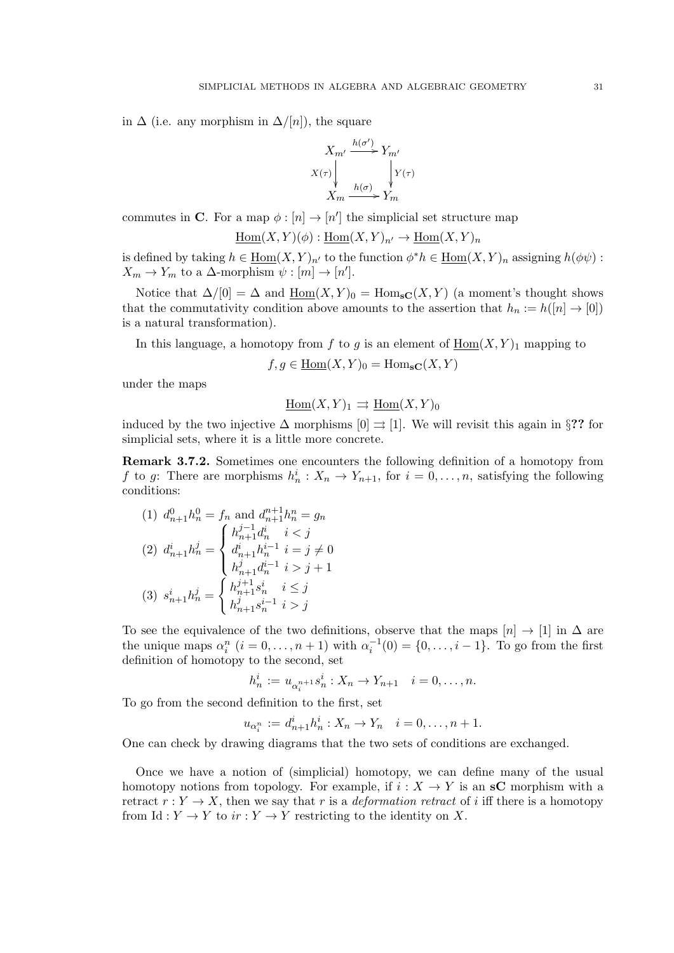in  $\Delta$  (i.e. any morphism in  $\Delta/[n]$ ), the square

$$
X_{m'} \xrightarrow{h(\sigma')} Y_{m'}
$$
  

$$
X(\tau) \downarrow \qquad \qquad \downarrow Y(\tau)
$$
  

$$
X_m \xrightarrow{h(\sigma)} Y_m
$$

commutes in C. For a map  $\phi : [n] \to [n']$  the simplicial set structure map

$$
\underline{\mathrm{Hom}}(X,Y)(\phi) : \underline{\mathrm{Hom}}(X,Y)_{n'} \to \underline{\mathrm{Hom}}(X,Y)_n
$$

is defined by taking  $h \in \underline{\text{Hom}}(X, Y)_{n'}$  to the function  $\phi^* h \in \underline{\text{Hom}}(X, Y)_n$  assigning  $h(\phi\psi)$ :  $X_m \to Y_m$  to a  $\Delta$ -morphism  $\psi : [m] \to [n']$ .

Notice that  $\Delta/[0] = \Delta$  and  $\underline{\text{Hom}}(X, Y)_0 = \text{Hom}_{\text{SC}}(X, Y)$  (a moment's thought shows that the commutativity condition above amounts to the assertion that  $h_n := h([n] \to [0])$ is a natural transformation).

In this language, a homotopy from f to g is an element of  $\underline{Hom}(X, Y)_1$  mapping to

$$
f, g \in \underline{\text{Hom}}(X, Y)_0 = \text{Hom}_{\text{SC}}(X, Y)
$$

under the maps

$$
\underline{\mathrm{Hom}}(X,Y)_1 \rightrightarrows \underline{\mathrm{Hom}}(X,Y)_0
$$

induced by the two injective  $\Delta$  morphisms  $[0] \Rightarrow [1]$ . We will revisit this again in §?? for simplicial sets, where it is a little more concrete.

Remark 3.7.2. Sometimes one encounters the following definition of a homotopy from f to g: There are morphisms  $h_n^i: X_n \to Y_{n+1}$ , for  $i = 0, \ldots, n$ , satisfying the following conditions:

(1) 
$$
d_{n+1}^0 h_n^0 = f_n
$$
 and  $d_{n+1}^{n+1} h_n^n = g_n$   
\n(2)  $d_{n+1}^i h_n^j = \begin{cases} h_{n+1}^{j-1} d_n^i & i < j \\ d_{n+1}^i h_n^{i-1} & i = j \neq 0 \\ h_{n+1}^j d_n^{i-1} & i > j + 1 \end{cases}$   
\n(3)  $s_{n+1}^i h_n^j = \begin{cases} h_{n+1}^{j+1} s_n^i & i \leq j \\ h_{n+1}^{j+1} s_n^{i-1} & i > j \end{cases}$ 

To see the equivalence of the two definitions, observe that the maps  $[n] \rightarrow [1]$  in  $\Delta$  are the unique maps  $\alpha_i^n$   $(i = 0, \ldots, n + 1)$  with  $\alpha_i^{-1}(0) = \{0, \ldots, i - 1\}$ . To go from the first definition of homotopy to the second, set

$$
h_n^i := u_{\alpha_i^{n+1}} s_n^i : X_n \to Y_{n+1} \quad i = 0, \dots, n.
$$

To go from the second definition to the first, set

$$
u_{\alpha_i^n} := d_{n+1}^i h_n^i : X_n \to Y_n \quad i = 0, \dots, n+1.
$$

One can check by drawing diagrams that the two sets of conditions are exchanged.

Once we have a notion of (simplicial) homotopy, we can define many of the usual homotopy notions from topology. For example, if  $i : X \to Y$  is an sC morphism with a retract  $r: Y \to X$ , then we say that r is a *deformation retract* of i iff there is a homotopy from Id :  $Y \to Y$  to  $ir : Y \to Y$  restricting to the identity on X.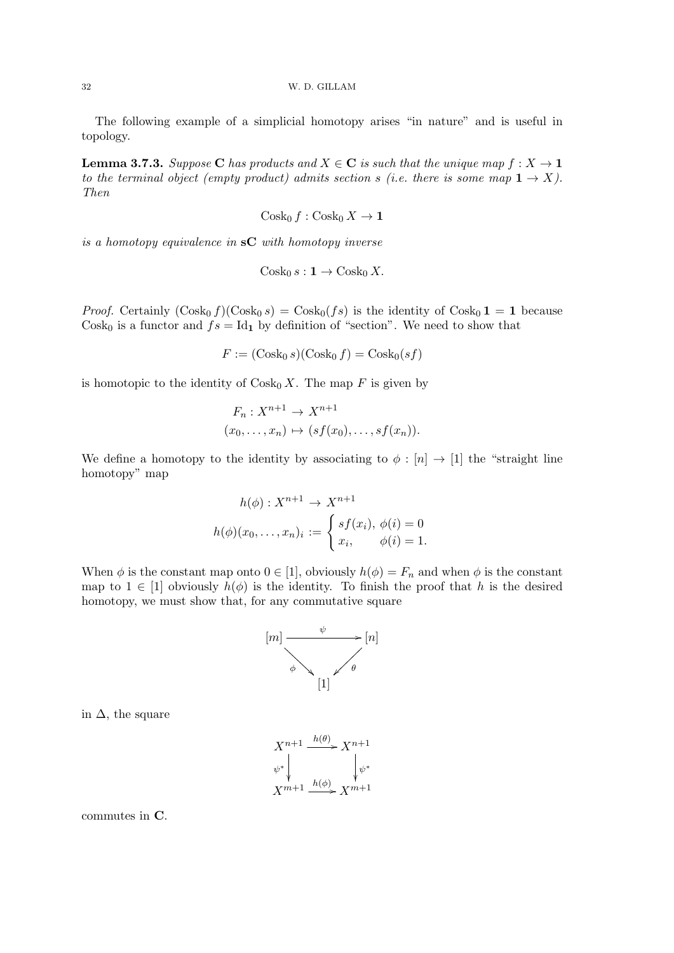The following example of a simplicial homotopy arises "in nature" and is useful in topology.

**Lemma 3.7.3.** Suppose C has products and  $X \in \mathbb{C}$  is such that the unique map  $f : X \to \mathbb{1}$ to the terminal object (empty product) admits section s (i.e. there is some map  $1 \rightarrow X$ ). Then

$$
\operatorname{Cosk}_0 f : \operatorname{Cosk}_0 X \to \mathbf{1}
$$

is a homotopy equivalence in  $\mathbf{s}C$  with homotopy inverse

$$
\operatorname{Cosk}_0 s: \mathbf{1} \to \operatorname{Cosk}_0 X.
$$

*Proof.* Certainly  $(\text{Cosk}_0 f)(\text{Cosk}_0 s) = \text{Cosk}_0 (fs)$  is the identity of  $\text{Cosk}_0 1 = 1$  because Cosk<sub>0</sub> is a functor and  $fs = Id_1$  by definition of "section". We need to show that

$$
F := (\operatorname{Cosk}_0 s)(\operatorname{Cosk}_0 f) = \operatorname{Cosk}_0 (sf)
$$

is homotopic to the identity of  $\cos k_0 X$ . The map F is given by

$$
F_n: X^{n+1} \to X^{n+1}
$$
  

$$
(x_0, \ldots, x_n) \mapsto (sf(x_0), \ldots, sf(x_n)).
$$

We define a homotopy to the identity by associating to  $\phi : [n] \rightarrow [1]$  the "straight line" homotopy" map

$$
h(\phi) : X^{n+1} \to X^{n+1}
$$

$$
h(\phi)(x_0, \dots, x_n)_i := \begin{cases} sf(x_i), & \phi(i) = 0 \\ x_i, & \phi(i) = 1. \end{cases}
$$

When  $\phi$  is the constant map onto  $0 \in [1]$ , obviously  $h(\phi) = F_n$  and when  $\phi$  is the constant map to  $1 \in [1]$  obviously  $h(\phi)$  is the identity. To finish the proof that h is the desired homotopy, we must show that, for any commutative square



in  $\Delta$ , the square



commutes in C.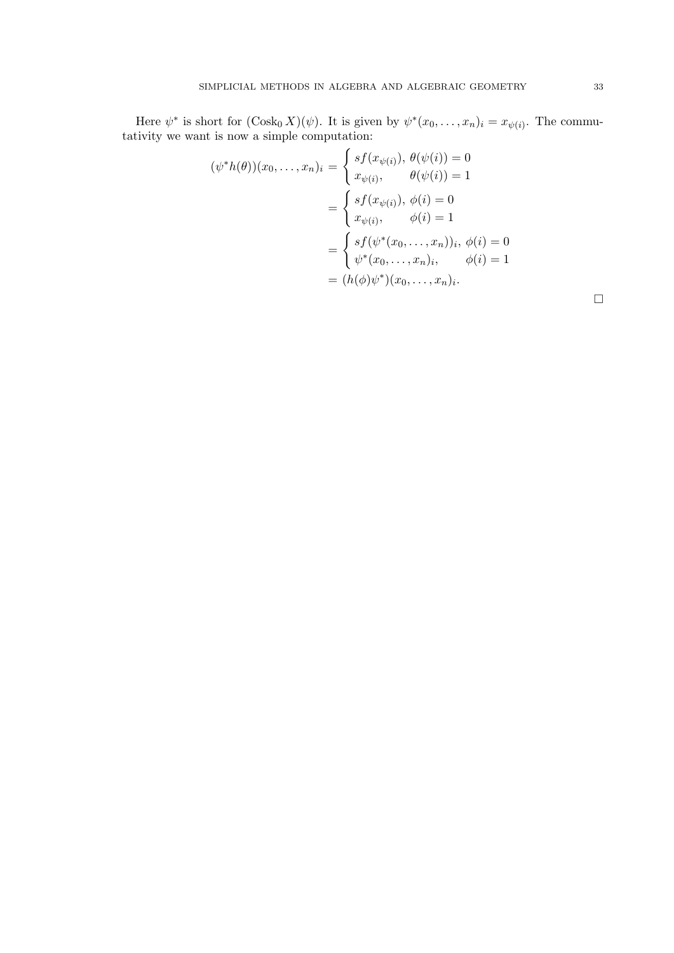Here  $\psi^*$  is short for  $(\text{Cosk}_0 X)(\psi)$ . It is given by  $\psi^*(x_0,\ldots,x_n)_i = x_{\psi(i)}$ . The commutativity we want is now a simple computation:

$$
(\psi^* h(\theta))(x_0, \dots, x_n)_i = \begin{cases} sf(x_{\psi(i)}), \ \theta(\psi(i)) = 0 \\ x_{\psi(i)}, \quad \theta(\psi(i)) = 1 \end{cases}
$$

$$
= \begin{cases} sf(x_{\psi(i)}), \ \phi(i) = 0 \\ x_{\psi(i)}, \quad \phi(i) = 1 \end{cases}
$$

$$
= \begin{cases} sf(\psi^*(x_0, \dots, x_n))_i, \ \phi(i) = 0 \\ \psi^*(x_0, \dots, x_n)_i, \quad \phi(i) = 1 \\ \phi^*(x_0, \dots, x_n)_i. \end{cases}
$$

 $\Box$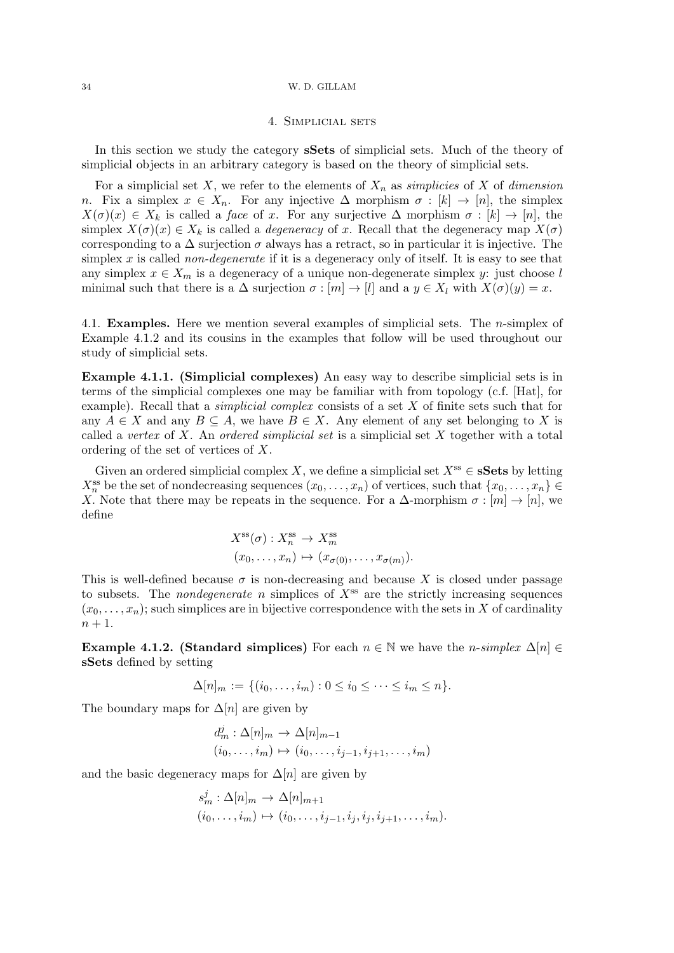### 4. Simplicial sets

In this section we study the category sSets of simplicial sets. Much of the theory of simplicial objects in an arbitrary category is based on the theory of simplicial sets.

For a simplicial set X, we refer to the elements of  $X_n$  as simplicies of X of dimension n. Fix a simplex  $x \in X_n$ . For any injective  $\Delta$  morphism  $\sigma : [k] \to [n]$ , the simplex  $X(\sigma)(x) \in X_k$  is called a *face* of x. For any surjective  $\Delta$  morphism  $\sigma : [k] \to [n]$ , the simplex  $X(\sigma)(x) \in X_k$  is called a *degeneracy* of x. Recall that the degeneracy map  $X(\sigma)$ corresponding to a  $\Delta$  surjection  $\sigma$  always has a retract, so in particular it is injective. The simplex x is called non-degenerate if it is a degeneracy only of itself. It is easy to see that any simplex  $x \in X_m$  is a degeneracy of a unique non-degenerate simplex y: just choose l minimal such that there is a  $\Delta$  surjection  $\sigma : [m] \to [l]$  and a  $y \in X_l$  with  $X(\sigma)(y) = x$ .

4.1. Examples. Here we mention several examples of simplicial sets. The n-simplex of Example 4.1.2 and its cousins in the examples that follow will be used throughout our study of simplicial sets.

Example 4.1.1. (Simplicial complexes) An easy way to describe simplicial sets is in terms of the simplicial complexes one may be familiar with from topology (c.f. [Hat], for example). Recall that a *simplicial complex* consists of a set  $X$  of finite sets such that for any  $A \in X$  and any  $B \subseteq A$ , we have  $B \in X$ . Any element of any set belonging to X is called a vertex of  $X$ . An ordered simplicial set is a simplicial set  $X$  together with a total ordering of the set of vertices of X.

Given an ordered simplicial complex X, we define a simplicial set  $X^{ss} \in \mathbf{sSets}$  by letting  $X_n^{\text{ss}}$  be the set of nondecreasing sequences  $(x_0, \ldots, x_n)$  of vertices, such that  $\{x_0, \ldots, x_n\} \in$ X. Note that there may be repeats in the sequence. For a  $\Delta$ -morphism  $\sigma : [m] \to [n]$ , we define

$$
X^{\rm ss}(\sigma) : X^{\rm ss}_n \to X^{\rm ss}_m
$$
  

$$
(x_0, \ldots, x_n) \mapsto (x_{\sigma(0)}, \ldots, x_{\sigma(m)}).
$$

This is well-defined because  $\sigma$  is non-decreasing and because X is closed under passage to subsets. The *nondegenerate* n simplices of  $X^{\text{ss}}$  are the strictly increasing sequences  $(x_0, \ldots, x_n)$ ; such simplices are in bijective correspondence with the sets in X of cardinality  $n+1$ .

**Example 4.1.2.** (Standard simplices) For each  $n \in \mathbb{N}$  we have the *n*-simplex  $\Delta[n] \in$ sSets defined by setting

$$
\Delta[n]_m := \{ (i_0, \ldots, i_m) : 0 \le i_0 \le \cdots \le i_m \le n \}.
$$

The boundary maps for  $\Delta[n]$  are given by

$$
d_m^j : \Delta[n]_m \to \Delta[n]_{m-1}
$$
  

$$
(i_0, \dots, i_m) \mapsto (i_0, \dots, i_{j-1}, i_{j+1}, \dots, i_m)
$$

and the basic degeneracy maps for  $\Delta[n]$  are given by

$$
s_m^j : \Delta[n]_m \to \Delta[n]_{m+1}
$$
  

$$
(i_0, \ldots, i_m) \mapsto (i_0, \ldots, i_{j-1}, i_j, i_j, i_{j+1}, \ldots, i_m).
$$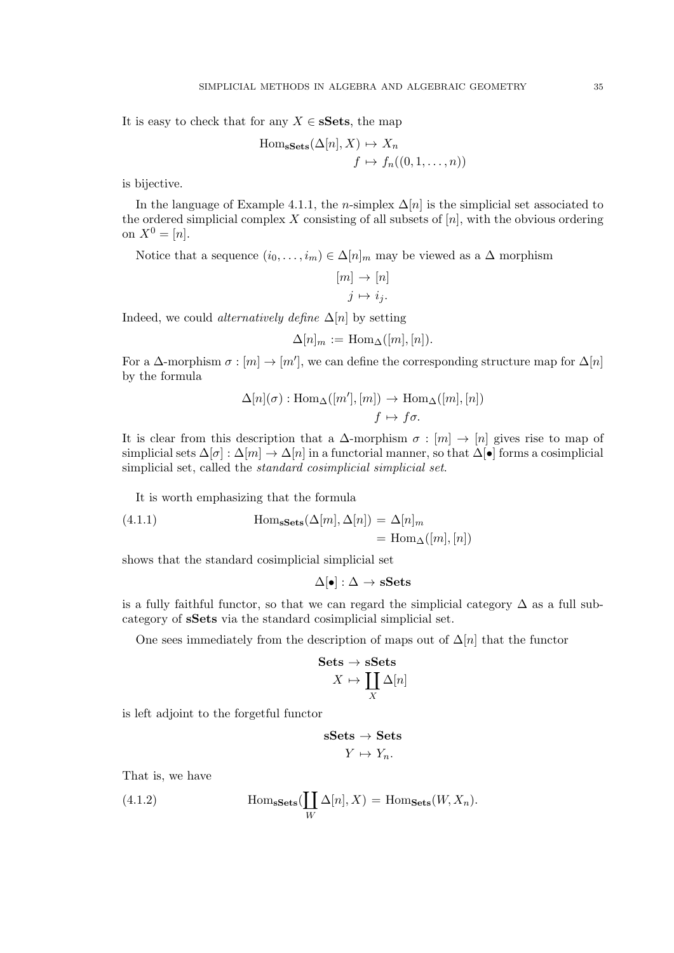It is easy to check that for any  $X \in \mathbf{sSets}$ , the map

Hom<sub>sSets</sub>
$$
(\Delta[n], X) \mapsto X_n
$$
  
 $f \mapsto f_n((0, 1, ..., n))$ 

is bijective.

In the language of Example 4.1.1, the n-simplex  $\Delta[n]$  is the simplicial set associated to the ordered simplicial complex X consisting of all subsets of  $[n]$ , with the obvious ordering on  $X^0 = [n]$ .

Notice that a sequence  $(i_0, \ldots, i_m) \in \Delta[n]_m$  may be viewed as a  $\Delta$  morphism

$$
[m] \to [n]
$$

$$
j \mapsto i_j.
$$

Indeed, we could *alternatively define*  $\Delta[n]$  by setting

$$
\Delta[n]_m := \operatorname{Hom}_{\Delta}([m], [n]).
$$

For a  $\Delta$ -morphism  $\sigma : [m] \to [m']$ , we can define the corresponding structure map for  $\Delta[n]$ by the formula

$$
\Delta[n](\sigma) : \text{Hom}_{\Delta}([m'], [m]) \to \text{Hom}_{\Delta}([m], [n])
$$

$$
f \mapsto f\sigma.
$$

It is clear from this description that a  $\Delta$ -morphism  $\sigma : [m] \to [n]$  gives rise to map of simplicial sets  $\Delta[\sigma] : \Delta[m] \to \Delta[n]$  in a functorial manner, so that  $\Delta[\bullet]$  forms a cosimplicial simplicial set, called the standard cosimplicial simplicial set.

It is worth emphasizing that the formula

(4.1.1) 
$$
\text{Hom}_{\textbf{sSets}}(\Delta[m], \Delta[n]) = \Delta[n]_m
$$

$$
= \text{Hom}_{\Delta}([m], [n])
$$

shows that the standard cosimplicial simplicial set

$$
\Delta[\bullet]:\Delta\to\mathbf{sSets}
$$

is a fully faithful functor, so that we can regard the simplicial category  $\Delta$  as a full subcategory of sSets via the standard cosimplicial simplicial set.

One sees immediately from the description of maps out of  $\Delta[n]$  that the functor

$$
\begin{aligned} \textbf{Sets} &\rightarrow \textbf{sSets} \\ X &\mapsto \coprod_X \Delta[n] \end{aligned}
$$

is left adjoint to the forgetful functor

$$
\begin{aligned} \mathbf{sSets} &\to \mathbf{Sets} \\ Y &\mapsto Y_n. \end{aligned}
$$

That is, we have

(4.1.2) 
$$
\operatorname{Hom}_{\mathbf{sSets}}(\coprod_{W} \Delta[n], X) = \operatorname{Hom}_{\mathbf{Sets}}(W, X_n).
$$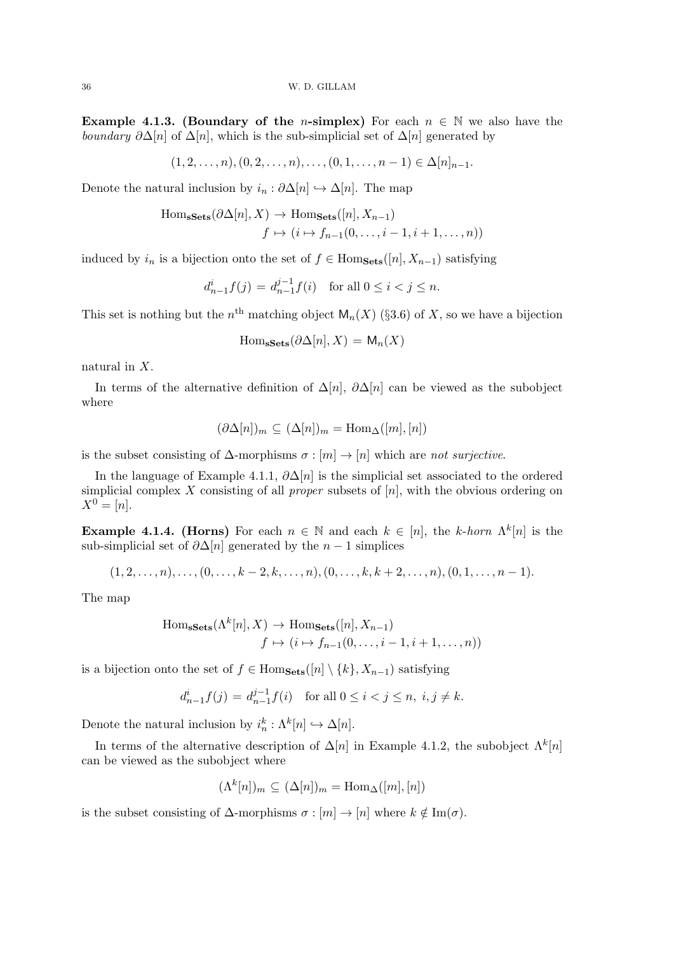Example 4.1.3. (Boundary of the *n*-simplex) For each  $n \in \mathbb{N}$  we also have the boundary  $\partial \Delta[n]$  of  $\Delta[n]$ , which is the sub-simplicial set of  $\Delta[n]$  generated by

 $(1, 2, \ldots, n), (0, 2, \ldots, n), \ldots, (0, 1, \ldots, n-1) \in \Delta[n]_{n-1}.$ 

Denote the natural inclusion by  $i_n : \partial \Delta[n] \hookrightarrow \Delta[n]$ . The map

Hom<sub>sSets</sub>
$$
(\partial \Delta[n], X)
$$
  $\rightarrow$  Hom<sub>Sets</sub> $([n], X_{n-1})$   
 $f \mapsto (i \mapsto f_{n-1}(0, \dots, i-1, i+1, \dots, n))$ 

induced by  $i_n$  is a bijection onto the set of  $f \in Hom_{Sets}([n], X_{n-1})$  satisfying

$$
d_{n-1}^i f(j) = d_{n-1}^{j-1} f(i) \text{ for all } 0 \le i < j \le n.
$$

This set is nothing but the  $n<sup>th</sup>$  matching object  $\mathsf{M}_n(X)$  (§3.6) of X, so we have a bijection

$$
\mathrm{Hom}_{\mathbf{sSets}}(\partial \Delta[n], X) = \mathsf{M}_n(X)
$$

natural in X.

In terms of the alternative definition of  $\Delta[n]$ ,  $\partial \Delta[n]$  can be viewed as the subobject where

$$
(\partial \Delta[n])_m \subseteq (\Delta[n])_m = \text{Hom}_{\Delta}([m], [n])
$$

is the subset consisting of  $\Delta$ -morphisms  $\sigma : [m] \to [n]$  which are not surjective.

In the language of Example 4.1.1,  $\partial \Delta[n]$  is the simplicial set associated to the ordered simplicial complex X consisting of all *proper* subsets of  $[n]$ , with the obvious ordering on  $X^0 = [n].$ 

**Example 4.1.4. (Horns)** For each  $n \in \mathbb{N}$  and each  $k \in [n]$ , the k-horn  $\Lambda^k[n]$  is the sub-simplicial set of  $\partial \Delta[n]$  generated by the  $n-1$  simplices

$$
(1,2,\ldots,n),\ldots,(0,\ldots,k-2,k,\ldots,n),(0,\ldots,k,k+2,\ldots,n),(0,1,\ldots,n-1).
$$

The map

Hom<sub>sSets</sub>
$$
(\Lambda^k[n], X)
$$
  $\to$  Hom<sub>Sets</sub> $([n], X_{n-1})$   
 $f \mapsto (i \mapsto f_{n-1}(0, \ldots, i-1, i+1, \ldots, n))$ 

is a bijection onto the set of  $f \in Hom_{\mathbf{Sets}}([n] \setminus \{k\}, X_{n-1})$  satisfying j−1

$$
d_{n-1}^i f(j) = d_{n-1}^{j-1} f(i) \text{ for all } 0 \le i < j \le n, \ i, j \ne k.
$$

Denote the natural inclusion by  $i_n^k : \Lambda^k[n] \hookrightarrow \Delta[n]$ .

In terms of the alternative description of  $\Delta[n]$  in Example 4.1.2, the subobject  $\Lambda^k[n]$ can be viewed as the subobject where

$$
(\Lambda^k[n])_m \subseteq (\Delta[n])_m = \text{Hom}_{\Delta}([m],[n])
$$

is the subset consisting of  $\Delta$ -morphisms  $\sigma : [m] \to [n]$  where  $k \notin \text{Im}(\sigma)$ .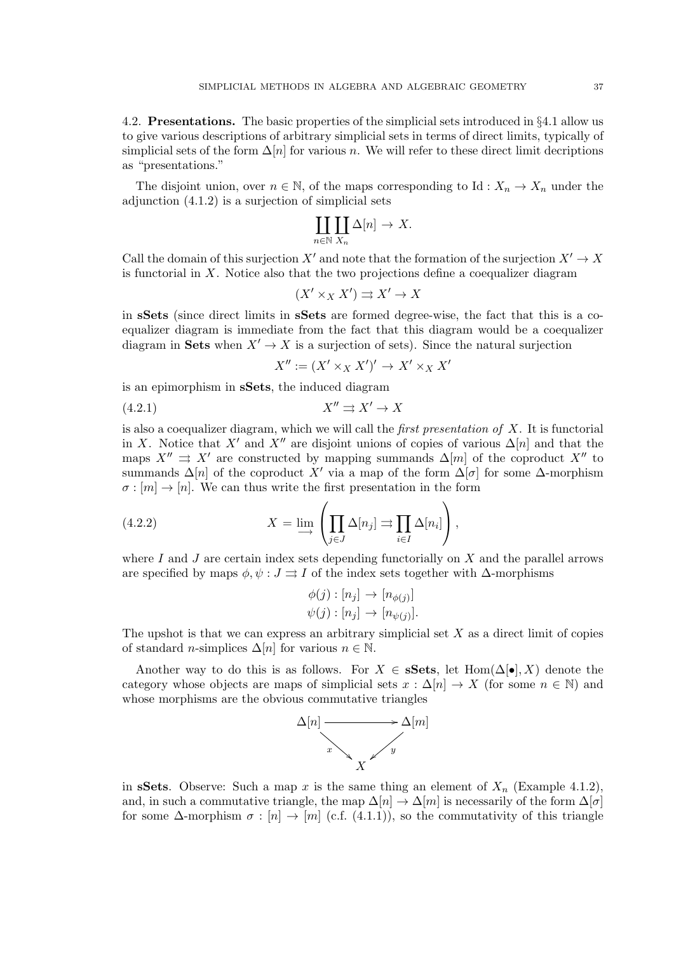4.2. Presentations. The basic properties of the simplicial sets introduced in §4.1 allow us to give various descriptions of arbitrary simplicial sets in terms of direct limits, typically of simplicial sets of the form  $\Delta[n]$  for various n. We will refer to these direct limit decriptions as "presentations."

The disjoint union, over  $n \in \mathbb{N}$ , of the maps corresponding to Id :  $X_n \to X_n$  under the adjunction (4.1.2) is a surjection of simplicial sets

$$
\coprod_{n\in\mathbb{N}}\coprod_{X_n}\Delta[n]\to X.
$$

Call the domain of this surjection  $X'$  and note that the formation of the surjection  $X' \to X$ is functorial in X. Notice also that the two projections define a coequalizer diagram

$$
(X' \times_X X') \rightrightarrows X' \to X
$$

in sSets (since direct limits in sSets are formed degree-wise, the fact that this is a coequalizer diagram is immediate from the fact that this diagram would be a coequalizer diagram in Sets when  $X' \to X$  is a surjection of sets). Since the natural surjection

$$
X'':=(X'\times_XX')'\to X'\times_XX'
$$

is an epimorphism in sSets, the induced diagram

$$
(4.2.1) \t\t X'' \rightrightarrows X' \to X
$$

is also a coequalizer diagram, which we will call the *first presentation of*  $X$ . It is functorial in X. Notice that X' and X" are disjoint unions of copies of various  $\Delta[n]$  and that the maps  $X'' \rightrightarrows X'$  are constructed by mapping summands  $\Delta[m]$  of the coproduct  $X''$  to summands  $\Delta[n]$  of the coproduct X' via a map of the form  $\Delta[\sigma]$  for some  $\Delta$ -morphism  $\sigma : [m] \to [n]$ . We can thus write the first presentation in the form

(4.2.2) 
$$
X = \lim_{j \to \infty} \left( \prod_{j \in J} \Delta[n_j] \Rightarrow \prod_{i \in I} \Delta[n_i] \right),
$$

where I and J are certain index sets depending functorially on  $X$  and the parallel arrows are specified by maps  $\phi, \psi : J \rightrightarrows I$  of the index sets together with  $\Delta$ -morphisms

$$
\phi(j) : [n_j] \to [n_{\phi(j)}]
$$
  

$$
\psi(j) : [n_j] \to [n_{\psi(j)}].
$$

The upshot is that we can express an arbitrary simplicial set  $X$  as a direct limit of copies of standard *n*-simplices  $\Delta[n]$  for various  $n \in \mathbb{N}$ .

Another way to do this is as follows. For  $X \in \mathbf{sSets}$ , let  $\text{Hom}(\Delta[\bullet], X)$  denote the category whose objects are maps of simplicial sets  $x : \Delta[n] \to X$  (for some  $n \in \mathbb{N}$ ) and whose morphisms are the obvious commutative triangles



in sSets. Observe: Such a map x is the same thing an element of  $X_n$  (Example 4.1.2), and, in such a commutative triangle, the map  $\Delta[n] \to \Delta[m]$  is necessarily of the form  $\Delta[\sigma]$ for some  $\Delta$ -morphism  $\sigma : [n] \to [m]$  (c.f. (4.1.1)), so the commutativity of this triangle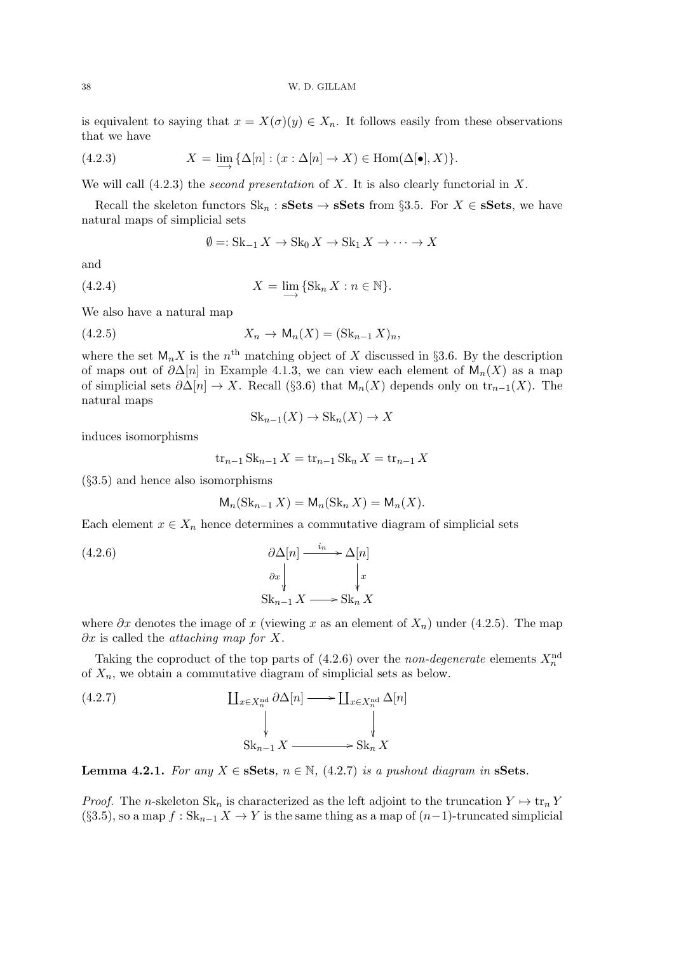is equivalent to saying that  $x = X(\sigma)(y) \in X_n$ . It follows easily from these observations that we have

(4.2.3) 
$$
X = \lim_{n \to \infty} \{ \Delta[n] : (x : \Delta[n] \to X) \in \text{Hom}(\Delta[\bullet], X) \}.
$$

We will call  $(4.2.3)$  the *second presentation* of X. It is also clearly functorial in X.

Recall the skeleton functors  $\text{Sk}_n$ :  $\textbf{sSets} \to \textbf{sSets}$  from §3.5. For  $X \in \textbf{sSets}$ , we have natural maps of simplicial sets

$$
\emptyset =: \text{Sk}_{-1} X \to \text{Sk}_0 X \to \text{Sk}_1 X \to \cdots \to X
$$

and

(4.2.4) 
$$
X = \lim_{n \to \infty} \{ \text{Sk}_n X : n \in \mathbb{N} \}.
$$

We also have a natural map

(4.2.5) 
$$
X_n \to \mathsf{M}_n(X) = (\mathrm{Sk}_{n-1} X)_n,
$$

where the set  $\mathsf{M}_n X$  is the  $n^{\text{th}}$  matching object of X discussed in §3.6. By the description of maps out of  $\partial \Delta[n]$  in Example 4.1.3, we can view each element of  $M_n(X)$  as a map of simplicial sets  $\partial \Delta[n] \to X$ . Recall (§3.6) that  $\mathsf{M}_n(X)$  depends only on  $\mathrm{tr}_{n-1}(X)$ . The natural maps

$$
Sk_{n-1}(X) \to Sk_n(X) \to X
$$

induces isomorphisms

$$
tr_{n-1} Sk_{n-1} X = tr_{n-1} Sk_n X = tr_{n-1} X
$$

(§3.5) and hence also isomorphisms

$$
\mathsf{M}_n(\operatorname{Sk}_{n-1} X) = \mathsf{M}_n(\operatorname{Sk}_n X) = \mathsf{M}_n(X).
$$

Each element  $x \in X_n$  hence determines a commutative diagram of simplicial sets

(4.2.6) 
$$
\begin{aligned}\n\partial \Delta[n] &\xrightarrow{i_n} \Delta[n] \\
\frac{\partial x}{\partial x} \downarrow \qquad \qquad \downarrow x \\
\text{Sk}_{n-1} X &\xrightarrow{\text{Sk}_n} X\n\end{aligned}
$$

where  $\partial x$  denotes the image of x (viewing x as an element of  $X_n$ ) under (4.2.5). The map  $\partial x$  is called the *attaching map for X*.

Taking the coproduct of the top parts of  $(4.2.6)$  over the non-degenerate elements  $X_n^{\text{nd}}$ of  $X_n$ , we obtain a commutative diagram of simplicial sets as below.

(4.2.7) 
$$
\begin{array}{ccc}\n\coprod_{x \in X_n^{\text{nd}}} \partial \Delta[n] \longrightarrow \coprod_{x \in X_n^{\text{nd}}} \Delta[n] \\
\downarrow & & \downarrow \\
\text{Sk}_{n-1} X \longrightarrow \text{Sk}_n X\n\end{array}
$$

**Lemma 4.2.1.** For any  $X \in \mathbf{sSets}$ ,  $n \in \mathbb{N}$ , (4.2.7) is a pushout diagram in **sSets**.

*Proof.* The n-skeleton  $\text{Sk}_n$  is characterized as the left adjoint to the truncation  $Y \mapsto \text{tr}_n Y$ (§3.5), so a map  $f : Sk_{n-1} X \to Y$  is the same thing as a map of  $(n-1)$ -truncated simplicial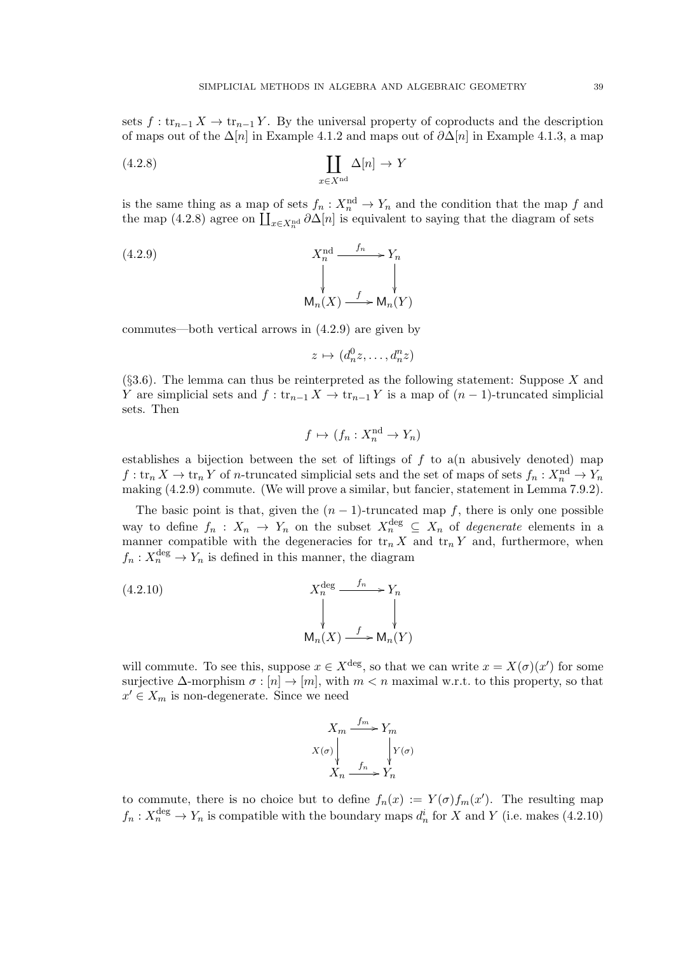sets  $f: \text{tr}_{n-1} X \to \text{tr}_{n-1} Y$ . By the universal property of coproducts and the description of maps out of the  $\Delta[n]$  in Example 4.1.2 and maps out of  $\partial \Delta[n]$  in Example 4.1.3, a map

(4.2.8) 
$$
\coprod_{x \in X^{\text{nd}}} \Delta[n] \to Y
$$

is the same thing as a map of sets  $f_n: X_n^{\{nd\}} \to Y_n$  and the condition that the map f and the map (4.2.8) agree on  $\prod_{x\in X_n^{\text{nd}}} \partial \Delta[n]$  is equivalent to saying that the diagram of sets

(4.2.9) 
$$
X_n^{\text{nd}} \xrightarrow{f_n} Y_n
$$

$$
\downarrow \qquad \qquad \downarrow
$$

$$
\mathsf{M}_n(X) \xrightarrow{f} \mathsf{M}_n(Y)
$$

commutes—both vertical arrows in (4.2.9) are given by

$$
z \mapsto (d_n^0 z, \dots, d_n^n z)
$$

 $(83.6)$ . The lemma can thus be reinterpreted as the following statement: Suppose X and Y are simplicial sets and  $f: \text{tr}_{n-1} X \to \text{tr}_{n-1} Y$  is a map of  $(n-1)$ -truncated simplicial sets. Then

$$
f \mapsto (f_n : X_n^{\mathrm{nd}} \to Y_n)
$$

establishes a bijection between the set of liftings of  $f$  to a(n abusively denoted) map  $f:$  tr<sub>n</sub>  $X \to \text{tr}_n Y$  of *n*-truncated simplicial sets and the set of maps of sets  $f_n: X_n^{\text{nd}} \to Y_n$ making (4.2.9) commute. (We will prove a similar, but fancier, statement in Lemma 7.9.2).

The basic point is that, given the  $(n - 1)$ -truncated map f, there is only one possible way to define  $f_n: X_n \to Y_n$  on the subset  $X_n^{\text{deg}} \subseteq X_n$  of *degenerate* elements in a manner compatible with the degeneracies for  $\text{tr}_n X$  and  $\text{tr}_n Y$  and, furthermore, when  $f_n: X_n^{\text{deg}} \to Y_n$  is defined in this manner, the diagram

(4.2.10) 
$$
X_n^{\text{deg}} \xrightarrow{f_n} Y_n
$$
\n
$$
\downarrow \qquad \qquad \downarrow
$$
\n
$$
\mathsf{M}_n(X) \xrightarrow{f} \mathsf{M}_n(Y)
$$

will commute. To see this, suppose  $x \in X^{\text{deg}}$ , so that we can write  $x = X(\sigma)(x')$  for some surjective  $\Delta$ -morphism  $\sigma : [n] \to [m]$ , with  $m < n$  maximal w.r.t. to this property, so that  $x' \in X_m$  is non-degenerate. Since we need

$$
X_m \xrightarrow{f_m} Y_m
$$
  

$$
X(\sigma) \downarrow \qquad \qquad Y(\sigma)
$$
  

$$
X_n \xrightarrow{f_n} Y_n
$$

to commute, there is no choice but to define  $f_n(x) := Y(\sigma) f_m(x')$ . The resulting map  $f_n: X_n^{\text{deg}} \to Y_n$  is compatible with the boundary maps  $d_n^i$  for X and Y (i.e. makes (4.2.10)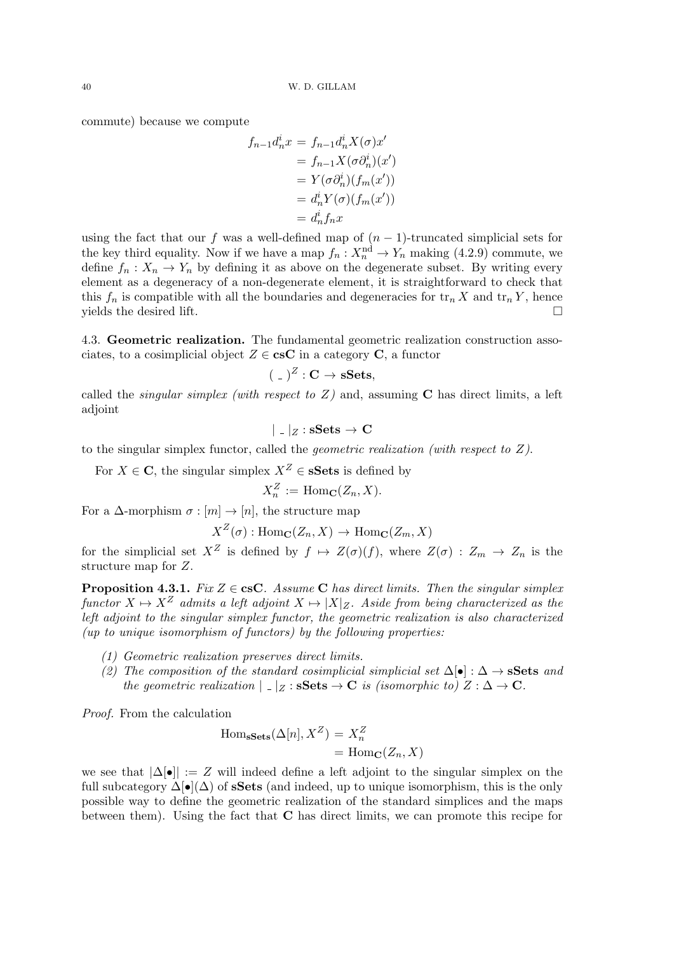commute) because we compute

$$
f_{n-1}d_n^ix = f_{n-1}d_n^i X(\sigma)x'
$$
  
=  $f_{n-1}X(\sigma \partial_n^i)(x')$   
=  $Y(\sigma \partial_n^i)(f_m(x'))$   
=  $d_n^i Y(\sigma)(f_m(x'))$   
=  $d_n^i f_n x$ 

using the fact that our f was a well-defined map of  $(n - 1)$ -truncated simplicial sets for the key third equality. Now if we have a map  $f_n: X_n^{\{nd\}} \to Y_n$  making (4.2.9) commute, we define  $f_n: X_n \to Y_n$  by defining it as above on the degenerate subset. By writing every element as a degeneracy of a non-degenerate element, it is straightforward to check that this  $f_n$  is compatible with all the boundaries and degeneracies for  $\text{tr}_n X$  and  $\text{tr}_n Y$ , hence yields the desired lift.  $\square$ 

4.3. Geometric realization. The fundamental geometric realization construction associates, to a cosimplicial object  $Z \in \mathbf{c} \in \mathbf{C}$  in a category **C**, a functor

$$
(\,\hspace{0.05cm}\rule{0.05cm}{0.05cm}\hspace{0.05cm}\rule{0.05cm}{0.05cm}\hspace{0.05cm}\hspace{0.05cm}\hspace{0.05cm}\hspace{0.05cm}\hspace{0.05cm}\hspace{0.05cm}\hspace{0.05cm}\hspace{0.05cm}\hspace{0.05cm}\hspace{0.05cm}\hspace{0.05cm}\hspace{0.05cm}\hspace{0.05cm}\hspace{0.05cm}\hspace{0.05cm}\hspace{0.05cm}\times\hspace{0.05cm}\mathbf{Sets},
$$

called the *singular simplex (with respect to Z)* and, assuming  $C$  has direct limits, a left adjoint

$$
|\;.\;|_Z : \mathbf{sSets} \to \mathbf{C}
$$

to the singular simplex functor, called the *geometric realization (with respect to*  $Z$ ).

For  $X \in \mathbb{C}$ , the singular simplex  $X^Z \in \mathbf{sSets}$  is defined by

$$
X_n^Z := \mathrm{Hom}_\mathbf{C}(Z_n, X).
$$

For a  $\Delta$ -morphism  $\sigma : [m] \to [n]$ , the structure map

$$
X^Z(\sigma): \text{Hom}_{\mathbf{C}}(Z_n, X) \to \text{Hom}_{\mathbf{C}}(Z_m, X)
$$

for the simplicial set  $X^Z$  is defined by  $f \mapsto Z(\sigma)(f)$ , where  $Z(\sigma) : Z_m \to Z_n$  is the structure map for Z.

**Proposition 4.3.1.** Fix  $Z \in \text{csC}$ . Assume C has direct limits. Then the singular simplex functor  $X \mapsto X^Z$  admits a left adjoint  $X \mapsto |X|_Z$ . Aside from being characterized as the left adjoint to the singular simplex functor, the geometric realization is also characterized  $(up to unique isomorphism of functors) by the following properties:\n\n $\mathcal{L} \{ \mathcal{L} \{ \mathcal{L} \} \} \cup \{ \mathcal{L} \{ \mathcal{L} \} \} \cup \{ \mathcal{L} \{ \mathcal{L} \} \} \cup \{ \mathcal{L} \{ \mathcal{L} \} \} \cup \{ \mathcal{L} \{ \mathcal{L} \} \} \cup \{ \mathcal{L} \{ \mathcal{L} \} \} \cup \{ \mathcal{L} \{ \mathcal{L} \} \} \cup \{ \mathcal{L} \{ \mathcal{L} \} \} \cup \{ \mathcal{L} \{ \mathcal{L} \} \$$ 

- (1) Geometric realization preserves direct limits.
- (2) The composition of the standard cosimplicial simplicial set  $\Delta[\bullet]: \Delta \to \mathbf{sSets}$  and the geometric realization  $|z|_Z : \mathbf{sSets} \to \mathbf{C}$  is (isomorphic to)  $Z : \Delta \to \mathbf{C}$ .

Proof. From the calculation

$$
Hom_{\mathbf{sSets}}(\Delta[n], X^Z) = X_n^Z
$$
  
= Hom<sub>**C**</sub>(Z<sub>n</sub>, X)

we see that  $|\Delta[\bullet]| := Z$  will indeed define a left adjoint to the singular simplex on the full subcategory  $\Delta[\bullet](\Delta)$  of **sSets** (and indeed, up to unique isomorphism, this is the only possible way to define the geometric realization of the standard simplices and the maps between them). Using the fact that C has direct limits, we can promote this recipe for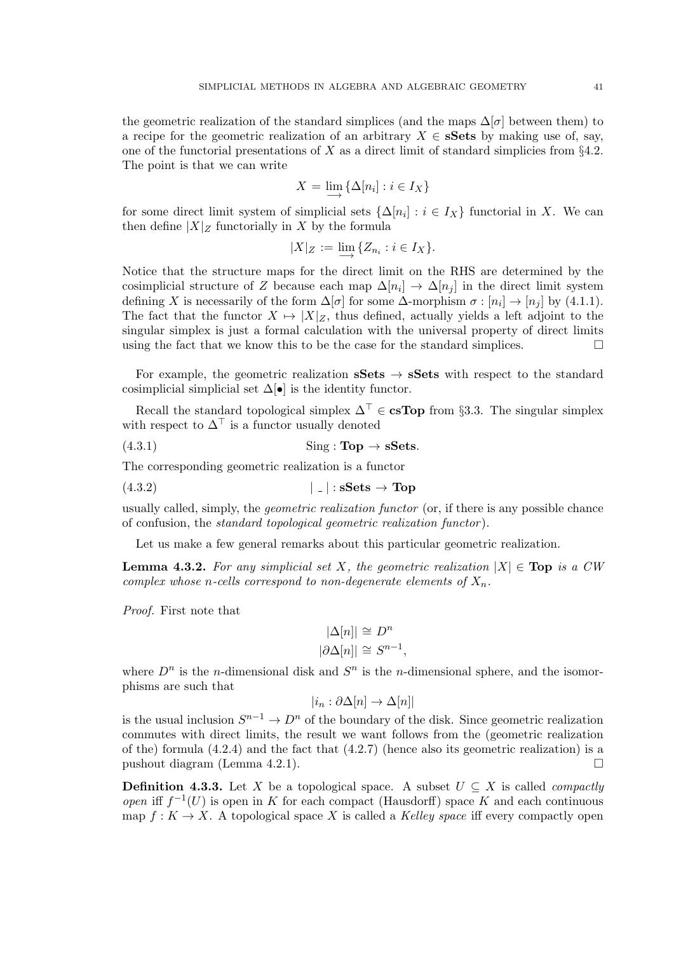the geometric realization of the standard simplices (and the maps  $\Delta[\sigma]$  between them) to a recipe for the geometric realization of an arbitrary  $X \in \mathbf{sSets}$  by making use of, say, one of the functorial presentations of X as a direct limit of standard simplicies from  $\S4.2$ . The point is that we can write

$$
X = \lim_{i \to \infty} \{ \Delta[n_i] : i \in I_X \}
$$

for some direct limit system of simplicial sets  $\{\Delta[n_i]: i \in I_X\}$  functorial in X. We can then define  $|X|_Z$  functorially in X by the formula

$$
|X|_Z := \lim_{\longrightarrow} \{Z_{n_i} : i \in I_X\}.
$$

Notice that the structure maps for the direct limit on the RHS are determined by the cosimplicial structure of Z because each map  $\Delta[n_i] \to \Delta[n_j]$  in the direct limit system defining X is necessarily of the form  $\Delta[\sigma]$  for some  $\Delta$ -morphism  $\sigma : [n_i] \to [n_j]$  by (4.1.1). The fact that the functor  $X \mapsto |X|_Z$ , thus defined, actually yields a left adjoint to the singular simplex is just a formal calculation with the universal property of direct limits using the fact that we know this to be the case for the standard simplices.  $\Box$ 

For example, the geometric realization  $sSets \rightarrow sSets$  with respect to the standard cosimplicial simplicial set  $\Delta[\bullet]$  is the identity functor.

Recall the standard topological simplex  $\Delta^{\top} \in \mathbf{csTop}$  from §3.3. The singular simplex with respect to  $\Delta^{\top}$  is a functor usually denoted

(4.3.1) Sing : Top → sSets.

The corresponding geometric realization is a functor

 $(4.3.2)$  | | :  $sSets \rightarrow Top$ 

usually called, simply, the *geometric realization functor* (or, if there is any possible chance of confusion, the standard topological geometric realization functor ).

Let us make a few general remarks about this particular geometric realization.

**Lemma 4.3.2.** For any simplicial set X, the geometric realization  $|X| \in \text{Top}$  is a CW complex whose n-cells correspond to non-degenerate elements of  $X_n$ .

Proof. First note that

$$
|\Delta[n]| \cong D^n
$$
  

$$
|\partial \Delta[n]| \cong S^{n-1},
$$

where  $D^n$  is the *n*-dimensional disk and  $S^n$  is the *n*-dimensional sphere, and the isomorphisms are such that

$$
|i_n : \partial \Delta[n] \to \Delta[n]|
$$

is the usual inclusion  $S^{n-1} \to D^n$  of the boundary of the disk. Since geometric realization commutes with direct limits, the result we want follows from the (geometric realization of the) formula  $(4.2.4)$  and the fact that  $(4.2.7)$  (hence also its geometric realization) is a pushout diagram (Lemma 4.2.1).

**Definition 4.3.3.** Let X be a topological space. A subset  $U \subseteq X$  is called *compactly* open iff  $f^{-1}(U)$  is open in K for each compact (Hausdorff) space K and each continuous map  $f: K \to X$ . A topological space X is called a Kelley space iff every compactly open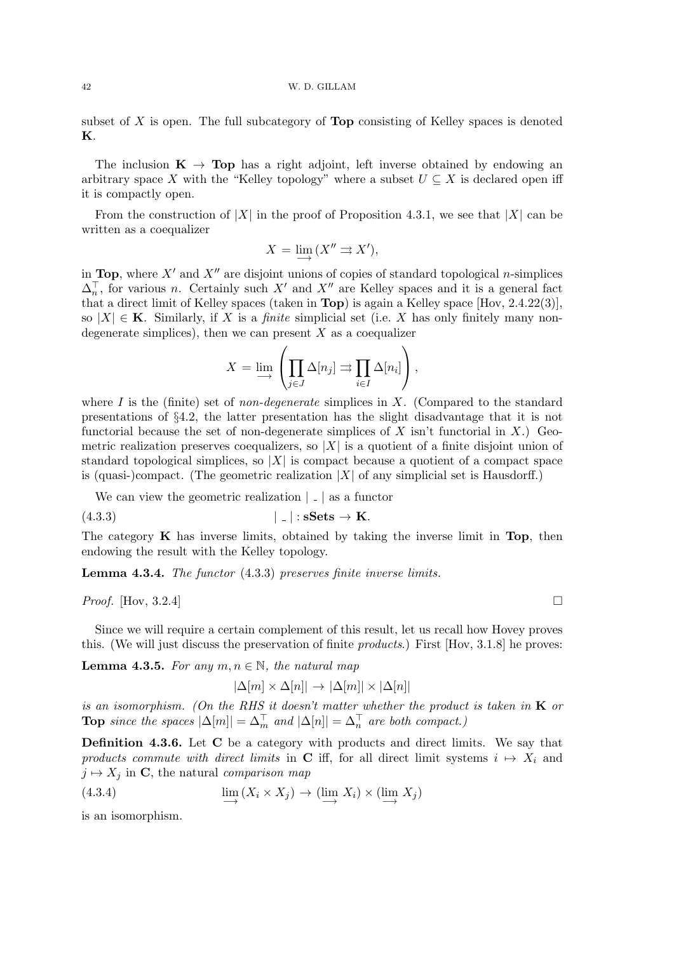subset of  $X$  is open. The full subcategory of **Top** consisting of Kelley spaces is denoted K.

The inclusion  $\mathbf{K} \to \mathbf{Top}$  has a right adjoint, left inverse obtained by endowing an arbitrary space X with the "Kelley topology" where a subset  $U \subseteq X$  is declared open iff it is compactly open.

From the construction of |X| in the proof of Proposition 4.3.1, we see that |X| can be written as a coequalizer

$$
X = \lim_{\longrightarrow} (X'' \rightrightarrows X'),
$$

in Top, where  $X'$  and  $X''$  are disjoint unions of copies of standard topological n-simplices  $\Delta_n^{\top}$ , for various n. Certainly such X' and X'' are Kelley spaces and it is a general fact that a direct limit of Kelley spaces (taken in Top) is again a Kelley space [Hov, 2.4.22(3)], so  $|X| \in \mathbf{K}$ . Similarly, if X is a *finite* simplicial set (i.e. X has only finitely many nondegenerate simplices), then we can present  $X$  as a coequalizer

$$
X = \lim_{i \to \infty} \left( \prod_{j \in J} \Delta[n_j] \Rightarrow \prod_{i \in I} \Delta[n_i] \right),
$$

where I is the (finite) set of *non-degenerate* simplices in  $X$ . (Compared to the standard presentations of §4.2, the latter presentation has the slight disadvantage that it is not functorial because the set of non-degenerate simplices of X isn't functorial in X.) Geometric realization preserves coequalizers, so  $|X|$  is a quotient of a finite disjoint union of standard topological simplices, so  $|X|$  is compact because a quotient of a compact space is (quasi-)compact. (The geometric realization  $|X|$  of any simplicial set is Hausdorff.)

We can view the geometric realization  $| \_ |$  as a functor

$$
|\quad| : \mathbf{sSets} \to \mathbf{K}.
$$

The category  $\bf{K}$  has inverse limits, obtained by taking the inverse limit in Top, then endowing the result with the Kelley topology.

Lemma 4.3.4. The functor (4.3.3) preserves finite inverse limits.

*Proof.* [Hov, 3.2.4]

Since we will require a certain complement of this result, let us recall how Hovey proves this. (We will just discuss the preservation of finite products.) First [Hov, 3.1.8] he proves:

**Lemma 4.3.5.** For any  $m, n \in \mathbb{N}$ , the natural map

$$
|\Delta[m] \times \Delta[n]| \to |\Delta[m]| \times |\Delta[n]|
$$

is an isomorphism. (On the RHS it doesn't matter whether the product is taken in  $K$  or **Top** since the spaces  $|\Delta[m]| = \Delta_m^{\top}$  and  $|\Delta[n]| = \Delta_n^{\top}$  are both compact.)

Definition 4.3.6. Let C be a category with products and direct limits. We say that products commute with direct limits in C iff, for all direct limit systems  $i \mapsto X_i$  and  $j \mapsto X_j$  in C, the natural comparison map

(4.3.4) 
$$
\lim_{i \to \infty} (X_i \times X_j) \to (\lim_{i \to \infty} X_i) \times (\lim_{i \to \infty} X_j)
$$

is an isomorphism.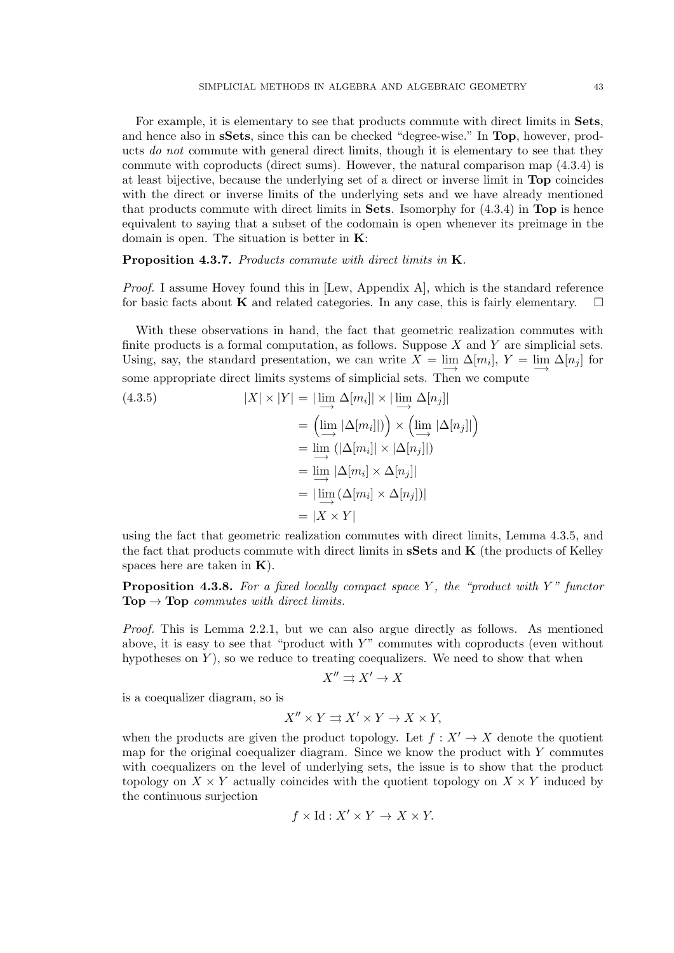For example, it is elementary to see that products commute with direct limits in Sets, and hence also in sSets, since this can be checked "degree-wise." In Top, however, products do not commute with general direct limits, though it is elementary to see that they commute with coproducts (direct sums). However, the natural comparison map (4.3.4) is at least bijective, because the underlying set of a direct or inverse limit in Top coincides with the direct or inverse limits of the underlying sets and we have already mentioned that products commute with direct limits in **Sets**. Isomorphy for  $(4.3.4)$  in **Top** is hence equivalent to saying that a subset of the codomain is open whenever its preimage in the domain is open. The situation is better in K:

Proposition 4.3.7. Products commute with direct limits in K.

*Proof.* I assume Hovey found this in  $[Lew, Appendix A]$ , which is the standard reference for basic facts about **K** and related categories. In any case, this is fairly elementary.  $\Box$ 

With these observations in hand, the fact that geometric realization commutes with finite products is a formal computation, as follows. Suppose  $X$  and  $Y$  are simplicial sets. Using, say, the standard presentation, we can write  $X = \lim_{n \to \infty} \Delta[m_i], Y = \lim_{n \to \infty} \Delta[n_j]$  for some appropriate direct limits systems of simplicial sets. Then we compute

(4.3.5)  
\n
$$
|X| \times |Y| = |\lim_{i \to \infty} \Delta[m_i]| \times |\lim_{i \to \infty} \Delta[n_j]|
$$
\n
$$
= (\lim_{i \to \infty} |\Delta[m_i]|) \times (\lim_{i \to \infty} |\Delta[n_j]|)
$$
\n
$$
= \lim_{i \to \infty} (|\Delta[m_i]| \times |\Delta[n_j]|)
$$
\n
$$
= |\lim_{i \to \infty} (\Delta[m_i] \times \Delta[n_j])|
$$
\n
$$
= |X \times Y|
$$

using the fact that geometric realization commutes with direct limits, Lemma 4.3.5, and the fact that products commute with direct limits in  $sSets$  and  $K$  (the products of Kelley spaces here are taken in  $K$ ).

**Proposition 4.3.8.** For a fixed locally compact space Y, the "product with Y" functor  $\textbf{Top} \rightarrow \textbf{Top}$  commutes with direct limits.

Proof. This is Lemma 2.2.1, but we can also argue directly as follows. As mentioned above, it is easy to see that "product with  $Y$ " commutes with coproducts (even without hypotheses on  $Y$ ), so we reduce to treating coequalizers. We need to show that when

$$
X'' \rightrightarrows X' \to X
$$

is a coequalizer diagram, so is

$$
X'' \times Y \rightrightarrows X' \times Y \to X \times Y,
$$

when the products are given the product topology. Let  $f : X' \to X$  denote the quotient map for the original coequalizer diagram. Since we know the product with  $Y$  commutes with coequalizers on the level of underlying sets, the issue is to show that the product topology on  $X \times Y$  actually coincides with the quotient topology on  $X \times Y$  induced by the continuous surjection

$$
f \times \text{Id} : X' \times Y \to X \times Y.
$$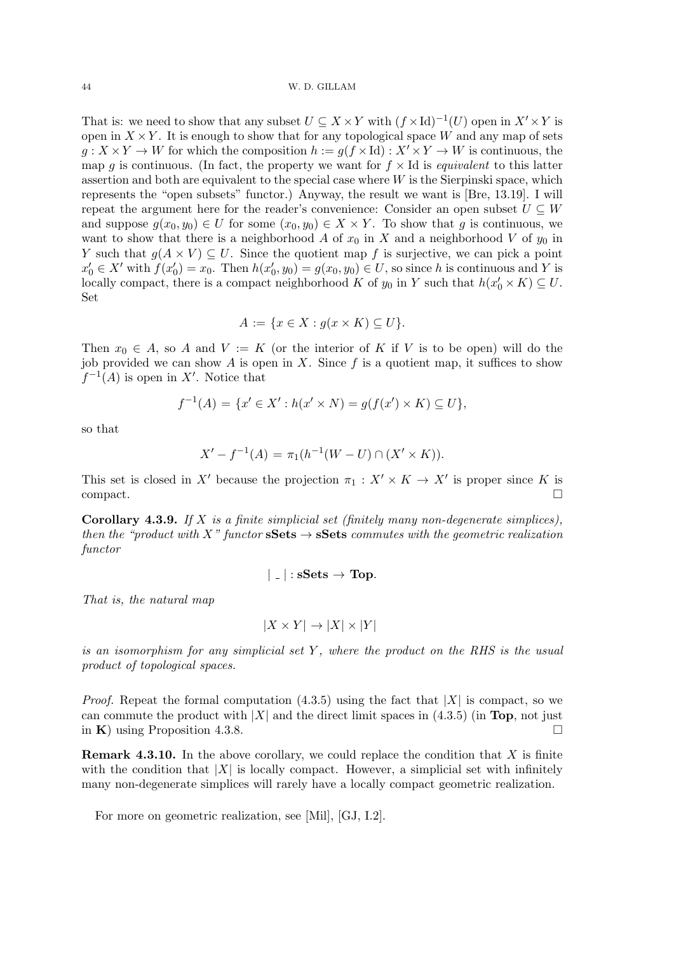That is: we need to show that any subset  $U \subseteq X \times Y$  with  $(f \times Id)^{-1}(U)$  open in  $X' \times Y$  is open in  $X \times Y$ . It is enough to show that for any topological space W and any map of sets  $g: X \times Y \to W$  for which the composition  $h := g(f \times Id) : X' \times Y \to W$  is continuous, the map g is continuous. (In fact, the property we want for  $f \times Id$  is *equivalent* to this latter assertion and both are equivalent to the special case where  $W$  is the Sierpinski space, which represents the "open subsets" functor.) Anyway, the result we want is [Bre, 13.19]. I will repeat the argument here for the reader's convenience: Consider an open subset  $U \subseteq W$ and suppose  $g(x_0, y_0) \in U$  for some  $(x_0, y_0) \in X \times Y$ . To show that g is continuous, we want to show that there is a neighborhood A of  $x_0$  in X and a neighborhood V of  $y_0$  in Y such that  $g(A \times V) \subseteq U$ . Since the quotient map f is surjective, we can pick a point  $x'_0 \in X'$  with  $f(x'_0) = x_0$ . Then  $h(x'_0, y_0) = g(x_0, y_0) \in U$ , so since h is continuous and Y is locally compact, there is a compact neighborhood K of  $y_0$  in Y such that  $h(x'_0 \times K) \subseteq U$ . Set

$$
A := \{ x \in X : g(x \times K) \subseteq U \}.
$$

Then  $x_0 \in A$ , so A and  $V := K$  (or the interior of K if V is to be open) will do the job provided we can show A is open in X. Since  $f$  is a quotient map, it suffices to show  $f^{-1}(A)$  is open in X'. Notice that

$$
f^{-1}(A) = \{x' \in X' : h(x' \times N) = g(f(x') \times K) \subseteq U\},\
$$

so that

$$
X' - f^{-1}(A) = \pi_1(h^{-1}(W - U) \cap (X' \times K)).
$$

This set is closed in X' because the projection  $\pi_1 : X' \times K \to X'$  is proper since K is compact. □

**Corollary 4.3.9.** If X is a finite simplicial set (finitely many non-degenerate simplices), then the "product with X" functor  $sSets \rightarrow sSets$  commutes with the geometric realization functor

$$
|\;.\;|:\mathbf{sSets}\to\mathbf{Top}.
$$

That is, the natural map

$$
|X \times Y| \to |X| \times |Y|
$$

is an isomorphism for any simplicial set  $Y$ , where the product on the RHS is the usual product of topological spaces.

*Proof.* Repeat the formal computation  $(4.3.5)$  using the fact that  $|X|$  is compact, so we can commute the product with  $|X|$  and the direct limit spaces in (4.3.5) (in Top, not just in K) using Proposition 4.3.8.

**Remark 4.3.10.** In the above corollary, we could replace the condition that  $X$  is finite with the condition that  $|X|$  is locally compact. However, a simplicial set with infinitely many non-degenerate simplices will rarely have a locally compact geometric realization.

For more on geometric realization, see [Mil], [GJ, I.2].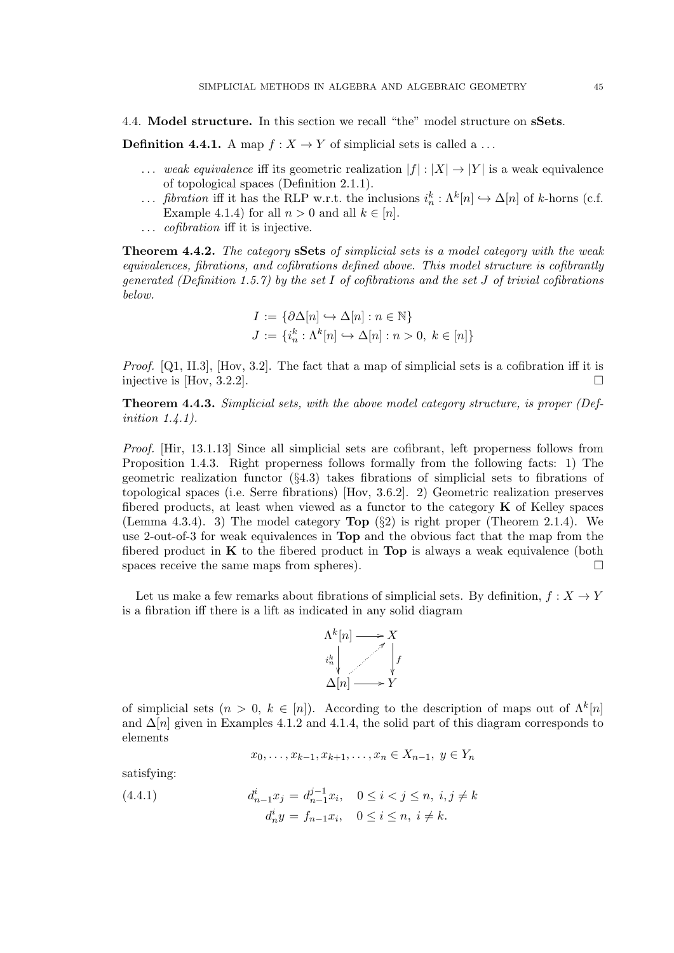4.4. Model structure. In this section we recall "the" model structure on sSets.

**Definition 4.4.1.** A map  $f: X \to Y$  of simplicial sets is called a ...

- ... weak equivalence iff its geometric realization  $|f|: |X| \to |Y|$  is a weak equivalence of topological spaces (Definition 2.1.1).
- ... *fibration* iff it has the RLP w.r.t. the inclusions  $i_n^k : \Lambda^k[n] \hookrightarrow \Delta[n]$  of k-horns (c.f. Example 4.1.4) for all  $n > 0$  and all  $k \in [n]$ .
- ... *cofibration* iff it is injective.

**Theorem 4.4.2.** The category **sSets** of simplicial sets is a model category with the weak equivalences, fibrations, and cofibrations defined above. This model structure is cofibrantly generated (Definition 1.5.7) by the set I of cofibrations and the set J of trivial cofibrations below.

$$
\begin{aligned} I &:= \{\partial \Delta[n] \hookrightarrow \Delta[n] : n \in \mathbb{N}\} \\ J &:= \{i_n^k : \Lambda^k[n] \hookrightarrow \Delta[n] : n > 0, \ k \in [n]\} \end{aligned}
$$

*Proof.* [Q1, II.3], [Hov, 3.2]. The fact that a map of simplicial sets is a cofibration iff it is injective is [Hov, 3.2.2].

Theorem 4.4.3. Simplicial sets, with the above model category structure, is proper (Definition 1.4.1).

Proof. [Hir, 13.1.13] Since all simplicial sets are cofibrant, left properness follows from Proposition 1.4.3. Right properness follows formally from the following facts: 1) The geometric realization functor  $(\S4.3)$  takes fibrations of simplicial sets to fibrations of topological spaces (i.e. Serre fibrations) [Hov, 3.6.2]. 2) Geometric realization preserves fibered products, at least when viewed as a functor to the category  $\bf{K}$  of Kelley spaces (Lemma 4.3.4). 3) The model category  $\text{Top }(\S{2})$  is right proper (Theorem 2.1.4). We use 2-out-of-3 for weak equivalences in Top and the obvious fact that the map from the fibered product in  $\bf{K}$  to the fibered product in  $\bf{Top}$  is always a weak equivalence (both spaces receive the same maps from spheres).

Let us make a few remarks about fibrations of simplicial sets. By definition,  $f: X \to Y$ is a fibration iff there is a lift as indicated in any solid diagram



of simplicial sets  $(n > 0, k \in [n])$ . According to the description of maps out of  $\Lambda^k[n]$ and  $\Delta[n]$  given in Examples 4.1.2 and 4.1.4, the solid part of this diagram corresponds to elements

$$
x_0, \ldots, x_{k-1}, x_{k+1}, \ldots, x_n \in X_{n-1}, y \in Y_n
$$

satisfying:

(4.4.1) 
$$
d_{n-1}^{i}x_{j} = d_{n-1}^{j-1}x_{i}, \quad 0 \leq i < j \leq n, \ i, j \neq k
$$

$$
d_{n}^{i}y = f_{n-1}x_{i}, \quad 0 \leq i \leq n, \ i \neq k.
$$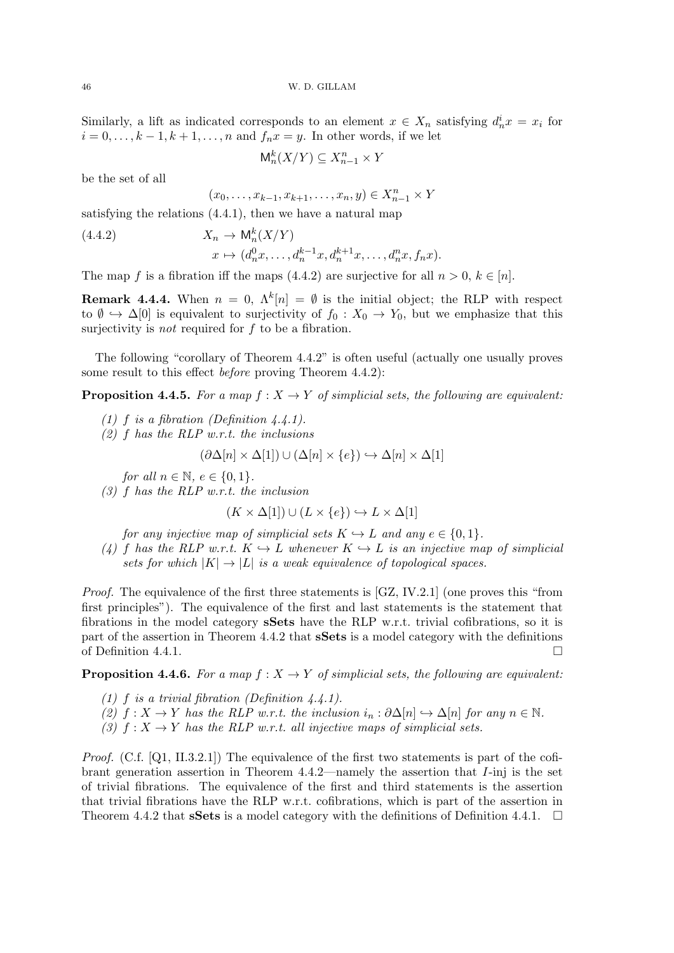46 W. D. GILLAM

Similarly, a lift as indicated corresponds to an element  $x \in X_n$  satisfying  $d_n^i x = x_i$  for  $i = 0, \ldots, k - 1, k + 1, \ldots, n$  and  $f_n x = y$ . In other words, if we let

 $M_n^k(X/Y) \subseteq X_{n-1}^n \times Y$ 

be the set of all

$$
(x_0, \ldots, x_{k-1}, x_{k+1}, \ldots, x_n, y) \in X_{n-1}^n \times Y
$$

satisfying the relations (4.4.1), then we have a natural map

(4.4.2) 
$$
X_n \to \mathsf{M}_n^k(X/Y)
$$

$$
x \mapsto (d_n^0 x, \dots, d_n^{k-1} x, d_n^{k+1} x, \dots, d_n^n x, f_n x).
$$

The map f is a fibration iff the maps (4.4.2) are surjective for all  $n > 0, k \in [n]$ .

**Remark 4.4.4.** When  $n = 0$ ,  $\Lambda^k[n] = \emptyset$  is the initial object; the RLP with respect to  $\emptyset \hookrightarrow \Delta[0]$  is equivalent to surjectivity of  $f_0: X_0 \to Y_0$ , but we emphasize that this surjectivity is *not* required for  $f$  to be a fibration.

The following "corollary of Theorem 4.4.2" is often useful (actually one usually proves some result to this effect before proving Theorem 4.4.2):

**Proposition 4.4.5.** For a map  $f: X \to Y$  of simplicial sets, the following are equivalent:

- (1) f is a fibration (Definition  $4.4.1$ ).
- $(2)$  f has the RLP w.r.t. the inclusions

$$
(\partial \Delta[n] \times \Delta[1]) \cup (\Delta[n] \times \{e\}) \hookrightarrow \Delta[n] \times \Delta[1]
$$

for all  $n \in \mathbb{N}$ ,  $e \in \{0, 1\}$ .

(3) f has the RLP w.r.t. the inclusion

$$
(K \times \Delta[1]) \cup (L \times \{e\}) \hookrightarrow L \times \Delta[1]
$$

for any injective map of simplicial sets  $K \hookrightarrow L$  and any  $e \in \{0, 1\}.$ 

(4) f has the RLP w.r.t.  $K \hookrightarrow L$  whenever  $K \hookrightarrow L$  is an injective map of simplicial sets for which  $|K| \to |L|$  is a weak equivalence of topological spaces.

Proof. The equivalence of the first three statements is [GZ, IV.2.1] (one proves this "from first principles"). The equivalence of the first and last statements is the statement that fibrations in the model category sSets have the RLP w.r.t. trivial cofibrations, so it is part of the assertion in Theorem 4.4.2 that sSets is a model category with the definitions of Definition 4.4.1.

**Proposition 4.4.6.** For a map  $f : X \to Y$  of simplicial sets, the following are equivalent:

- (1) f is a trivial fibration (Definition  $(4.4.1)$ .
- (2)  $f: X \to Y$  has the RLP w.r.t. the inclusion  $i_n : \partial \Delta[n] \hookrightarrow \Delta[n]$  for any  $n \in \mathbb{N}$ .
- (3)  $f: X \to Y$  has the RLP w.r.t. all injective maps of simplicial sets.

*Proof.* (C.f. [Q1, II.3.2.1]) The equivalence of the first two statements is part of the cofibrant generation assertion in Theorem  $4.4.2$ —namely the assertion that  $I$ -inj is the set of trivial fibrations. The equivalence of the first and third statements is the assertion that trivial fibrations have the RLP w.r.t. cofibrations, which is part of the assertion in Theorem 4.4.2 that **sSets** is a model category with the definitions of Definition 4.4.1.  $\Box$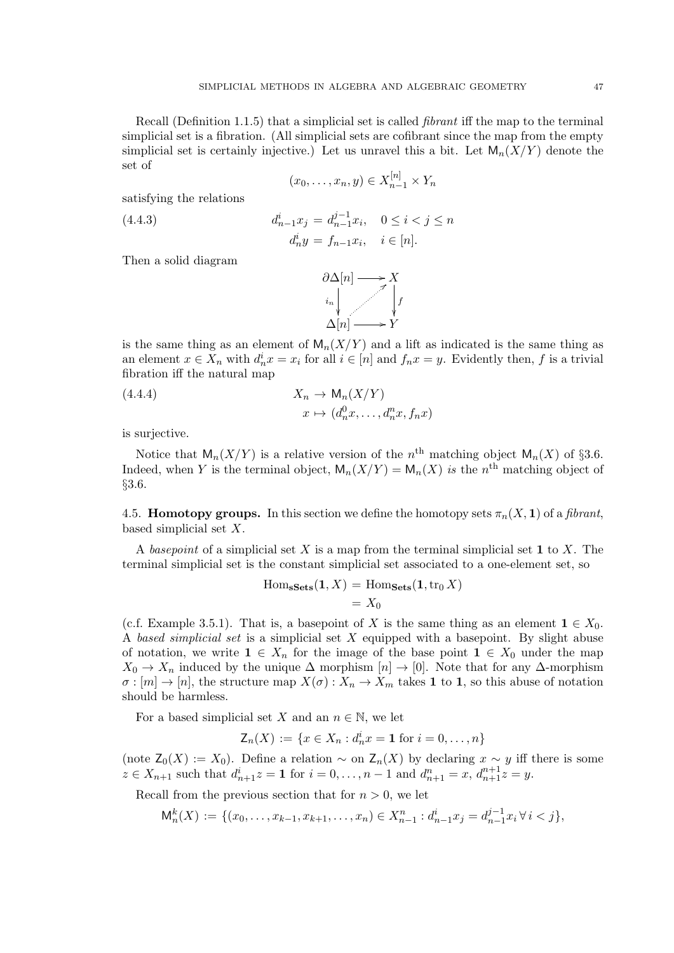Recall (Definition 1.1.5) that a simplicial set is called fibrant iff the map to the terminal simplicial set is a fibration. (All simplicial sets are cofibrant since the map from the empty simplicial set is certainly injective.) Let us unravel this a bit. Let  $\mathsf{M}_n(X/Y)$  denote the set of

$$
(x_0,\ldots,x_n,y)\in X_{n-1}^{[n]}\times Y_n
$$

satisfying the relations

(4.4.3) 
$$
d_{n-1}^{i} x_{j} = d_{n-1}^{j-1} x_{i}, \quad 0 \leq i < j \leq n
$$

$$
d_{n}^{i} y = f_{n-1} x_{i}, \quad i \in [n].
$$

Then a solid diagram



is the same thing as an element of  $M_n(X/Y)$  and a lift as indicated is the same thing as an element  $x \in X_n$  with  $d_n^i x = x_i$  for all  $i \in [n]$  and  $f_n x = y$ . Evidently then, f is a trivial fibration iff the natural map

(4.4.4) 
$$
X_n \to \mathsf{M}_n(X/Y)
$$

$$
x \mapsto (d_n^0 x, \dots, d_n^n x, f_n x)
$$

is surjective.

Notice that  $\mathsf{M}_n(X/Y)$  is a relative version of the  $n^{\text{th}}$  matching object  $\mathsf{M}_n(X)$  of §3.6. Indeed, when Y is the terminal object,  $\mathsf{M}_n(X/Y) = \mathsf{M}_n(X)$  is the n<sup>th</sup> matching object of §3.6.

4.5. **Homotopy groups.** In this section we define the homotopy sets  $\pi_n(X, 1)$  of a *fibrant*, based simplicial set X.

A basepoint of a simplicial set X is a map from the terminal simplicial set 1 to X. The terminal simplicial set is the constant simplicial set associated to a one-element set, so

$$
Hom_{\mathbf{sSets}}(\mathbf{1}, X) = Hom_{\mathbf{Sets}}(\mathbf{1}, \text{tr}_0 X)
$$

$$
= X_0
$$

(c.f. Example 3.5.1). That is, a basepoint of X is the same thing as an element  $1 \in X_0$ . A based simplicial set is a simplicial set X equipped with a basepoint. By slight abuse of notation, we write  $1 \in X_n$  for the image of the base point  $1 \in X_0$  under the map  $X_0 \to X_n$  induced by the unique  $\Delta$  morphism  $[n] \to [0]$ . Note that for any  $\Delta$ -morphism  $\sigma : [m] \to [n]$ , the structure map  $X(\sigma) : X_n \to X_m$  takes 1 to 1, so this abuse of notation should be harmless.

For a based simplicial set X and an  $n \in \mathbb{N}$ , we let

$$
\mathsf{Z}_n(X) := \{ x \in X_n : d_n^i x = \mathbf{1} \text{ for } i = 0, \dots, n \}
$$

(note  $Z_0(X) := X_0$ ). Define a relation ~ on  $Z_n(X)$  by declaring  $x \sim y$  iff there is some  $z \in X_{n+1}$  such that  $d_{n+1}^i z = 1$  for  $i = 0, ..., n-1$  and  $d_{n+1}^n = x, d_{n+1}^{n+1} z = y$ .

Recall from the previous section that for  $n > 0$ , we let

$$
\mathsf{M}_n^k(X) := \{ (x_0, \ldots, x_{k-1}, x_{k+1}, \ldots, x_n) \in X_{n-1}^n : d_{n-1}^i x_j = d_{n-1}^{j-1} x_i \,\forall \, i < j \},
$$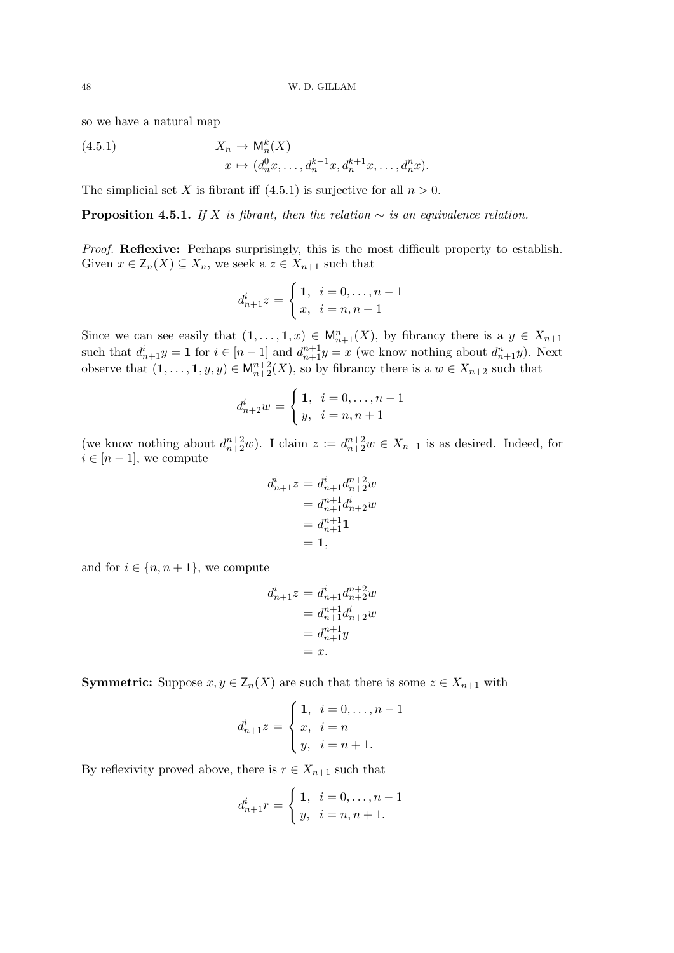so we have a natural map

(4.5.1) 
$$
X_n \to \mathsf{M}_n^k(X)
$$

$$
x \mapsto (d_n^0 x, \dots, d_n^{k-1} x, d_n^{k+1} x, \dots, d_n^n x).
$$

The simplicial set X is fibrant iff  $(4.5.1)$  is surjective for all  $n > 0$ .

**Proposition 4.5.1.** If X is fibrant, then the relation  $\sim$  is an equivalence relation.

*Proof.* Reflexive: Perhaps surprisingly, this is the most difficult property to establish. Given  $x \in \mathsf{Z}_n(X) \subseteq X_n$ , we seek a  $z \in X_{n+1}$  such that

$$
d_{n+1}^{i}z = \begin{cases} 1, & i = 0, \dots, n-1 \\ x, & i = n, n+1 \end{cases}
$$

Since we can see easily that  $(1,\ldots,1,x) \in M_{n+1}^n(X)$ , by fibrancy there is a  $y \in X_{n+1}$ such that  $d_{n+1}^i y = 1$  for  $i \in [n-1]$  and  $d_{n+1}^{n+1} y = x$  (we know nothing about  $d_{n+1}^n y$ ). Next observe that  $(1,\ldots,1,y,y) \in M_{n+2}^{n+2}(X)$ , so by fibrancy there is a  $w \in X_{n+2}$  such that

$$
d_{n+2}^{i}w = \begin{cases} 1, & i = 0, \dots, n-1 \\ y, & i = n, n+1 \end{cases}
$$

(we know nothing about  $d_{n+2}^{n+2}w$ ). I claim  $z := d_{n+2}^{n+2}w \in X_{n+1}$  is as desired. Indeed, for  $i \in [n-1]$ , we compute

$$
d_{n+1}^{i}z = d_{n+1}^{i}d_{n+2}^{n+2}w
$$
  
=  $d_{n+1}^{n+1}d_{n+2}^{i}w$   
=  $d_{n+1}^{n+1}$   
= 1,

and for  $i \in \{n, n+1\}$ , we compute

$$
d_{n+1}^{i}z = d_{n+1}^{i}d_{n+2}^{n+2}w
$$
  
=  $d_{n+1}^{n+1}d_{n+2}^{i}w$   
=  $d_{n+1}^{n+1}y$   
= x.

**Symmetric:** Suppose  $x, y \in Z_n(X)$  are such that there is some  $z \in X_{n+1}$  with

$$
d_{n+1}^{i}z = \begin{cases} 1, & i = 0, ..., n-1 \\ x, & i = n \\ y, & i = n+1. \end{cases}
$$

By reflexivity proved above, there is  $r \in X_{n+1}$  such that

$$
d_{n+1}^{i} r = \begin{cases} 1, & i = 0, \dots, n-1 \\ y, & i = n, n+1. \end{cases}
$$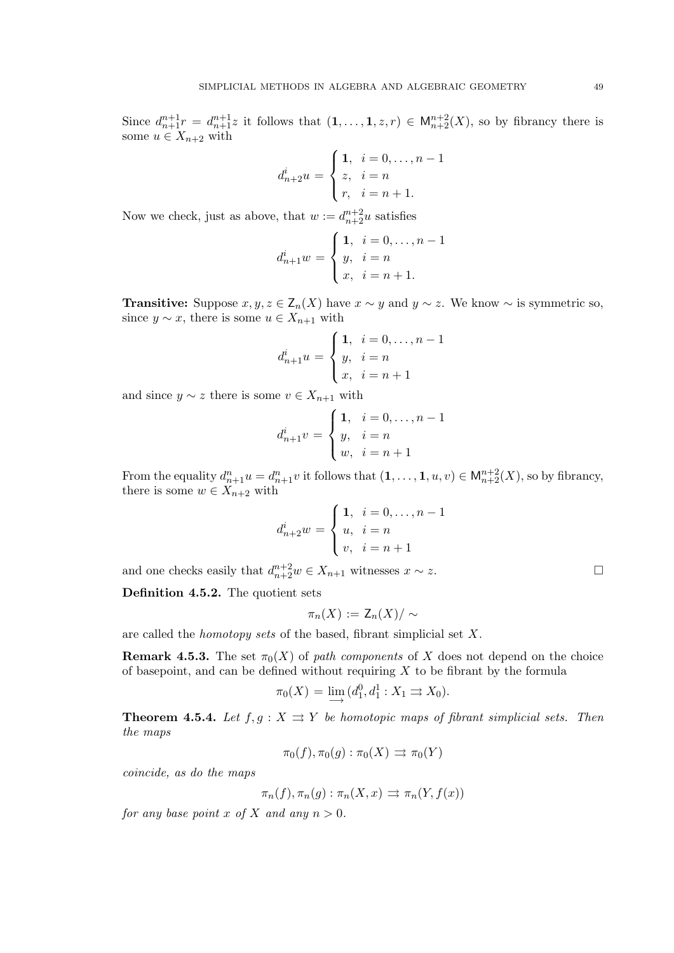Since  $d_{n+1}^{n+1}r = d_{n+1}^{n+1}z$  it follows that  $(1,\ldots,1,z,r) \in M_{n+2}^{n+2}(X)$ , so by fibrancy there is some  $u \in X_{n+2}$  with

$$
d_{n+2}^{i}u = \begin{cases} 1, & i = 0, \dots, n-1 \\ z, & i = n \\ r, & i = n+1. \end{cases}
$$

Now we check, just as above, that  $w := d_{n+2}^{n+2} u$  satisfies

$$
d_{n+1}^{i}w = \begin{cases} 1, & i = 0, \dots, n-1 \\ y, & i = n \\ x, & i = n+1. \end{cases}
$$

**Transitive:** Suppose  $x, y, z \in Z_n(X)$  have  $x \sim y$  and  $y \sim z$ . We know  $\sim$  is symmetric so, since  $y \sim x$ , there is some  $u \in X_{n+1}$  with

$$
d_{n+1}^{i}u = \begin{cases} 1, & i = 0, \dots, n-1 \\ y, & i = n \\ x, & i = n+1 \end{cases}
$$

and since  $y \sim z$  there is some  $v \in X_{n+1}$  with

$$
d_{n+1}^{i}v = \begin{cases} 1, & i = 0, \dots, n-1 \\ y, & i = n \\ w, & i = n+1 \end{cases}
$$

From the equality  $d_{n+1}^n u = d_{n+1}^n v$  it follows that  $(1, \ldots, 1, u, v) \in M_{n+2}^{n+2}(X)$ , so by fibrancy, there is some  $w \in X_{n+2}$  with

$$
d_{n+2}^{i}w = \begin{cases} 1, & i = 0, \dots, n-1 \\ u, & i = n \\ v, & i = n+1 \end{cases}
$$

and one checks easily that  $d_{n+2}^{n+2}w \in X_{n+1}$  witnesses  $x \sim z$ .

Definition 4.5.2. The quotient sets

$$
\pi_n(X) := \mathsf{Z}_n(X)/\sim
$$

are called the homotopy sets of the based, fibrant simplicial set X.

**Remark 4.5.3.** The set  $\pi_0(X)$  of path components of X does not depend on the choice of basepoint, and can be defined without requiring  $X$  to be fibrant by the formula

$$
\pi_0(X) = \lim_{\longrightarrow} (d_1^0, d_1^1 : X_1 \rightrightarrows X_0).
$$

**Theorem 4.5.4.** Let  $f, g: X \rightrightarrows Y$  be homotopic maps of fibrant simplicial sets. Then the maps

$$
\pi_0(f), \pi_0(g) : \pi_0(X) \implies \pi_0(Y)
$$

coincide, as do the maps

$$
\pi_n(f), \pi_n(g) : \pi_n(X, x) \implies \pi_n(Y, f(x))
$$

for any base point x of X and any  $n > 0$ .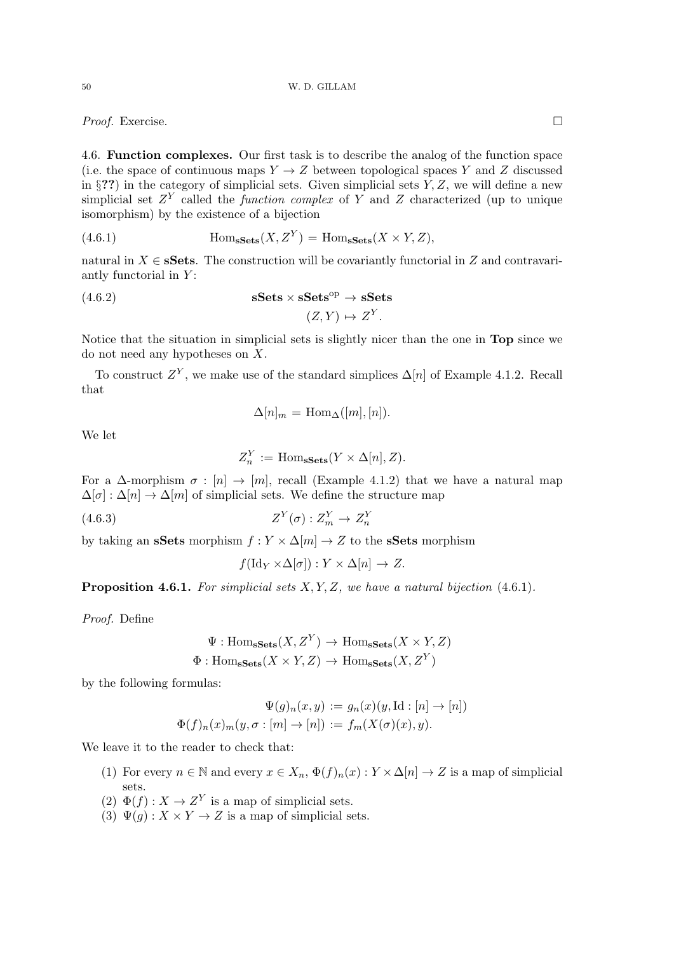*Proof.* Exercise. □

4.6. Function complexes. Our first task is to describe the analog of the function space (i.e. the space of continuous maps  $Y \to Z$  between topological spaces Y and Z discussed in §??) in the category of simplicial sets. Given simplicial sets  $Y, Z$ , we will define a new simplicial set  $Z<sup>Y</sup>$  called the *function complex* of Y and Z characterized (up to unique isomorphism) by the existence of a bijection

(4.6.1) 
$$
\text{Hom}_{\textbf{sSets}}(X, Z^Y) = \text{Hom}_{\textbf{sSets}}(X \times Y, Z),
$$

natural in  $X \in \mathbf{sSets}$ . The construction will be covariantly functorial in Z and contravariantly functorial in  $Y$ :

(4.6.2) 
$$
\mathbf{sSets} \times \mathbf{sSets}^{\mathrm{op}} \to \mathbf{sSets}
$$

$$
(Z, Y) \mapsto Z^{Y}.
$$

Notice that the situation in simplicial sets is slightly nicer than the one in Top since we do not need any hypotheses on X.

To construct  $Z^Y$ , we make use of the standard simplices  $\Delta[n]$  of Example 4.1.2. Recall that

$$
\Delta[n]_m = \text{Hom}_{\Delta}([m],[n]).
$$

We let

$$
Z_n^Y := \text{Hom}_{\mathbf{sSets}}(Y \times \Delta[n], Z).
$$

For a  $\Delta$ -morphism  $\sigma : [n] \rightarrow [m]$ , recall (Example 4.1.2) that we have a natural map  $\Delta[\sigma] : \Delta[n] \to \Delta[m]$  of simplicial sets. We define the structure map

$$
(4.6.3) \t\t ZY(\sigma) : ZYm \to ZYn
$$

by taking an sSets morphism  $f: Y \times \Delta[m] \to Z$  to the sSets morphism

$$
f(\mathrm{Id}_Y \times \Delta[\sigma]): Y \times \Delta[n] \to Z.
$$

**Proposition 4.6.1.** For simplicial sets  $X, Y, Z$ , we have a natural bijection  $(4.6.1)$ .

Proof. Define

$$
\Psi: \mathrm{Hom}_{\mathbf{sSets}}(X, Z^Y) \to \mathrm{Hom}_{\mathbf{sSets}}(X \times Y, Z)
$$

$$
\Phi: \mathrm{Hom}_{\mathbf{sSets}}(X \times Y, Z) \to \mathrm{Hom}_{\mathbf{sSets}}(X, Z^Y)
$$

by the following formulas:

$$
\Psi(g)_n(x, y) := g_n(x)(y, \mathrm{Id} : [n] \to [n])
$$
  

$$
\Phi(f)_n(x)_m(y, \sigma : [m] \to [n]) := f_m(X(\sigma)(x), y).
$$

We leave it to the reader to check that:

- (1) For every  $n \in \mathbb{N}$  and every  $x \in X_n$ ,  $\Phi(f)_n(x) : Y \times \Delta[n] \to Z$  is a map of simplicial sets.
- (2)  $\Phi(f) : X \to Z^Y$  is a map of simplicial sets.
- (3)  $\Psi(g): X \times Y \to Z$  is a map of simplicial sets.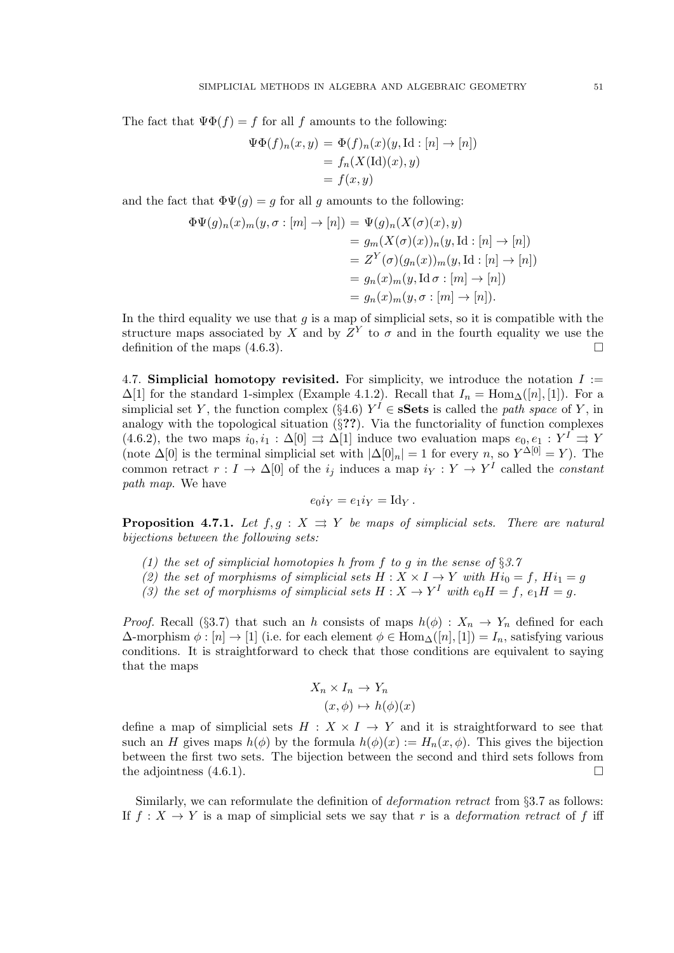The fact that  $\Psi \Phi(f) = f$  for all f amounts to the following:

$$
\Psi\Phi(f)_n(x,y) = \Phi(f)_n(x)(y,\text{Id}: [n] \to [n])
$$
  
=  $f_n(X(\text{Id})(x), y)$   
=  $f(x, y)$ 

and the fact that  $\Phi\Psi(g) = g$  for all g amounts to the following:

$$
\Phi\Psi(g)_n(x)_m(y,\sigma : [m] \to [n]) = \Psi(g)_n(X(\sigma)(x), y)
$$
  
\n
$$
= g_m(X(\sigma)(x))_n(y, \text{Id} : [n] \to [n])
$$
  
\n
$$
= Z^Y(\sigma)(g_n(x))_m(y, \text{Id} : [n] \to [n])
$$
  
\n
$$
= g_n(x)_m(y, \text{Id} \sigma : [m] \to [n])
$$
  
\n
$$
= g_n(x)_m(y, \sigma : [m] \to [n]).
$$

In the third equality we use that  $q$  is a map of simplicial sets, so it is compatible with the structure maps associated by X and by  $Z<sup>Y</sup>$  to  $\sigma$  and in the fourth equality we use the definition of the maps  $(4.6.3)$ .

4.7. Simplicial homotopy revisited. For simplicity, we introduce the notation  $I :=$  $\Delta[1]$  for the standard 1-simplex (Example 4.1.2). Recall that  $I_n = \text{Hom}_{\Delta}([n], [1])$ . For a simplicial set Y, the function complex (§4.6)  $Y^I \in \mathbf{sSets}$  is called the path space of Y, in analogy with the topological situation  $(\S$ ??). Via the functoriality of function complexes (4.6.2), the two maps  $i_0, i_1 : \Delta[0] \Rightarrow \Delta[1]$  induce two evaluation maps  $e_0, e_1 : Y^I \Rightarrow Y$ (note  $\Delta[0]$  is the terminal simplicial set with  $|\Delta[0]_n| = 1$  for every n, so  $Y^{\Delta[0]} = Y$ ). The common retract  $r: I \to \Delta[0]$  of the  $i_j$  induces a map  $i_Y: Y \to Y^I$  called the *constant* path map. We have

$$
e_0 i_Y = e_1 i_Y = \mathrm{Id}_Y.
$$

**Proposition 4.7.1.** Let  $f, g: X \Rightarrow Y$  be maps of simplicial sets. There are natural bijections between the following sets:

- (1) the set of simplicial homotopies h from f to g in the sense of  $\S 3.7$
- (2) the set of morphisms of simplicial sets  $H : X \times I \rightarrow Y$  with  $Hi_0 = f$ ,  $Hi_1 = g$
- (3) the set of morphisms of simplicial sets  $H: X \to Y^I$  with  $e_0H = f$ ,  $e_1H = g$ .

*Proof.* Recall (§3.7) that such an h consists of maps  $h(\phi) : X_n \to Y_n$  defined for each  $\Delta$ -morphism  $\phi : [n] \to [1]$  (i.e. for each element  $\phi \in \text{Hom}_{\Delta}(n], [1]) = I_n$ , satisfying various conditions. It is straightforward to check that those conditions are equivalent to saying that the maps

$$
X_n \times I_n \to Y_n
$$

$$
(x, \phi) \mapsto h(\phi)(x)
$$

define a map of simplicial sets  $H : X \times I \rightarrow Y$  and it is straightforward to see that such an H gives maps  $h(\phi)$  by the formula  $h(\phi)(x) := H_n(x, \phi)$ . This gives the bijection between the first two sets. The bijection between the second and third sets follows from the adjointness  $(4.6.1)$ .

Similarly, we can reformulate the definition of *deformation retract* from §3.7 as follows: If  $f: X \to Y$  is a map of simplicial sets we say that r is a *deformation retract* of f iff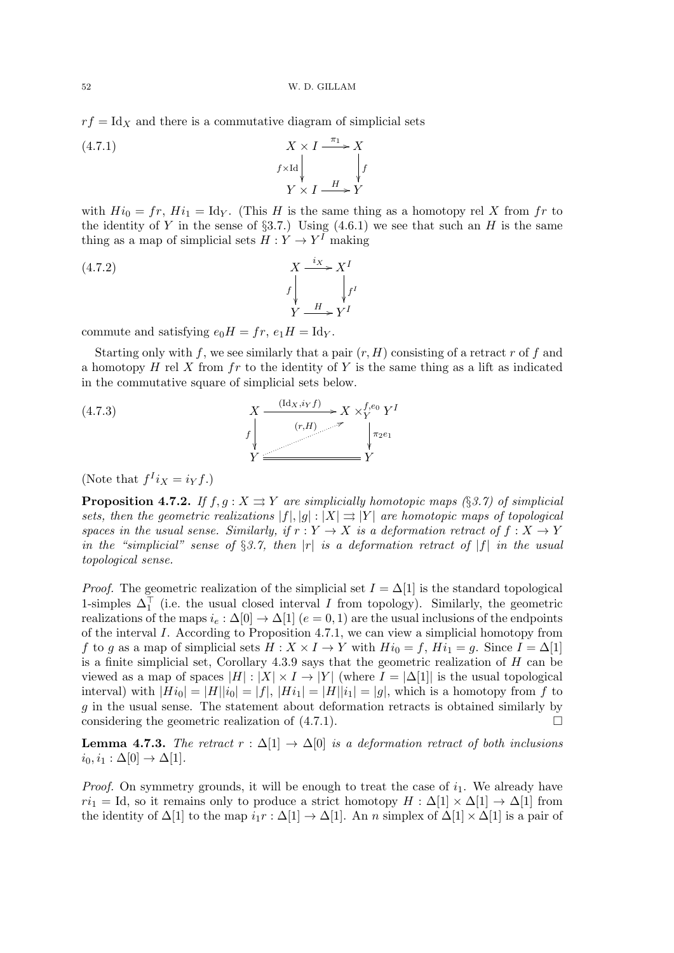52 W. D. GILLAM

 $rf = Id<sub>X</sub>$  and there is a commutative diagram of simplicial sets

 $X \times I \xrightarrow{\pi_1}$ .  $f\times\mathrm{Id}$ ł X f ł  $Y \times I \longrightarrow Y$ (4.7.1)

with  $Hi_0 = fr$ ,  $Hi_1 = Id_Y$ . (This H is the same thing as a homotopy rel X from fr to the identity of Y in the sense of  $\S3.7$ .) Using  $(4.6.1)$  we see that such an H is the same thing as a map of simplicial sets  $H: Y \to Y^I$  making

(4.7.2) 
$$
X \xrightarrow{f} X^{I}
$$

$$
f \downarrow f^{I}
$$

$$
Y \xrightarrow{H} Y^{I}
$$

commute and satisfying  $e_0H = fr$ ,  $e_1H = \text{Id}_Y$ .

Starting only with f, we see similarly that a pair  $(r, H)$  consisting of a retract r of f and a homotopy  $H$  rel X from  $fr$  to the identity of Y is the same thing as a lift as indicated in the commutative square of simplicial sets below.

(4.7.3)  
\n
$$
X \xrightarrow{\text{(Id_X,i_Yf)}} X \times_Y^{f,e_0} Y^I
$$
\n
$$
f \downarrow_{Y} \xrightarrow{\text{(r,H)}} Y^{\text{(r,H)}} Y^{\text{(r,g)}} = Y^{\text{(r,g)}} Y^{\text{(r,g)}} = Y^{\text{(r,g)}} Y^{\text{(r,g)}} = Y^{\text{(r,g)}} Y^{\text{(r,g)}} = Y^{\text{(r,g)}} = Y^{\text{(r,g)}} = Y^{\text{(r,g)}} = Y^{\text{(r,g)}} = Y^{\text{(r,g)}} = Y^{\text{(r,g)}} = Y^{\text{(r,g)}} = Y^{\text{(r,g)}} = Y^{\text{(r,g)}} = Y^{\text{(r,g)}} = Y^{\text{(r,g)}} = Y^{\text{(r,g)}} = Y^{\text{(r,g)}} = Y^{\text{(r,g)}} = Y^{\text{(r,g)}} = Y^{\text{(r,g)}} = Y^{\text{(r,g)}} = Y^{\text{(r,g)}} = Y^{\text{(r,g)}} = Y^{\text{(r,g)}} = Y^{\text{(r,g)}} = Y^{\text{(r,g)}} = Y^{\text{(r,g)}} = Y^{\text{(r,g)}} = Y^{\text{(r,g)}} = Y^{\text{(r,g)}} = Y^{\text{(r,g)}} = Y^{\text{(r,g)}} = Y^{\text{(r,g)}} = Y^{\text{(r,g)}} = Y^{\text{(r,g)}} = Y^{\text{(r,g)}} = Y^{\text{(r,g)}} = Y^{\text{(r,g)}} = Y^{\text{(r,g)}} = Y^{\text{(r,g)}} = Y^{\text{(r,g)}} = Y^{\text{(r,g)}} = Y^{\text{(r,g)}} = Y^{\text{(r,g)}} = Y^{\text{(r,g)}} = Y^{\text{(r,g)}} = Y^{\text{(r,g)}} = Y^{\text{(r,g)}} = Y^{\text{(r,g)}} = Y^{\text{(r,g)}} = Y^{\text{(r,g)}} = Y^{\text{(r,g)}} = Y^{\text{(r,g)}} = Y^{\text{(r,g)}} = Y^{\text{(r,g)}} = Y^{\text{(r,g)}} = Y^{\text{(r,g)}} = Y^{\text{(r,g)}} = Y^{\text{(r,g)}} = Y^{\text{(r,g)}} = Y^{\text{(r,g)}} = Y^{\text{(r,g)}} = Y^{\text{(r,g)}} = Y^{\text{(r,g)}} = Y^{\text{(r,g)}} = Y^{\text{(r,g)}} = Y^{\text{(r,g)}} = Y^{\text{(r,g)}} = Y^{\text{(r,g)}} = Y^{\text{(r,g)}} = Y^{\text{(r,g)}} = Y^{\text{(r,g)}} = Y^{\text{(r,g)}} = Y^{\text{(r,g)}}
$$

(Note that  $f^{I}i_X = i_Y f$ .)

**Proposition 4.7.2.** If  $f, g: X \rightrightarrows Y$  are simplicially homotopic maps (§3.7) of simplicial sets, then the geometric realizations  $|f|, |g| : |X| \Rightarrow |Y|$  are homotopic maps of topological spaces in the usual sense. Similarly, if  $r: Y \to X$  is a deformation retract of  $f: X \to Y$ in the "simplicial" sense of §3.7, then |r| is a deformation retract of |f| in the usual topological sense.

*Proof.* The geometric realization of the simplicial set  $I = \Delta[1]$  is the standard topological 1-simples  $\Delta_1^{\top}$  (i.e. the usual closed interval *I* from topology). Similarly, the geometric realizations of the maps  $i_e : \Delta[0] \to \Delta[1]$  ( $e = 0, 1$ ) are the usual inclusions of the endpoints of the interval I. According to Proposition 4.7.1, we can view a simplicial homotopy from f to g as a map of simplicial sets  $H : X \times I \to Y$  with  $Hi_0 = f$ ,  $Hi_1 = g$ . Since  $I = \Delta[1]$ is a finite simplicial set, Corollary  $4.3.9$  says that the geometric realization of  $H$  can be viewed as a map of spaces  $|H| : |X| \times I \to |Y|$  (where  $I = |\Delta[1]|$  is the usual topological interval) with  $|Hi_0| = |H||i_0| = |f|$ ,  $|Hi_1| = |H||i_1| = |g|$ , which is a homotopy from f to  $g$  in the usual sense. The statement about deformation retracts is obtained similarly by considering the geometric realization of  $(4.7.1)$ .

**Lemma 4.7.3.** The retract  $r : \Delta[1] \rightarrow \Delta[0]$  is a deformation retract of both inclusions  $i_0, i_1 : \Delta[0] \rightarrow \Delta[1].$ 

*Proof.* On symmetry grounds, it will be enough to treat the case of  $i_1$ . We already have  $ri_1 = \text{Id}$ , so it remains only to produce a strict homotopy  $H : \Delta[1] \times \Delta[1] \rightarrow \Delta[1]$  from the identity of  $\Delta[1]$  to the map  $i_1r : \Delta[1] \to \Delta[1]$ . An n simplex of  $\Delta[1] \times \Delta[1]$  is a pair of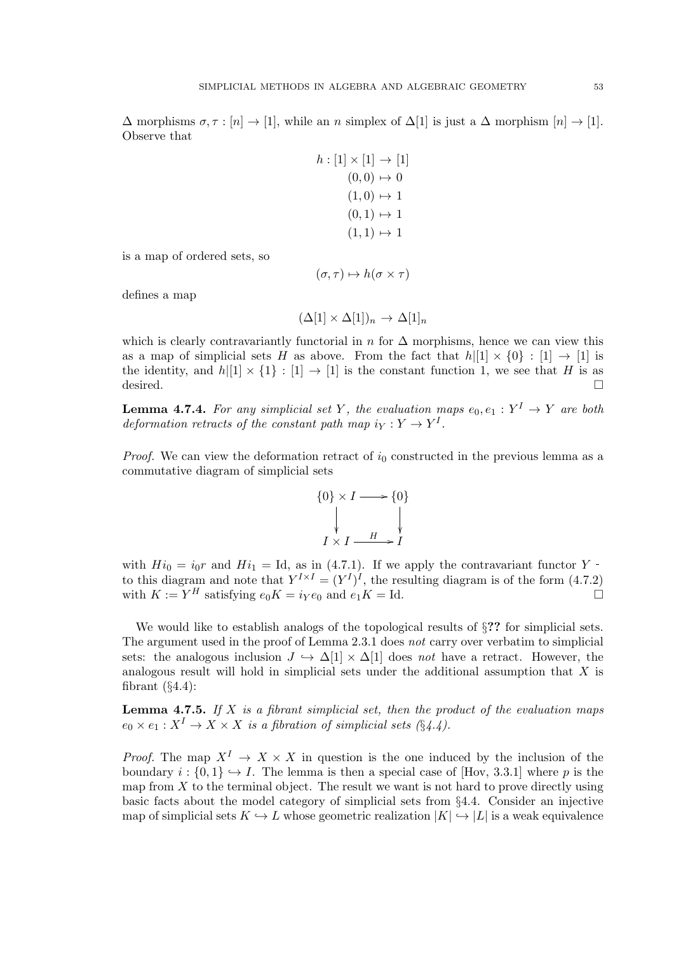$\Delta$  morphisms  $\sigma, \tau : [n] \to [1]$ , while an n simplex of  $\Delta[1]$  is just a  $\Delta$  morphism  $[n] \to [1]$ . Observe that

$$
h: [1] \times [1] \to [1] \n(0,0) \to 0 \n(1,0) \to 1 \n(0,1) \to 1 \n(1,1) \to 1
$$

is a map of ordered sets, so

$$
(\sigma, \tau) \mapsto h(\sigma \times \tau)
$$

defines a map

$$
(\Delta[1] \times \Delta[1])_n \to \Delta[1]_n
$$

which is clearly contravariantly functorial in n for  $\Delta$  morphisms, hence we can view this as a map of simplicial sets H as above. From the fact that  $h|[1] \times \{0\} : [1] \rightarrow [1]$  is the identity, and  $h|[1] \times \{1\} : [1] \rightarrow [1]$  is the constant function 1, we see that H is as  $\qquad \qquad \Box$ 

**Lemma 4.7.4.** For any simplicial set Y, the evaluation maps  $e_0, e_1 : Y^I \rightarrow Y$  are both deformation retracts of the constant path map  $i_Y : Y \to Y^I$ .

*Proof.* We can view the deformation retract of  $i_0$  constructed in the previous lemma as a commutative diagram of simplicial sets



with  $Hi_0 = i_0r$  and  $Hi_1 = Id$ , as in (4.7.1). If we apply the contravariant functor Y to this diagram and note that  $Y^{I\times I} = (Y^I)^I$ , the resulting diagram is of the form (4.7.2) with  $K := Y^H$  satisfying  $e_0 K = i_Y e_0$  and  $e_1 K = \text{Id}$ .

We would like to establish analogs of the topological results of  $\S$ ?? for simplicial sets. The argument used in the proof of Lemma 2.3.1 does not carry over verbatim to simplicial sets: the analogous inclusion  $J \hookrightarrow \Delta[1] \times \Delta[1]$  does not have a retract. However, the analogous result will hold in simplicial sets under the additional assumption that X is fibrant  $(\S4.4)$ :

**Lemma 4.7.5.** If  $X$  is a fibrant simplicial set, then the product of the evaluation maps  $e_0 \times e_1 : X^I \to X \times X$  is a fibration of simplicial sets  $(\S 4.4)$ .

*Proof.* The map  $X^I \to X \times X$  in question is the one induced by the inclusion of the boundary  $i : \{0,1\} \hookrightarrow I$ . The lemma is then a special case of [Hov, 3.3.1] where p is the map from  $X$  to the terminal object. The result we want is not hard to prove directly using basic facts about the model category of simplicial sets from §4.4. Consider an injective map of simplicial sets  $K \hookrightarrow L$  whose geometric realization  $|K| \hookrightarrow |L|$  is a weak equivalence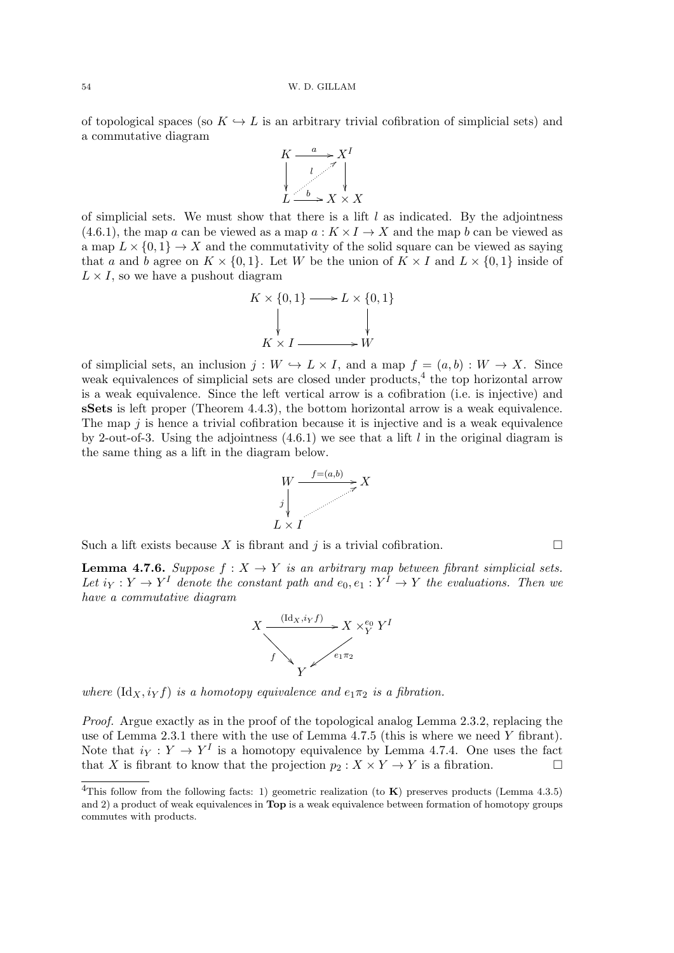of topological spaces (so  $K \hookrightarrow L$  is an arbitrary trivial cofibration of simplicial sets) and a commutative diagram



of simplicial sets. We must show that there is a lift  $l$  as indicated. By the adjointness (4.6.1), the map a can be viewed as a map  $a: K \times I \to X$  and the map b can be viewed as a map  $L \times \{0,1\} \rightarrow X$  and the commutativity of the solid square can be viewed as saying that a and b agree on  $K \times \{0,1\}$ . Let W be the union of  $K \times I$  and  $L \times \{0,1\}$  inside of  $L \times I$ , so we have a pushout diagram



of simplicial sets, an inclusion  $j: W \hookrightarrow L \times I$ , and a map  $f = (a, b) : W \to X$ . Since weak equivalences of simplicial sets are closed under products,  $4$  the top horizontal arrow is a weak equivalence. Since the left vertical arrow is a cofibration (i.e. is injective) and sSets is left proper (Theorem 4.4.3), the bottom horizontal arrow is a weak equivalence. The map  $j$  is hence a trivial cofibration because it is injective and is a weak equivalence by 2-out-of-3. Using the adjointness  $(4.6.1)$  we see that a lift l in the original diagram is the same thing as a lift in the diagram below.



Such a lift exists because X is fibrant and j is a trivial cofibration.

**Lemma 4.7.6.** Suppose  $f : X \to Y$  is an arbitrary map between fibrant simplicial sets. Let  $i_Y: Y \to Y^I$  denote the constant path and  $e_0, e_1: Y^I \to Y$  the evaluations. Then we have a commutative diagram



where  $(\mathrm{Id}_X, i_Y f)$  is a homotopy equivalence and  $e_1 \pi_2$  is a fibration.

Proof. Argue exactly as in the proof of the topological analog Lemma 2.3.2, replacing the use of Lemma 2.3.1 there with the use of Lemma 4.7.5 (this is where we need Y fibrant). Note that  $i_Y : Y \to Y^I$  is a homotopy equivalence by Lemma 4.7.4. One uses the fact that X is fibrant to know that the projection  $p_2 : X \times Y \to Y$  is a fibration.

<sup>&</sup>lt;sup>4</sup>This follow from the following facts: 1) geometric realization (to  $\bf{K}$ ) preserves products (Lemma 4.3.5) and 2) a product of weak equivalences in Top is a weak equivalence between formation of homotopy groups commutes with products.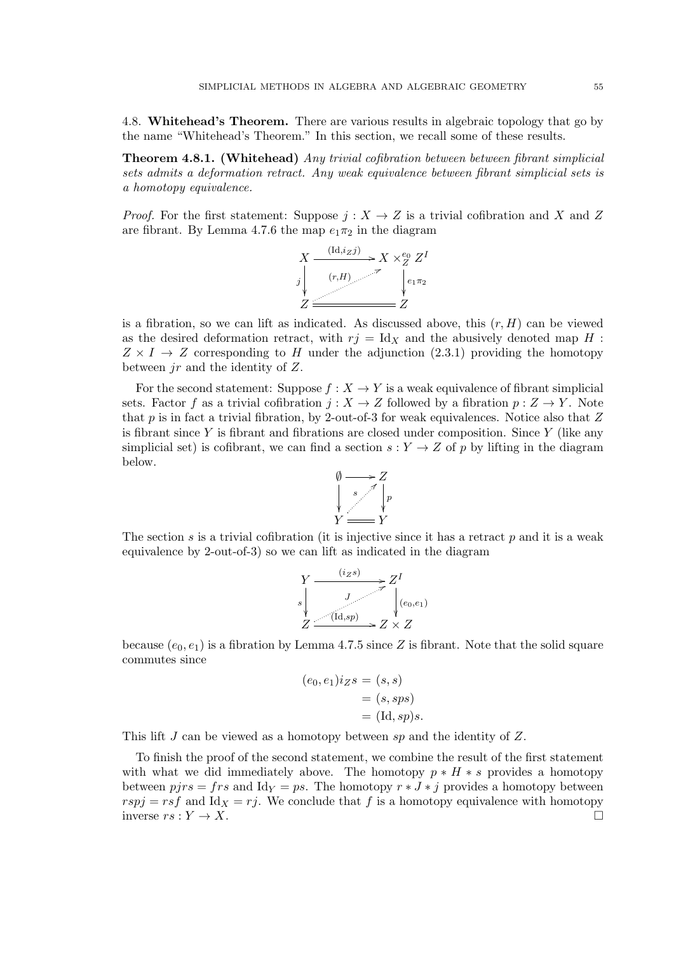4.8. Whitehead's Theorem. There are various results in algebraic topology that go by the name "Whitehead's Theorem." In this section, we recall some of these results.

Theorem 4.8.1. (Whitehead) Any trivial cofibration between between fibrant simplicial sets admits a deformation retract. Any weak equivalence between fibrant simplicial sets is a homotopy equivalence.

*Proof.* For the first statement: Suppose  $j: X \to Z$  is a trivial cofibration and X and Z are fibrant. By Lemma 4.7.6 the map  $e_1\pi_2$  in the diagram

$$
X \xrightarrow{\text{(Id,izj)}} X \times_{Z}^{e_0} Z^{I}
$$
\n
$$
j \downarrow \qquad \qquad \downarrow e_1 \pi_2
$$
\n
$$
Z \xrightarrow{\text{(r,H)}} Z
$$

is a fibration, so we can lift as indicated. As discussed above, this  $(r, H)$  can be viewed as the desired deformation retract, with  $r_j = \text{Id}_X$  and the abusively denoted map H :  $Z \times I \rightarrow Z$  corresponding to H under the adjunction (2.3.1) providing the homotopy between jr and the identity of Z.

For the second statement: Suppose  $f : X \to Y$  is a weak equivalence of fibrant simplicial sets. Factor f as a trivial cofibration  $j: X \to Z$  followed by a fibration  $p: Z \to Y$ . Note that p is in fact a trivial fibration, by 2-out-of-3 for weak equivalences. Notice also that Z is fibrant since Y is fibrant and fibrations are closed under composition. Since  $Y$  (like any simplicial set) is cofibrant, we can find a section  $s: Y \to Z$  of p by lifting in the diagram below.



The section s is a trivial cofibration (it is injective since it has a retract  $p$  and it is a weak equivalence by 2-out-of-3) so we can lift as indicated in the diagram

$$
Y \xrightarrow{(i_Z s)} Z^I
$$
  
s  

$$
Z \xrightarrow{J} (e_0, e_1)
$$
  

$$
Z \xrightarrow{(id, sp)} Z \times Z
$$

because  $(e_0, e_1)$  is a fibration by Lemma 4.7.5 since Z is fibrant. Note that the solid square commutes since

$$
(e_0, e_1)igs = (s, s)
$$

$$
= (s, sps)
$$

$$
= (\text{Id}, sp)s.
$$

This lift J can be viewed as a homotopy between sp and the identity of Z.

To finish the proof of the second statement, we combine the result of the first statement with what we did immediately above. The homotopy  $p * H * s$  provides a homotopy between  $pirs = frs$  and  $Id_Y = ps$ . The homotopy  $r * J * j$  provides a homotopy between  $rspj = rsf$  and  $Id_x = rj$ . We conclude that f is a homotopy equivalence with homotopy inverse  $rs: Y \to X$ .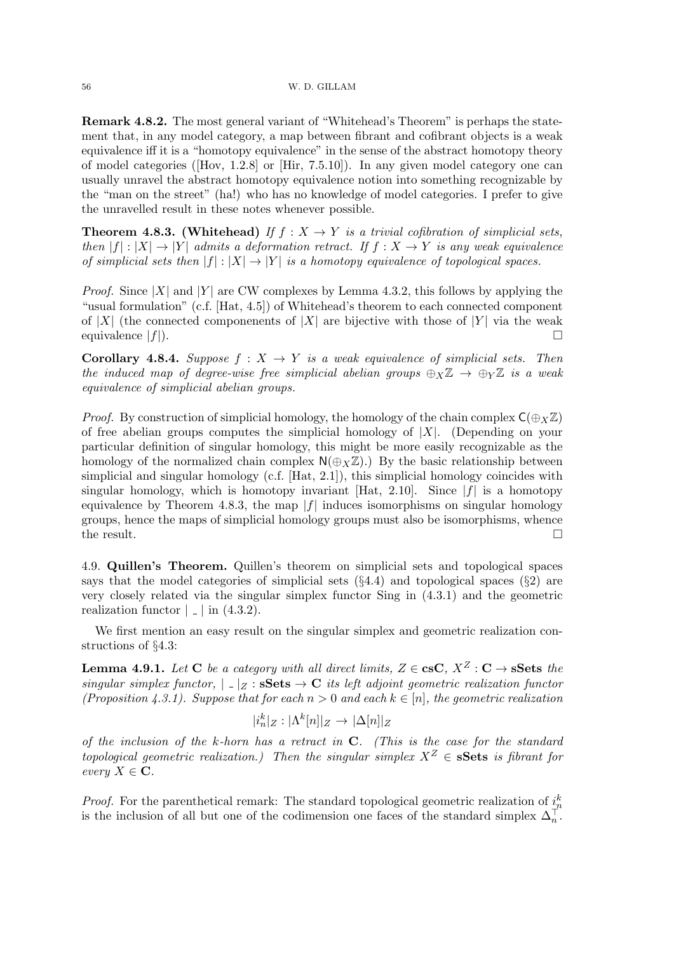Remark 4.8.2. The most general variant of "Whitehead's Theorem" is perhaps the statement that, in any model category, a map between fibrant and cofibrant objects is a weak equivalence iff it is a "homotopy equivalence" in the sense of the abstract homotopy theory of model categories ([Hov, 1.2.8] or [Hir, 7.5.10]). In any given model category one can usually unravel the abstract homotopy equivalence notion into something recognizable by the "man on the street" (ha!) who has no knowledge of model categories. I prefer to give the unravelled result in these notes whenever possible.

**Theorem 4.8.3.** (Whitehead) If  $f: X \to Y$  is a trivial cofibration of simplicial sets, then  $|f| : |X| \to |Y|$  admits a deformation retract. If  $f : X \to Y$  is any weak equivalence of simplicial sets then  $|f| : |X| \to |Y|$  is a homotopy equivalence of topological spaces.

*Proof.* Since  $|X|$  and  $|Y|$  are CW complexes by Lemma 4.3.2, this follows by applying the "usual formulation" (c.f. [Hat, 4.5]) of Whitehead's theorem to each connected component of |X| (the connected componenents of |X| are bijective with those of |Y| via the weak equivalence  $|f|$ ).

**Corollary 4.8.4.** Suppose  $f: X \rightarrow Y$  is a weak equivalence of simplicial sets. Then the induced map of degree-wise free simplicial abelian groups  $\bigoplus_{X}Z \to \bigoplus_{Y}Z$  is a weak equivalence of simplicial abelian groups.

*Proof.* By construction of simplicial homology, the homology of the chain complex  $C(\oplus_{X}\mathbb{Z})$ of free abelian groups computes the simplicial homology of  $|X|$ . (Depending on your particular definition of singular homology, this might be more easily recognizable as the homology of the normalized chain complex  $\mathsf{N}(\oplus_X \mathbb{Z})$ . By the basic relationship between simplicial and singular homology (c.f. [Hat, 2.1]), this simplicial homology coincides with singular homology, which is homotopy invariant [Hat, 2.10]. Since  $|f|$  is a homotopy equivalence by Theorem 4.8.3, the map  $|f|$  induces isomorphisms on singular homology groups, hence the maps of simplicial homology groups must also be isomorphisms, whence the result.  $\Box$ 

4.9. Quillen's Theorem. Quillen's theorem on simplicial sets and topological spaces says that the model categories of simplicial sets  $(\S4.4)$  and topological spaces  $(\S2)$  are very closely related via the singular simplex functor Sing in (4.3.1) and the geometric realization functor  $|$   $|$  in (4.3.2).

We first mention an easy result on the singular simplex and geometric realization constructions of §4.3:

**Lemma 4.9.1.** Let C be a category with all direct limits,  $Z \in \csc X$ ,  $X^Z : \mathbb{C} \to \mathbb{S}$  and  $\mathbb{C}$  is the singular simplex functor,  $|Z| \leq S$ sis  $\rightarrow C$  its left adjoint geometric realization functor (Proposition 4.3.1). Suppose that for each  $n > 0$  and each  $k \in [n]$ , the geometric realization

$$
|i_n^k|_Z: |\Lambda^k[n]|_Z \to |\Delta[n]|_Z
$$

of the inclusion of the k-horn has a retract in  $C$ . (This is the case for the standard topological geometric realization.) Then the singular simplex  $X^Z \in \mathbf{sSets}$  is fibrant for every  $X \in \mathbf{C}$ .

*Proof.* For the parenthetical remark: The standard topological geometric realization of  $i_n^k$ is the inclusion of all but one of the codimension one faces of the standard simplex  $\Delta_n^{\top}$ .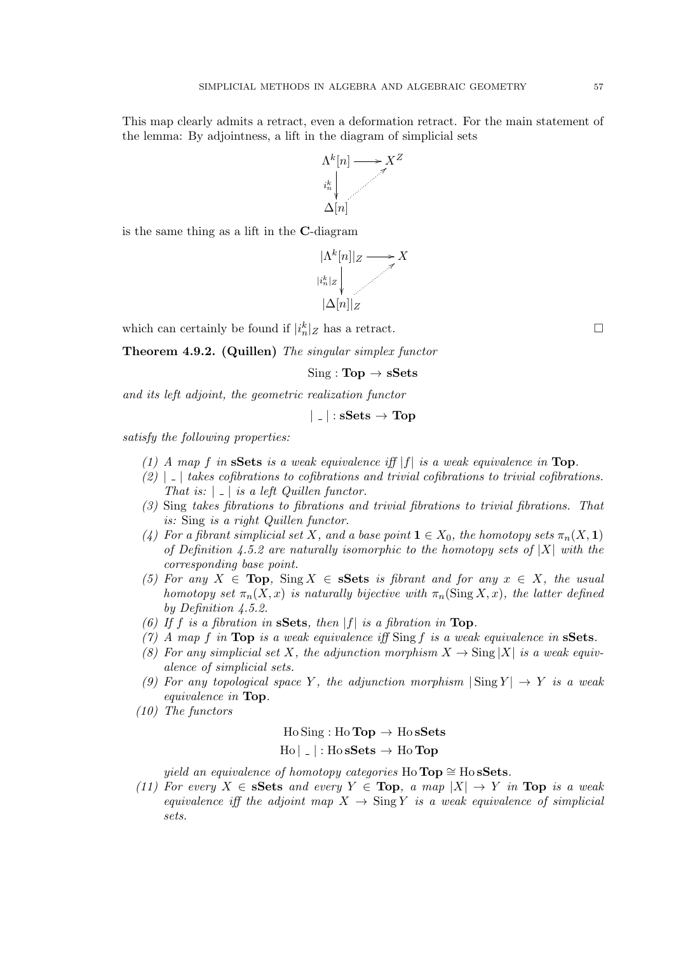This map clearly admits a retract, even a deformation retract. For the main statement of the lemma: By adjointness, a lift in the diagram of simplicial sets



is the same thing as a lift in the C-diagram



which can certainly be found if  $|i_n^k|_Z$  has a retract.

Theorem 4.9.2. (Quillen) The singular simplex functor

 $Sing : \textbf{Top} \rightarrow \textbf{sSets}$ 

and its left adjoint, the geometric realization functor

$$
|\mathinner{.\,.}|\colon \mathbf{sSets}\to\mathbf{Top}
$$

satisfy the following properties:

- (1) A map f in sSets is a weak equivalence if  $|f|$  is a weak equivalence in Top.
- $(2)$  |  $\Box$  takes cofibrations to cofibrations and trivial cofibrations to trivial cofibrations. That is:  $| \_ |$  is a left Quillen functor.
- (3) Sing takes fibrations to fibrations and trivial fibrations to trivial fibrations. That is: Sing is a right Quillen functor.
- (4) For a fibrant simplicial set X, and a base point  $1 \in X_0$ , the homotopy sets  $\pi_n(X, 1)$ of Definition 4.5.2 are naturally isomorphic to the homotopy sets of  $|X|$  with the corresponding base point.
- (5) For any  $X \in \textbf{Top}$ , Sing  $X \in \textbf{S}$  sets is fibrant and for any  $x \in X$ , the usual homotopy set  $\pi_n(X, x)$  is naturally bijective with  $\pi_n(\text{Sing } X, x)$ , the latter defined by Definition 4.5.2.
- (6) If f is a fibration in **SSets**, then  $|f|$  is a fibration in **Top**.
- (7) A map f in Top is a weak equivalence iff Sing f is a weak equivalence in  $S$ ets.
- (8) For any simplicial set X, the adjunction morphism  $X \to \text{Sing } |X|$  is a weak equivalence of simplicial sets.
- (9) For any topological space Y, the adjunction morphism  $|\text{Sing } Y| \to Y$  is a weak equivalence in Top.
- (10) The functors

## $Ho Sing: Ho Top \rightarrow Ho sSets$  $H_0 |$  | : Ho sSets  $\rightarrow$  Ho Top

yield an equivalence of homotopy categories Ho Top  $\cong$  Ho sSets.

(11) For every  $X \in \mathbf{sSets}$  and every  $Y \in \mathbf{Top}$ , a map  $|X| \to Y$  in  $\mathbf{Top}$  is a weak equivalence iff the adjoint map  $X \to \text{Sing } Y$  is a weak equivalence of simplicial sets.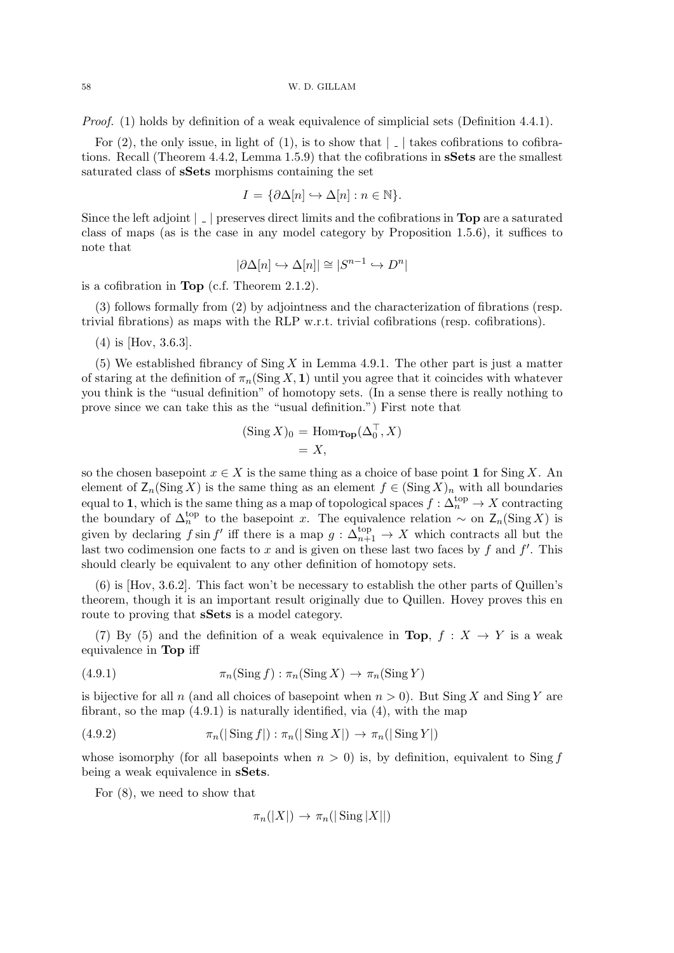58 W. D. GILLAM

Proof. (1) holds by definition of a weak equivalence of simplicial sets (Definition 4.4.1).

For (2), the only issue, in light of (1), is to show that  $\vert \_$  takes cofibrations to cofibrations. Recall (Theorem 4.4.2, Lemma 1.5.9) that the cofibrations in sSets are the smallest saturated class of sSets morphisms containing the set

$$
I = \{ \partial \Delta[n] \hookrightarrow \Delta[n] : n \in \mathbb{N} \}.
$$

Since the left adjoint  $\vert \_ \vert$  preserves direct limits and the cofibrations in **Top** are a saturated class of maps (as is the case in any model category by Proposition 1.5.6), it suffices to note that

$$
|\partial\Delta[n]\hookrightarrow \Delta[n]|\cong |S^{n-1}\hookrightarrow D^n|
$$

is a cofibration in Top (c.f. Theorem 2.1.2).

(3) follows formally from (2) by adjointness and the characterization of fibrations (resp. trivial fibrations) as maps with the RLP w.r.t. trivial cofibrations (resp. cofibrations).

(4) is [Hov, 3.6.3].

(5) We established fibrancy of  $\text{Sing } X$  in Lemma 4.9.1. The other part is just a matter of staring at the definition of  $\pi_n(\text{Sing } X, 1)$  until you agree that it coincides with whatever you think is the "usual definition" of homotopy sets. (In a sense there is really nothing to prove since we can take this as the "usual definition.") First note that

$$
(\operatorname{Sing} X)_0 = \operatorname{Hom}_{\operatorname{Top}}(\Delta_0^{\top}, X)
$$
  
= X,

so the chosen basepoint  $x \in X$  is the same thing as a choice of base point 1 for Sing X. An element of  $\mathsf{Z}_n(\mathrm{Sing}\,X)$  is the same thing as an element  $f \in (\mathrm{Sing}\,X)_n$  with all boundaries equal to 1, which is the same thing as a map of topological spaces  $f: \Delta_n^{\text{top}} \to X$  contracting the boundary of  $\Delta_n^{\text{top}}$  to the basepoint x. The equivalence relation ~ on  $\mathsf{Z}_n(\text{Sing }X)$  is given by declaring  $f \sin f'$  iff there is a map  $g : \Delta_{n+1}^{top} \to X$  which contracts all but the last two codimension one facts to x and is given on these last two faces by f and  $f'$ . This should clearly be equivalent to any other definition of homotopy sets.

(6) is [Hov, 3.6.2]. This fact won't be necessary to establish the other parts of Quillen's theorem, though it is an important result originally due to Quillen. Hovey proves this en route to proving that sSets is a model category.

(7) By (5) and the definition of a weak equivalence in Top,  $f : X \rightarrow Y$  is a weak equivalence in Top iff

(4.9.1) 
$$
\pi_n(\operatorname{Sing} f) : \pi_n(\operatorname{Sing} X) \to \pi_n(\operatorname{Sing} Y)
$$

is bijective for all n (and all choices of basepoint when  $n > 0$ ). But  $\text{Sing } X$  and  $\text{Sing } Y$  are fibrant, so the map  $(4.9.1)$  is naturally identified, via  $(4)$ , with the map

$$
(4.9.2) \qquad \qquad \pi_n(|\operatorname{Sing} f|) : \pi_n(|\operatorname{Sing} X|) \to \pi_n(|\operatorname{Sing} Y|)
$$

whose isomorphy (for all basepoints when  $n > 0$ ) is, by definition, equivalent to Sing f being a weak equivalence in sSets.

For (8), we need to show that

$$
\pi_n(|X|) \to \pi_n(|\operatorname{Sing}|X||)
$$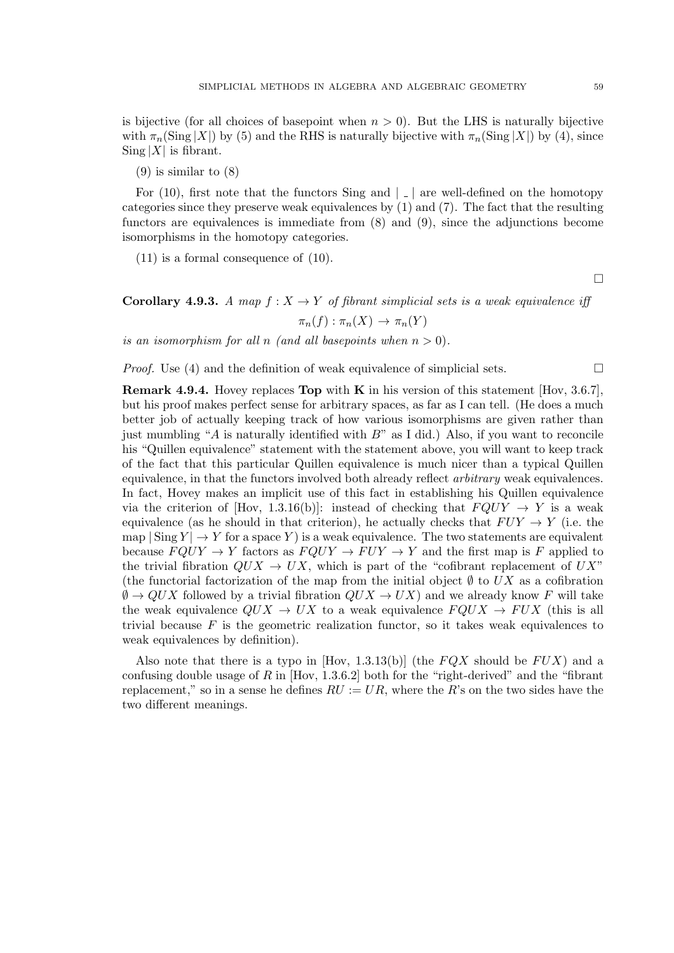is bijective (for all choices of basepoint when  $n > 0$ ). But the LHS is naturally bijective with  $\pi_n(\text{Sing }|X|)$  by (5) and the RHS is naturally bijective with  $\pi_n(\text{Sing }|X|)$  by (4), since  $\text{Sing } |X|$  is fibrant.

(9) is similar to (8)

For (10), first note that the functors Sing and  $\vert \cdot \vert$  are well-defined on the homotopy categories since they preserve weak equivalences by (1) and (7). The fact that the resulting functors are equivalences is immediate from (8) and (9), since the adjunctions become isomorphisms in the homotopy categories.

(11) is a formal consequence of (10).

 $\Box$ 

**Corollary 4.9.3.** A map  $f: X \to Y$  of fibrant simplicial sets is a weak equivalence iff

$$
\pi_n(f) : \pi_n(X) \to \pi_n(Y)
$$

is an isomorphism for all n (and all basepoints when  $n > 0$ ).

*Proof.* Use (4) and the definition of weak equivalence of simplicial sets.  $\square$ 

**Remark 4.9.4.** Hovey replaces **Top** with **K** in his version of this statement [Hov, 3.6.7]. but his proof makes perfect sense for arbitrary spaces, as far as I can tell. (He does a much better job of actually keeping track of how various isomorphisms are given rather than just mumbling "A is naturally identified with  $B$ " as I did.) Also, if you want to reconcile his "Quillen equivalence" statement with the statement above, you will want to keep track of the fact that this particular Quillen equivalence is much nicer than a typical Quillen equivalence, in that the functors involved both already reflect arbitrary weak equivalences. In fact, Hovey makes an implicit use of this fact in establishing his Quillen equivalence via the criterion of [Hov, 1.3.16(b)]: instead of checking that  $FQUY \rightarrow Y$  is a weak equivalence (as he should in that criterion), he actually checks that  $FUY \to Y$  (i.e. the map  $|\text{Sing } Y | \to Y$  for a space Y is a weak equivalence. The two statements are equivalent because  $FQUY \to Y$  factors as  $FQUY \to FUY \to Y$  and the first map is F applied to the trivial fibration  $QUX \rightarrow UX$ , which is part of the "cofibrant replacement of  $UX$ " (the functorial factorization of the map from the initial object  $\emptyset$  to UX as a cofibration  $\emptyset \to QUX$  followed by a trivial fibration  $QUX \to UX$ ) and we already know F will take the weak equivalence  $QUX \rightarrow UX$  to a weak equivalence  $FQUX \rightarrow FUX$  (this is all trivial because  $F$  is the geometric realization functor, so it takes weak equivalences to weak equivalences by definition).

Also note that there is a typo in [Hov, 1.3.13(b)] (the  $FQX$  should be  $FUX$ ) and a confusing double usage of R in  $[How, 1.3.6.2]$  both for the "right-derived" and the "fibrant" replacement," so in a sense he defines  $RU := UR$ , where the R's on the two sides have the two different meanings.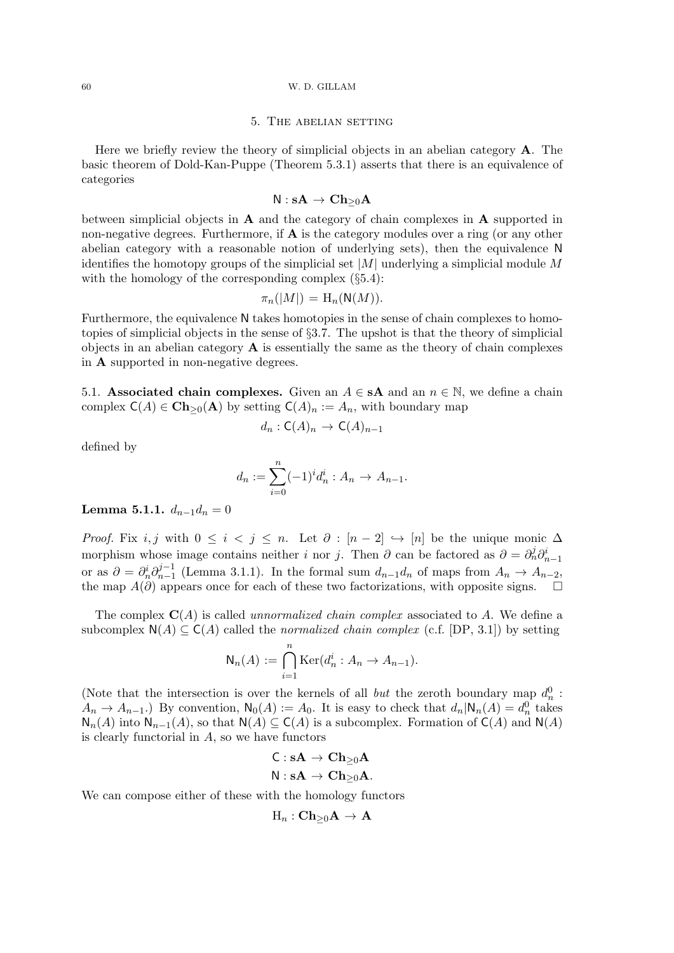## 60 W. D. GILLAM

## 5. The abelian setting

Here we briefly review the theory of simplicial objects in an abelian category A. The basic theorem of Dold-Kan-Puppe (Theorem 5.3.1) asserts that there is an equivalence of categories

$$
\mathsf{N} : \mathbf{sA} \to \mathbf{Ch}_{\geq 0} \mathbf{A}
$$

between simplicial objects in A and the category of chain complexes in A supported in non-negative degrees. Furthermore, if  $\bf{A}$  is the category modules over a ring (or any other abelian category with a reasonable notion of underlying sets), then the equivalence N identifies the homotopy groups of the simplicial set  $|M|$  underlying a simplicial module M with the homology of the corresponding complex (§5.4):

$$
\pi_n(|M|) = \mathrm{H}_n(\mathsf{N}(M)).
$$

Furthermore, the equivalence N takes homotopies in the sense of chain complexes to homotopies of simplicial objects in the sense of §3.7. The upshot is that the theory of simplicial objects in an abelian category  $\bf{A}$  is essentially the same as the theory of chain complexes in A supported in non-negative degrees.

5.1. Associated chain complexes. Given an  $A \in sA$  and an  $n \in \mathbb{N}$ , we define a chain complex  $C(A) \in \mathbf{Ch}_{>0}(\mathbf{A})$  by setting  $C(A)_n := A_n$ , with boundary map

$$
d_n : \mathsf{C}(A)_n \to \mathsf{C}(A)_{n-1}
$$

defined by

$$
d_n := \sum_{i=0}^n (-1)^i d_n^i : A_n \to A_{n-1}.
$$

Lemma 5.1.1.  $d_{n-1}d_n = 0$ 

*Proof.* Fix i, j with  $0 \le i \le j \le n$ . Let  $\partial : [n-2] \hookrightarrow [n]$  be the unique monic  $\Delta$ morphism whose image contains neither *i* nor *j*. Then  $\partial$  can be factored as  $\partial = \partial_n^j \partial_{n-1}^i$ or as  $\partial = \partial_n^i \partial_{n-1}^{j-1}$  $y_{n-1}^{-1}$  (Lemma 3.1.1). In the formal sum  $d_{n-1}d_n$  of maps from  $A_n \to A_{n-2}$ , the map  $A(\partial)$  appears once for each of these two factorizations, with opposite signs.  $\square$ 

The complex  $\mathbf{C}(A)$  is called *unnormalized chain complex* associated to A. We define a subcomplex  $N(A) \subseteq C(A)$  called the normalized chain complex (c.f. [DP, 3.1]) by setting

$$
\mathsf{N}_n(A) := \bigcap_{i=1}^n \mathrm{Ker}(d_n^i : A_n \to A_{n-1}).
$$

(Note that the intersection is over the kernels of all *but* the zeroth boundary map  $d_n^0$ :  $A_n \to A_{n-1}$ .) By convention,  $\mathsf{N}_0(A) := A_0$ . It is easy to check that  $d_n | \mathsf{N}_n(A) = d_n^0$  takes  $\mathsf{N}_n(A)$  into  $\mathsf{N}_{n-1}(A)$ , so that  $\mathsf{N}(A) \subseteq \mathsf{C}(A)$  is a subcomplex. Formation of  $\mathsf{C}(A)$  and  $\mathsf{N}(A)$ is clearly functorial in  $A$ , so we have functors

$$
\begin{aligned} \mathsf{C}:s\mathbf{A} &\rightarrow \mathbf{Ch}_{\geq 0}\mathbf{A} \\ \mathsf{N}:s\mathbf{A} &\rightarrow \mathbf{Ch}_{\geq 0}\mathbf{A}. \end{aligned}
$$

We can compose either of these with the homology functors

$$
\text{H}_n:\mathbf{Ch}_{\geq 0}\mathbf{A}\to\mathbf{A}
$$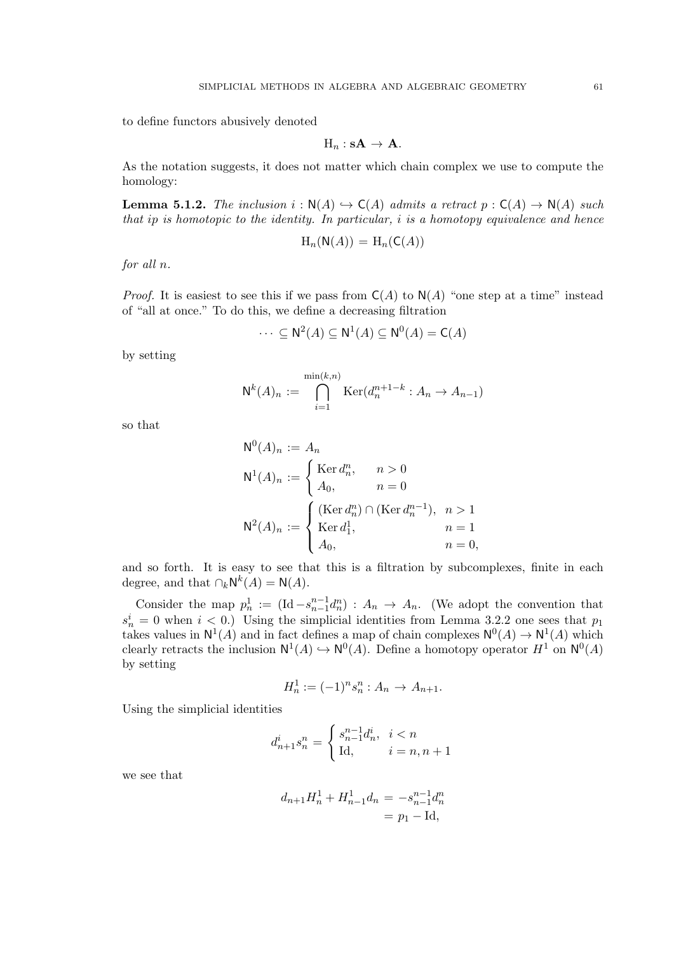to define functors abusively denoted

$$
H_n: sA \to A.
$$

As the notation suggests, it does not matter which chain complex we use to compute the homology:

**Lemma 5.1.2.** The inclusion  $i : \mathsf{N}(A) \hookrightarrow \mathsf{C}(A)$  admits a retract  $p : \mathsf{C}(A) \to \mathsf{N}(A)$  such that ip is homotopic to the identity. In particular, i is a homotopy equivalence and hence

$$
H_n(\mathsf{N}(A)) = H_n(\mathsf{C}(A))
$$

for all n.

*Proof.* It is easiest to see this if we pass from  $C(A)$  to  $N(A)$  "one step at a time" instead of "all at once." To do this, we define a decreasing filtration

$$
\cdots \subseteq \mathsf{N}^2(A) \subseteq \mathsf{N}^1(A) \subseteq \mathsf{N}^0(A) = \mathsf{C}(A)
$$

by setting

$$
\mathsf{N}^k(A)_n := \bigcap_{i=1}^{\min(k,n)} \text{Ker}(d_n^{n+1-k} : A_n \to A_{n-1})
$$

so that

$$
N^{0}(A)_{n} := A_{n}
$$
  
\n
$$
N^{1}(A)_{n} := \begin{cases} \text{Ker } d_{n}^{n}, & n > 0 \\ A_{0}, & n = 0 \end{cases}
$$
  
\n
$$
N^{2}(A)_{n} := \begin{cases} (\text{Ker } d_{n}^{n}) \cap (\text{Ker } d_{n}^{n-1}), & n > 1 \\ \text{Ker } d_{1}^{1}, & n = 1 \\ A_{0}, & n = 0, \end{cases}
$$

and so forth. It is easy to see that this is a filtration by subcomplexes, finite in each degree, and that  $\bigcap_k \mathsf{N}^k(A) = \mathsf{N}(A)$ .

Consider the map  $p_n^1 := (\text{Id} - s_{n-1}^{n-1} d_n^n) : A_n \to A_n$ . (We adopt the convention that  $s_n^i = 0$  when  $i < 0$ .) Using the simplicial identities from Lemma 3.2.2 one sees that  $p_1$ takes values in  $N^1(A)$  and in fact defines a map of chain complexes  $N^0(A) \to N^1(A)$  which clearly retracts the inclusion  $N^1(A) \hookrightarrow N^0(A)$ . Define a homotopy operator  $H^1$  on  $N^0(A)$ by setting

$$
H_n^1 := (-1)^n s_n^n : A_n \to A_{n+1}.
$$

Using the simplicial identities

$$
d_{n+1}^{i}s_{n}^{n} = \begin{cases} s_{n-1}^{n-1}d_{n}^{i}, & i < n \\ \text{Id}, & i = n, n+1 \end{cases}
$$

we see that

$$
d_{n+1}H_n^1 + H_{n-1}^1 d_n = -s_{n-1}^{n-1}d_n^n
$$
  
=  $p_1 - \text{Id},$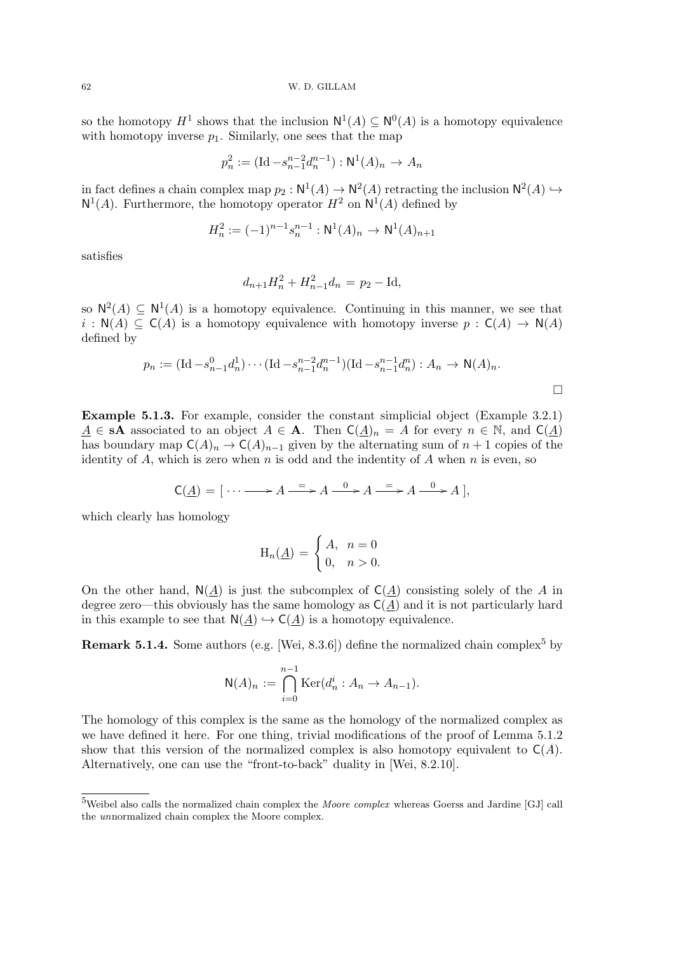62 W. D. GILLAM

so the homotopy  $H^1$  shows that the inclusion  $N^1(A) \subseteq N^0(A)$  is a homotopy equivalence with homotopy inverse  $p_1$ . Similarly, one sees that the map

$$
p_n^2 := (\text{Id} - s_{n-1}^{n-2} d_n^{n-1}) : \mathsf{N}^1(A)_n \to A_n
$$

in fact defines a chain complex map  $p_2 : \mathbb{N}^1(A) \to \mathbb{N}^2(A)$  retracting the inclusion  $\mathbb{N}^2(A) \hookrightarrow$  $N^1(A)$ . Furthermore, the homotopy operator  $H^2$  on  $N^1(A)$  defined by

$$
H_n^2 := (-1)^{n-1} s_n^{n-1} : \mathsf{N}^1(A)_n \to \mathsf{N}^1(A)_{n+1}
$$

satisfies

$$
d_{n+1}H_n^2 + H_{n-1}^2 d_n = p_2 - \text{Id},
$$

so  $N^2(A) \subseteq N^1(A)$  is a homotopy equivalence. Continuing in this manner, we see that  $i : N(A) \subseteq C(A)$  is a homotopy equivalence with homotopy inverse  $p : C(A) \to N(A)$ defined by

$$
p_n := (\text{Id} - s_{n-1}^0 d_n^1) \cdots (\text{Id} - s_{n-1}^{n-2} d_n^{n-1}) (\text{Id} - s_{n-1}^{n-1} d_n^n) : A_n \to \mathsf{N}(A)_n.
$$

Example 5.1.3. For example, consider the constant simplicial object (Example 3.2.1)  $A \in sA$  associated to an object  $A \in A$ . Then  $C(A)_n = A$  for every  $n \in \mathbb{N}$ , and  $C(A)$ has boundary map  $C(A)_n \to C(A)_{n-1}$  given by the alternating sum of  $n+1$  copies of the identity of A, which is zero when n is odd and the indentity of A when n is even, so

$$
C(\underline{A}) = [\cdots \longrightarrow A \xrightarrow{=} A \xrightarrow{0} A \xrightarrow{=} A \xrightarrow{0} A],
$$

which clearly has homology

$$
\mathcal{H}_n(\underline{A}) = \begin{cases} A, & n = 0 \\ 0, & n > 0. \end{cases}
$$

On the other hand,  $N(A)$  is just the subcomplex of  $C(A)$  consisting solely of the A in degree zero—this obviously has the same homology as  $C(\underline{A})$  and it is not particularly hard in this example to see that  $N(A) \hookrightarrow C(A)$  is a homotopy equivalence.

**Remark 5.1.4.** Some authors (e.g. [Wei, 8.3.6]) define the normalized chain complex<sup>5</sup> by

$$
\mathsf{N}(A)_n := \bigcap_{i=0}^{n-1} \mathrm{Ker}(d_n^i : A_n \to A_{n-1}).
$$

The homology of this complex is the same as the homology of the normalized complex as we have defined it here. For one thing, trivial modifications of the proof of Lemma 5.1.2 show that this version of the normalized complex is also homotopy equivalent to  $C(A)$ . Alternatively, one can use the "front-to-back" duality in [Wei, 8.2.10].

<sup>5</sup>Weibel also calls the normalized chain complex the Moore complex whereas Goerss and Jardine [GJ] call the unnormalized chain complex the Moore complex.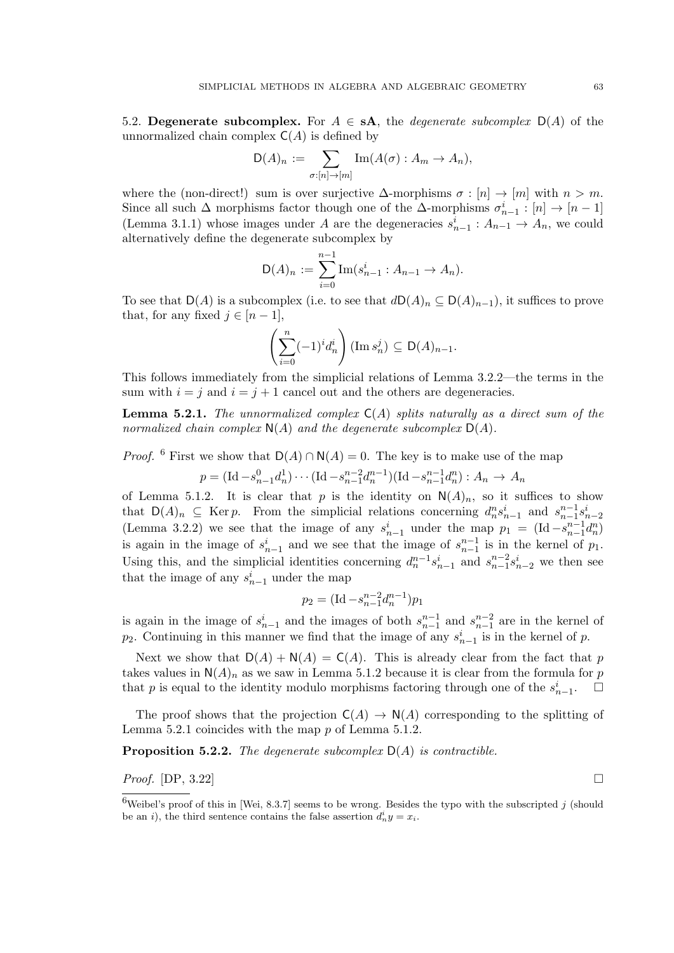5.2. Degenerate subcomplex. For  $A \in s\mathbf{A}$ , the *degenerate subcomplex*  $D(A)$  of the unnormalized chain complex  $C(A)$  is defined by

$$
D(A)_n := \sum_{\sigma:[n] \to [m]} Im(A(\sigma) : A_m \to A_n),
$$

where the (non-direct!) sum is over surjective  $\Delta$ -morphisms  $\sigma : [n] \to [m]$  with  $n > m$ . Since all such  $\Delta$  morphisms factor though one of the  $\Delta$ -morphisms  $\sigma_{n-1}^i : [n] \to [n-1]$ (Lemma 3.1.1) whose images under A are the degeneracies  $s_{n-1}^i : A_{n-1} \to A_n$ , we could alternatively define the degenerate subcomplex by

$$
D(A)_n := \sum_{i=0}^{n-1} \text{Im}(s_{n-1}^i : A_{n-1} \to A_n).
$$

To see that  $D(A)$  is a subcomplex (i.e. to see that  $dD(A)_n \subseteq D(A)_{n-1}$ ), it suffices to prove that, for any fixed  $j \in [n-1]$ ,

$$
\left(\sum_{i=0}^n (-1)^i d_n^i\right) (\operatorname{Im} s_n^j) \subseteq \mathsf{D}(A)_{n-1}.
$$

This follows immediately from the simplicial relations of Lemma 3.2.2—the terms in the sum with  $i = j$  and  $i = j + 1$  cancel out and the others are degeneracies.

**Lemma 5.2.1.** The unnormalized complex  $C(A)$  splits naturally as a direct sum of the normalized chain complex  $N(A)$  and the degenerate subcomplex  $D(A)$ .

*Proof.* <sup>6</sup> First we show that  $D(A) \cap N(A) = 0$ . The key is to make use of the map

$$
p = (\text{Id} - s_{n-1}^0 d_n^1) \cdots (\text{Id} - s_{n-1}^{n-2} d_n^{n-1}) (\text{Id} - s_{n-1}^{n-1} d_n^n) : A_n \to A_n
$$

of Lemma 5.1.2. It is clear that p is the identity on  $\mathsf{N}(A)_n$ , so it suffices to show that  $D(A)_n \subseteq \text{Ker } p$ . From the simplicial relations concerning  $d_n^n s_{n-1}^i$  and  $s_{n-1}^{n-1} s_{n-2}^i$ (Lemma 3.2.2) we see that the image of any  $s_{n-1}^i$  under the map  $p_1 = (\text{Id} - s_{n-1}^{n-1} d_n^n)$ is again in the image of  $s_{n-1}^i$  and we see that the image of  $s_{n-1}^{n-1}$  is in the kernel of  $p_1$ . Using this, and the simplicial identities concerning  $d_n^{n-1} s_{n-1}^i$  and  $s_{n-1}^{n-2} s_{n-2}^i$  we then see that the image of any  $s_{n-1}^i$  under the map

$$
p_2 = (\text{Id} - s_{n-1}^{n-2} d_n^{n-1}) p_1
$$

is again in the image of  $s_{n-1}^i$  and the images of both  $s_{n-1}^{n-1}$  and  $s_{n-1}^{n-2}$  are in the kernel of  $p_2$ . Continuing in this manner we find that the image of any  $s_{n-1}^i$  is in the kernel of p.

Next we show that  $D(A) + N(A) = C(A)$ . This is already clear from the fact that p takes values in  $N(A)_n$  as we saw in Lemma 5.1.2 because it is clear from the formula for p that p is equal to the identity modulo morphisms factoring through one of the  $s_{n-1}^i$ .  $\Box$ 

The proof shows that the projection  $C(A) \to N(A)$  corresponding to the splitting of Lemma 5.2.1 coincides with the map p of Lemma 5.1.2.

**Proposition 5.2.2.** The degenerate subcomplex  $D(A)$  is contractible.

*Proof.* [DP, 3.22]

<sup>&</sup>lt;sup>6</sup>Weibel's proof of this in [Wei, 8.3.7] seems to be wrong. Besides the typo with the subscripted j (should be an *i*), the third sentence contains the false assertion  $d_n^i y = x_i$ .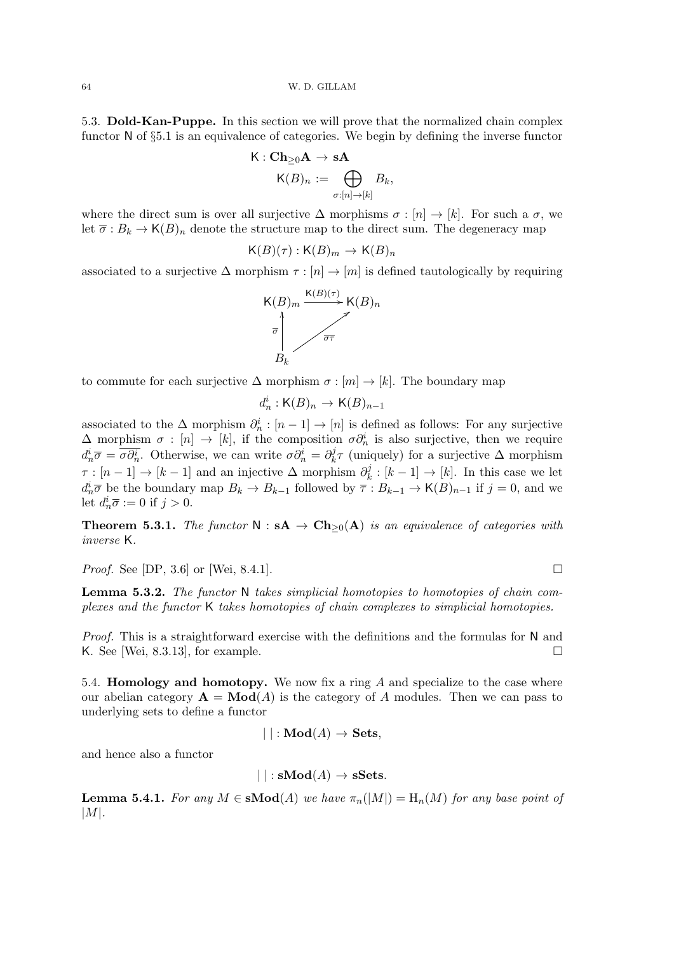64 W. D. GILLAM

5.3. Dold-Kan-Puppe. In this section we will prove that the normalized chain complex functor N of §5.1 is an equivalence of categories. We begin by defining the inverse functor

$$
\mathsf{K}: \mathbf{Ch}_{\geq 0}\mathbf{A} \to \mathbf{s}\mathbf{A}
$$

$$
\mathsf{K}(B)_n := \bigoplus_{\sigma:[n] \to [k]} B_k,
$$

where the direct sum is over all surjective  $\Delta$  morphisms  $\sigma : [n] \to [k]$ . For such a  $\sigma$ , we let  $\overline{\sigma}: B_k \to \mathsf{K}(B)_n$  denote the structure map to the direct sum. The degeneracy map

$$
\mathsf{K}(B)(\tau): \mathsf{K}(B)_m \to \mathsf{K}(B)_n
$$

associated to a surjective  $\Delta$  morphism  $\tau : [n] \to [m]$  is defined tautologically by requiring



to commute for each surjective  $\Delta$  morphism  $\sigma : [m] \to [k]$ . The boundary map

$$
d_n^i : \mathsf{K}(B)_n \to \mathsf{K}(B)_{n-1}
$$

associated to the  $\Delta$  morphism  $\partial_n^i : [n-1] \to [n]$  is defined as follows: For any surjective  $\Delta$  morphism  $\sigma : [n] \to [k]$ , if the composition  $\sigma \partial_n^i$  is also surjective, then we require  $d_n^i \overline{\sigma} = \overline{\sigma \partial_n^i}$ . Otherwise, we can write  $\sigma \partial_n^i = \partial_k^j$  $h_k^j \tau$  (uniquely) for a surjective  $\Delta$  morphism  $\tau : [n-1] \to [k-1]$  and an injective  $\Delta$  morphism  $\partial_k^j$  $k_k^j : [k-1] \to [k]$ . In this case we let  $d_n^i \overline{\sigma}$  be the boundary map  $B_k \to B_{k-1}$  followed by  $\overline{\tau}: B_{k-1} \to \mathsf{K}(B)_{n-1}$  if  $j = 0$ , and we let  $d_n^i \overline{\sigma} := 0$  if  $j > 0$ .

**Theorem 5.3.1.** The functor  $N : sA \to Ch_{>0}(A)$  is an equivalence of categories with inverse K.

*Proof.* See [DP, 3.6] or [Wei, 8.4.1].

Lemma 5.3.2. The functor N takes simplicial homotopies to homotopies of chain complexes and the functor K takes homotopies of chain complexes to simplicial homotopies.

Proof. This is a straightforward exercise with the definitions and the formulas for N and K. See [Wei, 8.3.13], for example.  $\square$ 

5.4. Homology and homotopy. We now fix a ring A and specialize to the case where our abelian category  $\mathbf{A} = \mathbf{Mod}(A)$  is the category of A modules. Then we can pass to underlying sets to define a functor

$$
| | : \mathbf{Mod}(A) \to \mathbf{Sets},
$$

and hence also a functor

$$
|\ |:{\bf sMod}(A)\rightarrow {\bf sSets}.
$$

**Lemma 5.4.1.** For any  $M \in \mathbf{sMod}(A)$  we have  $\pi_n(|M|) = \mathbf{H}_n(M)$  for any base point of  $|M|.$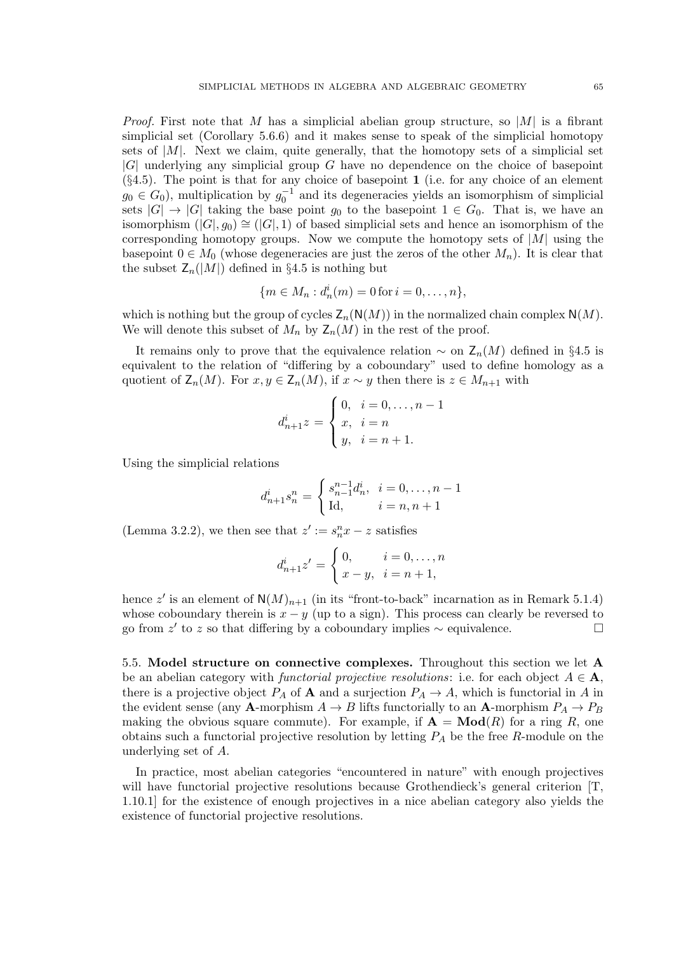*Proof.* First note that M has a simplicial abelian group structure, so  $|M|$  is a fibrant simplicial set (Corollary 5.6.6) and it makes sense to speak of the simplicial homotopy sets of  $|M|$ . Next we claim, quite generally, that the homotopy sets of a simplicial set |G| underlying any simplicial group G have no dependence on the choice of basepoint  $(\S 4.5)$ . The point is that for any choice of basepoint 1 (i.e. for any choice of an element  $g_0 \in G_0$ , multiplication by  $g_0^{-1}$  and its degeneracies yields an isomorphism of simplicial sets  $|G| \to |G|$  taking the base point  $g_0$  to the basepoint  $1 \in G_0$ . That is, we have an isomorphism  $(|G|, g_0) \cong (|G|, 1)$  of based simplicial sets and hence an isomorphism of the corresponding homotopy groups. Now we compute the homotopy sets of  $|M|$  using the basepoint  $0 \in M_0$  (whose degeneracies are just the zeros of the other  $M_n$ ). It is clear that the subset  $\mathsf{Z}_n(|M|)$  defined in §4.5 is nothing but

$$
\{m \in M_n : d_n^i(m) = 0 \text{ for } i = 0, \dots, n\},\
$$

which is nothing but the group of cycles  $\mathsf{Z}_n(\mathsf{N}(M))$  in the normalized chain complex  $\mathsf{N}(M)$ . We will denote this subset of  $M_n$  by  $\mathsf{Z}_n(M)$  in the rest of the proof.

It remains only to prove that the equivalence relation  $\sim$  on  $\mathsf{Z}_n(M)$  defined in §4.5 is equivalent to the relation of "differing by a coboundary" used to define homology as a quotient of  $\mathsf{Z}_n(M)$ . For  $x, y \in \mathsf{Z}_n(M)$ , if  $x \sim y$  then there is  $z \in M_{n+1}$  with

$$
d_{n+1}^{i}z = \begin{cases} 0, & i = 0, \dots, n-1 \\ x, & i = n \\ y, & i = n+1. \end{cases}
$$

Using the simplicial relations

$$
d_{n+1}^{i}s_{n}^{n} = \begin{cases} s_{n-1}^{n-1}d_{n}^{i}, & i = 0, \dots, n-1 \\ \text{Id}, & i = n, n+1 \end{cases}
$$

(Lemma 3.2.2), we then see that  $z' := s_n^n x - z$  satisfies

$$
d_{n+1}^{i}z' = \begin{cases} 0, & i = 0, \dots, n \\ x - y, & i = n + 1, \end{cases}
$$

hence z' is an element of  $\mathsf{N}(M)_{n+1}$  (in its "front-to-back" incarnation as in Remark 5.1.4) whose coboundary therein is  $x - y$  (up to a sign). This process can clearly be reversed to go from z' to z so that differing by a coboundary implies  $\sim$  equivalence.  $\Box$ 

5.5. Model structure on connective complexes. Throughout this section we let A be an abelian category with *functorial projective resolutions*: i.e. for each object  $A \in \mathbf{A}$ , there is a projective object  $P_A$  of **A** and a surjection  $P_A \to A$ , which is functorial in A in the evident sense (any **A**-morphism  $A \to B$  lifts functorially to an **A**-morphism  $P_A \to P_B$ making the obvious square commute). For example, if  $\mathbf{A} = \mathbf{Mod}(R)$  for a ring R, one obtains such a functorial projective resolution by letting  $P_A$  be the free R-module on the underlying set of A.

In practice, most abelian categories "encountered in nature" with enough projectives will have functorial projective resolutions because Grothendieck's general criterion [T] 1.10.1] for the existence of enough projectives in a nice abelian category also yields the existence of functorial projective resolutions.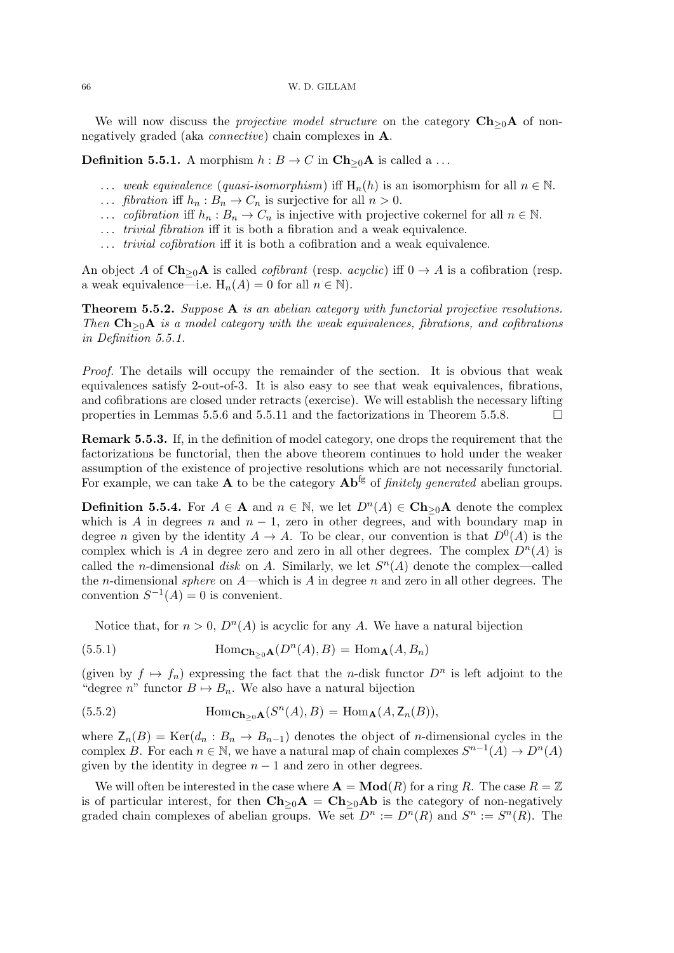We will now discuss the *projective model structure* on the category  $Ch_{\geq 0}A$  of nonnegatively graded (aka connective) chain complexes in A.

**Definition 5.5.1.** A morphism  $h : B \to C$  in  $\mathbf{Ch}_{\geq 0}\mathbf{A}$  is called a ...

- ... weak equivalence (quasi-isomorphism) iff  $H_n(h)$  is an isomorphism for all  $n \in \mathbb{N}$ .
- ... *fibration* iff  $h_n : B_n \to C_n$  is surjective for all  $n > 0$ .
- ... *cofibration* iff  $h_n : B_n \to C_n$  is injective with projective cokernel for all  $n \in \mathbb{N}$ .
- ... *trivial fibration* iff it is both a fibration and a weak equivalence.
- ... *trivial cofibration* iff it is both a cofibration and a weak equivalence.

An object A of  $\mathbf{Ch}_{\geq 0}\mathbf{A}$  is called *cofibrant* (resp. *acyclic*) iff  $0 \to A$  is a cofibration (resp. a weak equivalence—i.e.  $H_n(A) = 0$  for all  $n \in \mathbb{N}$ .

Theorem 5.5.2. Suppose A is an abelian category with functorial projective resolutions. Then  $\mathbf{Ch}_{\geq 0}\mathbf{A}$  is a model category with the weak equivalences, fibrations, and cofibrations in Definition 5.5.1.

Proof. The details will occupy the remainder of the section. It is obvious that weak equivalences satisfy 2-out-of-3. It is also easy to see that weak equivalences, fibrations, and cofibrations are closed under retracts (exercise). We will establish the necessary lifting properties in Lemmas 5.5.6 and 5.5.11 and the factorizations in Theorem 5.5.8.  $\Box$ 

Remark 5.5.3. If, in the definition of model category, one drops the requirement that the factorizations be functorial, then the above theorem continues to hold under the weaker assumption of the existence of projective resolutions which are not necessarily functorial. For example, we can take **A** to be the category  $\mathbf{Ab}^{\text{fg}}$  of *finitely generated* abelian groups.

**Definition 5.5.4.** For  $A \in \mathbf{A}$  and  $n \in \mathbb{N}$ , we let  $D^{n}(A) \in \mathbf{Ch}_{\geq 0}\mathbf{A}$  denote the complex which is A in degrees n and  $n-1$ , zero in other degrees, and with boundary map in degree *n* given by the identity  $A \to A$ . To be clear, our convention is that  $D^{0}(A)$  is the complex which is A in degree zero and zero in all other degrees. The complex  $D^{n}(A)$  is called the *n*-dimensional *disk* on A. Similarly, we let  $S<sup>n</sup>(A)$  denote the complex—called the *n*-dimensional *sphere* on  $A$ —which is A in degree n and zero in all other degrees. The convention  $S^{-1}(A) = 0$  is convenient.

Notice that, for  $n > 0$ ,  $D<sup>n</sup>(A)$  is acyclic for any A. We have a natural bijection

(5.5.1) 
$$
\text{Hom}_{\mathbf{Ch}_{\geq 0}\mathbf{A}}(D^n(A), B) = \text{Hom}_{\mathbf{A}}(A, B_n)
$$

(given by  $f \mapsto f_n$ ) expressing the fact that the *n*-disk functor  $D^n$  is left adjoint to the "degree n" functor  $B \mapsto B_n$ . We also have a natural bijection

(5.5.2) 
$$
\text{Hom}_{\mathbf{Ch}_{\geq 0}\mathbf{A}}(S^n(A), B) = \text{Hom}_{\mathbf{A}}(A, \mathbf{Z}_n(B)),
$$

where  $\mathsf{Z}_n(B) = \text{Ker}(d_n : B_n \to B_{n-1})$  denotes the object of *n*-dimensional cycles in the complex B. For each  $n \in \mathbb{N}$ , we have a natural map of chain complexes  $S^{n-1}(A) \to D^n(A)$ given by the identity in degree  $n - 1$  and zero in other degrees.

We will often be interested in the case where  $\mathbf{A} = \mathbf{Mod}(R)$  for a ring R. The case  $R = \mathbb{Z}$ is of particular interest, for then  $\mathbf{Ch}_{\geq 0}\mathbf{A} = \mathbf{Ch}_{\geq 0}\mathbf{Ab}$  is the category of non-negatively graded chain complexes of abelian groups. We set  $D^n := D^n(R)$  and  $S^n := S^n(R)$ . The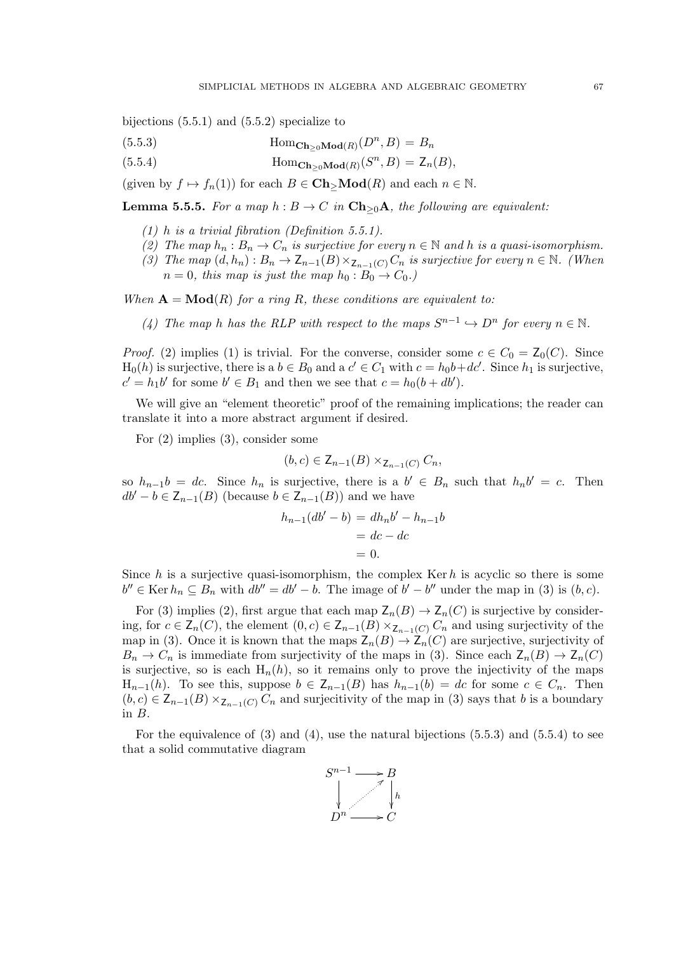bijections (5.5.1) and (5.5.2) specialize to

(5.5.3) 
$$
\text{Hom}_{\mathbf{Ch}_{\geq 0}\mathbf{Mod}(R)}(D^n, B) = B_n
$$

(5.5.4) 
$$
\text{Hom}_{\mathbf{Ch}_{\geq 0}\mathbf{Mod}(R)}(S^n, B) = \mathsf{Z}_n(B),
$$

(given by  $f \mapsto f_n(1)$ ) for each  $B \in Ch > Mod(R)$  and each  $n \in \mathbb{N}$ .

**Lemma 5.5.5.** For a map  $h : B \to C$  in  $\mathbf{Ch}_{\geq 0}\mathbf{A}$ , the following are equivalent:

- $(1)$  h is a trivial fibration (Definition 5.5.1).
- (2) The map  $h_n : B_n \to C_n$  is surjective for every  $n \in \mathbb{N}$  and h is a quasi-isomorphism.
- (3) The map  $(d, h_n): B_n \to \mathsf{Z}_{n-1}(B) \times_{\mathsf{Z}_{n-1}(C)} C_n$  is surjective for every  $n \in \mathbb{N}$ . (When  $n = 0$ , this map is just the map  $h_0 : B_0 \to C_0$ .

When  $\mathbf{A} = \mathbf{Mod}(R)$  for a ring R, these conditions are equivalent to:

(4) The map h has the RLP with respect to the maps  $S^{n-1} \hookrightarrow D^n$  for every  $n \in \mathbb{N}$ .

*Proof.* (2) implies (1) is trivial. For the converse, consider some  $c \in C_0 = \mathsf{Z}_0(C)$ . Since  $H_0(h)$  is surjective, there is a  $b \in B_0$  and a  $c' \in C_1$  with  $c = h_0b + dc'$ . Since  $h_1$  is surjective,  $c' = h_1 b'$  for some  $b' \in B_1$  and then we see that  $c = h_0(b + db')$ .

We will give an "element theoretic" proof of the remaining implications; the reader can translate it into a more abstract argument if desired.

For (2) implies (3), consider some

$$
(b,c) \in \mathsf{Z}_{n-1}(B) \times_{\mathsf{Z}_{n-1}(C)} C_n,
$$

so  $h_{n-1}b = dc$ . Since  $h_n$  is surjective, there is a  $b' \in B_n$  such that  $h_n b' = c$ . Then  $db' - b \in \mathsf{Z}_{n-1}(B)$  (because  $b \in \mathsf{Z}_{n-1}(B)$ ) and we have

$$
h_{n-1}(db' - b) = dh_n b' - h_{n-1}b
$$

$$
= dc - dc
$$

$$
= 0.
$$

Since h is a surjective quasi-isomorphism, the complex Ker h is acyclic so there is some  $b'' \in \text{Ker } h_n \subseteq B_n$  with  $db'' = db' - b$ . The image of  $b' - b''$  under the map in (3) is  $(b, c)$ .

For (3) implies (2), first argue that each map  $\mathsf{Z}_n(B) \to \mathsf{Z}_n(C)$  is surjective by considering, for  $c \in \mathsf{Z}_n(C)$ , the element  $(0, c) \in \mathsf{Z}_{n-1}(B) \times_{\mathsf{Z}_{n-1}(C)} C_n$  and using surjectivity of the map in (3). Once it is known that the maps  $Z_n(B) \to Z_n(C)$  are surjective, surjectivity of  $B_n \to C_n$  is immediate from surjectivity of the maps in (3). Since each  $\mathsf{Z}_n(B) \to \mathsf{Z}_n(C)$ is surjective, so is each  $H_n(h)$ , so it remains only to prove the injectivity of the maps  $H_{n-1}(h)$ . To see this, suppose  $b \in Z_{n-1}(B)$  has  $h_{n-1}(b) = dc$  for some  $c \in C_n$ . Then  $(b, c) \in \mathsf{Z}_{n-1}(B) \times_{\mathsf{Z}_{n-1}(C)} C_n$  and surjecitivity of the map in (3) says that b is a boundary in B.

For the equivalence of  $(3)$  and  $(4)$ , use the natural bijections  $(5.5.3)$  and  $(5.5.4)$  to see that a solid commutative diagram

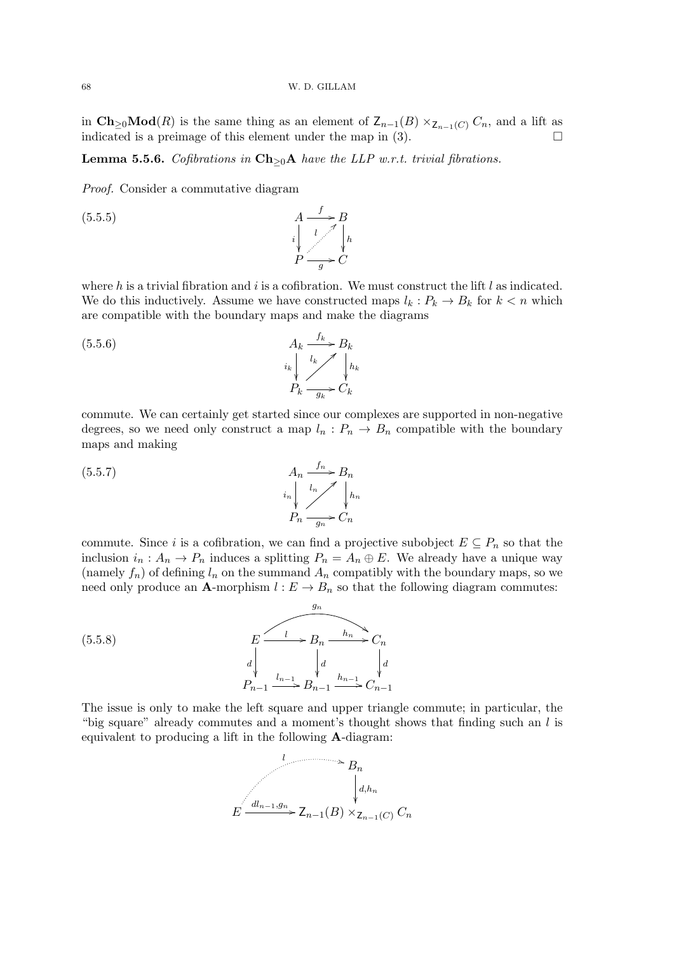in  $\mathbf{Ch}_{\geq 0}\mathbf{Mod}(R)$  is the same thing as an element of  $\mathsf{Z}_{n-1}(B)\times_{\mathsf{Z}_{n-1}(C)} C_n$ , and a lift as indicated is a preimage of this element under the map in  $(3)$ .

Lemma 5.5.6. Cofibrations in  $\mathbf{Ch}_{\geq 0}\mathbf{A}$  have the LLP w.r.t. trivial fibrations.

Proof. Consider a commutative diagram

A i  $\frac{1}{2}$  $\stackrel{f}{\longrightarrow} B$ h  $\frac{1}{2}$ P  $\overline{a}$ g  $\cdot C$  $(5.5.5)$ 

where  $h$  is a trivial fibration and  $i$  is a cofibration. We must construct the lift  $l$  as indicated. We do this inductively. Assume we have constructed maps  $l_k: P_k \to B_k$  for  $k < n$  which are compatible with the boundary maps and make the diagrams

A<sup>k</sup> ik <sup>f</sup><sup>k</sup> /B<sup>k</sup> hk Pk lk > gk /C<sup>k</sup> (5.5.6)

commute. We can certainly get started since our complexes are supported in non-negative degrees, so we need only construct a map  $l_n$ :  $P_n \to B_n$  compatible with the boundary maps and making

$$
(5.5.7)
$$
\n
$$
A_n \xrightarrow{f_n} B_n
$$
\n
$$
i_n \downarrow^{l_n} \nearrow \downarrow^{l_n} h_n
$$
\n
$$
P_n \xrightarrow{g_n} C_n
$$

commute. Since i is a cofibration, we can find a projective subobject  $E \subseteq P_n$  so that the inclusion  $i_n : A_n \to P_n$  induces a splitting  $P_n = A_n \oplus E$ . We already have a unique way (namely  $f_n$ ) of defining  $l_n$  on the summand  $A_n$  compatibly with the boundary maps, so we need only produce an **A**-morphism  $l : E \to B_n$  so that the following diagram commutes:



The issue is only to make the left square and upper triangle commute; in particular, the "big square" already commutes and a moment's thought shows that finding such an l is equivalent to producing a lift in the following A-diagram:

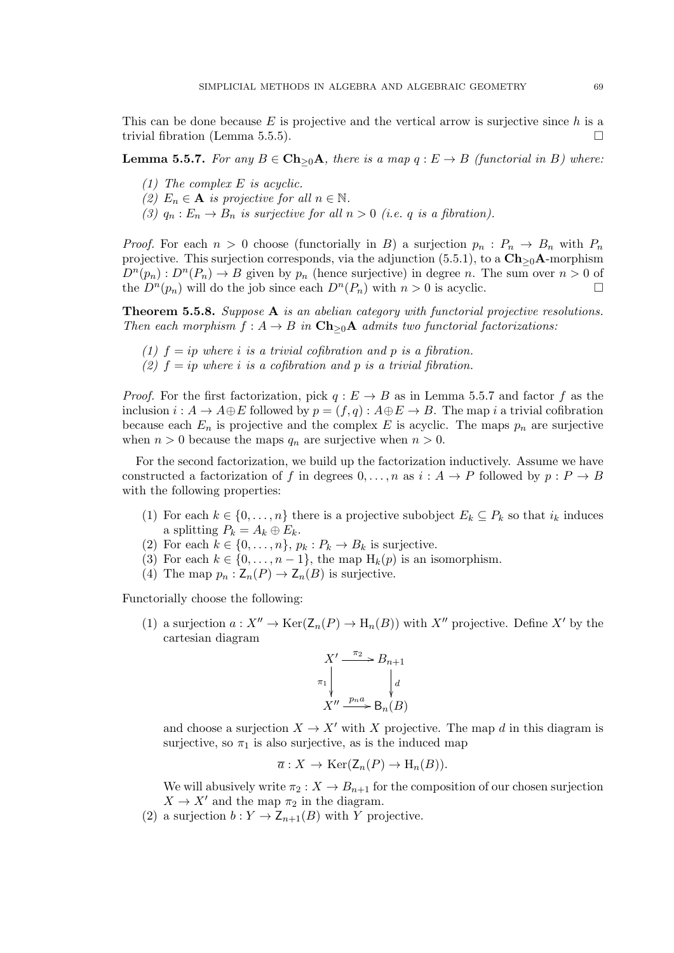This can be done because  $E$  is projective and the vertical arrow is surjective since  $h$  is a trivial fibration (Lemma 5.5.5).

**Lemma 5.5.7.** For any  $B \in \mathbf{Ch}_{\geq 0}\mathbf{A}$ , there is a map  $q : E \to B$  (functorial in B) where:

- (1) The complex E is acyclic.
- (2)  $E_n \in \mathbf{A}$  is projective for all  $n \in \mathbb{N}$ .
- (3)  $q_n : E_n \to B_n$  is surjective for all  $n > 0$  (i.e. q is a fibration).

*Proof.* For each  $n > 0$  choose (functorially in B) a surjection  $p_n : P_n \to B_n$  with  $P_n$ projective. This surjection corresponds, via the adjunction (5.5.1), to a  $\mathbf{Ch}_{\geq 0}\mathbf{A}$ -morphism  $D^{n}(p_n): D^{n}(P_n) \to B$  given by  $p_n$  (hence surjective) in degree n. The sum over  $n > 0$  of the  $D^{n}(p_n)$  will do the job since each  $D^{n}(P_n)$  with  $n > 0$  is acyclic.

Theorem 5.5.8. Suppose A is an abelian category with functorial projective resolutions. Then each morphism  $f : A \to B$  in  $\mathbf{Ch}_{\geq 0}\mathbf{A}$  admits two functorial factorizations:

- (1)  $f = ip$  where i is a trivial cofibration and p is a fibration.
- (2)  $f = ip$  where i is a cofibration and p is a trivial fibration.

*Proof.* For the first factorization, pick  $q : E \to B$  as in Lemma 5.5.7 and factor f as the inclusion  $i : A \to A \oplus E$  followed by  $p = (f, q) : A \oplus E \to B$ . The map i a trivial cofibration because each  $E_n$  is projective and the complex E is acyclic. The maps  $p_n$  are surjective when  $n > 0$  because the maps  $q_n$  are surjective when  $n > 0$ .

For the second factorization, we build up the factorization inductively. Assume we have constructed a factorization of f in degrees  $0, \ldots, n$  as  $i : A \rightarrow P$  followed by  $p : P \rightarrow B$ with the following properties:

- (1) For each  $k \in \{0, \ldots, n\}$  there is a projective subobject  $E_k \subseteq P_k$  so that  $i_k$  induces a splitting  $P_k = A_k \oplus E_k$ .
- (2) For each  $k \in \{0, \ldots, n\}$ ,  $p_k : P_k \to B_k$  is surjective.
- (3) For each  $k \in \{0, \ldots, n-1\}$ , the map  $H_k(p)$  is an isomorphism.
- (4) The map  $p_n : Z_n(P) \to Z_n(B)$  is surjective.

Functorially choose the following:

(1) a surjection  $a: X'' \to \text{Ker}(\mathsf{Z}_n(P) \to \mathrm{H}_n(B))$  with  $X''$  projective. Define  $X'$  by the cartesian diagram

$$
X' \xrightarrow{\pi_2} B_{n+1}
$$
  
\n
$$
\pi_1 \downarrow \qquad \qquad \downarrow d
$$
  
\n
$$
X'' \xrightarrow{p_n a} B_n(B)
$$

and choose a surjection  $X \to X'$  with X projective. The map d in this diagram is surjective, so  $\pi_1$  is also surjective, as is the induced map

$$
\overline{a}: X \to \text{Ker}(\mathsf{Z}_n(P) \to \text{H}_n(B)).
$$

We will abusively write  $\pi_2 : X \to B_{n+1}$  for the composition of our chosen surjection  $X \to X'$  and the map  $\pi_2$  in the diagram.

(2) a surjection  $b: Y \to \mathsf{Z}_{n+1}(B)$  with Y projective.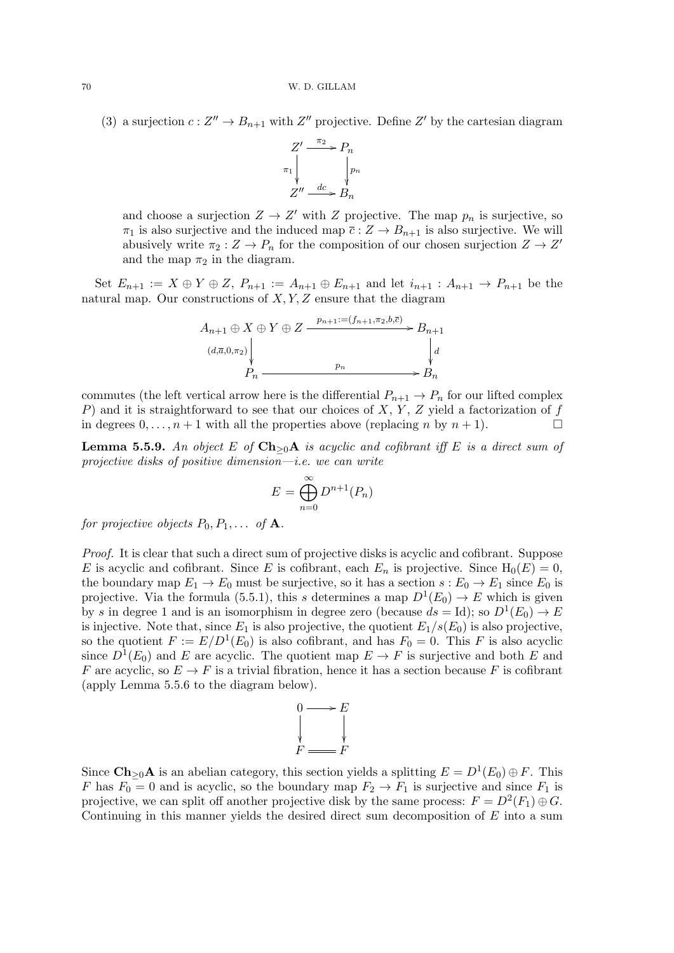(3) a surjection  $c: Z'' \to B_{n+1}$  with  $Z''$  projective. Define  $Z'$  by the cartesian diagram



and choose a surjection  $Z \to Z'$  with Z projective. The map  $p_n$  is surjective, so  $\pi_1$  is also surjective and the induced map  $\overline{c}$  :  $Z \to B_{n+1}$  is also surjective. We will abusively write  $\pi_2: Z \to P_n$  for the composition of our chosen surjection  $Z \to Z'$ and the map  $\pi_2$  in the diagram.

Set  $E_{n+1} := X \oplus Y \oplus Z$ ,  $P_{n+1} := A_{n+1} \oplus E_{n+1}$  and let  $i_{n+1} : A_{n+1} \to P_{n+1}$  be the natural map. Our constructions of  $X, Y, Z$  ensure that the diagram

$$
A_{n+1} \oplus X \oplus Y \oplus Z \xrightarrow{p_{n+1} := (f_{n+1}, \pi_2, b, \overline{c})} B_{n+1}
$$
  

$$
(d, \overline{a}, 0, \pi_2) \downarrow d
$$
  

$$
P_n \xrightarrow{p_n} B_n
$$

commutes (the left vertical arrow here is the differential  $P_{n+1} \to P_n$  for our lifted complex P) and it is straightforward to see that our choices of X, Y, Z yield a factorization of  $f$ in degrees  $0, \ldots, n+1$  with all the properties above (replacing n by  $n+1$ ).

**Lemma 5.5.9.** An object E of  $\mathbf{Ch}_{\geq 0}\mathbf{A}$  is acyclic and cofibrant iff E is a direct sum of projective disks of positive dimension—i.e. we can write

$$
E = \bigoplus_{n=0}^{\infty} D^{n+1}(P_n)
$$

for projective objects  $P_0, P_1, \ldots$  of **A**.

Proof. It is clear that such a direct sum of projective disks is acyclic and cofibrant. Suppose E is acyclic and cofibrant. Since E is cofibrant, each  $E_n$  is projective. Since  $H_0(E) = 0$ , the boundary map  $E_1 \to E_0$  must be surjective, so it has a section  $s : E_0 \to E_1$  since  $E_0$  is projective. Via the formula (5.5.1), this s determines a map  $D^1(E_0) \to E$  which is given by s in degree 1 and is an isomorphism in degree zero (because  $ds = Id$ ); so  $D^1(E_0) \to E$ is injective. Note that, since  $E_1$  is also projective, the quotient  $E_1/s(E_0)$  is also projective, so the quotient  $F := E/D^{1}(E_0)$  is also cofibrant, and has  $F_0 = 0$ . This F is also acyclic since  $D^1(E_0)$  and E are acyclic. The quotient map  $E \to F$  is surjective and both E and F are acyclic, so  $E \to F$  is a trivial fibration, hence it has a section because F is cofibrant (apply Lemma 5.5.6 to the diagram below).



Since  $\mathbf{Ch}_{\geq 0}\mathbf{A}$  is an abelian category, this section yields a splitting  $E = D^1(E_0) \oplus F$ . This F has  $F_0 = 0$  and is acyclic, so the boundary map  $F_2 \to F_1$  is surjective and since  $F_1$  is projective, we can split off another projective disk by the same process:  $F = D^2(F_1) \oplus G$ . Continuing in this manner yields the desired direct sum decomposition of  $E$  into a sum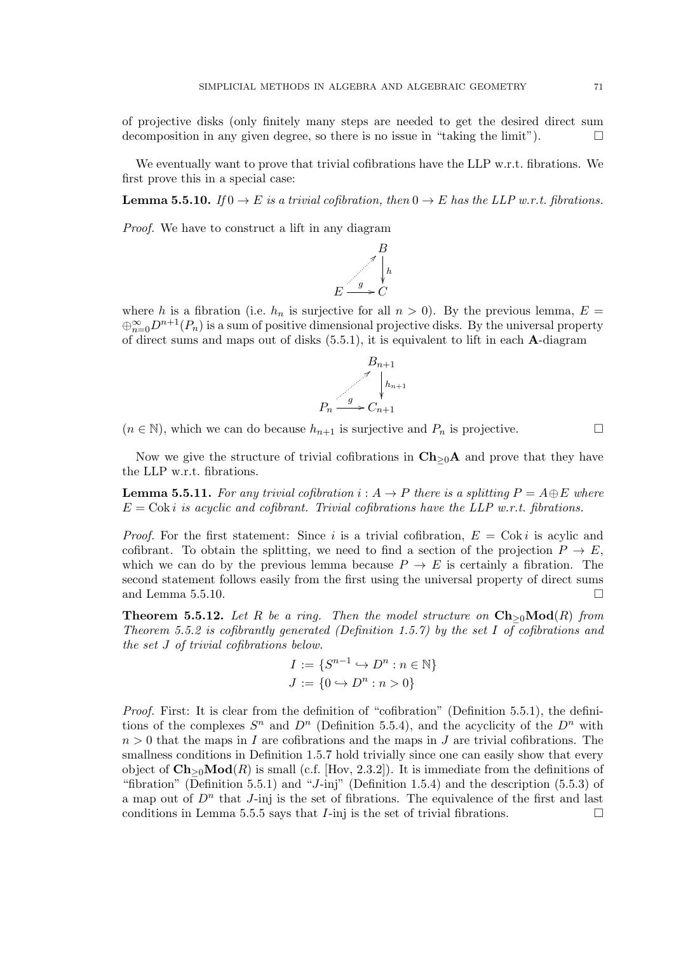of projective disks (only finitely many steps are needed to get the desired direct sum decomposition in any given degree, so there is no issue in "taking the limit").  $\Box$ 

We eventually want to prove that trivial cofibrations have the LLP w.r.t. fibrations. We first prove this in a special case:

**Lemma 5.5.10.** If  $0 \to E$  is a trivial cofibration, then  $0 \to E$  has the LLP w.r.t. fibrations.

Proof. We have to construct a lift in any diagram



where h is a fibration (i.e.  $h_n$  is surjective for all  $n > 0$ ). By the previous lemma,  $E =$  $\oplus_{n=0}^{\infty} D^{n+1}(P_n)$  is a sum of positive dimensional projective disks. By the universal property of direct sums and maps out of disks (5.5.1), it is equivalent to lift in each A-diagram



 $(n \in \mathbb{N})$ , which we can do because  $h_{n+1}$  is surjective and  $P_n$  is projective.

Now we give the structure of trivial cofibrations in  $\mathbf{Ch}_{\geq 0}\mathbf{A}$  and prove that they have the LLP w.r.t. fibrations.

**Lemma 5.5.11.** For any trivial cofibration  $i : A \rightarrow P$  there is a splitting  $P = A \oplus E$  where  $E = \text{Cok } i$  is acyclic and cofibrant. Trivial cofibrations have the LLP w.r.t. fibrations.

*Proof.* For the first statement: Since i is a trivial cofibration,  $E = \text{Cok } i$  is acylic and cofibrant. To obtain the splitting, we need to find a section of the projection  $P \to E$ , which we can do by the previous lemma because  $P \to E$  is certainly a fibration. The second statement follows easily from the first using the universal property of direct sums and Lemma 5.5.10.

**Theorem 5.5.12.** Let R be a ring. Then the model structure on  $\mathbf{Ch}_{\geq 0}\mathbf{Mod}(R)$  from Theorem 5.5.2 is cofibrantly generated (Definition 1.5.7) by the set I of cofibrations and the set J of trivial cofibrations below.

$$
I := \{S^{n-1} \hookrightarrow D^n : n \in \mathbb{N}\}
$$

$$
J := \{0 \hookrightarrow D^n : n > 0\}
$$

Proof. First: It is clear from the definition of "cofibration" (Definition 5.5.1), the definitions of the complexes  $S^n$  and  $D^n$  (Definition 5.5.4), and the acyclicity of the  $D^n$  with  $n > 0$  that the maps in I are cofibrations and the maps in J are trivial cofibrations. The smallness conditions in Definition 1.5.7 hold trivially since one can easily show that every object of  $\mathbf{Ch}_{\geq 0}\mathbf{Mod}(R)$  is small (c.f. [Hov, 2.3.2]). It is immediate from the definitions of "fibration" (Definition 5.5.1) and "J-inj" (Definition 1.5.4) and the description  $(5.5.3)$  of a map out of  $D^n$  that J-inj is the set of fibrations. The equivalence of the first and last conditions in Lemma 5.5.5 says that *I*-inj is the set of trivial fibrations.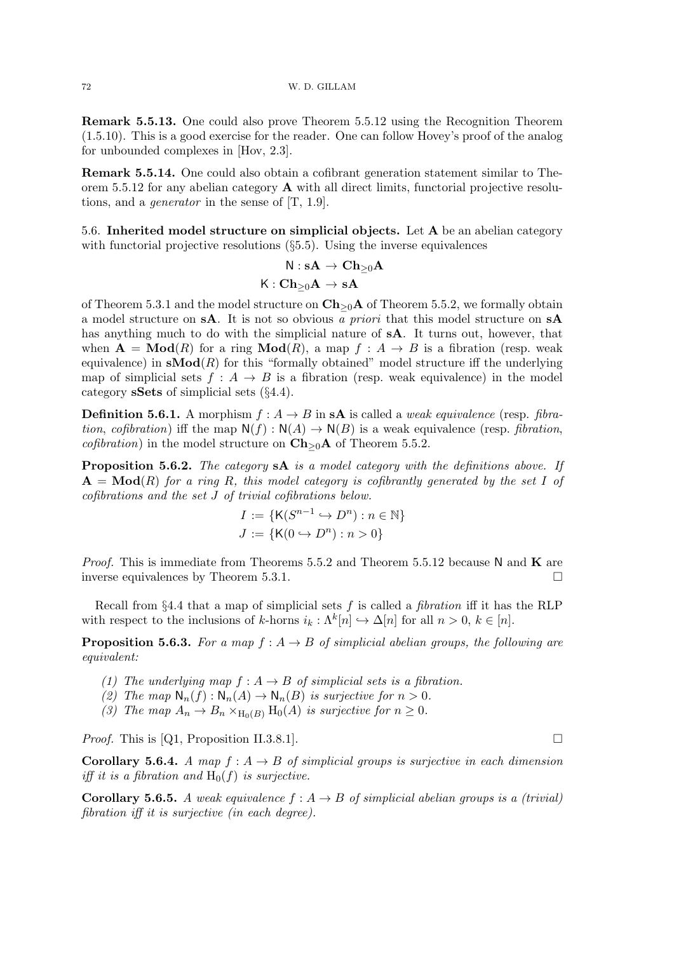Remark 5.5.13. One could also prove Theorem 5.5.12 using the Recognition Theorem (1.5.10). This is a good exercise for the reader. One can follow Hovey's proof of the analog for unbounded complexes in [Hov, 2.3].

Remark 5.5.14. One could also obtain a cofibrant generation statement similar to Theorem 5.5.12 for any abelian category  $\bf{A}$  with all direct limits, functorial projective resolutions, and a generator in the sense of [T, 1.9].

5.6. Inherited model structure on simplicial objects. Let A be an abelian category with functorial projective resolutions  $(\S 5.5)$ . Using the inverse equivalences

$$
\mathsf{N} : \mathbf{sA} \to \mathbf{Ch}_{\geq 0} \mathbf{A}
$$

$$
\mathsf{K} : \mathbf{Ch}_{\geq 0} \mathbf{A} \to \mathbf{sA}
$$

of Theorem 5.3.1 and the model structure on  $\mathbf{Ch}_{\geq 0}\mathbf{A}$  of Theorem 5.5.2, we formally obtain a model structure on sA. It is not so obvious a priori that this model structure on sA has anything much to do with the simplicial nature of sA. It turns out, however, that when  $\mathbf{A} = \mathbf{Mod}(R)$  for a ring  $\mathbf{Mod}(R)$ , a map  $f : A \to B$  is a fibration (resp. weak equivalence) in  $sMod(R)$  for this "formally obtained" model structure iff the underlying map of simplicial sets  $f : A \rightarrow B$  is a fibration (resp. weak equivalence) in the model category sSets of simplicial sets (§4.4).

**Definition 5.6.1.** A morphism  $f : A \rightarrow B$  in s**A** is called a *weak equivalence* (resp. *fibra*tion, cofibration) iff the map  $N(f) : N(A) \to N(B)$  is a weak equivalence (resp. *fibration*, *cofibration*) in the model structure on  $\mathbf{Ch}_{\geq 0}\mathbf{A}$  of Theorem 5.5.2.

Proposition 5.6.2. The category sA is a model category with the definitions above. If  $A = Mod(R)$  for a ring R, this model category is cofibrantly generated by the set I of cofibrations and the set J of trivial cofibrations below.

$$
I := \{ \mathsf{K}(S^{n-1} \hookrightarrow D^n) : n \in \mathbb{N} \}
$$

$$
J := \{ \mathsf{K}(0 \hookrightarrow D^n) : n > 0 \}
$$

*Proof.* This is immediate from Theorems 5.5.2 and Theorem 5.5.12 because N and K are inverse equivalences by Theorem 5.3.1.

Recall from  $\S 4.4$  that a map of simplicial sets f is called a fibration iff it has the RLP with respect to the inclusions of k-horns  $i_k : \Lambda^k[n] \hookrightarrow \Delta[n]$  for all  $n > 0, k \in [n]$ .

**Proposition 5.6.3.** For a map  $f : A \rightarrow B$  of simplicial abelian groups, the following are equivalent:

- (1) The underlying map  $f : A \rightarrow B$  of simplicial sets is a fibration.
- (2) The map  $\mathsf{N}_n(f): \mathsf{N}_n(A) \to \mathsf{N}_n(B)$  is surjective for  $n > 0$ .
- (3) The map  $A_n \to B_n \times_{H_0(B)} H_0(A)$  is surjective for  $n \geq 0$ .

*Proof.* This is [Q1, Proposition II.3.8.1].

**Corollary 5.6.4.** A map  $f : A \rightarrow B$  of simplicial groups is surjective in each dimension iff it is a fibration and  $H_0(f)$  is surjective.

Corollary 5.6.5. A weak equivalence  $f : A \rightarrow B$  of simplicial abelian groups is a (trivial) fibration iff it is surjective (in each degree).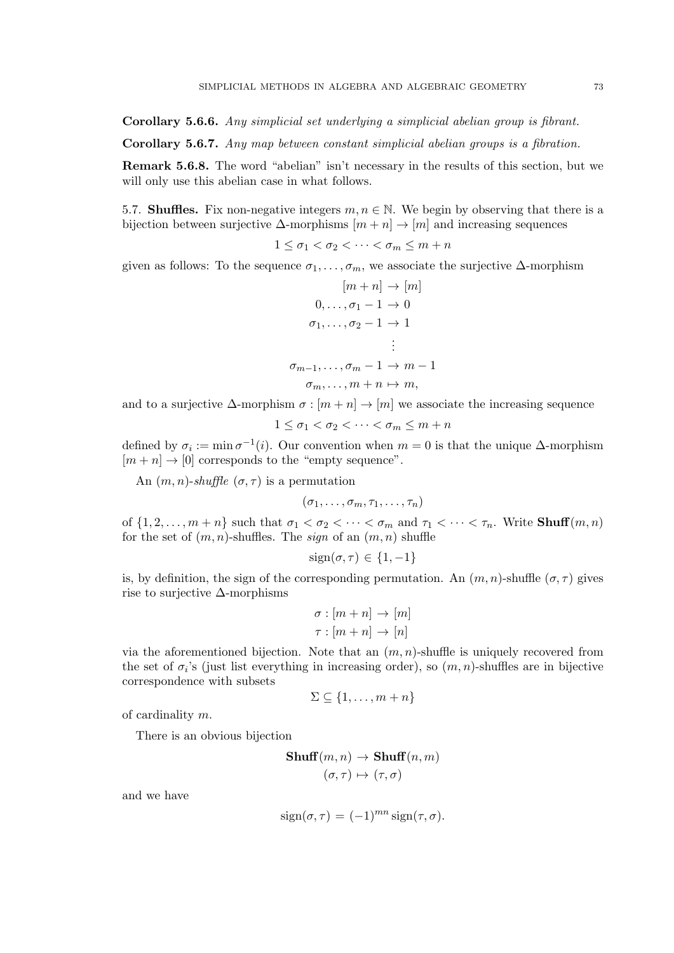Corollary 5.6.6. Any simplicial set underlying a simplicial abelian group is fibrant.

Corollary 5.6.7. Any map between constant simplicial abelian groups is a fibration.

Remark 5.6.8. The word "abelian" isn't necessary in the results of this section, but we will only use this abelian case in what follows.

5.7. **Shuffles.** Fix non-negative integers  $m, n \in \mathbb{N}$ . We begin by observing that there is a bijection between surjective  $\Delta$ -morphisms  $[m+n] \to [m]$  and increasing sequences

$$
1 \leq \sigma_1 < \sigma_2 < \cdots < \sigma_m \leq m + n
$$

given as follows: To the sequence  $\sigma_1, \ldots, \sigma_m$ , we associate the surjective  $\Delta$ -morphism

$$
[m+n] \rightarrow [m]
$$
  
\n
$$
0, \ldots, \sigma_1 - 1 \rightarrow 0
$$
  
\n
$$
\sigma_1, \ldots, \sigma_2 - 1 \rightarrow 1
$$
  
\n
$$
\vdots
$$
  
\n
$$
\sigma_{m-1}, \ldots, \sigma_m - 1 \rightarrow m - 1
$$
  
\n
$$
\sigma_m, \ldots, m + n \mapsto m,
$$

and to a surjective  $\Delta$ -morphism  $\sigma : [m + n] \to [m]$  we associate the increasing sequence

$$
1 \leq \sigma_1 < \sigma_2 < \cdots < \sigma_m \leq m + n
$$

defined by  $\sigma_i := \min \sigma^{-1}(i)$ . Our convention when  $m = 0$  is that the unique  $\Delta$ -morphism  $[m + n] \rightarrow [0]$  corresponds to the "empty sequence".

An  $(m, n)$ -shuffle  $(\sigma, \tau)$  is a permutation

$$
(\sigma_1,\ldots,\sigma_m,\tau_1,\ldots,\tau_n)
$$

of  $\{1, 2, \ldots, m+n\}$  such that  $\sigma_1 < \sigma_2 < \cdots < \sigma_m$  and  $\tau_1 < \cdots < \tau_n$ . Write **Shuff** $(m, n)$ for the set of  $(m, n)$ -shuffles. The *sign* of an  $(m, n)$  shuffle

$$
sign(\sigma, \tau) \in \{1, -1\}
$$

is, by definition, the sign of the corresponding permutation. An  $(m, n)$ -shuffle  $(\sigma, \tau)$  gives rise to surjective ∆-morphisms

$$
\sigma : [m+n] \to [m]
$$

$$
\tau : [m+n] \to [n]
$$

via the aforementioned bijection. Note that an  $(m, n)$ -shuffle is uniquely recovered from the set of  $\sigma_i$ 's (just list everything in increasing order), so  $(m, n)$ -shuffles are in bijective correspondence with subsets

$$
\Sigma \subseteq \{1, \ldots, m+n\}
$$

of cardinality m.

There is an obvious bijection

**Shuff**
$$
(m, n)
$$
  $\rightarrow$  **Shuff** $(n, m)$   
 $(\sigma, \tau) \mapsto (\tau, \sigma)$ 

and we have

$$
sign(\sigma, \tau) = (-1)^{mn} sign(\tau, \sigma).
$$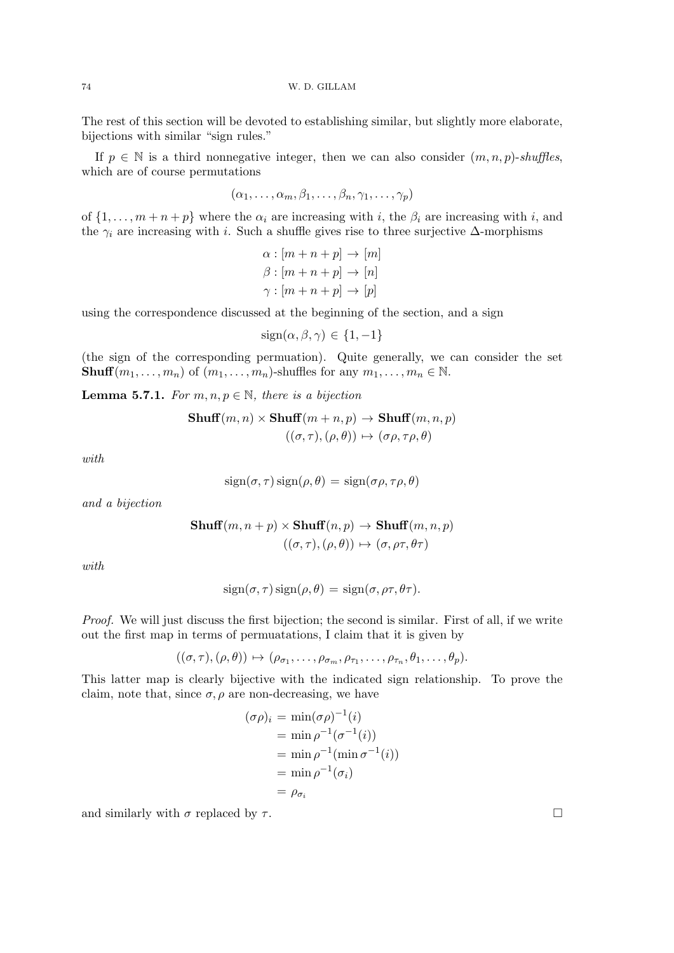74 W. D. GILLAM

The rest of this section will be devoted to establishing similar, but slightly more elaborate, bijections with similar "sign rules."

If  $p \in \mathbb{N}$  is a third nonnegative integer, then we can also consider  $(m, n, p)$ -shuffles, which are of course permutations

$$
(\alpha_1,\ldots,\alpha_m,\beta_1,\ldots,\beta_n,\gamma_1,\ldots,\gamma_p)
$$

of  $\{1, \ldots, m+n+p\}$  where the  $\alpha_i$  are increasing with i, the  $\beta_i$  are increasing with i, and the  $\gamma_i$  are increasing with i. Such a shuffle gives rise to three surjective  $\Delta$ -morphisms

$$
\alpha : [m + n + p] \to [m]
$$

$$
\beta : [m + n + p] \to [n]
$$

$$
\gamma : [m + n + p] \to [p]
$$

using the correspondence discussed at the beginning of the section, and a sign

$$
sign(\alpha, \beta, \gamma) \in \{1, -1\}
$$

(the sign of the corresponding permuation). Quite generally, we can consider the set **Shuff** $(m_1, \ldots, m_n)$  of  $(m_1, \ldots, m_n)$ -shuffles for any  $m_1, \ldots, m_n \in \mathbb{N}$ .

**Lemma 5.7.1.** For  $m, n, p \in \mathbb{N}$ , there is a bijection

$$
\mathbf{Shuff}(m, n) \times \mathbf{Shuff}(m + n, p) \rightarrow \mathbf{Shuff}(m, n, p)
$$

$$
((\sigma, \tau), (\rho, \theta)) \mapsto (\sigma \rho, \tau \rho, \theta)
$$

with

$$
sign(\sigma, \tau) sign(\rho, \theta) = sign(\sigma \rho, \tau \rho, \theta)
$$

and a bijection

$$
\mathbf{Shuff}(m, n + p) \times \mathbf{Shuff}(n, p) \to \mathbf{Shuff}(m, n, p)
$$

$$
((\sigma, \tau), (\rho, \theta)) \mapsto (\sigma, \rho \tau, \theta \tau)
$$

with

$$
sign(\sigma, \tau) sign(\rho, \theta) = sign(\sigma, \rho \tau, \theta \tau).
$$

Proof. We will just discuss the first bijection; the second is similar. First of all, if we write out the first map in terms of permuatations, I claim that it is given by

$$
((\sigma,\tau),(\rho,\theta))\mapsto(\rho_{\sigma_1},\ldots,\rho_{\sigma_m},\rho_{\tau_1},\ldots,\rho_{\tau_n},\theta_1,\ldots,\theta_p).
$$

This latter map is clearly bijective with the indicated sign relationship. To prove the claim, note that, since  $\sigma$ ,  $\rho$  are non-decreasing, we have

$$
(\sigma \rho)_i = \min(\sigma \rho)^{-1}(i)
$$
  
=  $\min \rho^{-1}(\sigma^{-1}(i))$   
=  $\min \rho^{-1}(\min \sigma^{-1}(i))$   
=  $\min \rho^{-1}(\sigma_i)$   
=  $\rho_{\sigma_i}$ 

and similarly with  $\sigma$  replaced by  $\tau$ .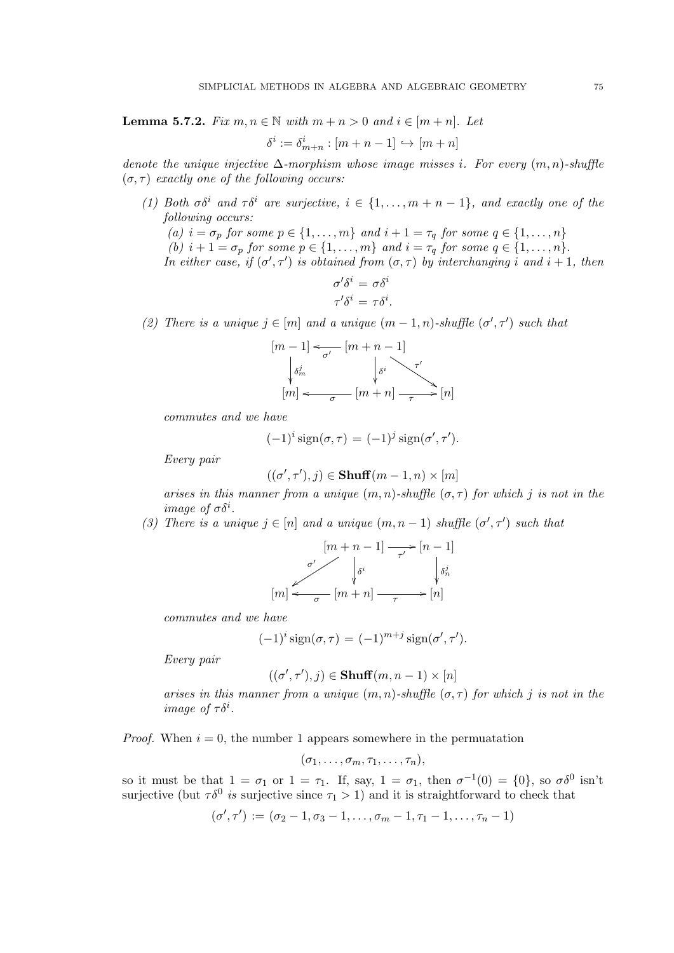**Lemma 5.7.2.** Fix  $m, n \in \mathbb{N}$  with  $m + n > 0$  and  $i \in [m + n]$ . Let

$$
\delta^i := \delta^i_{m+n} : [m+n-1] \hookrightarrow [m+n]
$$

denote the unique injective  $\Delta$ -morphism whose image misses i. For every  $(m, n)$ -shuffle  $(\sigma, \tau)$  exactly one of the following occurs:

(1) Both  $\sigma \delta^i$  and  $\tau \delta^i$  are surjective,  $i \in \{1, \ldots, m+n-1\}$ , and exactly one of the following occurs:

(a)  $i = \sigma_p$  for some  $p \in \{1, \ldots, m\}$  and  $i + 1 = \tau_q$  for some  $q \in \{1, \ldots, n\}$ (b)  $i + 1 = \sigma_p$  for some  $p \in \{1, \ldots, m\}$  and  $i = \tau_q$  for some  $q \in \{1, \ldots, n\}.$ 

In either case, if  $(\sigma', \tau')$  is obtained from  $(\sigma, \tau)$  by interchanging i and  $i + 1$ , then

$$
\sigma' \delta^i = \sigma \delta^i
$$

$$
\tau' \delta^i = \tau \delta^i.
$$

(2) There is a unique  $j \in [m]$  and a unique  $(m-1, n)$ -shuffle  $(\sigma', \tau')$  such that

[m − 1] δ j m [m + n − 1] σ 0 o δ i τ 0 % [m] [m + n] σ o τ /[n]

commutes and we have

$$
(-1)^{i}\operatorname{sign}(\sigma,\tau) = (-1)^{j}\operatorname{sign}(\sigma',\tau').
$$

Every pair

$$
((\sigma', \tau'), j) \in \mathbf{Shuff}(m-1, n) \times [m]
$$

arises in this manner from a unique  $(m, n)$ -shuffle  $(\sigma, \tau)$  for which j is not in the image of  $\sigma \delta^i$ .

(3) There is a unique  $j \in [n]$  and a unique  $(m, n-1)$  shuffle  $(\sigma', \tau')$  such that

$$
[m+n-1] \xrightarrow[\sigma']{} [n-1]
$$
  

$$
[m] \xleftarrow[\sigma']{} [m+n] \xrightarrow[\tau]{} [n]
$$

commutes and we have

$$
(-1)^{i}\operatorname{sign}(\sigma,\tau) = (-1)^{m+j}\operatorname{sign}(\sigma',\tau').
$$

Every pair

$$
((\sigma', \tau'), j) \in \mathbf{Shuff}(m, n-1) \times [n]
$$

arises in this manner from a unique  $(m, n)$ -shuffle  $(\sigma, \tau)$  for which j is not in the image of  $\tau \delta^i$ .

*Proof.* When  $i = 0$ , the number 1 appears somewhere in the permuatation

$$
(\sigma_1,\ldots,\sigma_m,\tau_1,\ldots,\tau_n),
$$

so it must be that  $1 = \sigma_1$  or  $1 = \tau_1$ . If, say,  $1 = \sigma_1$ , then  $\sigma^{-1}(0) = \{0\}$ , so  $\sigma \delta^0$  isn't surjective (but  $\tau \delta^0$  is surjective since  $\tau_1 > 1$ ) and it is straightforward to check that

 $(\sigma', \tau') := (\sigma_2 - 1, \sigma_3 - 1, \ldots, \sigma_m - 1, \tau_1 - 1, \ldots, \tau_n - 1)$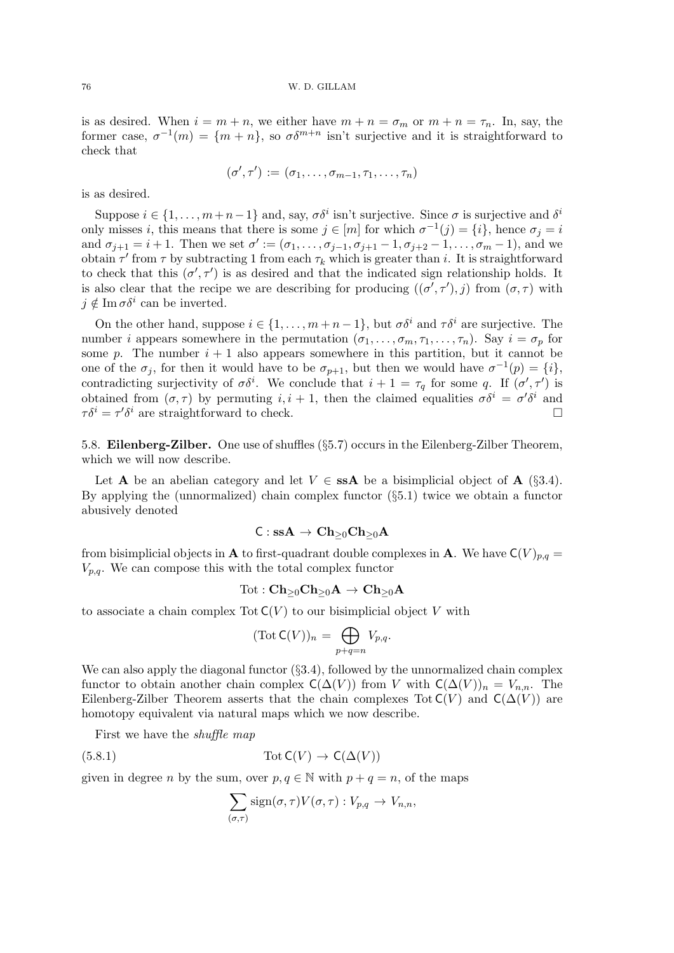is as desired. When  $i = m + n$ , we either have  $m + n = \sigma_m$  or  $m + n = \tau_n$ . In, say, the former case,  $\sigma^{-1}(m) = \{m+n\}$ , so  $\sigma\delta^{m+n}$  isn't surjective and it is straightforward to check that

$$
(\sigma',\tau') := (\sigma_1,\ldots,\sigma_{m-1},\tau_1,\ldots,\tau_n)
$$

is as desired.

Suppose  $i \in \{1, \ldots, m+n-1\}$  and, say,  $\sigma \delta^i$  isn't surjective. Since  $\sigma$  is surjective and  $\delta^i$ only misses i, this means that there is some  $j \in [m]$  for which  $\sigma^{-1}(j) = \{i\}$ , hence  $\sigma_j = i$ and  $\sigma_{j+1} = i+1$ . Then we set  $\sigma' := (\sigma_1, \ldots, \sigma_{j-1}, \sigma_{j+1} - 1, \sigma_{j+2} - 1, \ldots, \sigma_m - 1)$ , and we obtain  $\tau'$  from  $\tau$  by subtracting 1 from each  $\tau_k$  which is greater than i. It is straightforward to check that this  $(\sigma', \tau')$  is as desired and that the indicated sign relationship holds. It is also clear that the recipe we are describing for producing  $((\sigma', \tau'), j)$  from  $(\sigma, \tau)$  with  $j \notin \operatorname{Im} \sigma \delta^i$  can be inverted.

On the other hand, suppose  $i \in \{1, \ldots, m+n-1\}$ , but  $\sigma \delta^i$  and  $\tau \delta^i$  are surjective. The number i appears somewhere in the permutation  $(\sigma_1, \ldots, \sigma_m, \tau_1, \ldots, \tau_n)$ . Say  $i = \sigma_p$  for some p. The number  $i + 1$  also appears somewhere in this partition, but it cannot be one of the  $\sigma_j$ , for then it would have to be  $\sigma_{p+1}$ , but then we would have  $\sigma^{-1}(p) = \{i\}$ , contradicting surjectivity of  $\sigma \delta^i$ . We conclude that  $i+1 = \tau_q$  for some q. If  $(\sigma', \tau')$  is obtained from  $(\sigma, \tau)$  by permuting  $i, i + 1$ , then the claimed equalities  $\sigma \delta^i = \sigma' \delta^i$  and  $\tau \delta^i = \tau' \delta^i$  are straightforward to check.

5.8. Eilenberg-Zilber. One use of shuffles (§5.7) occurs in the Eilenberg-Zilber Theorem, which we will now describe.

Let **A** be an abelian category and let  $V \in$  **ssA** be a bisimplicial object of **A** (§3.4). By applying the (unnormalized) chain complex functor  $(\S 5.1)$  twice we obtain a functor abusively denoted

$$
\mathsf{C} : \mathbf{ssA} \to \mathbf{Ch}_{\geq 0}\mathbf{Ch}_{\geq 0}\mathbf{A}
$$

from bisimplicial objects in **A** to first-quadrant double complexes in **A**. We have  $C(V)_{p,q}$  =  $V_{p,q}$ . We can compose this with the total complex functor

$$
\mathrm{Tot}: \mathbf{Ch}_{\geq 0}\mathbf{Ch}_{\geq 0}\mathbf{A}\to \mathbf{Ch}_{\geq 0}\mathbf{A}
$$

to associate a chain complex Tot  $C(V)$  to our bisimplicial object V with

$$
(\text{Tot } \mathsf{C}(V))_n = \bigoplus_{p+q=n} V_{p,q}.
$$

We can also apply the diagonal functor  $(\S 3.4)$ , followed by the unnormalized chain complex functor to obtain another chain complex  $C(\Delta(V))$  from V with  $C(\Delta(V))_n = V_{n,n}$ . The Eilenberg-Zilber Theorem asserts that the chain complexes Tot  $C(V)$  and  $C(\Delta(V))$  are homotopy equivalent via natural maps which we now describe.

First we have the shuffle map

(5.8.1) 
$$
\operatorname{Tot} C(V) \to C(\Delta(V))
$$

given in degree *n* by the sum, over  $p, q \in \mathbb{N}$  with  $p + q = n$ , of the maps

$$
\sum_{(\sigma,\tau)} sign(\sigma,\tau)V(\sigma,\tau): V_{p,q} \to V_{n,n},
$$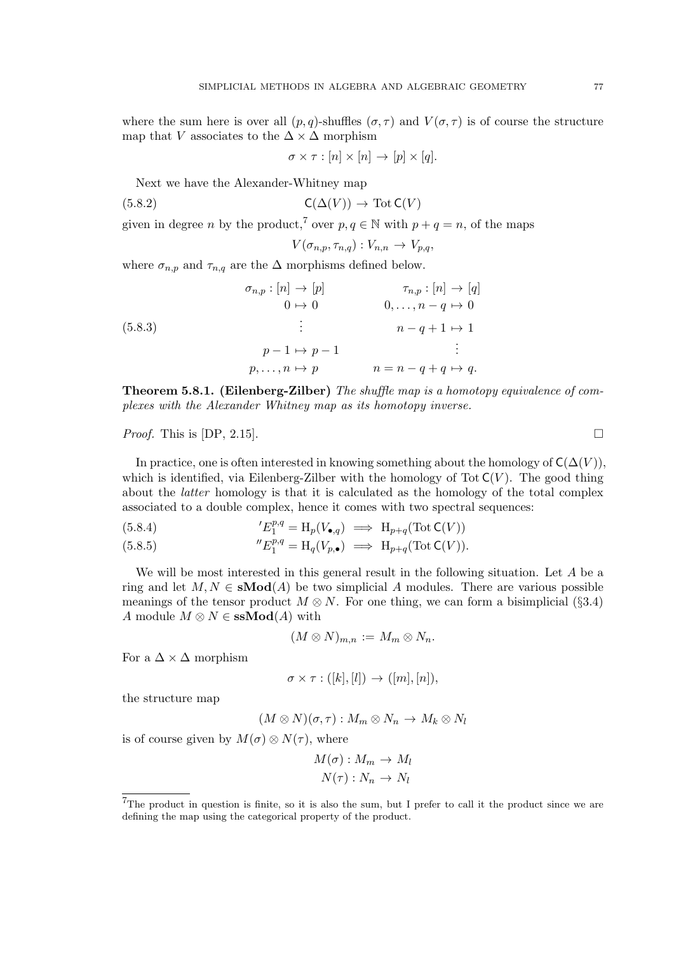where the sum here is over all  $(p, q)$ -shuffles  $(\sigma, \tau)$  and  $V(\sigma, \tau)$  is of course the structure map that V associates to the  $\Delta \times \Delta$  morphism

$$
\sigma \times \tau : [n] \times [n] \to [p] \times [q].
$$

Next we have the Alexander-Whitney map

$$
C(\Delta(V)) \to \text{Tot } C(V)
$$

given in degree *n* by the product,<sup>7</sup> over  $p, q \in \mathbb{N}$  with  $p + q = n$ , of the maps

$$
V(\sigma_{n,p}, \tau_{n,q}): V_{n,n} \to V_{p,q},
$$

where  $\sigma_{n,p}$  and  $\tau_{n,q}$  are the  $\Delta$  morphisms defined below.

(5.8.3)  
\n
$$
\sigma_{n,p} : [n] \rightarrow [p] \qquad \qquad \tau_{n,p} : [n] \rightarrow [q]
$$
\n
$$
0 \rightarrow 0 \qquad 0, \ldots, n-q \rightarrow 0
$$
\n
$$
\vdots \qquad n-q+1 \rightarrow 1
$$
\n
$$
p-1 \rightarrow p-1 \qquad \qquad \vdots
$$
\n
$$
p, \ldots, n \rightarrow p \qquad n = n-q+q \rightarrow q.
$$

Theorem 5.8.1. (Eilenberg-Zilber) The shuffle map is a homotopy equivalence of complexes with the Alexander Whitney map as its homotopy inverse.

#### *Proof.* This is  $[DP, 2.15]$ .

In practice, one is often interested in knowing something about the homology of  $C(\Delta(V))$ , which is identified, via Eilenberg-Zilber with the homology of Tot  $C(V)$ . The good thing about the latter homology is that it is calculated as the homology of the total complex associated to a double complex, hence it comes with two spectral sequences:

(5.8.4) 
$$
{}^{\prime}E_1^{p,q} = \mathrm{H}_p(V_{\bullet,q}) \implies \mathrm{H}_{p+q}(\mathrm{Tot}\,\mathsf{C}(V))
$$

(5.8.5) 
$$
{}''E_1^{p,q} = H_q(V_{p,\bullet}) \implies H_{p+q}(\text{Tot } \mathsf{C}(V)).
$$

We will be most interested in this general result in the following situation. Let A be a ring and let  $M, N \in \mathbf{sMod}(A)$  be two simplicial A modules. There are various possible meanings of the tensor product  $M \otimes N$ . For one thing, we can form a bisimplicial (§3.4) A module  $M \otimes N \in \mathbf{ssMod}(A)$  with

$$
(M\otimes N)_{m,n}:=M_m\otimes N_n.
$$

For a  $\Delta \times \Delta$  morphism

$$
\sigma \times \tau : ([k], [l]) \to ([m], [n]),
$$

the structure map

$$
(M\otimes N)(\sigma,\tau):M_m\otimes N_n\to M_k\otimes N_l
$$

is of course given by  $M(\sigma) \otimes N(\tau)$ , where

$$
M(\sigma) : M_m \to M_l
$$

$$
N(\tau) : N_n \to N_l
$$

<sup>7</sup>The product in question is finite, so it is also the sum, but I prefer to call it the product since we are defining the map using the categorical property of the product.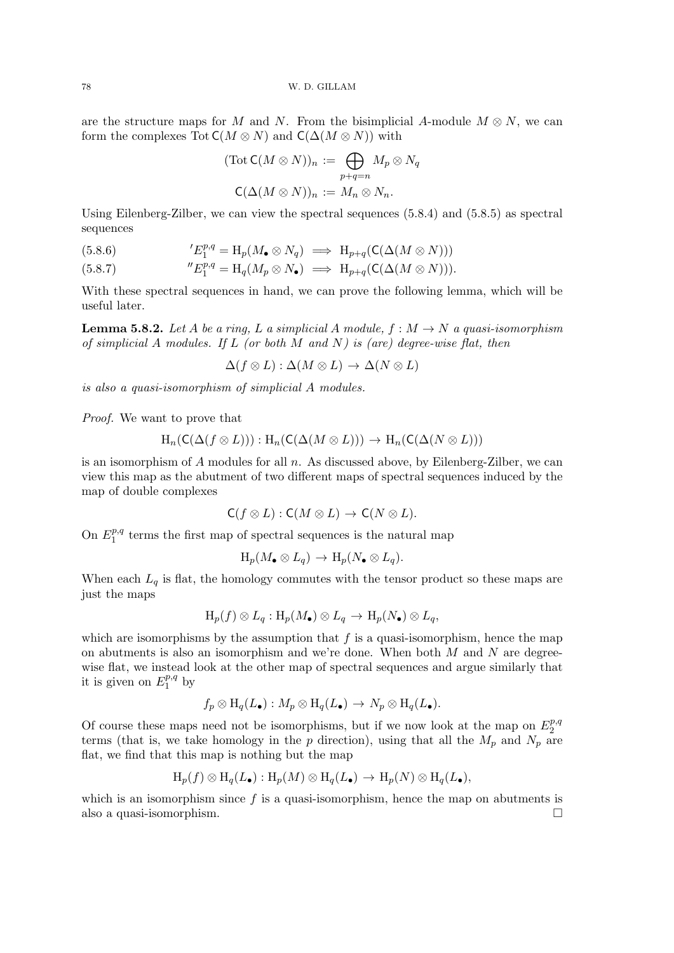78 W. D. GILLAM

are the structure maps for M and N. From the bisimplicial A-module  $M \otimes N$ , we can form the complexes Tot  $C(M \otimes N)$  and  $C(\Delta(M \otimes N))$  with

$$
(\text{Tot } \mathsf{C}(M \otimes N))_n := \bigoplus_{p+q=n} M_p \otimes N_q
$$
  

$$
\mathsf{C}(\Delta(M \otimes N))_n := M_n \otimes N_n.
$$

Using Eilenberg-Zilber, we can view the spectral sequences (5.8.4) and (5.8.5) as spectral sequences

(5.8.6) 
$$
{}^{\prime}E_1^{p,q} = \mathrm{H}_p(M_{\bullet} \otimes N_q) \implies \mathrm{H}_{p+q}(\mathsf{C}(\Delta(M \otimes N)))
$$

(5.8.7) 
$$
{}''E_1^{p,q} = H_q(M_p \otimes N_{\bullet}) \implies H_{p+q}(\mathsf{C}(\Delta(M \otimes N))).
$$

With these spectral sequences in hand, we can prove the following lemma, which will be useful later.

**Lemma 5.8.2.** Let A be a ring, L a simplicial A module,  $f : M \to N$  a quasi-isomorphism of simplicial A modules. If  $L$  (or both M and N) is (are) degree-wise flat, then

$$
\Delta(f \otimes L) : \Delta(M \otimes L) \to \Delta(N \otimes L)
$$

is also a quasi-isomorphism of simplicial A modules.

Proof. We want to prove that

$$
H_n(C(\Delta(f \otimes L))) : H_n(C(\Delta(M \otimes L))) \to H_n(C(\Delta(N \otimes L)))
$$

is an isomorphism of  $A$  modules for all  $n$ . As discussed above, by Eilenberg-Zilber, we can view this map as the abutment of two different maps of spectral sequences induced by the map of double complexes

$$
C(f\otimes L):C(M\otimes L)\to C(N\otimes L).
$$

On  $E_1^{p,q}$  $_1^{p,q}$  terms the first map of spectral sequences is the natural map

$$
\mathrm{H}_p(M_{\bullet}\otimes L_q)\to \mathrm{H}_p(N_{\bullet}\otimes L_q).
$$

When each  $L_q$  is flat, the homology commutes with the tensor product so these maps are just the maps

$$
\mathrm{H}_p(f) \otimes L_q: \mathrm{H}_p(M_{\bullet}) \otimes L_q \to \mathrm{H}_p(N_{\bullet}) \otimes L_q,
$$

which are isomorphisms by the assumption that  $f$  is a quasi-isomorphism, hence the map on abutments is also an isomorphism and we're done. When both  $M$  and  $N$  are degreewise flat, we instead look at the other map of spectral sequences and argue similarly that it is given on  $E_1^{p,q}$  $_1^{p,q}$  by

$$
f_p \otimes H_q(L_{\bullet}): M_p \otimes H_q(L_{\bullet}) \to N_p \otimes H_q(L_{\bullet}).
$$

Of course these maps need not be isomorphisms, but if we now look at the map on  $E_2^{p,q}$  $\overline{2}$ terms (that is, we take homology in the p direction), using that all the  $M_p$  and  $N_p$  are flat, we find that this map is nothing but the map

$$
\mathrm{H}_p(f) \otimes \mathrm{H}_q(L_{\bullet}) : \mathrm{H}_p(M) \otimes \mathrm{H}_q(L_{\bullet}) \to \mathrm{H}_p(N) \otimes \mathrm{H}_q(L_{\bullet}),
$$

which is an isomorphism since  $f$  is a quasi-isomorphism, hence the map on abutments is also a quasi-isomorphism.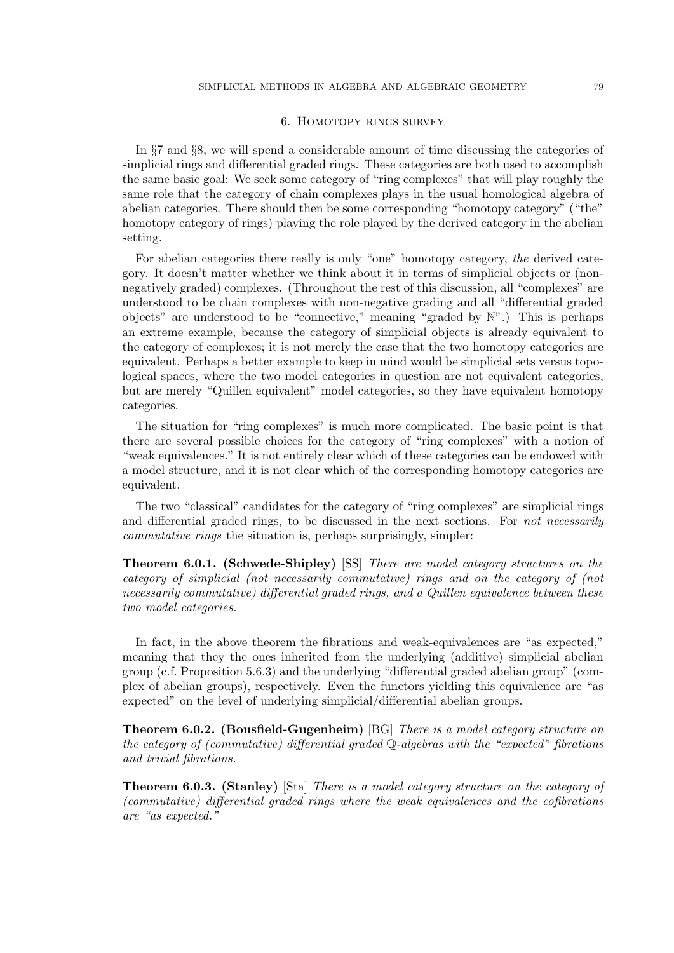### 6. Homotopy rings survey

In §7 and §8, we will spend a considerable amount of time discussing the categories of simplicial rings and differential graded rings. These categories are both used to accomplish the same basic goal: We seek some category of "ring complexes" that will play roughly the same role that the category of chain complexes plays in the usual homological algebra of abelian categories. There should then be some corresponding "homotopy category" ("the" homotopy category of rings) playing the role played by the derived category in the abelian setting.

For abelian categories there really is only "one" homotopy category, the derived category. It doesn't matter whether we think about it in terms of simplicial objects or (nonnegatively graded) complexes. (Throughout the rest of this discussion, all "complexes" are understood to be chain complexes with non-negative grading and all "differential graded objects" are understood to be "connective," meaning "graded by N".) This is perhaps an extreme example, because the category of simplicial objects is already equivalent to the category of complexes; it is not merely the case that the two homotopy categories are equivalent. Perhaps a better example to keep in mind would be simplicial sets versus topological spaces, where the two model categories in question are not equivalent categories, but are merely "Quillen equivalent" model categories, so they have equivalent homotopy categories.

The situation for "ring complexes" is much more complicated. The basic point is that there are several possible choices for the category of "ring complexes" with a notion of "weak equivalences." It is not entirely clear which of these categories can be endowed with a model structure, and it is not clear which of the corresponding homotopy categories are equivalent.

The two "classical" candidates for the category of "ring complexes" are simplicial rings and differential graded rings, to be discussed in the next sections. For not necessarily commutative rings the situation is, perhaps surprisingly, simpler:

Theorem 6.0.1. (Schwede-Shipley) [SS] There are model category structures on the category of simplicial (not necessarily commutative) rings and on the category of (not necessarily commutative) differential graded rings, and a Quillen equivalence between these two model categories.

In fact, in the above theorem the fibrations and weak-equivalences are "as expected," meaning that they the ones inherited from the underlying (additive) simplicial abelian group (c.f. Proposition 5.6.3) and the underlying "differential graded abelian group" (complex of abelian groups), respectively. Even the functors yielding this equivalence are "as expected" on the level of underlying simplicial/differential abelian groups.

Theorem 6.0.2. (Bousfield-Gugenheim) [BG] There is a model category structure on the category of (commutative) differential graded  $\mathbb{Q}$ -algebras with the "expected" fibrations and trivial fibrations.

Theorem 6.0.3. (Stanley) [Sta] There is a model category structure on the category of (commutative) differential graded rings where the weak equivalences and the cofibrations are "as expected."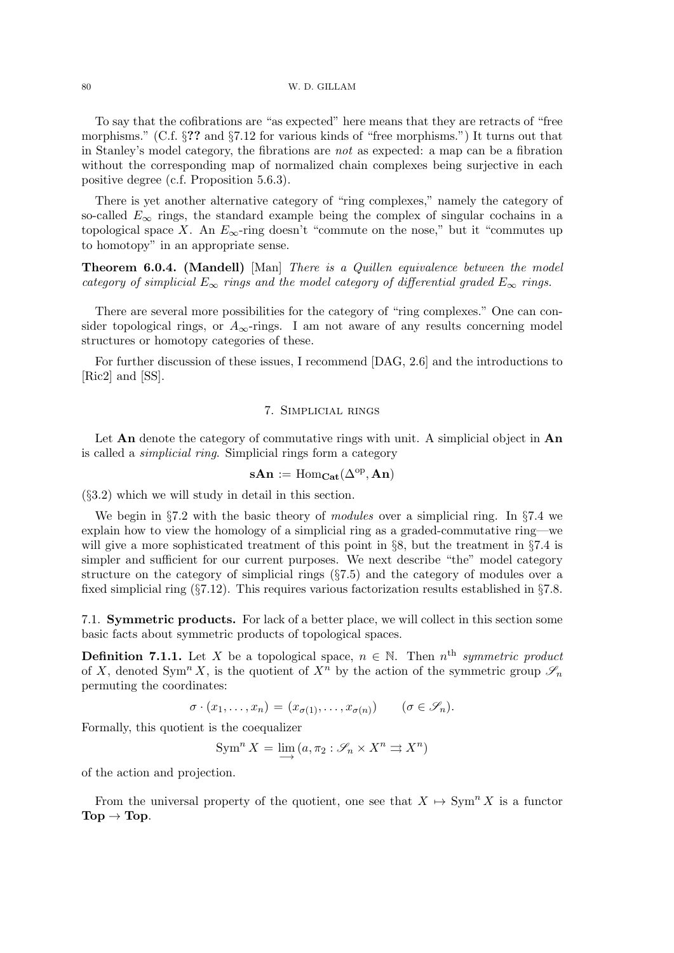To say that the cofibrations are "as expected" here means that they are retracts of "free morphisms." (C.f. §?? and §7.12 for various kinds of "free morphisms.") It turns out that in Stanley's model category, the fibrations are not as expected: a map can be a fibration without the corresponding map of normalized chain complexes being surjective in each positive degree (c.f. Proposition 5.6.3).

There is yet another alternative category of "ring complexes," namely the category of so-called  $E_{\infty}$  rings, the standard example being the complex of singular cochains in a topological space X. An  $E_{\infty}$ -ring doesn't "commute on the nose," but it "commutes up to homotopy" in an appropriate sense.

**Theorem 6.0.4.** (Mandell) [Man] There is a Quillen equivalence between the model category of simplicial  $E_{\infty}$  rings and the model category of differential graded  $E_{\infty}$  rings.

There are several more possibilities for the category of "ring complexes." One can consider topological rings, or  $A_{\infty}$ -rings. I am not aware of any results concerning model structures or homotopy categories of these.

For further discussion of these issues, I recommend [DAG, 2.6] and the introductions to [Ric2] and [SS].

## 7. Simplicial rings

Let An denote the category of commutative rings with unit. A simplicial object in An is called a simplicial ring. Simplicial rings form a category

$$
s\mathbf{An}:=\mathrm{Hom}_{\mathbf{Cat}}(\Delta^{\mathrm{op}},\mathbf{An})
$$

(§3.2) which we will study in detail in this section.

We begin in §7.2 with the basic theory of modules over a simplicial ring. In §7.4 we explain how to view the homology of a simplicial ring as a graded-commutative ring—we will give a more sophisticated treatment of this point in §8, but the treatment in §7.4 is simpler and sufficient for our current purposes. We next describe "the" model category structure on the category of simplicial rings (§7.5) and the category of modules over a fixed simplicial ring (§7.12). This requires various factorization results established in §7.8.

7.1. Symmetric products. For lack of a better place, we will collect in this section some basic facts about symmetric products of topological spaces.

**Definition 7.1.1.** Let X be a topological space,  $n \in \mathbb{N}$ . Then  $n^{\text{th}}$  symmetric product of X, denoted Sym<sup>n</sup> X, is the quotient of  $X^n$  by the action of the symmetric group  $\mathscr{S}_n$ permuting the coordinates:

$$
\sigma \cdot (x_1, \ldots, x_n) = (x_{\sigma(1)}, \ldots, x_{\sigma(n)}) \qquad (\sigma \in \mathscr{S}_n).
$$

Formally, this quotient is the coequalizer

$$
\operatorname{Sym}^n X = \lim_{n \to \infty} (a, \pi_2 : \mathscr{S}_n \times X^n \rightrightarrows X^n)
$$

of the action and projection.

From the universal property of the quotient, one see that  $X \mapsto \text{Sym}^n X$  is a functor  $\text{Top} \rightarrow \text{Top}$ .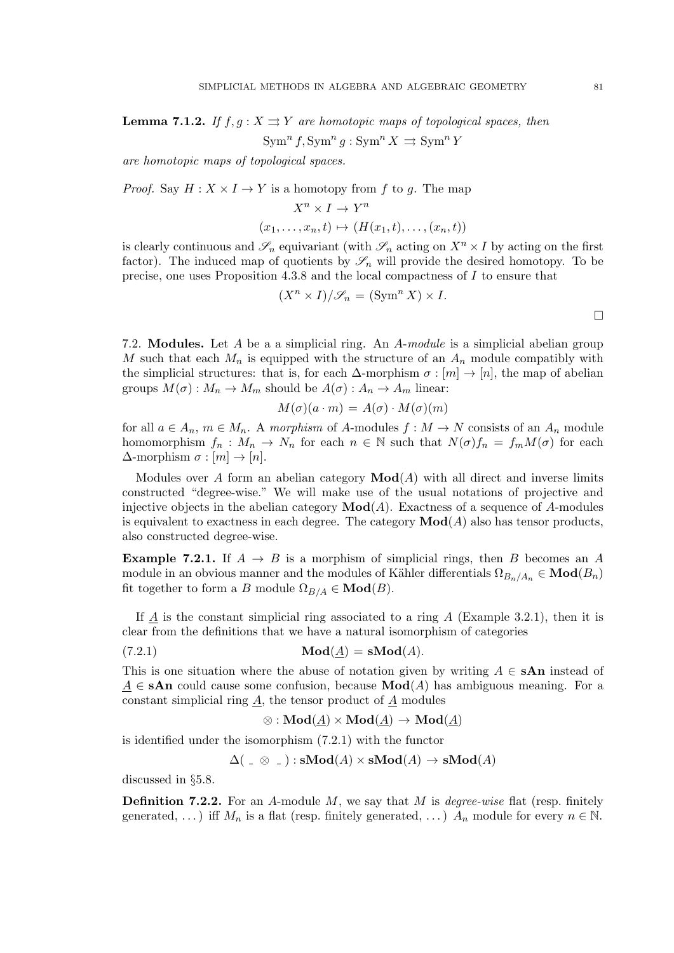**Lemma 7.1.2.** If  $f, g: X \rightrightarrows Y$  are homotopic maps of topological spaces, then  $\operatorname{Sym}^n f, \operatorname{Sym}^n g : \operatorname{Sym}^n X \rightrightarrows \operatorname{Sym}^n Y$ 

are homotopic maps of topological spaces.

*Proof.* Say  $H: X \times I \rightarrow Y$  is a homotopy from f to g. The map

$$
X^n \times I \to Y^n
$$
  

$$
(x_1, \ldots, x_n, t) \mapsto (H(x_1, t), \ldots, (x_n, t))
$$

is clearly continuous and  $\mathscr{S}_n$  equivariant (with  $\mathscr{S}_n$  acting on  $X^n \times I$  by acting on the first factor). The induced map of quotients by  $\mathscr{S}_n$  will provide the desired homotopy. To be precise, one uses Proposition 4.3.8 and the local compactness of I to ensure that

$$
(X^n \times I)/\mathscr{S}_n = (\text{Sym}^n X) \times I.
$$

7.2. Modules. Let A be a a simplicial ring. An A-module is a simplicial abelian group M such that each  $M_n$  is equipped with the structure of an  $A_n$  module compatibly with the simplicial structures: that is, for each  $\Delta$ -morphism  $\sigma : [m] \to [n]$ , the map of abelian groups  $M(\sigma) : M_n \to M_m$  should be  $A(\sigma) : A_n \to A_m$  linear:

$$
M(\sigma)(a \cdot m) = A(\sigma) \cdot M(\sigma)(m)
$$

for all  $a \in A_n$ ,  $m \in M_n$ . A morphism of A-modules  $f : M \to N$  consists of an  $A_n$  module homomorphism  $f_n: M_n \to N_n$  for each  $n \in \mathbb{N}$  such that  $N(\sigma) f_n = f_m M(\sigma)$  for each  $\Delta$ -morphism  $\sigma : [m] \to [n]$ .

Modules over A form an abelian category  $\mathbf{Mod}(A)$  with all direct and inverse limits constructed "degree-wise." We will make use of the usual notations of projective and injective objects in the abelian category  $\mathbf{Mod}(A)$ . Exactness of a sequence of A-modules is equivalent to exactness in each degree. The category  $\mathbf{Mod}(A)$  also has tensor products, also constructed degree-wise.

**Example 7.2.1.** If  $A \rightarrow B$  is a morphism of simplicial rings, then B becomes an A module in an obvious manner and the modules of Kähler differentials  $\Omega_{B_n/A_n} \in \mathbf{Mod}(B_n)$ fit together to form a B module  $\Omega_{B/A} \in \mathbf{Mod}(B)$ .

If  $\underline{A}$  is the constant simplicial ring associated to a ring A (Example 3.2.1), then it is clear from the definitions that we have a natural isomorphism of categories

(7.2.1) Mod(A) = sMod(A).

This is one situation where the abuse of notation given by writing  $A \in \mathbf{SAn}$  instead of  $A \in$  sAn could cause some confusion, because  $\mathbf{Mod}(A)$  has ambiguous meaning. For a constant simplicial ring A, the tensor product of A modules

$$
\otimes: \mathbf{Mod}(\underline{A}) \times \mathbf{Mod}(\underline{A}) \to \mathbf{Mod}(\underline{A})
$$

is identified under the isomorphism (7.2.1) with the functor

$$
\Delta(\underline{\hspace{1cm}}\otimes\underline{\hspace{1cm}}): \mathbf{sMod}(A) \times \mathbf{sMod}(A) \rightarrow \mathbf{sMod}(A)
$$

discussed in §5.8.

**Definition 7.2.2.** For an A-module  $M$ , we say that  $M$  is *degree-wise* flat (resp. finitely generated, ...) iff  $M_n$  is a flat (resp. finitely generated, ...)  $A_n$  module for every  $n \in \mathbb{N}$ .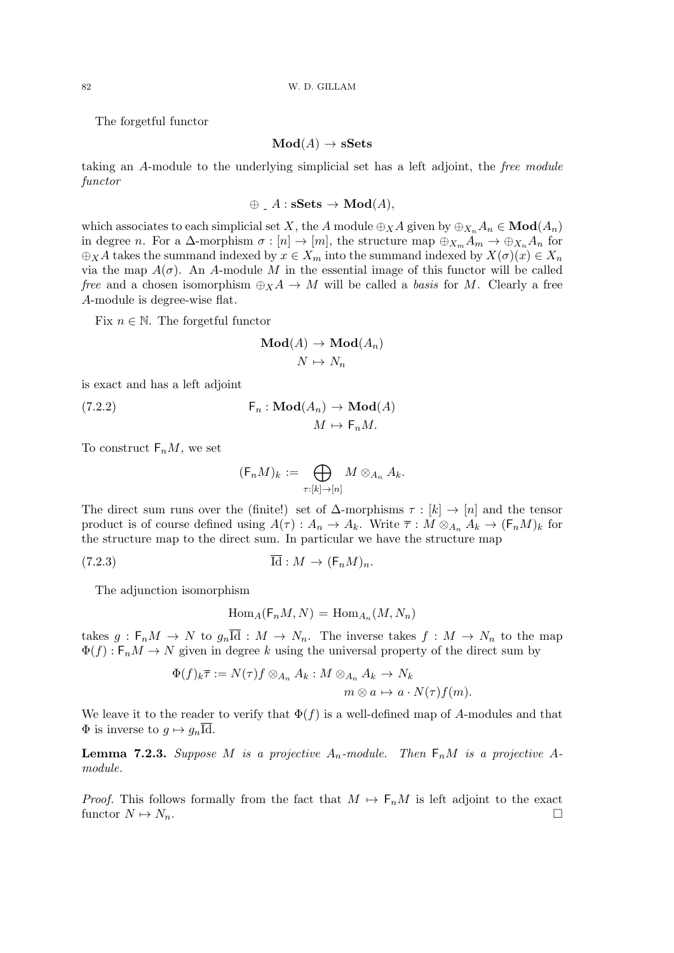The forgetful functor

$$
\mathbf{Mod}(A) \to \mathbf{sSets}
$$

taking an A-module to the underlying simplicial set has a left adjoint, the free module functor

$$
\oplus A : \mathbf{sSets} \to \mathbf{Mod}(A),
$$

which associates to each simplicial set X, the A module  $\oplus_X A$  given by  $\oplus_{X_n} A_n \in \textbf{Mod}(A_n)$ in degree *n*. For a  $\Delta$ -morphism  $\sigma : [n] \to [m]$ , the structure map  $\oplus_{X_m} A_m \to \oplus_{X_n} A_n$  for  $\oplus_X A$  takes the summand indexed by  $x \in X_m$  into the summand indexed by  $X(\sigma)(x) \in X_n$ via the map  $A(\sigma)$ . An A-module M in the essential image of this functor will be called free and a chosen isomorphism  $\bigoplus_{X} A \to M$  will be called a basis for M. Clearly a free A-module is degree-wise flat.

Fix  $n \in \mathbb{N}$ . The forgetful functor

$$
\mathbf{Mod}(A) \to \mathbf{Mod}(A_n)
$$

$$
N \mapsto N_n
$$

is exact and has a left adjoint

(7.2.2) 
$$
\mathsf{F}_n : \mathbf{Mod}(A_n) \to \mathbf{Mod}(A) \longrightarrow M \mathbf{od}(A)
$$

$$
M \mapsto \mathsf{F}_n M.
$$

To construct  $F_nM$ , we set

$$
(\mathsf{F}_n M)_k := \bigoplus_{\tau : [k] \to [n]} M \otimes_{A_n} A_k.
$$

The direct sum runs over the (finite!) set of  $\Delta$ -morphisms  $\tau : [k] \to [n]$  and the tensor product is of course defined using  $A(\tau) : A_n \to A_k$ . Write  $\overline{\tau} : M \otimes_{A_n} A_k \to (\mathsf{F}_n M)_k$  for the structure map to the direct sum. In particular we have the structure map

$$
(7.2.3) \t\t\t \overline{\mathrm{Id}} : M \to (\mathsf{F}_n M)_n.
$$

The adjunction isomorphism

$$
\operatorname{Hom}_A(\mathsf{F}_n M, N) = \operatorname{Hom}_{A_n}(M, N_n)
$$

takes  $g : F_n M \to N$  to  $g_n \overline{\text{Id}} : M \to N_n$ . The inverse takes  $f : M \to N_n$  to the map  $\Phi(f)$ :  $F_n M \to N$  given in degree k using the universal property of the direct sum by

$$
\Phi(f)_k \overline{\tau} := N(\tau) f \otimes_{A_n} A_k : M \otimes_{A_n} A_k \to N_k
$$
  

$$
m \otimes a \mapsto a \cdot N(\tau) f(m).
$$

We leave it to the reader to verify that  $\Phi(f)$  is a well-defined map of A-modules and that  $\Phi$  is inverse to  $g \mapsto g_n \overline{\text{Id}}$ .

**Lemma 7.2.3.** Suppose M is a projective  $A_n$ -module. Then  $F_nM$  is a projective Amodule.

*Proof.* This follows formally from the fact that  $M \mapsto F_nM$  is left adjoint to the exact functor  $N \mapsto N_n$ .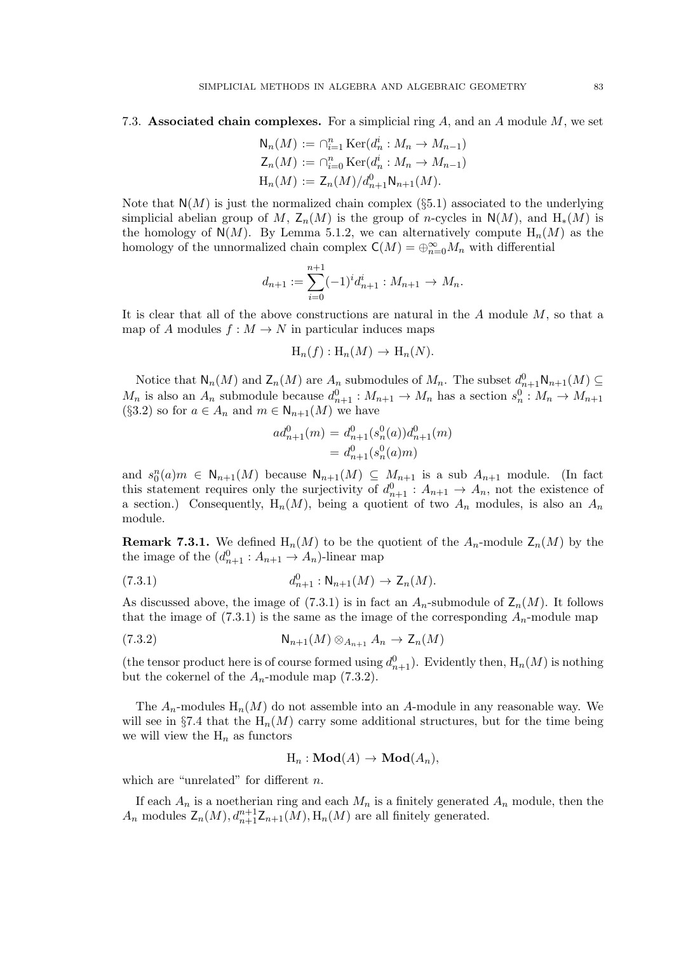7.3. Associated chain complexes. For a simplicial ring  $A$ , and an  $A$  module  $M$ , we set

$$
N_n(M) := \bigcap_{i=1}^n \text{Ker}(d_n^i : M_n \to M_{n-1})
$$
  
\n
$$
Z_n(M) := \bigcap_{i=0}^n \text{Ker}(d_n^i : M_n \to M_{n-1})
$$
  
\n
$$
H_n(M) := Z_n(M)/d_{n+1}^0 N_{n+1}(M).
$$

Note that  $N(M)$  is just the normalized chain complex (§5.1) associated to the underlying simplicial abelian group of M,  $Z_n(M)$  is the group of n-cycles in  $N(M)$ , and  $H_*(M)$  is the homology of  $N(M)$ . By Lemma 5.1.2, we can alternatively compute  $H_n(M)$  as the homology of the unnormalized chain complex  $\mathsf{C}(M) = \bigoplus_{n=0}^{\infty} M_n$  with differential

$$
d_{n+1} := \sum_{i=0}^{n+1} (-1)^i d_{n+1}^i : M_{n+1} \to M_n.
$$

It is clear that all of the above constructions are natural in the  $A$  module  $M$ , so that a map of A modules  $f : M \to N$  in particular induces maps

$$
H_n(f): H_n(M) \to H_n(N).
$$

Notice that  $\mathsf{N}_n(M)$  and  $\mathsf{Z}_n(M)$  are  $A_n$  submodules of  $M_n$ . The subset  $d_{n+1}^0 \mathsf{N}_{n+1}(M) \subseteq$  $M_n$  is also an  $A_n$  submodule because  $d_{n+1}^0 : M_{n+1} \to M_n$  has a section  $s_n^0 : M_n \to M_{n+1}$ (§3.2) so for  $a \in A_n$  and  $m \in N_{n+1}(M)$  we have

$$
ad_{n+1}^{0}(m) = d_{n+1}^{0}(s_{n}^{0}(a))d_{n+1}^{0}(m)
$$
  
=  $d_{n+1}^{0}(s_{n}^{0}(a)m)$ 

and  $s_0^n(a)m \in N_{n+1}(M)$  because  $N_{n+1}(M) \subseteq M_{n+1}$  is a sub  $A_{n+1}$  module. (In fact this statement requires only the surjectivity of  $d_{n+1}^0 : A_{n+1} \to A_n$ , not the existence of a section.) Consequently,  $H_n(M)$ , being a quotient of two  $A_n$  modules, is also an  $A_n$ module.

**Remark 7.3.1.** We defined  $H_n(M)$  to be the quotient of the  $A_n$ -module  $Z_n(M)$  by the the image of the  $(d_{n+1}^0 : A_{n+1} \to A_n)$ -linear map

(7.3.1) 
$$
d_{n+1}^{0}: \mathsf{N}_{n+1}(M) \to \mathsf{Z}_{n}(M).
$$

As discussed above, the image of (7.3.1) is in fact an  $A_n$ -submodule of  $\mathsf{Z}_n(M)$ . It follows that the image of  $(7.3.1)$  is the same as the image of the corresponding  $A_n$ -module map

$$
(7.3.2) \t\t\t \mathsf{N}_{n+1}(M) \otimes_{A_{n+1}} A_n \to \mathsf{Z}_n(M)
$$

(the tensor product here is of course formed using  $d_{n+1}^0$ ). Evidently then,  $H_n(M)$  is nothing but the cokernel of the  $A_n$ -module map (7.3.2).

The  $A_n$ -modules  $H_n(M)$  do not assemble into an A-module in any reasonable way. We will see in §7.4 that the  $H_n(M)$  carry some additional structures, but for the time being we will view the  $H_n$  as functors

$$
H_n: \mathbf{Mod}(A) \to \mathbf{Mod}(A_n),
$$

which are "unrelated" for different  $n$ .

If each  $A_n$  is a noetherian ring and each  $M_n$  is a finitely generated  $A_n$  module, then the  $A_n$  modules  $\mathsf{Z}_n(M), d_{n+1}^{n+1}\mathsf{Z}_{n+1}(M), \mathsf{H}_n(M)$  are all finitely generated.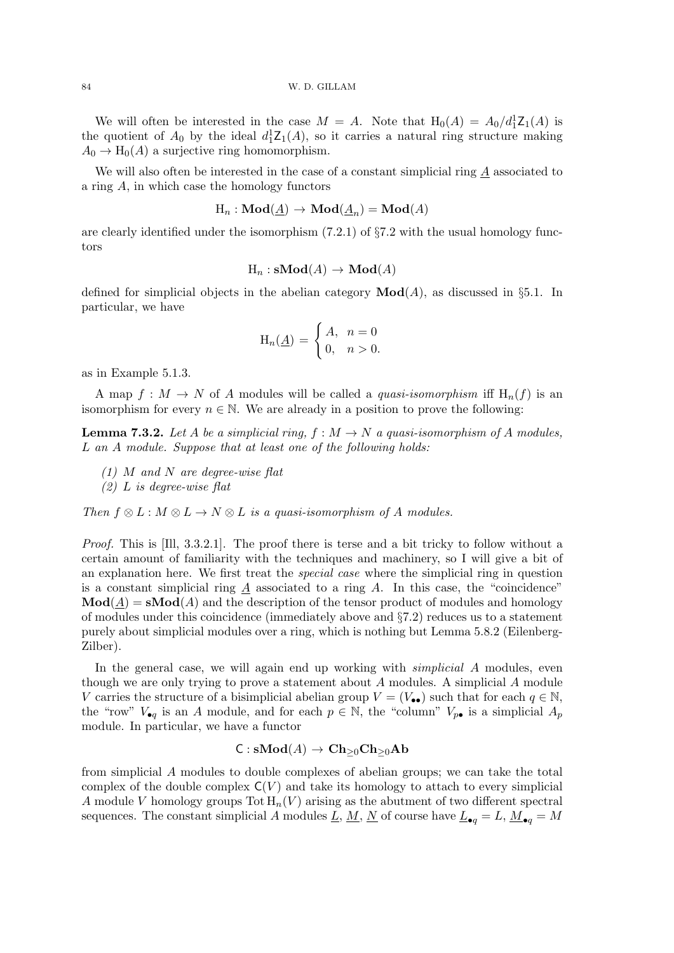We will often be interested in the case  $M = A$ . Note that  $H_0(A) = A_0/d_1^1 Z_1(A)$  is the quotient of  $A_0$  by the ideal  $d_1^1 \mathcal{Z}_1(A)$ , so it carries a natural ring structure making  $A_0 \to H_0(A)$  a surjective ring homomorphism.

We will also often be interested in the case of a constant simplicial ring  $A$  associated to a ring A, in which case the homology functors

$$
\text{H}_n:\mathbf{Mod}(\underline{A})\to \mathbf{Mod}(\underline{A}_n)=\mathbf{Mod}(A)
$$

are clearly identified under the isomorphism  $(7.2.1)$  of  $\S7.2$  with the usual homology functors

$$
H_n : s\mathbf{Mod}(A) \to \mathbf{Mod}(A)
$$

defined for simplicial objects in the abelian category  $\text{Mod}(A)$ , as discussed in §5.1. In particular, we have

$$
H_n(\underline{A}) = \begin{cases} A, & n = 0 \\ 0, & n > 0. \end{cases}
$$

as in Example 5.1.3.

A map  $f: M \to N$  of A modules will be called a *quasi-isomorphism* iff  $H_n(f)$  is an isomorphism for every  $n \in \mathbb{N}$ . We are already in a position to prove the following:

**Lemma 7.3.2.** Let A be a simplicial ring,  $f : M \to N$  a quasi-isomorphism of A modules, L an A module. Suppose that at least one of the following holds:

- $(1)$  M and N are degree-wise flat
- $(2)$  L is degree-wise flat

Then  $f \otimes L : M \otimes L \to N \otimes L$  is a quasi-isomorphism of A modules.

Proof. This is [Ill, 3.3.2.1]. The proof there is terse and a bit tricky to follow without a certain amount of familiarity with the techniques and machinery, so I will give a bit of an explanation here. We first treat the special case where the simplicial ring in question is a constant simplicial ring  $\tilde{A}$  associated to a ring  $\tilde{A}$ . In this case, the "coincidence"  $\textbf{Mod}(A) = \textbf{sMod}(A)$  and the description of the tensor product of modules and homology of modules under this coincidence (immediately above and §7.2) reduces us to a statement purely about simplicial modules over a ring, which is nothing but Lemma 5.8.2 (Eilenberg-Zilber).

In the general case, we will again end up working with *simplicial A* modules, even though we are only trying to prove a statement about A modules. A simplicial A module V carries the structure of a bisimplicial abelian group  $V = (V_{\bullet \bullet})$  such that for each  $q \in \mathbb{N}$ , the "row"  $V_{\bullet q}$  is an A module, and for each  $p \in \mathbb{N}$ , the "column"  $V_{p\bullet}$  is a simplicial  $A_p$ module. In particular, we have a functor

$$
\mathsf{C} : \mathbf{sMod}(A) \to \mathbf{Ch}_{\geq 0}\mathbf{Ch}_{\geq 0}\mathbf{Ab}
$$

from simplicial A modules to double complexes of abelian groups; we can take the total complex of the double complex  $C(V)$  and take its homology to attach to every simplicial A module V homology groups  $\text{Tot } H_n(V)$  arising as the abutment of two different spectral sequences. The constant simplicial A modules <u>L, M, N</u> of course have  $L_{\bullet q} = L$ ,  $M_{\bullet q} = M$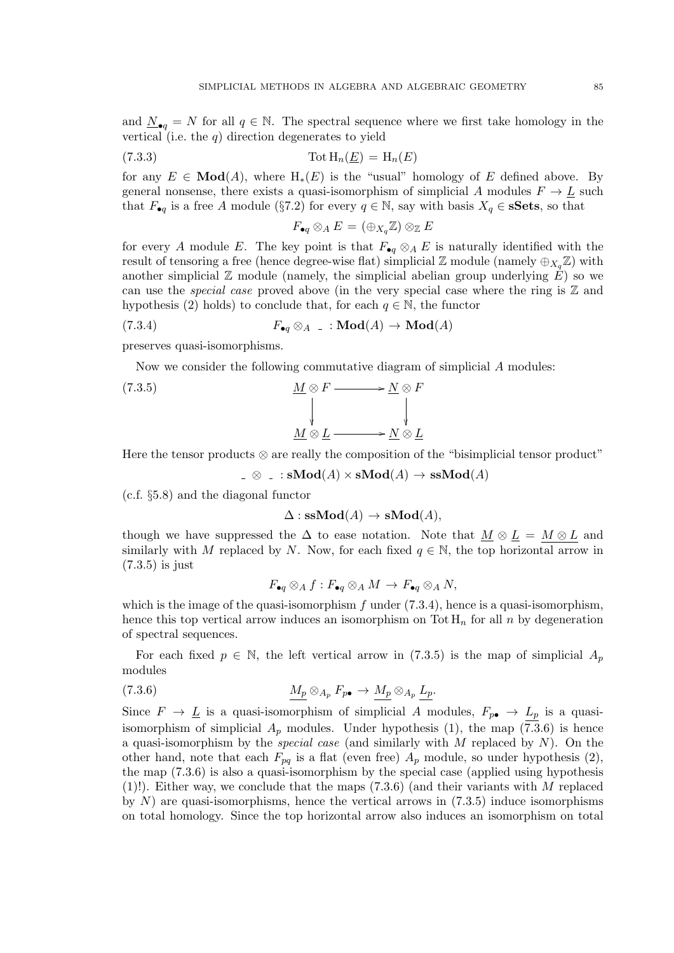and  $N_{\bullet q} = N$  for all  $q \in \mathbb{N}$ . The spectral sequence where we first take homology in the vertical (i.e. the  $q$ ) direction degenerates to yield

(7.3.3) 
$$
\text{Tot } H_n(\underline{E}) = H_n(E)
$$

for any  $E \in \mathbf{Mod}(A)$ , where  $H_*(E)$  is the "usual" homology of E defined above. By general nonsense, there exists a quasi-isomorphism of simplicial A modules  $F \to \underline{L}$  such that  $F_{\bullet q}$  is a free A module (§7.2) for every  $q \in \mathbb{N}$ , say with basis  $X_q \in \mathbf{sSets}$ , so that

$$
F_{\bullet q}\otimes_A E=(\oplus_{X_q}\mathbb{Z})\otimes_{\mathbb{Z}} E
$$

for every A module E. The key point is that  $F_{\bullet q} \otimes_A E$  is naturally identified with the result of tensoring a free (hence degree-wise flat) simplicial  $\mathbb{Z}$  module (namely  $\oplus_{X_{\alpha}}\mathbb{Z}$ ) with another simplicial  $\mathbb Z$  module (namely, the simplicial abelian group underlying  $E$ ) so we can use the *special case* proved above (in the very special case where the ring is  $\mathbb{Z}$  and hypothesis (2) holds) to conclude that, for each  $q \in \mathbb{N}$ , the functor

$$
(7.3.4) \tF_{\bullet q} \otimes_A \t: \mathbf{Mod}(A) \to \mathbf{Mod}(A)
$$

preserves quasi-isomorphisms.

Now we consider the following commutative diagram of simplicial A modules:

(7.3.5) 
$$
\begin{array}{c}\n\underline{M} \otimes F \longrightarrow \underline{N} \otimes F \\
\downarrow \\
\underline{M} \otimes \underline{L} \longrightarrow \underline{N} \otimes \underline{L}\n\end{array}
$$

Here the tensor products  $\otimes$  are really the composition of the "bisimplicial tensor product"

 $\Box \otimes \Box : \mathbf{sMod}(A) \times \mathbf{sMod}(A) \to \mathbf{sMod}(A)$ 

(c.f. §5.8) and the diagonal functor

 $\Delta$  : ssMod(A)  $\rightarrow$  sMod(A),

though we have suppressed the  $\Delta$  to ease notation. Note that  $\underline{M} \otimes \underline{L} = M \otimes L$  and similarly with M replaced by N. Now, for each fixed  $q \in \mathbb{N}$ , the top horizontal arrow in (7.3.5) is just

$$
F_{\bullet q}\otimes_A f:F_{\bullet q}\otimes_A M\to F_{\bullet q}\otimes_A N,
$$

which is the image of the quasi-isomorphism  $f$  under  $(7.3.4)$ , hence is a quasi-isomorphism, hence this top vertical arrow induces an isomorphism on Tot  $H_n$  for all n by degeneration of spectral sequences.

For each fixed  $p \in \mathbb{N}$ , the left vertical arrow in (7.3.5) is the map of simplicial  $A_p$ modules

$$
(7.3.6) \t\t M_p \otimes_{A_p} F_{p\bullet} \to M_p \otimes_{A_p} L_p.
$$

Since  $F \to \underline{L}$  is a quasi-isomorphism of simplicial A modules,  $F_{p\bullet} \to L_p$  is a quasiisomorphism of simplicial  $A_p$  modules. Under hypothesis (1), the map (7.3.6) is hence a quasi-isomorphism by the *special case* (and similarly with  $M$  replaced by  $N$ ). On the other hand, note that each  $F_{pq}$  is a flat (even free)  $A_p$  module, so under hypothesis (2), the map (7.3.6) is also a quasi-isomorphism by the special case (applied using hypothesis (1)!). Either way, we conclude that the maps  $(7.3.6)$  (and their variants with M replaced by  $N$ ) are quasi-isomorphisms, hence the vertical arrows in  $(7.3.5)$  induce isomorphisms on total homology. Since the top horizontal arrow also induces an isomorphism on total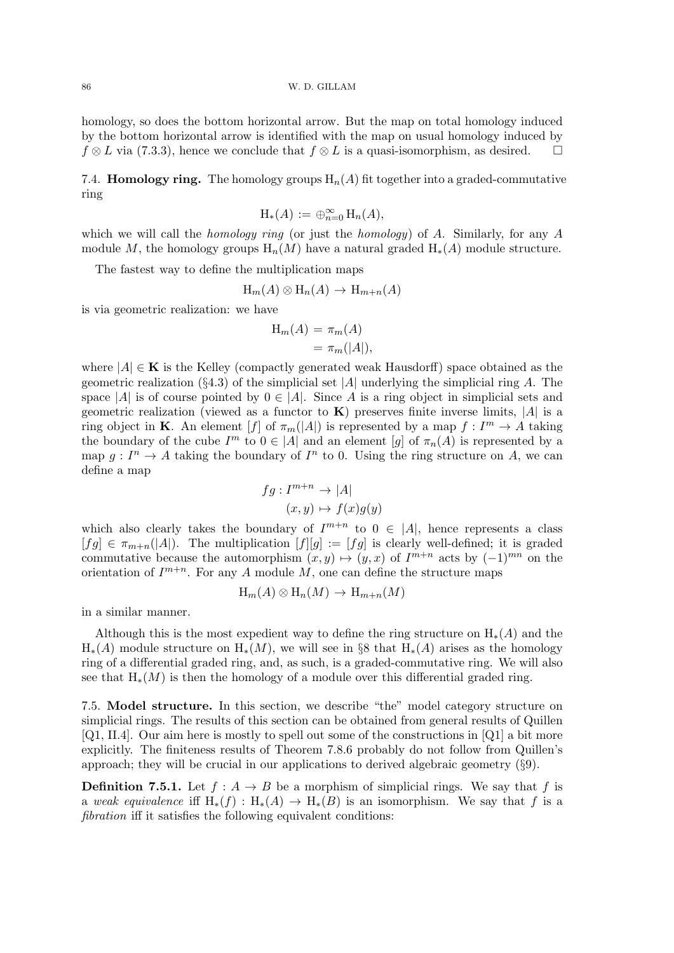86 W. D. GILLAM

homology, so does the bottom horizontal arrow. But the map on total homology induced by the bottom horizontal arrow is identified with the map on usual homology induced by  $f \otimes L$  via (7.3.3), hence we conclude that  $f \otimes L$  is a quasi-isomorphism, as desired.  $\Box$ 

7.4. **Homology ring.** The homology groups  $H_n(A)$  fit together into a graded-commutative ring

$$
\mathrm{H}_*(A) := \oplus_{n=0}^\infty \mathrm{H}_n(A),
$$

which we will call the *homology ring* (or just the *homology*) of A. Similarly, for any A module M, the homology groups  $H_n(M)$  have a natural graded  $H_*(A)$  module structure.

The fastest way to define the multiplication maps

$$
H_m(A) \otimes H_n(A) \to H_{m+n}(A)
$$

is via geometric realization: we have

$$
H_m(A) = \pi_m(A)
$$
  
=  $\pi_m(|A|),$ 

where  $|A| \in \mathbf{K}$  is the Kelley (compactly generated weak Hausdorff) space obtained as the geometric realization (§4.3) of the simplicial set |A| underlying the simplicial ring A. The space |A| is of course pointed by  $0 \in |A|$ . Since A is a ring object in simplicial sets and geometric realization (viewed as a functor to  $\bf{K}$ ) preserves finite inverse limits, |A| is a ring object in **K**. An element [f] of  $\pi_m(|A|)$  is represented by a map  $f: I^m \to A$  taking the boundary of the cube  $I^m$  to  $0 \in |A|$  and an element  $[g]$  of  $\pi_n(A)$  is represented by a map  $g: I^n \to A$  taking the boundary of  $I^n$  to 0. Using the ring structure on A, we can define a map

$$
fg: I^{m+n} \to |A|
$$

$$
(x, y) \mapsto f(x)g(y)
$$

which also clearly takes the boundary of  $I^{m+n}$  to  $0 \in |A|$ , hence represents a class  $[fg] \in \pi_{m+n}([A]).$  The multiplication  $[f][g] := [fg]$  is clearly well-defined; it is graded commutative because the automorphism  $(x, y) \mapsto (y, x)$  of  $I^{m+n}$  acts by  $(-1)^{mn}$  on the orientation of  $I^{m+n}$ . For any A module M, one can define the structure maps

$$
H_m(A) \otimes H_n(M) \to H_{m+n}(M)
$$

in a similar manner.

Although this is the most expedient way to define the ring structure on  $H_*(A)$  and the  $H_*(A)$  module structure on  $H_*(M)$ , we will see in §8 that  $H_*(A)$  arises as the homology ring of a differential graded ring, and, as such, is a graded-commutative ring. We will also see that  $H_*(M)$  is then the homology of a module over this differential graded ring.

7.5. Model structure. In this section, we describe "the" model category structure on simplicial rings. The results of this section can be obtained from general results of Quillen [Q1, II.4]. Our aim here is mostly to spell out some of the constructions in [Q1] a bit more explicitly. The finiteness results of Theorem 7.8.6 probably do not follow from Quillen's approach; they will be crucial in our applications to derived algebraic geometry (§9).

**Definition 7.5.1.** Let  $f : A \rightarrow B$  be a morphism of simplicial rings. We say that f is a weak equivalence iff  $H_*(f) : H_*(A) \to H_*(B)$  is an isomorphism. We say that f is a fibration iff it satisfies the following equivalent conditions: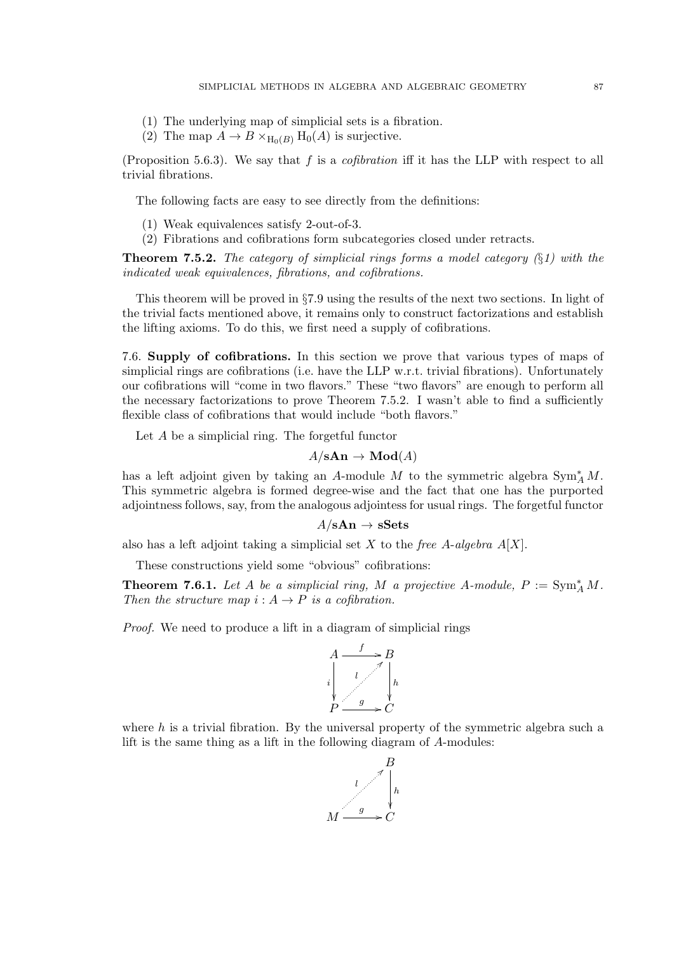- (1) The underlying map of simplicial sets is a fibration.
- (2) The map  $A \to B \times_{H_0(B)} H_0(A)$  is surjective.

(Proposition 5.6.3). We say that  $f$  is a *cofibration* iff it has the LLP with respect to all trivial fibrations.

The following facts are easy to see directly from the definitions:

- (1) Weak equivalences satisfy 2-out-of-3.
- (2) Fibrations and cofibrations form subcategories closed under retracts.

**Theorem 7.5.2.** The category of simplicial rings forms a model category  $(\S1)$  with the indicated weak equivalences, fibrations, and cofibrations.

This theorem will be proved in §7.9 using the results of the next two sections. In light of the trivial facts mentioned above, it remains only to construct factorizations and establish the lifting axioms. To do this, we first need a supply of cofibrations.

7.6. Supply of cofibrations. In this section we prove that various types of maps of simplicial rings are cofibrations (i.e. have the LLP w.r.t. trivial fibrations). Unfortunately our cofibrations will "come in two flavors." These "two flavors" are enough to perform all the necessary factorizations to prove Theorem 7.5.2. I wasn't able to find a sufficiently flexible class of cofibrations that would include "both flavors."

Let A be a simplicial ring. The forgetful functor

## $A/\mathbf{sAn} \to \mathbf{Mod}(A)$

has a left adjoint given by taking an A-module M to the symmetric algebra  $\text{Sym}_{A}^{*} M$ . This symmetric algebra is formed degree-wise and the fact that one has the purported adjointness follows, say, from the analogous adjointess for usual rings. The forgetful functor

#### $A/\mathbf{sAn} \to \mathbf{sSets}$

also has a left adjoint taking a simplicial set X to the free A-algebra  $A[X]$ .

These constructions yield some "obvious" cofibrations:

**Theorem 7.6.1.** Let A be a simplicial ring, M a projective A-module,  $P := \text{Sym}_{A}^{*} M$ . Then the structure map  $i : A \rightarrow P$  is a cofibration.

Proof. We need to produce a lift in a diagram of simplicial rings



where  $h$  is a trivial fibration. By the universal property of the symmetric algebra such a lift is the same thing as a lift in the following diagram of A-modules:

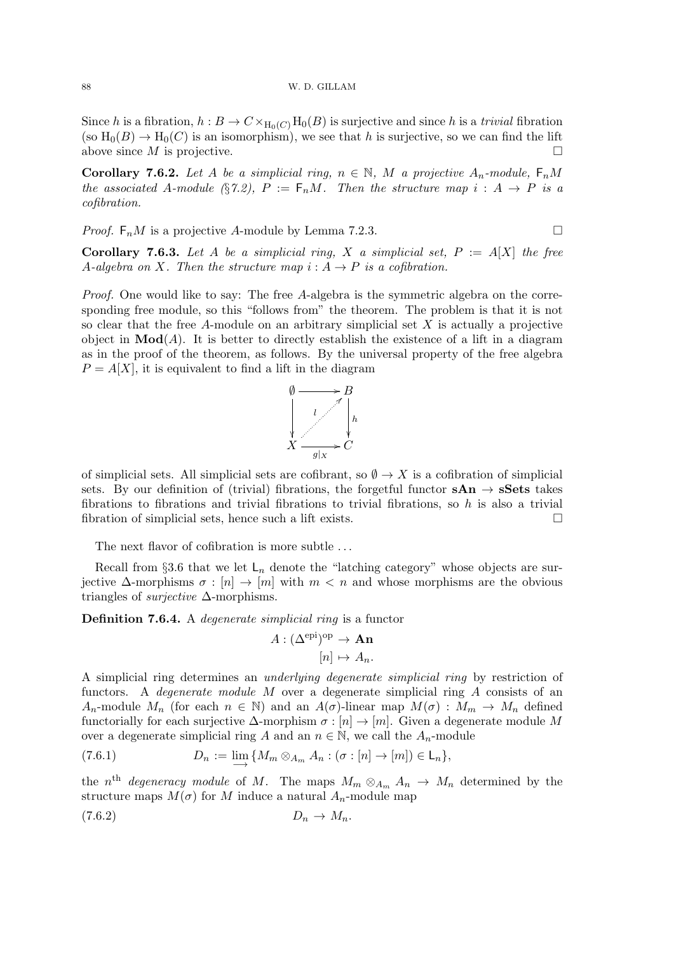Since h is a fibration,  $h : B \to C \times_{H_0(C)} H_0(B)$  is surjective and since h is a trivial fibration (so  $H_0(B) \to H_0(C)$  is an isomorphism), we see that h is surjective, so we can find the lift above since  $M$  is projective.

Corollary 7.6.2. Let A be a simplicial ring,  $n \in \mathbb{N}$ , M a projective  $A_n$ -module,  $F_nM$ the associated A-module (§7.2),  $P := F_n M$ . Then the structure map  $i : A \rightarrow P$  is a cofibration.

*Proof.*  $F_n M$  is a projective A-module by Lemma 7.2.3.

Corollary 7.6.3. Let A be a simplicial ring, X a simplicial set,  $P := A[X]$  the free A-algebra on X. Then the structure map  $i : A \rightarrow P$  is a cofibration.

Proof. One would like to say: The free A-algebra is the symmetric algebra on the corresponding free module, so this "follows from" the theorem. The problem is that it is not so clear that the free A-module on an arbitrary simplicial set  $X$  is actually a projective object in  $\text{Mod}(A)$ . It is better to directly establish the existence of a lift in a diagram as in the proof of the theorem, as follows. By the universal property of the free algebra  $P = A[X]$ , it is equivalent to find a lift in the diagram



of simplicial sets. All simplicial sets are cofibrant, so  $\emptyset \to X$  is a cofibration of simplicial sets. By our definition of (trivial) fibrations, the forgetful functor  $sAn \rightarrow sSets$  takes fibrations to fibrations and trivial fibrations to trivial fibrations, so  $h$  is also a trivial fibration of simplicial sets, hence such a lift exists.

The next flavor of cofibration is more subtle . . .

Recall from §3.6 that we let  $\mathsf{L}_n$  denote the "latching category" whose objects are surjective  $\Delta$ -morphisms  $\sigma : [n] \to [m]$  with  $m < n$  and whose morphisms are the obvious triangles of *surjective*  $\Delta$ -morphisms.

Definition 7.6.4. A degenerate simplicial ring is a functor

$$
A : (\Delta^{\mathrm{epi}})^{\mathrm{op}} \to \mathbf{An} \tag{n} \to A_n.
$$

A simplicial ring determines an underlying degenerate simplicial ring by restriction of functors. A degenerate module M over a degenerate simplicial ring A consists of an A<sub>n</sub>-module  $M_n$  (for each  $n \in \mathbb{N}$ ) and an  $A(\sigma)$ -linear map  $M(\sigma) : M_m \to M_n$  defined functorially for each surjective  $\Delta$ -morphism  $\sigma : [n] \to [m]$ . Given a degenerate module M over a degenerate simplicial ring A and an  $n \in \mathbb{N}$ , we call the  $A_n$ -module

(7.6.1) 
$$
D_n := \lim_{n \to \infty} \{ M_m \otimes_{A_m} A_n : (\sigma : [n] \to [m]) \in \mathsf{L}_n \},
$$

the n<sup>th</sup> degeneracy module of M. The maps  $M_m \otimes_{A_m} A_n \to M_n$  determined by the structure maps  $M(\sigma)$  for M induce a natural  $A_n$ -module map

$$
(7.6.2) \t\t D_n \to M_n.
$$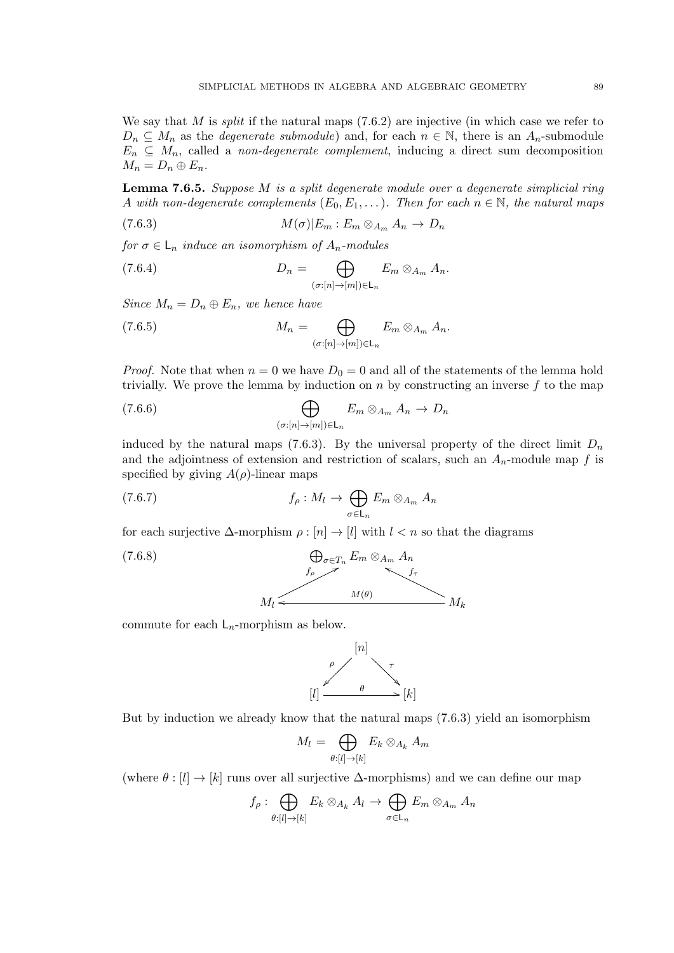We say that M is *split* if the natural maps  $(7.6.2)$  are injective (in which case we refer to  $D_n \subseteq M_n$  as the *degenerate submodule*) and, for each  $n \in \mathbb{N}$ , there is an  $A_n$ -submodule  $E_n \subseteq M_n$ , called a non-degenerate complement, inducing a direct sum decomposition  $M_n = D_n \oplus E_n.$ 

**Lemma 7.6.5.** Suppose  $M$  is a split degenerate module over a degenerate simplicial ring A with non-degenerate complements  $(E_0, E_1, \ldots)$ . Then for each  $n \in \mathbb{N}$ , the natural maps

$$
(7.6.3) \t\t M(\sigma)|E_m: E_m \otimes_{A_m} A_n \to D_n
$$

for  $\sigma \in \mathsf{L}_n$  induce an isomorphism of  $A_n$ -modules

(7.6.4) 
$$
D_n = \bigoplus_{(\sigma:[n] \to [m]) \in \mathsf{L}_n} E_m \otimes_{A_m} A_n.
$$

Since  $M_n = D_n \oplus E_n$ , we hence have

(7.6.5) 
$$
M_n = \bigoplus_{(\sigma:[n] \to [m]) \in \mathsf{L}_n} E_m \otimes_{A_m} A_n.
$$

*Proof.* Note that when  $n = 0$  we have  $D_0 = 0$  and all of the statements of the lemma hold trivially. We prove the lemma by induction on  $n$  by constructing an inverse  $f$  to the map

(7.6.6) 
$$
\bigoplus_{(\sigma:[n]\to[m])\in\mathsf{L}_n}E_m\otimes_{A_m}A_n\to D_n
$$

induced by the natural maps (7.6.3). By the universal property of the direct limit  $D_n$ and the adjointness of extension and restriction of scalars, such an  $A_n$ -module map f is specified by giving  $A(\rho)$ -linear maps

(7.6.7) 
$$
f_{\rho}: M_{l} \to \bigoplus_{\sigma \in \mathsf{L}_{n}} E_{m} \otimes_{A_{m}} A_{n}
$$

for each surjective  $\Delta$ -morphism  $\rho : [n] \to [l]$  with  $l < n$  so that the diagrams

(7.6.8) 
$$
\bigoplus_{\sigma \in T_n} E_m \otimes_{A_m} A_n
$$

$$
M_l \longleftarrow M(\theta) M_k
$$

commute for each  $L_n$ -morphism as below.



But by induction we already know that the natural maps (7.6.3) yield an isomorphism

$$
M_l = \bigoplus_{\theta:[l] \to [k]} E_k \otimes_{A_k} A_m
$$

(where  $\theta : [l] \to [k]$  runs over all surjective  $\Delta$ -morphisms) and we can define our map

$$
f_{\rho} : \bigoplus_{\theta:[l] \to [k]} E_k \otimes_{A_k} A_l \to \bigoplus_{\sigma \in \mathsf{L}_n} E_m \otimes_{A_m} A_n
$$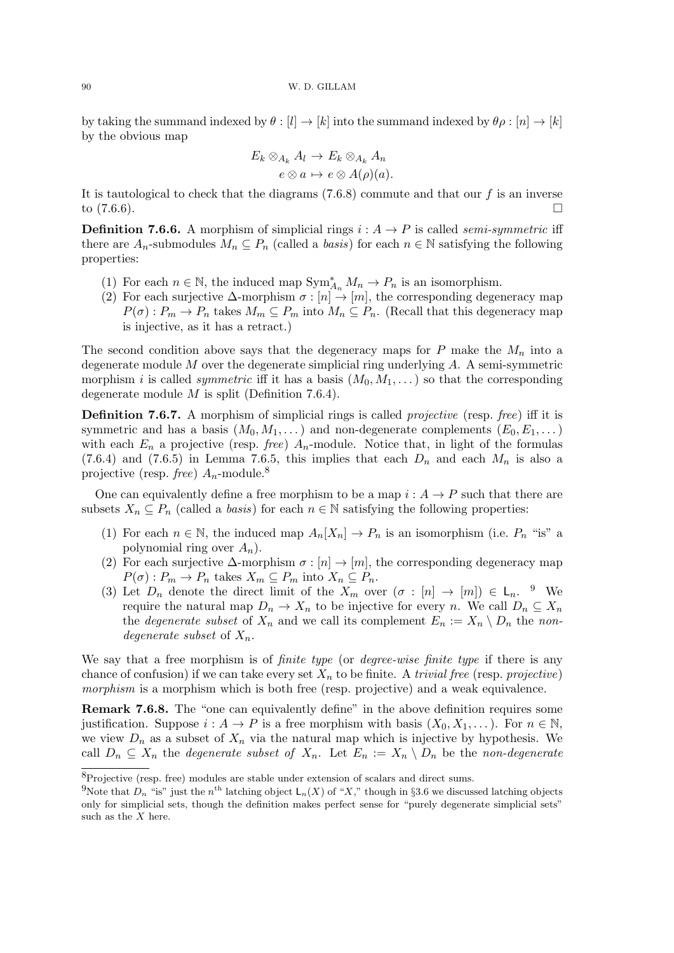by taking the summand indexed by  $\theta : [l] \to [k]$  into the summand indexed by  $\theta \rho : [n] \to [k]$ by the obvious map

$$
E_k \otimes_{A_k} A_l \to E_k \otimes_{A_k} A_n
$$

$$
e \otimes a \mapsto e \otimes A(\rho)(a).
$$

It is tautological to check that the diagrams  $(7.6.8)$  commute and that our f is an inverse to  $(7.6.6)$ .

**Definition 7.6.6.** A morphism of simplicial rings  $i : A \rightarrow P$  is called *semi-symmetric* iff there are  $A_n$ -submodules  $M_n \nsubseteq P_n$  (called a *basis*) for each  $n \in \mathbb{N}$  satisfying the following properties:

- (1) For each  $n \in \mathbb{N}$ , the induced map  $\text{Sym}_{A_n}^* M_n \to P_n$  is an isomorphism.
- (2) For each surjective  $\Delta$ -morphism  $\sigma : [n] \to [m]$ , the corresponding degeneracy map  $P(\sigma) : P_m \to P_n$  takes  $M_m \subseteq P_m$  into  $M_n \subseteq P_n$ . (Recall that this degeneracy map is injective, as it has a retract.)

The second condition above says that the degeneracy maps for P make the  $M_n$  into a degenerate module  $M$  over the degenerate simplicial ring underlying  $A$ . A semi-symmetric morphism i is called *symmetric* iff it has a basis  $(M_0, M_1, \ldots)$  so that the corresponding degenerate module  $M$  is split (Definition 7.6.4).

Definition 7.6.7. A morphism of simplicial rings is called *projective* (resp. *free*) iff it is symmetric and has a basis  $(M_0, M_1, \dots)$  and non-degenerate complements  $(E_0, E_1, \dots)$ with each  $E_n$  a projective (resp. *free*)  $A_n$ -module. Notice that, in light of the formulas (7.6.4) and (7.6.5) in Lemma 7.6.5, this implies that each  $D_n$  and each  $M_n$  is also a projective (resp. *free*)  $A_n$ -module.<sup>8</sup>

One can equivalently define a free morphism to be a map  $i : A \rightarrow P$  such that there are subsets  $X_n \subseteq P_n$  (called a *basis*) for each  $n \in \mathbb{N}$  satisfying the following properties:

- (1) For each  $n \in \mathbb{N}$ , the induced map  $A_n[X_n] \to P_n$  is an isomorphism (i.e.  $P_n$  "is" a polynomial ring over  $A_n$ ).
- (2) For each surjective  $\Delta$ -morphism  $\sigma : [n] \to [m]$ , the corresponding degeneracy map  $P(\sigma) : P_m \to P_n$  takes  $X_m \subseteq P_m$  into  $X_n \subseteq P_n$ .
- (3) Let  $D_n$  denote the direct limit of the  $X_m$  over  $(\sigma : [n] \to [m]) \in \mathsf{L}_n$ . <sup>9</sup> We require the natural map  $D_n \to X_n$  to be injective for every n. We call  $D_n \subseteq X_n$ the *degenerate subset* of  $X_n$  and we call its complement  $E_n := X_n \setminus D_n$  the nondegenerate subset of  $X_n$ .

We say that a free morphism is of *finite type* (or *degree-wise finite type* if there is any chance of confusion) if we can take every set  $X_n$  to be finite. A trivial free (resp. projective) morphism is a morphism which is both free (resp. projective) and a weak equivalence.

Remark 7.6.8. The "one can equivalently define" in the above definition requires some justification. Suppose  $i : A \to P$  is a free morphism with basis  $(X_0, X_1, \dots)$ . For  $n \in \mathbb{N}$ , we view  $D_n$  as a subset of  $X_n$  via the natural map which is injective by hypothesis. We call  $D_n \subseteq X_n$  the *degenerate subset of*  $X_n$ . Let  $E_n := X_n \setminus D_n$  be the non-degenerate

<sup>8</sup>Projective (resp. free) modules are stable under extension of scalars and direct sums.

<sup>&</sup>lt;sup>9</sup>Note that  $D_n$  "is" just the  $n^{\text{th}}$  latching object  $\mathsf{L}_n(X)$  of "X," though in §3.6 we discussed latching objects only for simplicial sets, though the definition makes perfect sense for "purely degenerate simplicial sets" such as the  $X$  here.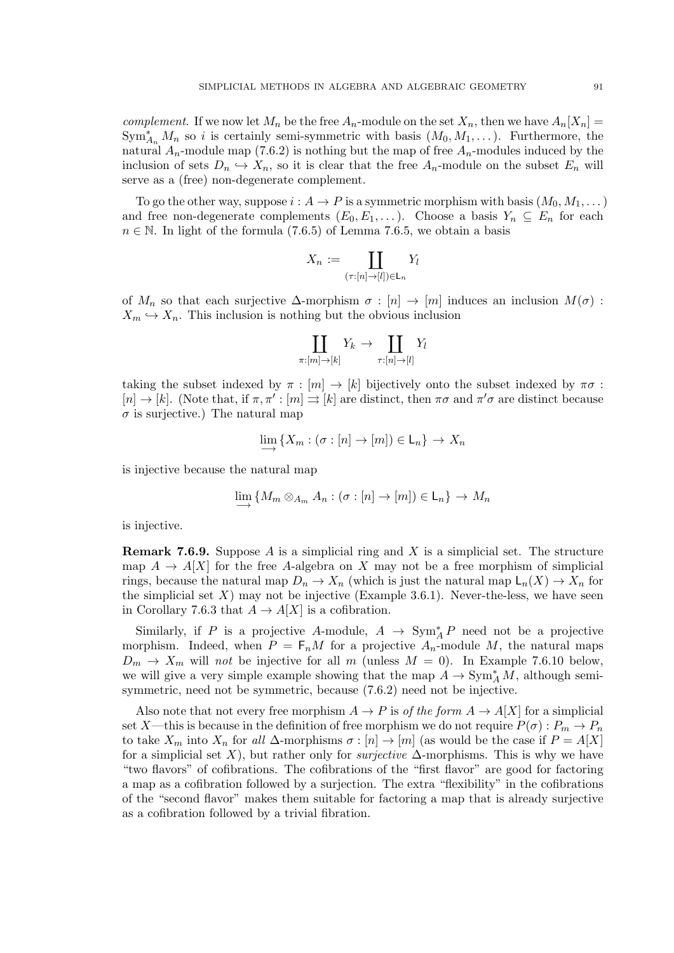*complement.* If we now let  $M_n$  be the free  $A_n$ -module on the set  $X_n$ , then we have  $A_n[X_n] =$  $\text{Sym}_{A_n}^* M_n$  so i is certainly semi-symmetric with basis  $(M_0, M_1, \dots)$ . Furthermore, the natural  $A_n$ -module map (7.6.2) is nothing but the map of free  $A_n$ -modules induced by the inclusion of sets  $D_n \hookrightarrow X_n$ , so it is clear that the free  $A_n$ -module on the subset  $E_n$  will serve as a (free) non-degenerate complement.

To go the other way, suppose  $i : A \to P$  is a symmetric morphism with basis  $(M_0, M_1, \dots)$ and free non-degenerate complements  $(E_0, E_1, \ldots)$ . Choose a basis  $Y_n \subseteq E_n$  for each  $n \in \mathbb{N}$ . In light of the formula (7.6.5) of Lemma 7.6.5, we obtain a basis

$$
X_n := \coprod_{(\tau:[n] \to [l]) \in \mathsf{L}_n} Y_l
$$

of  $M_n$  so that each surjective  $\Delta$ -morphism  $\sigma : [n] \to [m]$  induces an inclusion  $M(\sigma)$ :  $X_m \hookrightarrow X_n$ . This inclusion is nothing but the obvious inclusion

$$
\coprod_{\pi:[m]\to[k]} Y_k \to \coprod_{\tau:[n]\to[l]} Y_l
$$

taking the subset indexed by  $\pi : [m] \to [k]$  bijectively onto the subset indexed by  $\pi \sigma$ :  $[n] \to [k]$ . (Note that, if  $\pi, \pi': [m] \to [k]$  are distinct, then  $\pi\sigma$  and  $\pi'\sigma$  are distinct because  $\sigma$  is surjective.) The natural map

$$
\lim_{n \to \infty} \{X_m : (\sigma : [n] \to [m]) \in \mathsf{L}_n\} \to X_n
$$

is injective because the natural map

$$
\lim_{n \to \infty} \{ M_m \otimes_{A_m} A_n : (\sigma : [n] \to [m]) \in \mathsf{L}_n \} \to M_n
$$

is injective.

**Remark 7.6.9.** Suppose A is a simplicial ring and X is a simplicial set. The structure map  $A \to A[X]$  for the free A-algebra on X may not be a free morphism of simplicial rings, because the natural map  $D_n \to X_n$  (which is just the natural map  $\mathsf{L}_n(X) \to X_n$  for the simplicial set  $X$ ) may not be injective (Example 3.6.1). Never-the-less, we have seen in Corollary 7.6.3 that  $A \to A[X]$  is a cofibration.

Similarly, if P is a projective A-module,  $A \rightarrow Sym_A^* P$  need not be a projective morphism. Indeed, when  $P = F_n M$  for a projective  $A_n$ -module M, the natural maps  $D_m \rightarrow X_m$  will not be injective for all m (unless  $M = 0$ ). In Example 7.6.10 below, we will give a very simple example showing that the map  $A \to \text{Sym}_A^* M$ , although semisymmetric, need not be symmetric, because (7.6.2) need not be injective.

Also note that not every free morphism  $A \to P$  is of the form  $A \to A[X]$  for a simplicial set X—this is because in the definition of free morphism we do not require  $P(\sigma): P_m \to P_n$ to take  $X_m$  into  $X_n$  for all  $\Delta$ -morphisms  $\sigma : [n] \to [m]$  (as would be the case if  $P = A[X]$ for a simplicial set X), but rather only for *surjective*  $\Delta$ -morphisms. This is why we have "two flavors" of cofibrations. The cofibrations of the "first flavor" are good for factoring a map as a cofibration followed by a surjection. The extra "flexibility" in the cofibrations of the "second flavor" makes them suitable for factoring a map that is already surjective as a cofibration followed by a trivial fibration.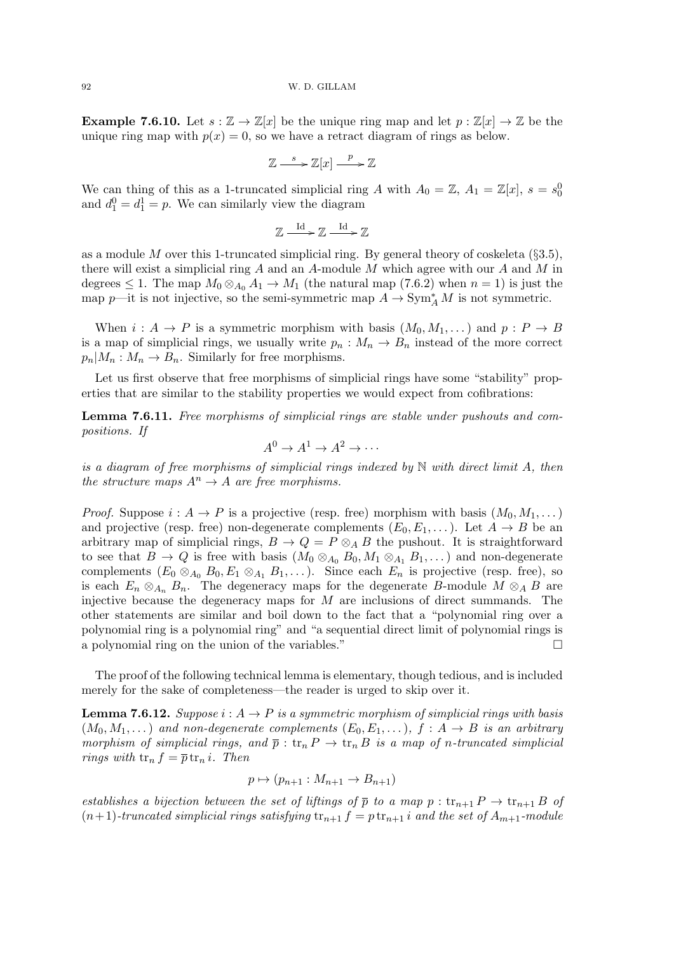**Example 7.6.10.** Let  $s : \mathbb{Z} \to \mathbb{Z}[x]$  be the unique ring map and let  $p : \mathbb{Z}[x] \to \mathbb{Z}$  be the unique ring map with  $p(x) = 0$ , so we have a retract diagram of rings as below.

$$
\mathbb{Z} \xrightarrow{s} \mathbb{Z}[x] \xrightarrow{p} \mathbb{Z}
$$

We can thing of this as a 1-truncated simplicial ring A with  $A_0 = \mathbb{Z}, A_1 = \mathbb{Z}[x], s = s_0^0$ and  $d_1^0 = d_1^1 = p$ . We can similarly view the diagram

$$
\mathbb{Z}\xrightarrow{\mathrm{Id}}\mathbb{Z}\xrightarrow{\mathrm{Id}}\mathbb{Z}
$$

as a module M over this 1-truncated simplicial ring. By general theory of coskeleta ( $\S 3.5$ ), there will exist a simplicial ring A and an A-module M which agree with our A and M in degrees  $\leq 1$ . The map  $M_0 \otimes_{A_0} A_1 \to M_1$  (the natural map (7.6.2) when  $n = 1$ ) is just the map p—it is not injective, so the semi-symmetric map  $A \to \text{Sym}_A^* M$  is not symmetric.

When  $i: A \to P$  is a symmetric morphism with basis  $(M_0, M_1, \dots)$  and  $p: P \to B$ is a map of simplicial rings, we usually write  $p_n : M_n \to B_n$  instead of the more correct  $p_n|M_n: M_n \to B_n$ . Similarly for free morphisms.

Let us first observe that free morphisms of simplicial rings have some "stability" properties that are similar to the stability properties we would expect from cofibrations:

Lemma 7.6.11. Free morphisms of simplicial rings are stable under pushouts and compositions. If

$$
A^0 \to A^1 \to A^2 \to \cdots
$$

is a diagram of free morphisms of simplicial rings indexed by  $\mathbb N$  with direct limit A, then the structure maps  $A^n \to A$  are free morphisms.

*Proof.* Suppose  $i : A \to P$  is a projective (resp. free) morphism with basis  $(M_0, M_1, \dots)$ and projective (resp. free) non-degenerate complements  $(E_0, E_1, \dots)$ . Let  $A \to B$  be an arbitrary map of simplicial rings,  $B \to Q = P \otimes_A B$  the pushout. It is straightforward to see that  $B \to Q$  is free with basis  $(M_0 \otimes_{A_0} B_0, M_1 \otimes_{A_1} B_1, \dots)$  and non-degenerate complements  $(E_0 \otimes_{A_0} B_0, E_1 \otimes_{A_1} B_1, \ldots)$ . Since each  $E_n$  is projective (resp. free), so is each  $E_n \otimes_{A_n} B_n$ . The degeneracy maps for the degenerate B-module  $M \otimes_A B$  are injective because the degeneracy maps for  $M$  are inclusions of direct summands. The other statements are similar and boil down to the fact that a "polynomial ring over a polynomial ring is a polynomial ring" and "a sequential direct limit of polynomial rings is a polynomial ring on the union of the variables."

The proof of the following technical lemma is elementary, though tedious, and is included merely for the sake of completeness—the reader is urged to skip over it.

**Lemma 7.6.12.** Suppose  $i : A \rightarrow P$  is a symmetric morphism of simplicial rings with basis  $(M_0, M_1, \dots)$  and non-degenerate complements  $(E_0, E_1, \dots)$ ,  $f : A \rightarrow B$  is an arbitrary morphism of simplicial rings, and  $\bar{p}: \text{tr}_n P \to \text{tr}_n B$  is a map of n-truncated simplicial rings with  $tr_n f = \overline{p} tr_n i$ . Then

$$
p \mapsto (p_{n+1} : M_{n+1} \to B_{n+1})
$$

establishes a bijection between the set of liftings of  $\bar{p}$  to a map  $p : \text{tr}_{n+1} P \to \text{tr}_{n+1} B$  of  $(n+1)$ -truncated simplicial rings satisfying  $tr_{n+1} f = p tr_{n+1} i$  and the set of  $A_{m+1}$ -module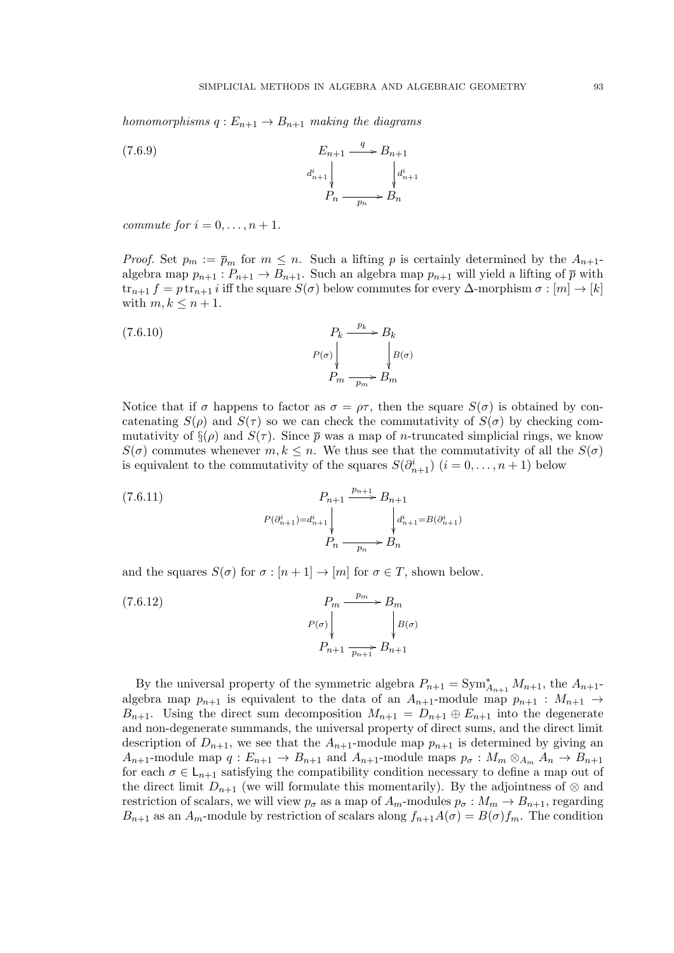homomorphisms  $q: E_{n+1} \to B_{n+1}$  making the diagrams

 $E_{n+1}$  $d_{n+1}^i$  $\frac{1}{2}$  $\stackrel{q}{\longrightarrow} B_{n+1}$  $d_{n+1}^i$  $\frac{1}{2}$  $P_n \longrightarrow B_n$ (7.6.9)

commute for  $i = 0, \ldots, n + 1$ .

*Proof.* Set  $p_m := \overline{p}_m$  for  $m \leq n$ . Such a lifting p is certainly determined by the  $A_{n+1}$ algebra map  $p_{n+1}: P_{n+1} \to B_{n+1}$ . Such an algebra map  $p_{n+1}$  will yield a lifting of  $\bar{p}$  with  $\text{tr}_{n+1} f = p \text{ tr}_{n+1} i$  iff the square  $S(\sigma)$  below commutes for every  $\Delta$ -morphism  $\sigma : [m] \to [k]$ with  $m, k \leq n+1$ .

(7.6.10) 
$$
P_k \xrightarrow{p_k} B_k
$$

$$
P(\sigma) \downarrow \qquad \qquad \downarrow B(\sigma)
$$

$$
P_m \xrightarrow{p_m} B_m
$$

Notice that if  $\sigma$  happens to factor as  $\sigma = \rho \tau$ , then the square  $S(\sigma)$  is obtained by concatenating  $S(\rho)$  and  $S(\tau)$  so we can check the commutativity of  $S(\sigma)$  by checking commutativity of  $\S(\rho)$  and  $S(\tau)$ . Since  $\bar{p}$  was a map of *n*-truncated simplicial rings, we know  $S(\sigma)$  commutes whenever  $m, k \leq n$ . We thus see that the commutativity of all the  $S(\sigma)$ is equivalent to the commutativity of the squares  $S(\partial_{n+1}^i)$   $(i = 0, \ldots, n+1)$  below

(7.6.11) 
$$
P_{n+1} \xrightarrow{p_{n+1}} B_{n+1}
$$

$$
P(\partial_{n+1}^{i}) = d_{n+1}^{i} \qquad \qquad d_{n+1}^{i} = B(\partial_{n+1}^{i})
$$

$$
P_{n} \xrightarrow{p_{n}} B_{n}
$$

and the squares  $S(\sigma)$  for  $\sigma : [n+1] \to [m]$  for  $\sigma \in T$ , shown below.

(7.6.12) 
$$
P_m \xrightarrow{p_m} B_m
$$

$$
P(\sigma) \downarrow \qquad \qquad \downarrow B(\sigma)
$$

$$
P_{n+1} \xrightarrow{p_{n+1}} B_{n+1}
$$

By the universal property of the symmetric algebra  $P_{n+1} = \text{Sym}_{A_{n+1}}^* M_{n+1}$ , the  $A_{n+1}$ algebra map  $p_{n+1}$  is equivalent to the data of an  $A_{n+1}$ -module map  $p_{n+1} : M_{n+1} \rightarrow$  $B_{n+1}$ . Using the direct sum decomposition  $M_{n+1} = D_{n+1} \oplus E_{n+1}$  into the degenerate and non-degenerate summands, the universal property of direct sums, and the direct limit description of  $D_{n+1}$ , we see that the  $A_{n+1}$ -module map  $p_{n+1}$  is determined by giving an  $A_{n+1}$ -module map  $q: E_{n+1} \to B_{n+1}$  and  $A_{n+1}$ -module maps  $p_{\sigma}: M_m \otimes_{A_m} A_n \to B_{n+1}$ for each  $\sigma \in L_{n+1}$  satisfying the compatibility condition necessary to define a map out of the direct limit  $D_{n+1}$  (we will formulate this momentarily). By the adjointness of ⊗ and restriction of scalars, we will view  $p_{\sigma}$  as a map of  $A_m$ -modules  $p_{\sigma}: M_m \to B_{n+1}$ , regarding  $B_{n+1}$  as an  $A_m$ -module by restriction of scalars along  $f_{n+1}A(\sigma) = B(\sigma)f_m$ . The condition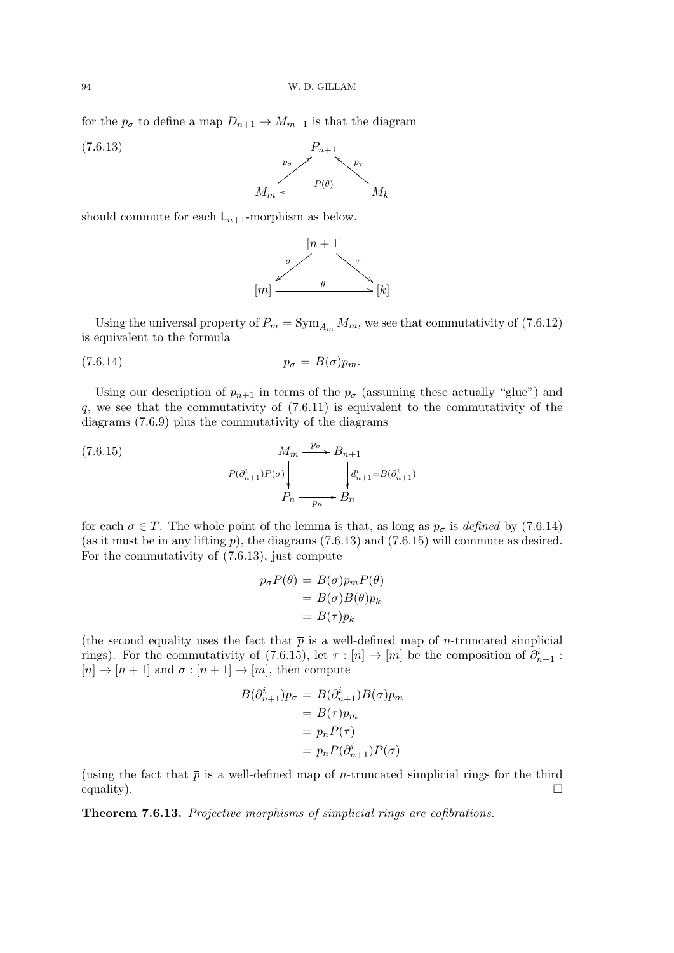for the  $p_{\sigma}$  to define a map  $D_{n+1} \to M_{m+1}$  is that the diagram

 $P_{n+1}$  $p_{\sigma} \nearrow$ (7.6.13)



should commute for each  $L_{n+1}$ -morphism as below.



Using the universal property of  $P_m = \text{Sym}_{A_m} M_m$ , we see that commutativity of (7.6.12) is equivalent to the formula

$$
(7.6.14) \t\t\t\t\t p_{\sigma} = B(\sigma)p_m.
$$

Using our description of  $p_{n+1}$  in terms of the  $p_{\sigma}$  (assuming these actually "glue") and  $q$ , we see that the commutativity of  $(7.6.11)$  is equivalent to the commutativity of the diagrams (7.6.9) plus the commutativity of the diagrams

(7.6.15)  
\n
$$
M_m \xrightarrow{p_{\sigma}} B_{n+1}
$$
\n
$$
P(\partial_{n+1}^i) P(\sigma) \downarrow \qquad \qquad \downarrow d_{n+1}^i = B(\partial_{n+1}^i)
$$
\n
$$
P_n \xrightarrow{p_n} B_n
$$

for each  $\sigma \in T$ . The whole point of the lemma is that, as long as  $p_{\sigma}$  is defined by (7.6.14) (as it must be in any lifting  $p$ ), the diagrams (7.6.13) and (7.6.15) will commute as desired. For the commutativity of (7.6.13), just compute

$$
p_{\sigma}P(\theta) = B(\sigma)p_{m}P(\theta)
$$
  
= B(\sigma)B(\theta)p\_{k}  
= B(\tau)p\_{k}

(the second equality uses the fact that  $\bar{p}$  is a well-defined map of *n*-truncated simplicial rings). For the commutativity of (7.6.15), let  $\tau : [n] \to [m]$  be the composition of  $\partial_{n+1}^i$ :  $[n] \rightarrow [n+1]$  and  $\sigma : [n+1] \rightarrow [m]$ , then compute

$$
B(\partial_{n+1}^i)p_{\sigma} = B(\partial_{n+1}^i)B(\sigma)p_m
$$
  
=  $B(\tau)p_m$   
=  $p_n P(\tau)$   
=  $p_n P(\partial_{n+1}^i)P(\sigma)$ 

(using the fact that  $\bar{p}$  is a well-defined map of *n*-truncated simplicial rings for the third equality).

Theorem 7.6.13. Projective morphisms of simplicial rings are cofibrations.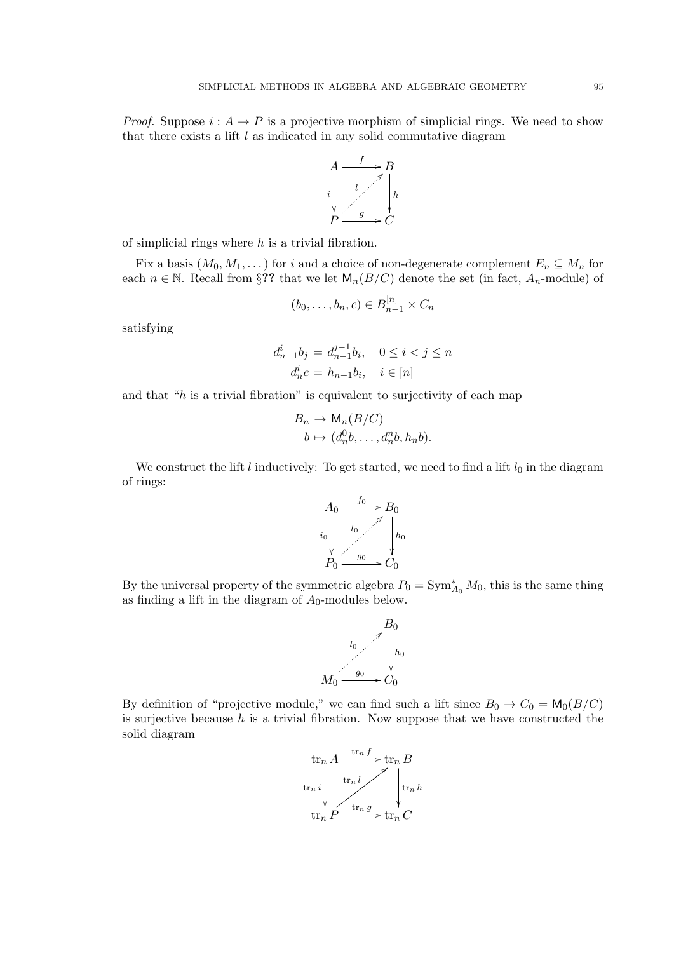*Proof.* Suppose  $i : A \rightarrow P$  is a projective morphism of simplicial rings. We need to show that there exists a lift  $l$  as indicated in any solid commutative diagram



of simplicial rings where  $h$  is a trivial fibration.

Fix a basis  $(M_0, M_1, \dots)$  for i and a choice of non-degenerate complement  $E_n \subseteq M_n$  for each  $n \in \mathbb{N}$ . Recall from §?? that we let  $\mathsf{M}_n(B/C)$  denote the set (in fact,  $A_n$ -module) of

$$
(b_0,\ldots,b_n,c)\in B_{n-1}^{[n]}\times C_n
$$

satisfying

$$
d_{n-1}^{i}b_{j} = d_{n-1}^{j-1}b_{i}, \quad 0 \le i < j \le n
$$
  

$$
d_{n}^{i}c = h_{n-1}b_{i}, \quad i \in [n]
$$

and that " $h$  is a trivial fibration" is equivalent to surjectivity of each map

$$
B_n \to \mathsf{M}_n(B/C)
$$
  

$$
b \mapsto (d_n^0b, \dots, d_n^nb, h_nb).
$$

We construct the lift l inductively: To get started, we need to find a lift  $l_0$  in the diagram of rings:



By the universal property of the symmetric algebra  $P_0 = \text{Sym}_{A_0}^* M_0$ , this is the same thing as finding a lift in the diagram of  $A_0$ -modules below.



By definition of "projective module," we can find such a lift since  $B_0 \to C_0 = M_0(B/C)$ is surjective because  $h$  is a trivial fibration. Now suppose that we have constructed the solid diagram

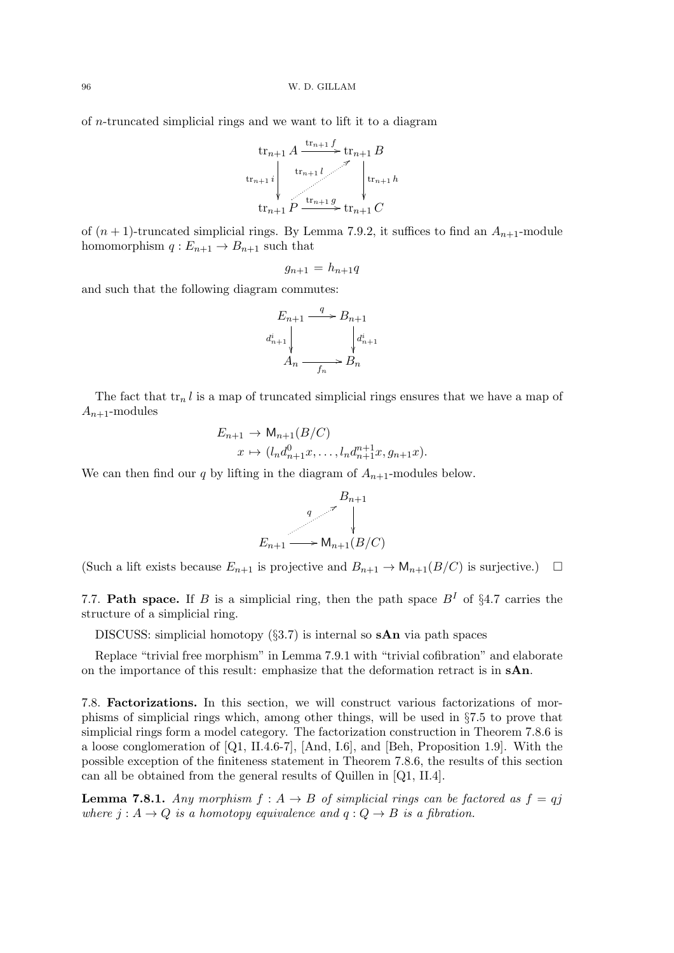of n-truncated simplicial rings and we want to lift it to a diagram



of  $(n + 1)$ -truncated simplicial rings. By Lemma 7.9.2, it suffices to find an  $A_{n+1}$ -module homomorphism  $q: E_{n+1} \to B_{n+1}$  such that

$$
g_{n+1} = h_{n+1}q
$$

and such that the following diagram commutes:

$$
E_{n+1} \xrightarrow{q} B_{n+1}
$$
  
\n
$$
d_{n+1}^i \downarrow \qquad d_{n+1}^i
$$
  
\n
$$
A_n \xrightarrow{f_n} B_n
$$

The fact that  $\text{tr}_n l$  is a map of truncated simplicial rings ensures that we have a map of  $A_{n+1}$ -modules

$$
E_{n+1} \to \mathsf{M}_{n+1}(B/C)
$$
  

$$
x \mapsto (l_n d_{n+1}^0 x, \dots, l_n d_{n+1}^{n+1} x, g_{n+1} x).
$$

We can then find our  $q$  by lifting in the diagram of  $A_{n+1}$ -modules below.

$$
E_{n+1} \xrightarrow{q} \bigvee_{\{x_{n+1}\} \longrightarrow M_{n+1}(B/C)}
$$

(Such a lift exists because  $E_{n+1}$  is projective and  $B_{n+1} \to \mathsf{M}_{n+1}(B/C)$  is surjective.)  $\Box$ 

7.7. Path space. If B is a simplicial ring, then the path space  $B<sup>I</sup>$  of §4.7 carries the structure of a simplicial ring.

DISCUSS: simplicial homotopy  $(\S3.7)$  is internal so sAn via path spaces

Replace "trivial free morphism" in Lemma 7.9.1 with "trivial cofibration" and elaborate on the importance of this result: emphasize that the deformation retract is in sAn.

7.8. Factorizations. In this section, we will construct various factorizations of morphisms of simplicial rings which, among other things, will be used in §7.5 to prove that simplicial rings form a model category. The factorization construction in Theorem 7.8.6 is a loose conglomeration of [Q1, II.4.6-7], [And, I.6], and [Beh, Proposition 1.9]. With the possible exception of the finiteness statement in Theorem 7.8.6, the results of this section can all be obtained from the general results of Quillen in [Q1, II.4].

**Lemma 7.8.1.** Any morphism  $f : A \rightarrow B$  of simplicial rings can be factored as  $f = qj$ where  $j : A \rightarrow Q$  is a homotopy equivalence and  $q : Q \rightarrow B$  is a fibration.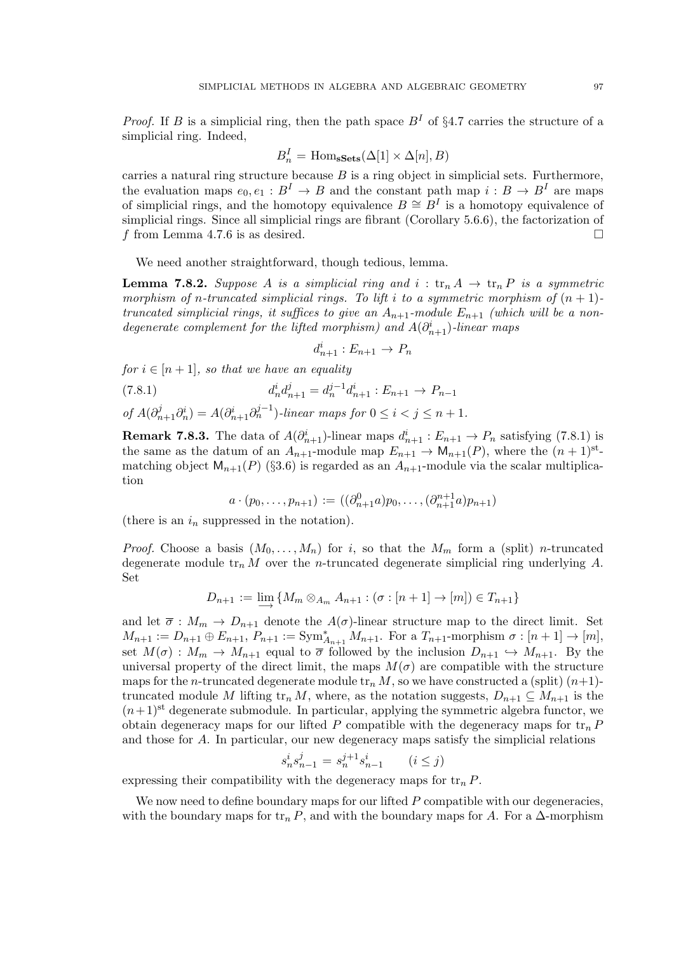*Proof.* If B is a simplicial ring, then the path space  $B<sup>I</sup>$  of §4.7 carries the structure of a simplicial ring. Indeed,

$$
B_n^I = \text{Hom}_{\mathbf{sSets}}(\Delta[1] \times \Delta[n], B)
$$

carries a natural ring structure because  $B$  is a ring object in simplicial sets. Furthermore, the evaluation maps  $e_0, e_1 : B^I \to B$  and the constant path map  $i : B \to B^I$  are maps of simplicial rings, and the homotopy equivalence  $B \cong B<sup>I</sup>$  is a homotopy equivalence of simplicial rings. Since all simplicial rings are fibrant (Corollary 5.6.6), the factorization of f from Lemma 4.7.6 is as desired.

We need another straightforward, though tedious, lemma.

**Lemma 7.8.2.** Suppose A is a simplicial ring and  $i : \text{tr}_n A \rightarrow \text{tr}_n P$  is a symmetric morphism of n-truncated simplicial rings. To lift i to a symmetric morphism of  $(n + 1)$ truncated simplicial rings, it suffices to give an  $A_{n+1}$ -module  $E_{n+1}$  (which will be a nondegenerate complement for the lifted morphism) and  $A(\partial_{n+1}^i)$ -linear maps

$$
d_{n+1}^i : E_{n+1} \to P_n
$$

for  $i \in [n+1]$ , so that we have an equality

(7.8.1)  $d_n^i d_{n+1}^j = d_n^{j-1} d_{n+1}^i : E_{n+1} \to P_{n-1}$ 

of 
$$
A(\partial_{n+1}^j \partial_n^i) = A(\partial_{n+1}^i \partial_n^{j-1})
$$
-linear maps for  $0 \le i < j \le n+1$ .

**Remark 7.8.3.** The data of  $A(\partial_{n+1}^i)$ -linear maps  $d_{n+1}^i : E_{n+1} \to P_n$  satisfying (7.8.1) is the same as the datum of an  $A_{n+1}$ -module map  $E_{n+1} \to \mathsf{M}_{n+1}(P)$ , where the  $(n+1)$ <sup>st</sup>matching object  $M_{n+1}(P)$  (§3.6) is regarded as an  $A_{n+1}$ -module via the scalar multiplication

$$
a \cdot (p_0, \ldots, p_{n+1}) := ((\partial_{n+1}^0 a) p_0, \ldots, (\partial_{n+1}^{n+1} a) p_{n+1})
$$

(there is an  $i_n$  suppressed in the notation).

*Proof.* Choose a basis  $(M_0, \ldots, M_n)$  for i, so that the  $M_m$  form a (split) n-truncated degenerate module  $\text{tr}_n M$  over the *n*-truncated degenerate simplicial ring underlying A. Set

$$
D_{n+1} := \varinjlim \{ M_m \otimes_{A_m} A_{n+1} : (\sigma : [n+1] \to [m]) \in T_{n+1} \}
$$

and let  $\overline{\sigma}: M_m \to D_{n+1}$  denote the  $A(\sigma)$ -linear structure map to the direct limit. Set  $M_{n+1} := D_{n+1} \oplus E_{n+1}, P_{n+1} := \text{Sym}_{A_{n+1}}^* M_{n+1}.$  For a  $T_{n+1}$ -morphism  $\sigma : [n+1] \to [m],$ set  $M(\sigma) : M_m \to M_{n+1}$  equal to  $\overline{\sigma}$  followed by the inclusion  $D_{n+1} \hookrightarrow M_{n+1}$ . By the universal property of the direct limit, the maps  $M(\sigma)$  are compatible with the structure maps for the *n*-truncated degenerate module  $\operatorname{tr}_n M$ , so we have constructed a (split)  $(n+1)$ truncated module M lifting  $\text{tr}_n M$ , where, as the notation suggests,  $D_{n+1} \subseteq M_{n+1}$  is the  $(n+1)$ <sup>st</sup> degenerate submodule. In particular, applying the symmetric algebra functor, we obtain degeneracy maps for our lifted P compatible with the degeneracy maps for  $tr_n P$ and those for A. In particular, our new degeneracy maps satisfy the simplicial relations

$$
s_n^i s_{n-1}^j = s_n^{j+1} s_{n-1}^i \qquad (i \le j)
$$

expressing their compatibility with the degeneracy maps for  $\text{tr}_n P$ .

We now need to define boundary maps for our lifted  $P$  compatible with our degeneracies, with the boundary maps for  $\text{tr}_n P$ , and with the boundary maps for A. For a  $\Delta$ -morphism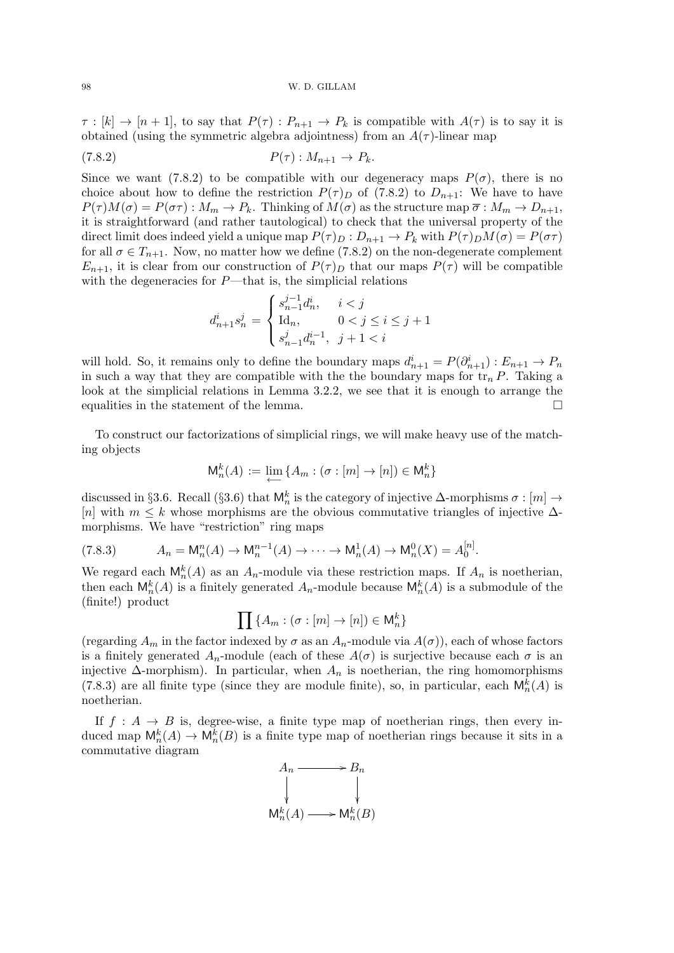$\tau : [k] \to [n+1]$ , to say that  $P(\tau) : P_{n+1} \to P_k$  is compatible with  $A(\tau)$  is to say it is obtained (using the symmetric algebra adjointness) from an  $A(\tau)$ -linear map

$$
(7.8.2) \t\t P(\tau): M_{n+1} \to P_k.
$$

Since we want (7.8.2) to be compatible with our degeneracy maps  $P(\sigma)$ , there is no choice about how to define the restriction  $P(\tau)$  of (7.8.2) to  $D_{n+1}$ : We have to have  $P(\tau)M(\sigma) = P(\sigma\tau) : M_m \to P_k$ . Thinking of  $M(\sigma)$  as the structure map  $\overline{\sigma} : M_m \to D_{n+1}$ , it is straightforward (and rather tautological) to check that the universal property of the direct limit does indeed yield a unique map  $P(\tau)_D : D_{n+1} \to P_k$  with  $P(\tau)_D M(\sigma) = P(\sigma \tau)$ for all  $\sigma \in T_{n+1}$ . Now, no matter how we define (7.8.2) on the non-degenerate complement  $E_{n+1}$ , it is clear from our construction of  $P(\tau)_D$  that our maps  $P(\tau)$  will be compatible with the degeneracies for  $P$ —that is, the simplicial relations

$$
d_{n+1}^is_n^j=\begin{cases} s_{n-1}^{j-1}d_n^i, \quad i
$$

will hold. So, it remains only to define the boundary maps  $d_{n+1}^i = P(\partial_{n+1}^i) : E_{n+1} \to P_n$ in such a way that they are compatible with the the boundary maps for  $\operatorname{tr}_n P$ . Taking a look at the simplicial relations in Lemma 3.2.2, we see that it is enough to arrange the equalities in the statement of the lemma.

To construct our factorizations of simplicial rings, we will make heavy use of the matching objects

$$
\mathsf{M}_n^k(A) := \varprojlim \{ A_m : (\sigma : [m] \to [n]) \in \mathsf{M}_n^k \}
$$

discussed in §3.6. Recall (§3.6) that  $\mathsf{M}_n^k$  is the category of injective  $\Delta$ -morphisms  $\sigma : [m] \to$ [n] with  $m \leq k$  whose morphisms are the obvious commutative triangles of injective  $\Delta$ morphisms. We have "restriction" ring maps

$$
(7.8.3) \t A_n = M_n^n(A) \to M_n^{n-1}(A) \to \cdots \to M_n^1(A) \to M_n^0(X) = A_0^{[n]}.
$$

We regard each  $\mathsf{M}_n^k(A)$  as an  $A_n$ -module via these restriction maps. If  $A_n$  is noetherian, then each  $\mathsf{M}_n^k(A)$  is a finitely generated  $A_n$ -module because  $\mathsf{M}_n^k(A)$  is a submodule of the (finite!) product

$$
\prod {\{A_m : (\sigma : [m] \to [n]) \in \mathsf{M}_n^k\}}
$$

(regarding  $A_m$  in the factor indexed by  $\sigma$  as an  $A_n$ -module via  $A(\sigma)$ ), each of whose factors is a finitely generated  $A_n$ -module (each of these  $A(\sigma)$  is surjective because each  $\sigma$  is an injective  $\Delta$ -morphism). In particular, when  $A_n$  is noetherian, the ring homomorphisms (7.8.3) are all finite type (since they are module finite), so, in particular, each  $\mathsf{M}_{n}^{k}(A)$  is noetherian.

If  $f : A \rightarrow B$  is, degree-wise, a finite type map of noetherian rings, then every induced map  $\mathsf{M}_n^k(A) \to \mathsf{M}_n^k(B)$  is a finite type map of noetherian rings because it sits in a commutative diagram

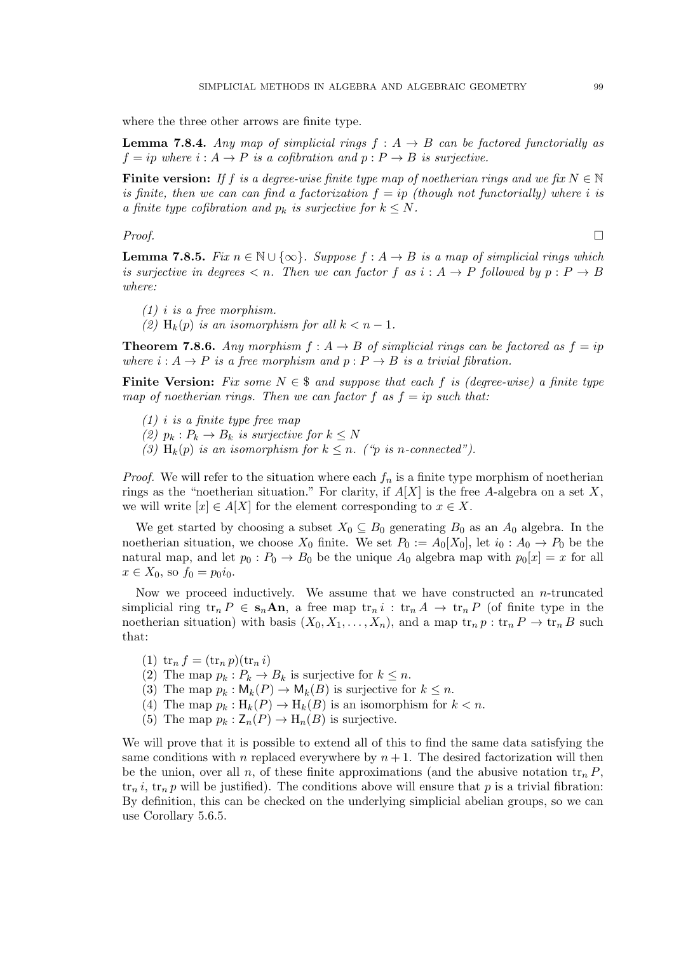where the three other arrows are finite type.

**Lemma 7.8.4.** Any map of simplicial rings  $f : A \rightarrow B$  can be factored functorially as  $f = ip$  where  $i : A \rightarrow P$  is a cofibration and  $p : P \rightarrow B$  is surjective.

Finite version: If f is a degree-wise finite type map of noetherian rings and we fix  $N \in \mathbb{N}$ is finite, then we can can find a factorization  $f = i\upsilon$  (though not functorially) where i is a finite type cofibration and  $p_k$  is surjective for  $k \leq N$ .

# $Proof.$

**Lemma 7.8.5.** Fix  $n \in \mathbb{N} \cup \{\infty\}$ . Suppose  $f : A \rightarrow B$  is a map of simplicial rings which is surjective in degrees  $\lt n$ . Then we can factor f as  $i : A \rightarrow P$  followed by  $p : P \rightarrow B$ where:

- $(1)$  *i* is a free morphism.
- (2)  $H_k(p)$  is an isomorphism for all  $k < n-1$ .

**Theorem 7.8.6.** Any morphism  $f : A \rightarrow B$  of simplicial rings can be factored as  $f = ip$ where  $i : A \rightarrow P$  is a free morphism and  $p : P \rightarrow B$  is a trivial fibration.

**Finite Version:** Fix some  $N \in \mathcal{S}$  and suppose that each f is (degree-wise) a finite type map of noetherian rings. Then we can factor f as  $f = ip$  such that:

- $(1)$  *i* is a finite type free map
- (2)  $p_k : P_k \to B_k$  is surjective for  $k \leq N$
- (3) H<sub>k</sub>(p) is an isomorphism for  $k \leq n$ . ("p is n-connected").

*Proof.* We will refer to the situation where each  $f_n$  is a finite type morphism of noetherian rings as the "noetherian situation." For clarity, if  $A[X]$  is the free A-algebra on a set X, we will write  $[x] \in A[X]$  for the element corresponding to  $x \in X$ .

We get started by choosing a subset  $X_0 \subseteq B_0$  generating  $B_0$  as an  $A_0$  algebra. In the noetherian situation, we choose  $X_0$  finite. We set  $P_0 := A_0[X_0]$ , let  $i_0: A_0 \to P_0$  be the natural map, and let  $p_0 : P_0 \to B_0$  be the unique  $A_0$  algebra map with  $p_0[x] = x$  for all  $x \in X_0$ , so  $f_0 = p_0 i_0$ .

Now we proceed inductively. We assume that we have constructed an  $n$ -truncated simplicial ring  $\operatorname{tr}_n P \in \mathbf{s}_n \mathbf{An}$ , a free map  $\operatorname{tr}_n i : \operatorname{tr}_n A \to \operatorname{tr}_n P$  (of finite type in the noetherian situation) with basis  $(X_0, X_1, \ldots, X_n)$ , and a map  $\operatorname{tr}_n p : \operatorname{tr}_n P \to \operatorname{tr}_n B$  such that:

- (1)  $\text{tr}_n f = (\text{tr}_n p)(\text{tr}_n i)$
- (2) The map  $p_k : P_k \to B_k$  is surjective for  $k \leq n$ .
- (3) The map  $p_k : \mathsf{M}_k(P) \to \mathsf{M}_k(B)$  is surjective for  $k \leq n$ .
- (4) The map  $p_k: H_k(P) \to H_k(B)$  is an isomorphism for  $k < n$ .
- (5) The map  $p_k : \mathsf{Z}_n(P) \to \mathsf{H}_n(B)$  is surjective.

We will prove that it is possible to extend all of this to find the same data satisfying the same conditions with n replaced everywhere by  $n + 1$ . The desired factorization will then be the union, over all n, of these finite approximations (and the abusive notation  $\operatorname{tr}_n P$ ,  $\text{tr}_n i$ ,  $\text{tr}_n p$  will be justified). The conditions above will ensure that p is a trivial fibration: By definition, this can be checked on the underlying simplicial abelian groups, so we can use Corollary 5.6.5.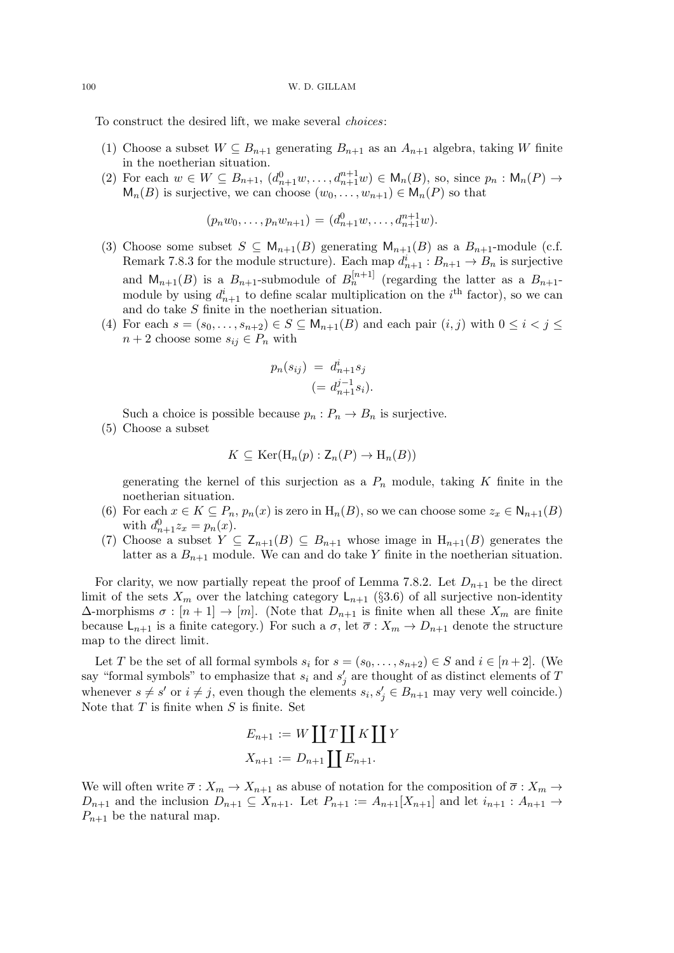To construct the desired lift, we make several choices:

- (1) Choose a subset  $W \subseteq B_{n+1}$  generating  $B_{n+1}$  as an  $A_{n+1}$  algebra, taking W finite in the noetherian situation.
- (2) For each  $w \in W \subseteq B_{n+1}$ ,  $(d_{n+1}^0 w, \ldots, d_{n+1}^{n+1} w) \in M_n(B)$ , so, since  $p_n : M_n(P) \to$  $M_n(B)$  is surjective, we can choose  $(w_0, \ldots, w_{n+1}) \in M_n(P)$  so that

$$
(p_n w_0, \ldots, p_n w_{n+1}) = (d_{n+1}^0 w, \ldots, d_{n+1}^{n+1} w).
$$

- (3) Choose some subset  $S \subseteq M_{n+1}(B)$  generating  $M_{n+1}(B)$  as a  $B_{n+1}$ -module (c.f. Remark 7.8.3 for the module structure). Each map  $d_{n+1}^i : B_{n+1} \to B_n$  is surjective and  $M_{n+1}(B)$  is a  $B_{n+1}$ -submodule of  $B_n^{[n+1]}$  (regarding the latter as a  $B_{n+1}$ module by using  $d_{n+1}^i$  to define scalar multiplication on the i<sup>th</sup> factor), so we can and do take S finite in the noetherian situation.
- (4) For each  $s = (s_0, \ldots, s_{n+2}) \in S \subseteq \mathsf{M}_{n+1}(B)$  and each pair  $(i, j)$  with  $0 \leq i < j \leq$  $n + 2$  choose some  $s_{ij} \in P_n$  with

$$
p_n(s_{ij}) = d_{n+1}^i s_j
$$
  

$$
(= d_{n+1}^{j-1} s_i).
$$

Such a choice is possible because  $p_n : P_n \to B_n$  is surjective.

(5) Choose a subset

$$
K \subseteq \text{Ker}(\text{H}_n(p) : \mathsf{Z}_n(P) \to \text{H}_n(B))
$$

generating the kernel of this surjection as a  $P_n$  module, taking K finite in the noetherian situation.

- (6) For each  $x \in K \subseteq P_n$ ,  $p_n(x)$  is zero in  $H_n(B)$ , so we can choose some  $z_x \in N_{n+1}(B)$ with  $d_{n+1}^{0}z_{x} = p_{n}(x)$ .
- (7) Choose a subset  $Y \subseteq \mathsf{Z}_{n+1}(B) \subseteq B_{n+1}$  whose image in  $H_{n+1}(B)$  generates the latter as a  $B_{n+1}$  module. We can and do take Y finite in the noetherian situation.

For clarity, we now partially repeat the proof of Lemma 7.8.2. Let  $D_{n+1}$  be the direct limit of the sets  $X_m$  over the latching category  $\mathsf{L}_{n+1}$  (§3.6) of all surjective non-identity  $\Delta$ -morphisms  $\sigma : [n+1] \to [m]$ . (Note that  $D_{n+1}$  is finite when all these  $X_m$  are finite because  $\mathsf{L}_{n+1}$  is a finite category.) For such a  $\sigma$ , let  $\overline{\sigma}: X_m \to D_{n+1}$  denote the structure map to the direct limit.

Let T be the set of all formal symbols  $s_i$  for  $s = (s_0, \ldots, s_{n+2}) \in S$  and  $i \in [n+2]$ . (We say "formal symbols" to emphasize that  $s_i$  and  $s'_j$  are thought of as distinct elements of T whenever  $s \neq s'$  or  $i \neq j$ , even though the elements  $s_i, s'_j \in B_{n+1}$  may very well coincide.) Note that  $T$  is finite when  $S$  is finite. Set

$$
E_{n+1} := W \coprod T \coprod K \coprod Y
$$
  

$$
X_{n+1} := D_{n+1} \coprod E_{n+1}.
$$

We will often write  $\overline{\sigma}: X_m \to X_{n+1}$  as abuse of notation for the composition of  $\overline{\sigma}: X_m \to X_{m+1}$  $D_{n+1}$  and the inclusion  $D_{n+1} \subseteq X_{n+1}$ . Let  $P_{n+1} := A_{n+1}[X_{n+1}]$  and let  $i_{n+1} : A_{n+1} \to$  $P_{n+1}$  be the natural map.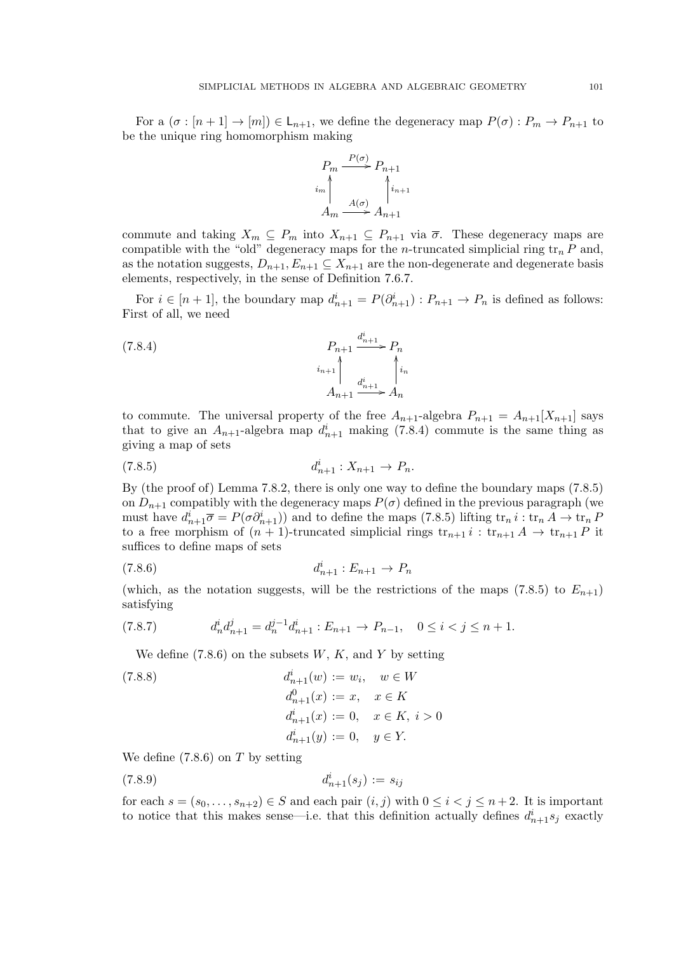For a  $(\sigma : [n+1] \to [m]) \in \mathsf{L}_{n+1}$ , we define the degeneracy map  $P(\sigma) : P_m \to P_{n+1}$  to be the unique ring homomorphism making



commute and taking  $X_m \subseteq P_m$  into  $X_{n+1} \subseteq P_{n+1}$  via  $\overline{\sigma}$ . These degeneracy maps are compatible with the "old" degeneracy maps for the *n*-truncated simplicial ring  $\operatorname{tr}_n P$  and, as the notation suggests,  $D_{n+1}, E_{n+1} \subseteq X_{n+1}$  are the non-degenerate and degenerate basis elements, respectively, in the sense of Definition 7.6.7.

For  $i \in [n+1]$ , the boundary map  $d_{n+1}^i = P(\partial_{n+1}^i) : P_{n+1} \to P_n$  is defined as follows: First of all, we need

$$
(7.8.4)
$$
\n
$$
P_{n+1} \xrightarrow{i_{n+1}} P_n
$$
\n
$$
i_{n+1} \xrightarrow{i_{n+1}} \xrightarrow{d_{n+1}^i} A_n
$$

to commute. The universal property of the free  $A_{n+1}$ -algebra  $P_{n+1} = A_{n+1}[X_{n+1}]$  says that to give an  $A_{n+1}$ -algebra map  $d_{n+1}^i$  making (7.8.4) commute is the same thing as giving a map of sets

$$
(7.8.5) \t d_{n+1}^i : X_{n+1} \to P_n.
$$

By (the proof of) Lemma 7.8.2, there is only one way to define the boundary maps (7.8.5) on  $D_{n+1}$  compatibly with the degeneracy maps  $P(\sigma)$  defined in the previous paragraph (we must have  $d_{n+1}^i \overline{\sigma} = P(\sigma \partial_{n+1}^i)$  and to define the maps (7.8.5) lifting  $\text{tr}_n i : \text{tr}_n A \to \text{tr}_n P$ to a free morphism of  $(n + 1)$ -truncated simplicial rings  $tr_{n+1} i : tr_{n+1} A \rightarrow tr_{n+1} P$  it suffices to define maps of sets

$$
(7.8.6) \t d_{n+1}^i : E_{n+1} \to P_n
$$

(which, as the notation suggests, will be the restrictions of the maps (7.8.5) to  $E_{n+1}$ ) satisfying

$$
(7.8.7) \t d_n^i d_{n+1}^j = d_n^{j-1} d_{n+1}^i : E_{n+1} \to P_{n-1}, \quad 0 \le i < j \le n+1.
$$

We define  $(7.8.6)$  on the subsets  $W, K$ , and Y by setting

(7.8.8) 
$$
d_{n+1}^{i}(w) := w_{i}, \quad w \in W
$$

$$
d_{n+1}^{0}(x) := x, \quad x \in K
$$

$$
d_{n+1}^{i}(x) := 0, \quad x \in K, \quad i > 0
$$

$$
d_{n+1}^{i}(y) := 0, \quad y \in Y.
$$

We define  $(7.8.6)$  on T by setting

$$
(7.8.9) \t d_{n+1}^i(s_j) := s_{ij}
$$

for each  $s = (s_0, \ldots, s_{n+2}) \in S$  and each pair  $(i, j)$  with  $0 \leq i < j \leq n+2$ . It is important to notice that this makes sense—i.e. that this definition actually defines  $d_{n+1}^i s_j$  exactly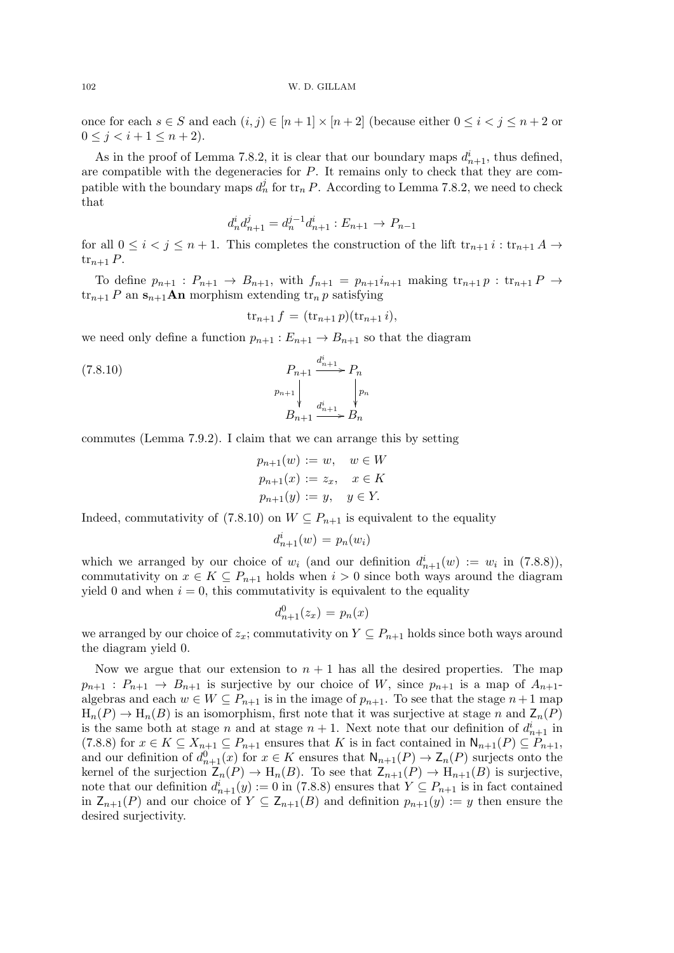once for each  $s \in S$  and each  $(i, j) \in [n + 1] \times [n + 2]$  (because either  $0 \le i < j \le n + 2$  or  $0 \leq j < i+1 \leq n+2$ .

As in the proof of Lemma 7.8.2, it is clear that our boundary maps  $d_{n+1}^i$ , thus defined, are compatible with the degeneracies for P. It remains only to check that they are compatible with the boundary maps  $d_n^j$  for  $\text{tr}_n P$ . According to Lemma 7.8.2, we need to check that

$$
d_n^i d_{n+1}^j = d_n^{j-1} d_{n+1}^i : E_{n+1} \to P_{n-1}
$$

for all  $0 \leq i \leq j \leq n+1$ . This completes the construction of the lift  $\operatorname{tr}_{n+1} i : \operatorname{tr}_{n+1} A \to$  $\operatorname{tr}_{n+1} P$ .

To define  $p_{n+1}: P_{n+1} \rightarrow B_{n+1}$ , with  $f_{n+1} = p_{n+1}i_{n+1}$  making  $\operatorname{tr}_{n+1} p : \operatorname{tr}_{n+1} P \rightarrow$  $\operatorname{tr}_{n+1} P$  an  $\mathbf{s}_{n+1}$ **An** morphism extending  $\operatorname{tr}_n p$  satisfying

$$
\mathrm{tr}_{n+1} f = (\mathrm{tr}_{n+1} p)(\mathrm{tr}_{n+1} i),
$$

we need only define a function  $p_{n+1}: E_{n+1} \to B_{n+1}$  so that the diagram

$$
(7.8.10)
$$
\n
$$
P_{n+1} \downarrow P_n
$$
\n
$$
p_{n+1} \downarrow P_n
$$
\n
$$
B_{n+1} \downarrow P_n
$$
\n
$$
B_{n+1} \downarrow P_n
$$

commutes (Lemma 7.9.2). I claim that we can arrange this by setting

$$
p_{n+1}(w) := w, \quad w \in W
$$
  
\n
$$
p_{n+1}(x) := z_x, \quad x \in K
$$
  
\n
$$
p_{n+1}(y) := y, \quad y \in Y.
$$

Indeed, commutativity of (7.8.10) on  $W \subseteq P_{n+1}$  is equivalent to the equality

$$
d_{n+1}^i(w) = p_n(w_i)
$$

which we arranged by our choice of  $w_i$  (and our definition  $d_{n+1}^i(w) := w_i$  in (7.8.8)), commutativity on  $x \in K \subseteq P_{n+1}$  holds when  $i > 0$  since both ways around the diagram yield 0 and when  $i = 0$ , this commutativity is equivalent to the equality

$$
d_{n+1}^0(z_x) = p_n(x)
$$

we arranged by our choice of  $z_x$ ; commutativity on  $Y \subseteq P_{n+1}$  holds since both ways around the diagram yield 0.

Now we argue that our extension to  $n + 1$  has all the desired properties. The map  $p_{n+1}$ :  $P_{n+1} \rightarrow B_{n+1}$  is surjective by our choice of W, since  $p_{n+1}$  is a map of  $A_{n+1}$ . algebras and each  $w \in W \subseteq P_{n+1}$  is in the image of  $p_{n+1}$ . To see that the stage  $n+1$  map  $H_n(P) \to H_n(B)$  is an isomorphism, first note that it was surjective at stage n and  $Z_n(P)$ is the same both at stage n and at stage  $n+1$ . Next note that our definition of  $d_{n+1}^i$  in (7.8.8) for  $x \in K \subseteq X_{n+1} \subseteq P_{n+1}$  ensures that K is in fact contained in  $\mathsf{N}_{n+1}(P) \subseteq P_{n+1}$ , and our definition of  $d_{n+1}^0(x)$  for  $x \in K$  ensures that  $\mathsf{N}_{n+1}(P) \to \mathsf{Z}_n(P)$  surjects onto the kernel of the surjection  $\mathsf{Z}_n(P) \to \mathrm{H}_n(B)$ . To see that  $\mathsf{Z}_{n+1}(P) \to \mathrm{H}_{n+1}(B)$  is surjective, note that our definition  $d_{n+1}^i(y) := 0$  in (7.8.8) ensures that  $Y \subseteq P_{n+1}$  is in fact contained in  $\mathsf{Z}_{n+1}(P)$  and our choice of  $Y \subseteq \mathsf{Z}_{n+1}(B)$  and definition  $p_{n+1}(y) := y$  then ensure the desired surjectivity.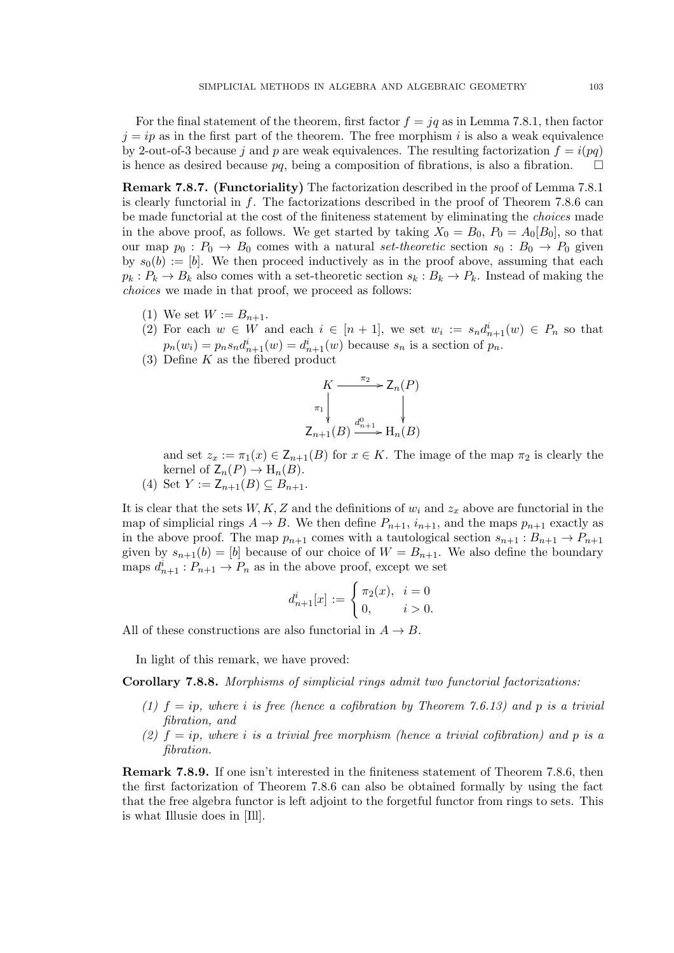For the final statement of the theorem, first factor  $f = ig$  as in Lemma 7.8.1, then factor  $j = ip$  as in the first part of the theorem. The free morphism i is also a weak equivalence by 2-out-of-3 because j and p are weak equivalences. The resulting factorization  $f = i(pq)$ is hence as desired because  $pq$ , being a composition of fibrations, is also a fibration.  $\square$ 

Remark 7.8.7. (Functoriality) The factorization described in the proof of Lemma 7.8.1 is clearly functorial in f. The factorizations described in the proof of Theorem 7.8.6 can be made functorial at the cost of the finiteness statement by eliminating the choices made in the above proof, as follows. We get started by taking  $X_0 = B_0$ ,  $P_0 = A_0[B_0]$ , so that our map  $p_0$ :  $P_0 \rightarrow B_0$  comes with a natural set-theoretic section  $s_0 : B_0 \rightarrow P_0$  given by  $s_0(b) := [b]$ . We then proceed inductively as in the proof above, assuming that each  $p_k : P_k \to B_k$  also comes with a set-theoretic section  $s_k : B_k \to P_k$ . Instead of making the choices we made in that proof, we proceed as follows:

- (1) We set  $W := B_{n+1}$ .
- (2) For each  $w \in W$  and each  $i \in [n+1]$ , we set  $w_i := s_n d_{n+1}^i(w) \in P_n$  so that  $p_n(w_i) = p_n s_n d_{n+1}^i(w) = d_{n+1}^i(w)$  because  $s_n$  is a section of  $p_n$ .
- (3) Define  $K$  as the fibered product

$$
K \xrightarrow{\pi_2} Z_n(P)
$$
  
\n
$$
\uparrow \qquad \qquad \downarrow
$$
  
\n
$$
Z_{n+1}(B) \xrightarrow{d_{n+1}^0} H_n(B)
$$

and set  $z_x := \pi_1(x) \in \mathsf{Z}_{n+1}(B)$  for  $x \in K$ . The image of the map  $\pi_2$  is clearly the kernel of  $Z_n(P) \to H_n(B)$ .

(4) Set  $Y := Z_{n+1}(B) \subseteq B_{n+1}$ .

It is clear that the sets  $W, K, Z$  and the definitions of  $w_i$  and  $z_x$  above are functorial in the map of simplicial rings  $A \to B$ . We then define  $P_{n+1}$ ,  $i_{n+1}$ , and the maps  $p_{n+1}$  exactly as in the above proof. The map  $p_{n+1}$  comes with a tautological section  $s_{n+1}: B_{n+1} \to P_{n+1}$ given by  $s_{n+1}(b) = [b]$  because of our choice of  $W = B_{n+1}$ . We also define the boundary maps  $d_{n+1}^i : P_{n+1} \to P_n$  as in the above proof, except we set

$$
d_{n+1}^{i}[x] := \begin{cases} \pi_2(x), & i = 0 \\ 0, & i > 0. \end{cases}
$$

All of these constructions are also functorial in  $A \rightarrow B$ .

In light of this remark, we have proved:

Corollary 7.8.8. Morphisms of simplicial rings admit two functorial factorizations:

- (1)  $f = ip$ , where i is free (hence a cofibration by Theorem 7.6.13) and p is a trivial fibration, and
- (2)  $f = ip$ , where i is a trivial free morphism (hence a trivial cofibration) and p is a fibration.

Remark 7.8.9. If one isn't interested in the finiteness statement of Theorem 7.8.6, then the first factorization of Theorem 7.8.6 can also be obtained formally by using the fact that the free algebra functor is left adjoint to the forgetful functor from rings to sets. This is what Illusie does in [Ill].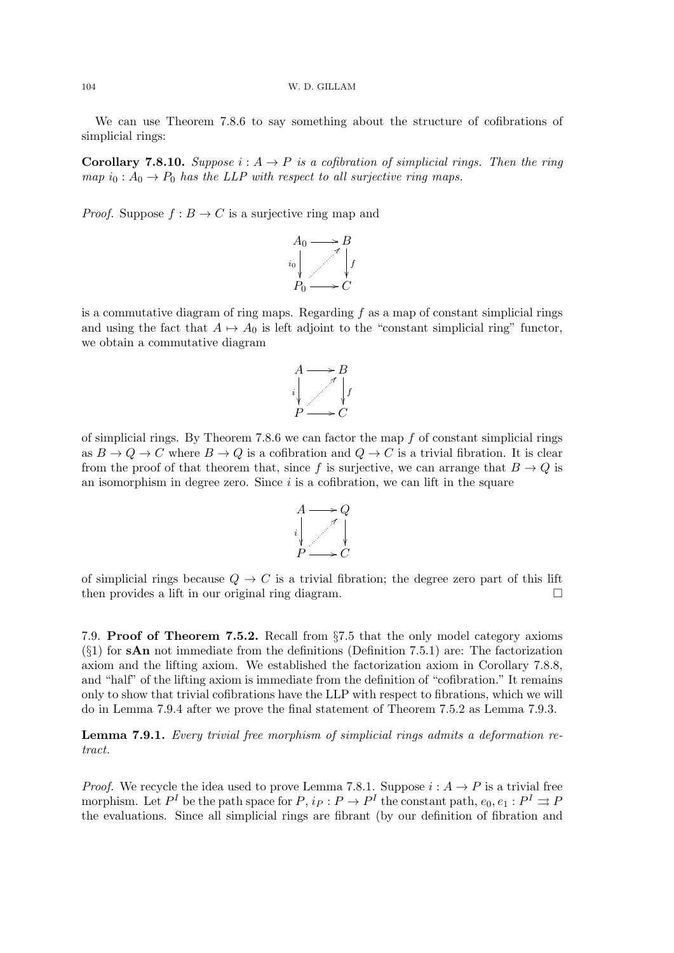We can use Theorem 7.8.6 to say something about the structure of cofibrations of simplicial rings:

**Corollary 7.8.10.** Suppose  $i : A \rightarrow P$  is a cofibration of simplicial rings. Then the ring map  $i_0: A_0 \to P_0$  has the LLP with respect to all surjective ring maps.

*Proof.* Suppose  $f : B \to C$  is a surjective ring map and



is a commutative diagram of ring maps. Regarding  $f$  as a map of constant simplicial rings and using the fact that  $A \mapsto A_0$  is left adjoint to the "constant simplicial ring" functor, we obtain a commutative diagram



of simplicial rings. By Theorem 7.8.6 we can factor the map  $f$  of constant simplicial rings as  $B \to Q \to C$  where  $B \to Q$  is a cofibration and  $Q \to C$  is a trivial fibration. It is clear from the proof of that theorem that, since f is surjective, we can arrange that  $B \to Q$  is an isomorphism in degree zero. Since  $i$  is a cofibration, we can lift in the square



of simplicial rings because  $Q \to C$  is a trivial fibration; the degree zero part of this lift then provides a lift in our original ring diagram.

7.9. Proof of Theorem 7.5.2. Recall from §7.5 that the only model category axioms  $(\S1)$  for sAn not immediate from the definitions (Definition 7.5.1) are: The factorization axiom and the lifting axiom. We established the factorization axiom in Corollary 7.8.8, and "half" of the lifting axiom is immediate from the definition of "cofibration." It remains only to show that trivial cofibrations have the LLP with respect to fibrations, which we will do in Lemma 7.9.4 after we prove the final statement of Theorem 7.5.2 as Lemma 7.9.3.

Lemma 7.9.1. Every trivial free morphism of simplicial rings admits a deformation retract.

*Proof.* We recycle the idea used to prove Lemma 7.8.1. Suppose  $i : A \rightarrow P$  is a trivial free morphism. Let  $P^I$  be the path space for  $P, i_P : P \to P^I$  the constant path,  $e_0, e_1 : P^I \rightrightarrows P$ the evaluations. Since all simplicial rings are fibrant (by our definition of fibration and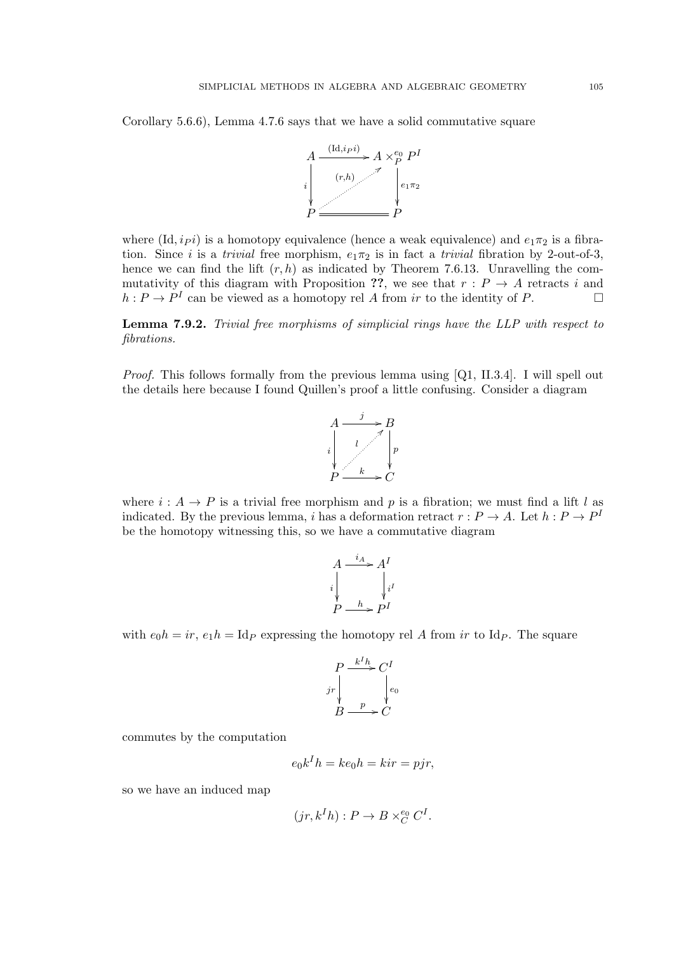Corollary 5.6.6), Lemma 4.7.6 says that we have a solid commutative square



where  $(\mathrm{Id}, i_P i)$  is a homotopy equivalence (hence a weak equivalence) and  $e_1 \pi_2$  is a fibration. Since i is a trivial free morphism,  $e_1\pi_2$  is in fact a trivial fibration by 2-out-of-3, hence we can find the lift  $(r, h)$  as indicated by Theorem 7.6.13. Unravelling the commutativity of this diagram with Proposition ??, we see that  $r: P \rightarrow A$  retracts i and  $h: P \to P^I$  can be viewed as a homotopy rel A from ir to the identity of P.

Lemma 7.9.2. Trivial free morphisms of simplicial rings have the LLP with respect to fibrations.

*Proof.* This follows formally from the previous lemma using [Q1, II.3.4]. I will spell out the details here because I found Quillen's proof a little confusing. Consider a diagram



where  $i : A \rightarrow P$  is a trivial free morphism and p is a fibration; we must find a lift l as indicated. By the previous lemma, i has a deformation retract  $r: P \to A$ . Let  $h: P \to P^1$ be the homotopy witnessing this, so we have a commutative diagram

$$
A \xrightarrow{i_A} A^I
$$
  
\n
$$
i \downarrow \qquad i^I
$$
  
\n
$$
P \xrightarrow{h} P^I
$$

with  $e_0h = ir$ ,  $e_1h = \text{Id}_P$  expressing the homotopy rel A from ir to Id<sub>P</sub>. The square

$$
P \xrightarrow{k^I h} C^I
$$
  

$$
j r \downarrow \qquad \downarrow e_0
$$
  

$$
B \xrightarrow{p} C
$$

commutes by the computation

$$
e_0k^I h = ke_0h = kir = pjr,
$$

so we have an induced map

$$
(jr, kIh) : P \to B \times_C^{e_0} C^I.
$$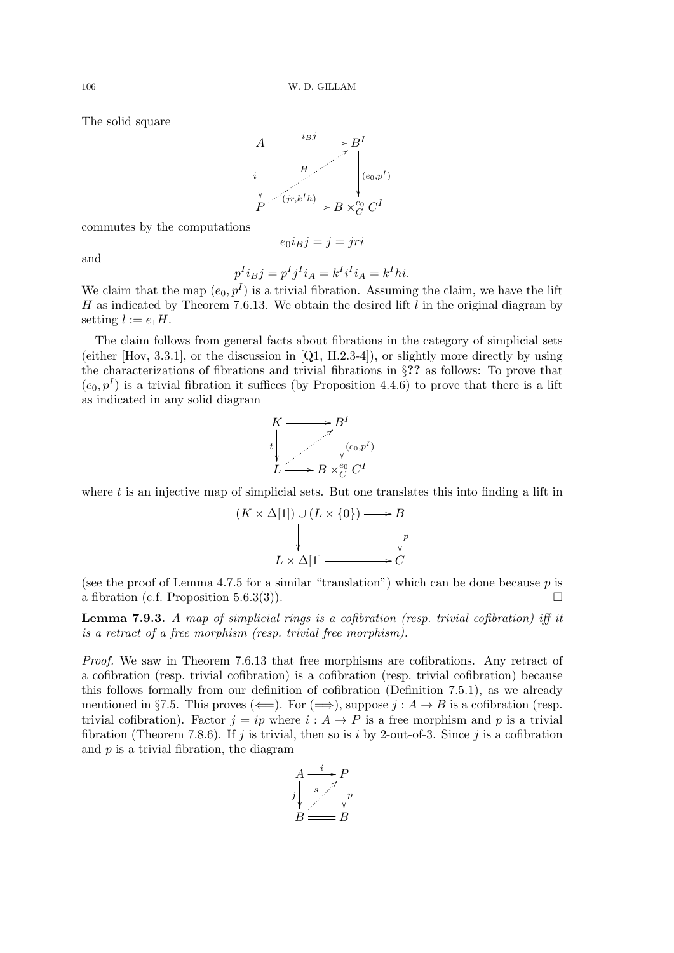The solid square



commutes by the computations

$$
e_0 i_B j = j = jri
$$

and

$$
p^I i_B j = p^I j^I i_A = k^I i^I i_A = k^I h i.
$$

We claim that the map  $(e_0, p^I)$  is a trivial fibration. Assuming the claim, we have the lift H as indicated by Theorem 7.6.13. We obtain the desired lift  $l$  in the original diagram by setting  $l := e_1H$ .

The claim follows from general facts about fibrations in the category of simplicial sets (either  $[Hov, 3.3.1]$ , or the discussion in  $[Q1, II.2.3-4]$ ), or slightly more directly by using the characterizations of fibrations and trivial fibrations in §?? as follows: To prove that  $(e_0, p<sup>I</sup>)$  is a trivial fibration it suffices (by Proposition 4.4.6) to prove that there is a lift as indicated in any solid diagram



where  $t$  is an injective map of simplicial sets. But one translates this into finding a lift in

$$
(K \times \Delta[1]) \cup (L \times \{0\}) \longrightarrow B
$$
  
\n
$$
\downarrow \qquad \qquad \downarrow P
$$
  
\n
$$
L \times \Delta[1] \longrightarrow C
$$

(see the proof of Lemma 4.7.5 for a similar "translation") which can be done because  $p$  is a fibration (c.f. Proposition 5.6.3(3)).

**Lemma 7.9.3.** A map of simplicial rings is a cofibration (resp. trivial cofibration) iff it is a retract of a free morphism (resp. trivial free morphism).

Proof. We saw in Theorem 7.6.13 that free morphisms are cofibrations. Any retract of a cofibration (resp. trivial cofibration) is a cofibration (resp. trivial cofibration) because this follows formally from our definition of cofibration (Definition 7.5.1), as we already mentioned in §7.5. This proves ( $\Longleftarrow$ ). For  $(\Longrightarrow)$ , suppose  $j : A \to B$  is a cofibration (resp. trivial cofibration). Factor  $j = ip$  where  $i : A \rightarrow P$  is a free morphism and p is a trivial fibration (Theorem 7.8.6). If j is trivial, then so is i by 2-out-of-3. Since j is a cofibration and  $p$  is a trivial fibration, the diagram

$$
A \xrightarrow{s} P
$$
  
\n
$$
j \downarrow s
$$
  
\n
$$
B \xrightarrow{f} P
$$
  
\n
$$
B \xrightarrow{f} B
$$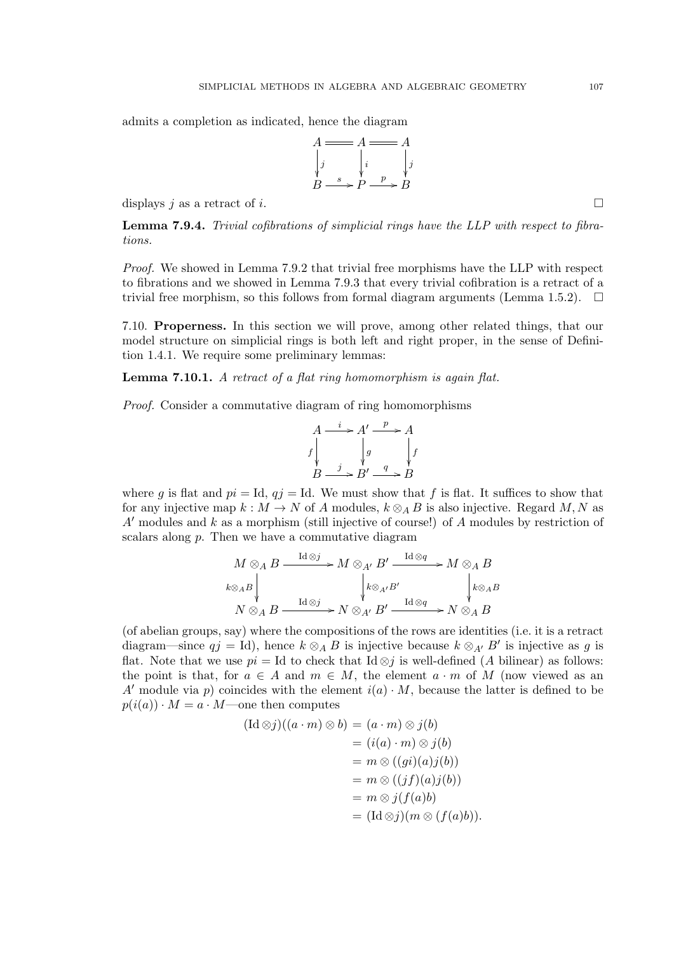admits a completion as indicated, hence the diagram



displays j as a retract of i.

Lemma 7.9.4. Trivial cofibrations of simplicial rings have the LLP with respect to fibrations.

Proof. We showed in Lemma 7.9.2 that trivial free morphisms have the LLP with respect to fibrations and we showed in Lemma 7.9.3 that every trivial cofibration is a retract of a trivial free morphism, so this follows from formal diagram arguments (Lemma 1.5.2).  $\Box$ 

7.10. Properness. In this section we will prove, among other related things, that our model structure on simplicial rings is both left and right proper, in the sense of Definition 1.4.1. We require some preliminary lemmas:

Lemma 7.10.1. A retract of a flat ring homomorphism is again flat.

Proof. Consider a commutative diagram of ring homomorphisms

$$
A \xrightarrow{i} A' \xrightarrow{p} A
$$
  

$$
f \downarrow g \qquad f \downarrow f
$$
  

$$
B \xrightarrow{j} B' \xrightarrow{q} B
$$

where g is flat and  $pi = Id$ ,  $qj = Id$ . We must show that f is flat. It suffices to show that for any injective map  $k : M \to N$  of A modules,  $k \otimes_A B$  is also injective. Regard M, N as  $A'$  modules and k as a morphism (still injective of course!) of A modules by restriction of scalars along p. Then we have a commutative diagram

$$
M \otimes_A B \xrightarrow{\operatorname{Id} \otimes j} M \otimes_{A'} B' \xrightarrow{\operatorname{Id} \otimes q} M \otimes_A B
$$
  
\n $k \otimes_A B \downarrow \qquad \qquad k \otimes_{A'} B' \downarrow \qquad \qquad k \otimes_A B$   
\n $N \otimes_A B \xrightarrow{\operatorname{Id} \otimes j} N \otimes_{A'} B' \xrightarrow{\operatorname{Id} \otimes q} N \otimes_A B$ 

(of abelian groups, say) where the compositions of the rows are identities (i.e. it is a retract diagram—since  $qj = Id$ , hence  $k \otimes_A B$  is injective because  $k \otimes_{A'} B'$  is injective as g is flat. Note that we use  $pi = Id$  to check that Id  $\otimes j$  is well-defined (A bilinear) as follows: the point is that, for  $a \in A$  and  $m \in M$ , the element  $a \cdot m$  of M (now viewed as an A' module via p) coincides with the element  $i(a) \cdot M$ , because the latter is defined to be  $p(i(a)) \cdot M = a \cdot M$ —one then computes

$$
(\mathrm{Id}\otimes j)((a \cdot m) \otimes b) = (a \cdot m) \otimes j(b)
$$
  

$$
= (i(a) \cdot m) \otimes j(b)
$$
  

$$
= m \otimes ((gi)(a)j(b))
$$
  

$$
= m \otimes ((jf)(a)j(b))
$$
  

$$
= m \otimes j(f(a)b)
$$
  

$$
= (\mathrm{Id}\otimes j)(m \otimes (f(a)b)).
$$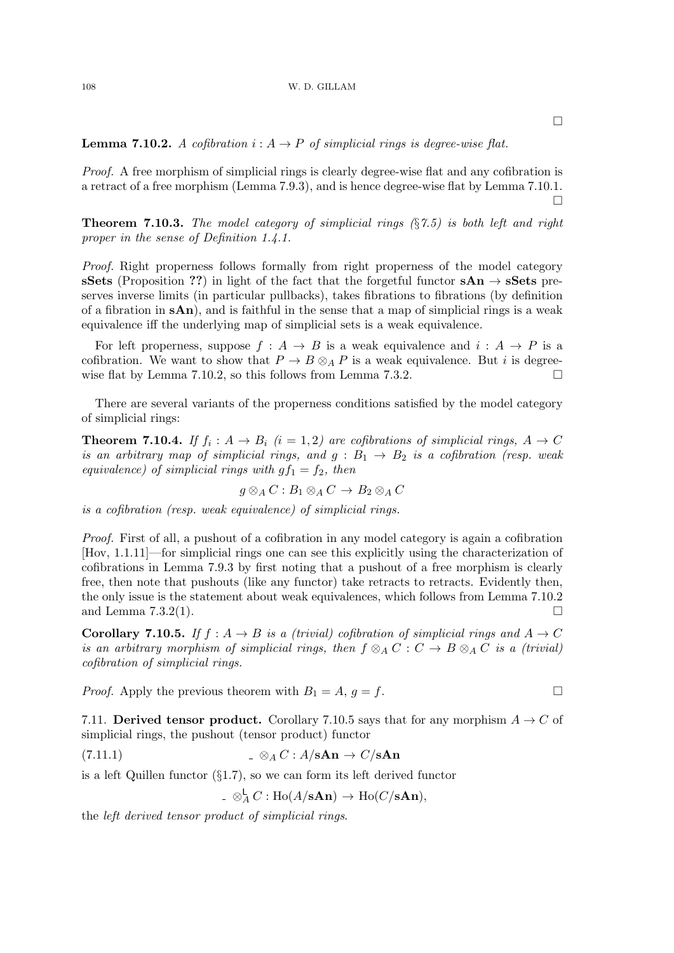**Lemma 7.10.2.** A cofibration  $i: A \rightarrow P$  of simplicial rings is degree-wise flat.

Proof. A free morphism of simplicial rings is clearly degree-wise flat and any cofibration is a retract of a free morphism (Lemma 7.9.3), and is hence degree-wise flat by Lemma 7.10.1.  $\Box$ 

**Theorem 7.10.3.** The model category of simplicial rings  $(\S$ 7.5) is both left and right proper in the sense of Definition 1.4.1.

Proof. Right properness follows formally from right properness of the model category sSets (Proposition ??) in light of the fact that the forgetful functor  $sAn \rightarrow sSets$  preserves inverse limits (in particular pullbacks), takes fibrations to fibrations (by definition of a fibration in  $sAn$ , and is faithful in the sense that a map of simplicial rings is a weak equivalence iff the underlying map of simplicial sets is a weak equivalence.

For left properness, suppose  $f : A \rightarrow B$  is a weak equivalence and  $i : A \rightarrow P$  is a cofibration. We want to show that  $P \to B \otimes_A P$  is a weak equivalence. But *i* is degreewise flat by Lemma 7.10.2, so this follows from Lemma 7.3.2.

There are several variants of the properness conditions satisfied by the model category of simplicial rings:

**Theorem 7.10.4.** If  $f_i: A \to B_i$   $(i = 1, 2)$  are cofibrations of simplicial rings,  $A \to C$ is an arbitrary map of simplicial rings, and  $g : B_1 \rightarrow B_2$  is a cofibration (resp. weak equivalence) of simplicial rings with  $gf_1 = f_2$ , then

$$
g\otimes_A C:B_1\otimes_A C\to B_2\otimes_A C
$$

is a cofibration (resp. weak equivalence) of simplicial rings.

Proof. First of all, a pushout of a cofibration in any model category is again a cofibration [Hov, 1.1.11]—for simplicial rings one can see this explicitly using the characterization of cofibrations in Lemma 7.9.3 by first noting that a pushout of a free morphism is clearly free, then note that pushouts (like any functor) take retracts to retracts. Evidently then, the only issue is the statement about weak equivalences, which follows from Lemma 7.10.2 and Lemma 7.3.2(1).  $\Box$ 

**Corollary 7.10.5.** If  $f : A \rightarrow B$  is a (trivial) cofibration of simplicial rings and  $A \rightarrow C$ is an arbitrary morphism of simplicial rings, then  $f \otimes_A C : C \to B \otimes_A C$  is a (trivial) cofibration of simplicial rings.

*Proof.* Apply the previous theorem with  $B_1 = A$ ,  $g = f$ .

7.11. Derived tensor product. Corollary 7.10.5 says that for any morphism  $A \rightarrow C$  of simplicial rings, the pushout (tensor product) functor

(7.11.1) 
$$
\mathscr{A} C : A/\mathbf{sAn} \to C/\mathbf{sAn}
$$

is a left Quillen functor (§1.7), so we can form its left derived functor

$$
\mathcal{A} \otimes_A^{\mathsf{L}} C : \text{Ho}(A/\mathbf{sAn}) \to \text{Ho}(C/\mathbf{sAn}),
$$

the left derived tensor product of simplicial rings.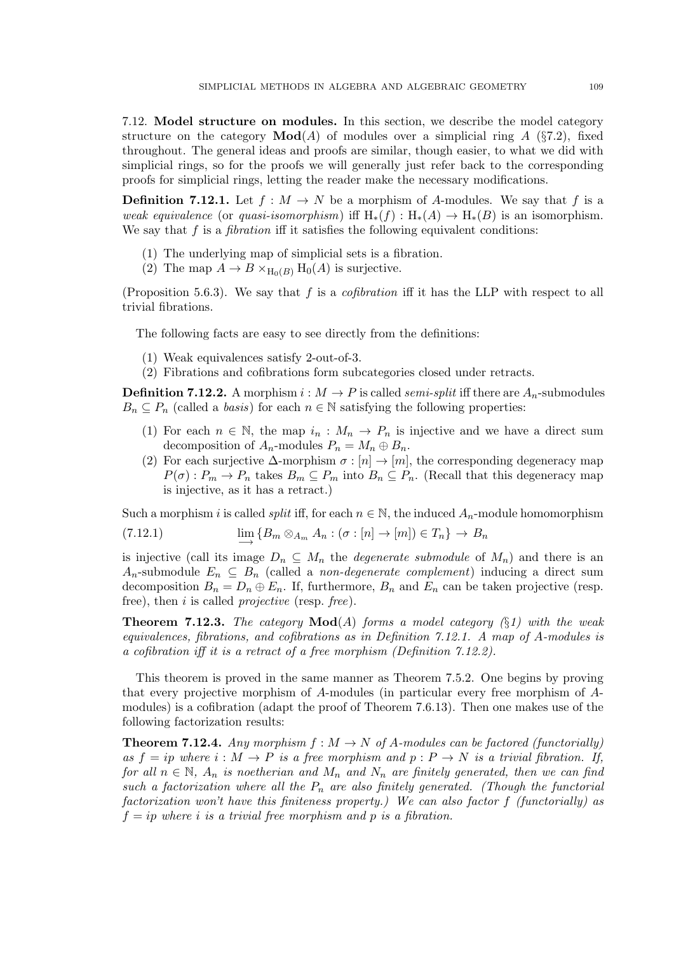7.12. Model structure on modules. In this section, we describe the model category structure on the category  $\text{Mod}(A)$  of modules over a simplicial ring A (§7.2), fixed throughout. The general ideas and proofs are similar, though easier, to what we did with simplicial rings, so for the proofs we will generally just refer back to the corresponding proofs for simplicial rings, letting the reader make the necessary modifications.

**Definition 7.12.1.** Let  $f : M \to N$  be a morphism of A-modules. We say that f is a weak equivalence (or quasi-isomorphism) iff  $H_*(f) : H_*(A) \to H_*(B)$  is an isomorphism. We say that  $f$  is a *fibration* iff it satisfies the following equivalent conditions:

- (1) The underlying map of simplicial sets is a fibration.
- (2) The map  $A \to B \times_{H_0(B)} H_0(A)$  is surjective.

(Proposition 5.6.3). We say that f is a *cofibration* iff it has the LLP with respect to all trivial fibrations.

The following facts are easy to see directly from the definitions:

- (1) Weak equivalences satisfy 2-out-of-3.
- (2) Fibrations and cofibrations form subcategories closed under retracts.

**Definition 7.12.2.** A morphism  $i : M \to P$  is called *semi-split* iff there are  $A_n$ -submodules  $B_n \subseteq P_n$  (called a *basis*) for each  $n \in \mathbb{N}$  satisfying the following properties:

- (1) For each  $n \in \mathbb{N}$ , the map  $i_n : M_n \to P_n$  is injective and we have a direct sum decomposition of  $A_n$ -modules  $P_n = M_n \oplus B_n$ .
- (2) For each surjective  $\Delta$ -morphism  $\sigma : [n] \to [m]$ , the corresponding degeneracy map  $P(\sigma) : P_m \to P_n$  takes  $B_m \subseteq P_m$  into  $B_n \subseteq P_n$ . (Recall that this degeneracy map is injective, as it has a retract.)

Such a morphism i is called *split* iff, for each  $n \in \mathbb{N}$ , the induced  $A_n$ -module homomorphism

(7.12.1) 
$$
\lim_{n \to \infty} \{ B_m \otimes_{A_m} A_n : (\sigma : [n] \to [m]) \in T_n \} \to B_n
$$

is injective (call its image  $D_n \subseteq M_n$  the *degenerate submodule* of  $M_n$ ) and there is an A<sub>n</sub>-submodule  $E_n \subseteq B_n$  (called a non-degenerate complement) inducing a direct sum decomposition  $B_n = D_n \oplus E_n$ . If, furthermore,  $B_n$  and  $E_n$  can be taken projective (resp. free), then  $i$  is called *projective* (resp. *free*).

**Theorem 7.12.3.** The category  $Mod(A)$  forms a model category (§1) with the weak equivalences, fibrations, and cofibrations as in Definition 7.12.1. A map of A-modules is a cofibration iff it is a retract of a free morphism (Definition 7.12.2).

This theorem is proved in the same manner as Theorem 7.5.2. One begins by proving that every projective morphism of A-modules (in particular every free morphism of Amodules) is a cofibration (adapt the proof of Theorem 7.6.13). Then one makes use of the following factorization results:

**Theorem 7.12.4.** Any morphism  $f : M \to N$  of A-modules can be factored (functorially) as  $f = ip$  where  $i : M \to P$  is a free morphism and  $p : P \to N$  is a trivial fibration. If, for all  $n \in \mathbb{N}$ ,  $A_n$  is noetherian and  $M_n$  and  $N_n$  are finitely generated, then we can find such a factorization where all the  $P_n$  are also finitely generated. (Though the functorial factorization won't have this finiteness property.) We can also factor f (functorially) as  $f = ip$  where i is a trivial free morphism and p is a fibration.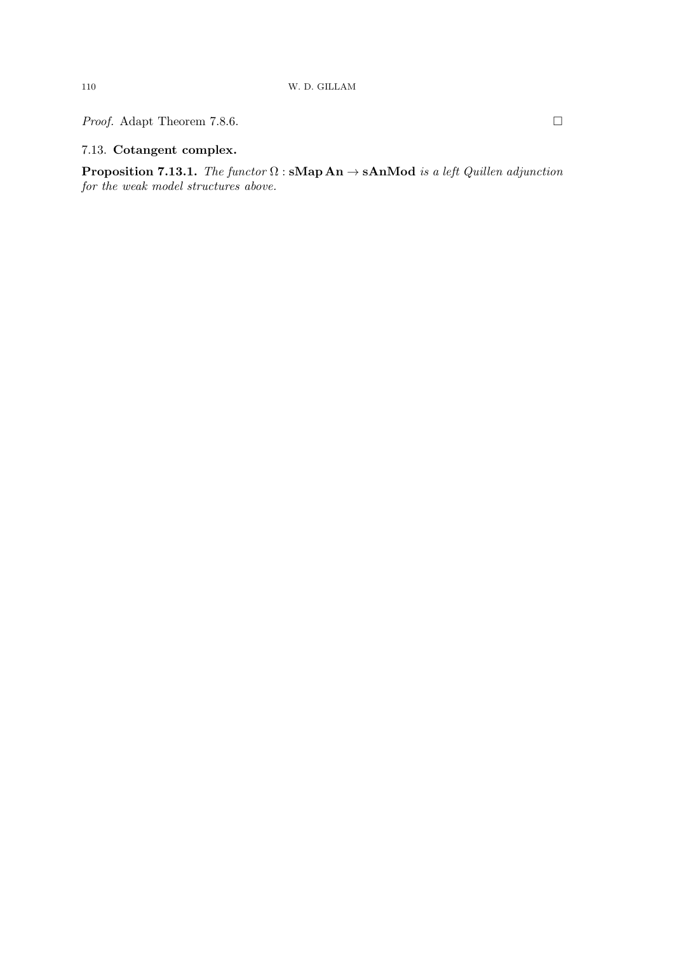*Proof.* Adapt Theorem 7.8.6. □

# 7.13. Cotangent complex.

**Proposition 7.13.1.** The functor  $\Omega$ : sMap An  $\rightarrow$  sAnMod is a left Quillen adjunction for the weak model structures above.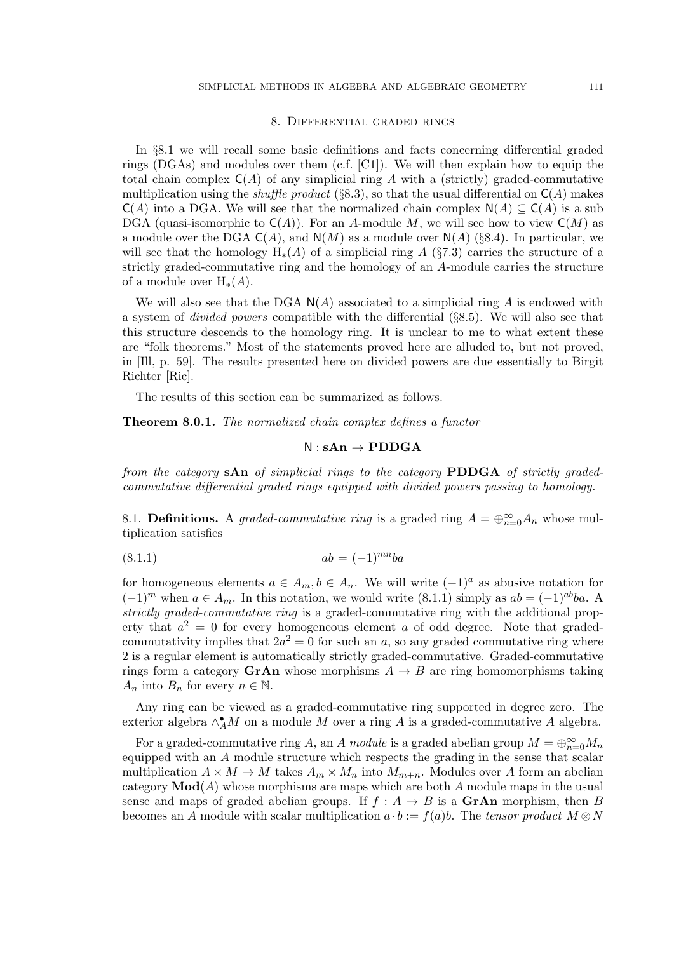### 8. Differential graded rings

In §8.1 we will recall some basic definitions and facts concerning differential graded rings (DGAs) and modules over them  $(c.f. [C1])$ . We will then explain how to equip the total chain complex  $C(A)$  of any simplicial ring A with a (strictly) graded-commutative multiplication using the *shuffle product* (§8.3), so that the usual differential on  $C(A)$  makes  $C(A)$  into a DGA. We will see that the normalized chain complex  $N(A) \subseteq C(A)$  is a sub DGA (quasi-isomorphic to  $C(A)$ ). For an A-module M, we will see how to view  $C(M)$  as a module over the DGA  $C(A)$ , and  $N(M)$  as a module over  $N(A)$  (§8.4). In particular, we will see that the homology  $H_*(A)$  of a simplicial ring A (§7.3) carries the structure of a strictly graded-commutative ring and the homology of an A-module carries the structure of a module over  $H_*(A)$ .

We will also see that the DGA  $N(A)$  associated to a simplicial ring A is endowed with a system of divided powers compatible with the differential (§8.5). We will also see that this structure descends to the homology ring. It is unclear to me to what extent these are "folk theorems." Most of the statements proved here are alluded to, but not proved, in [Ill, p. 59]. The results presented here on divided powers are due essentially to Birgit Richter [Ric].

The results of this section can be summarized as follows.

Theorem 8.0.1. The normalized chain complex defines a functor

## $N : sAn \rightarrow \textbf{PDDGA}$

from the category sAn of simplicial rings to the category PDDGA of strictly gradedcommutative differential graded rings equipped with divided powers passing to homology.

8.1. **Definitions.** A graded-commutative ring is a graded ring  $A = \bigoplus_{n=0}^{\infty} A_n$  whose multiplication satisfies

$$
(8.1.1) \t ab = (-1)^{mn}ba
$$

for homogeneous elements  $a \in A_m$ ,  $b \in A_n$ . We will write  $(-1)^a$  as abusive notation for  $(-1)^m$  when  $a \in A_m$ . In this notation, we would write (8.1.1) simply as  $ab = (-1)^{ab}ba$ . A strictly graded-commutative ring is a graded-commutative ring with the additional property that  $a^2 = 0$  for every homogeneous element a of odd degree. Note that gradedcommutativity implies that  $2a^2 = 0$  for such an a, so any graded commutative ring where 2 is a regular element is automatically strictly graded-commutative. Graded-commutative rings form a category GrAn whose morphisms  $A \rightarrow B$  are ring homomorphisms taking  $A_n$  into  $B_n$  for every  $n \in \mathbb{N}$ .

Any ring can be viewed as a graded-commutative ring supported in degree zero. The exterior algebra  $\wedge^{\bullet}_{A}M$  on a module M over a ring A is a graded-commutative A algebra.

For a graded-commutative ring A, an A module is a graded abelian group  $M = \bigoplus_{n=0}^{\infty} M_n$ equipped with an A module structure which respects the grading in the sense that scalar multiplication  $A \times M \to M$  takes  $A_m \times M_n$  into  $M_{m+n}$ . Modules over A form an abelian category  $\text{Mod}(A)$  whose morphisms are maps which are both A module maps in the usual sense and maps of graded abelian groups. If  $f : A \rightarrow B$  is a **GrAn** morphism, then B becomes an A module with scalar multiplication  $a \cdot b := f(a)b$ . The tensor product  $M \otimes N$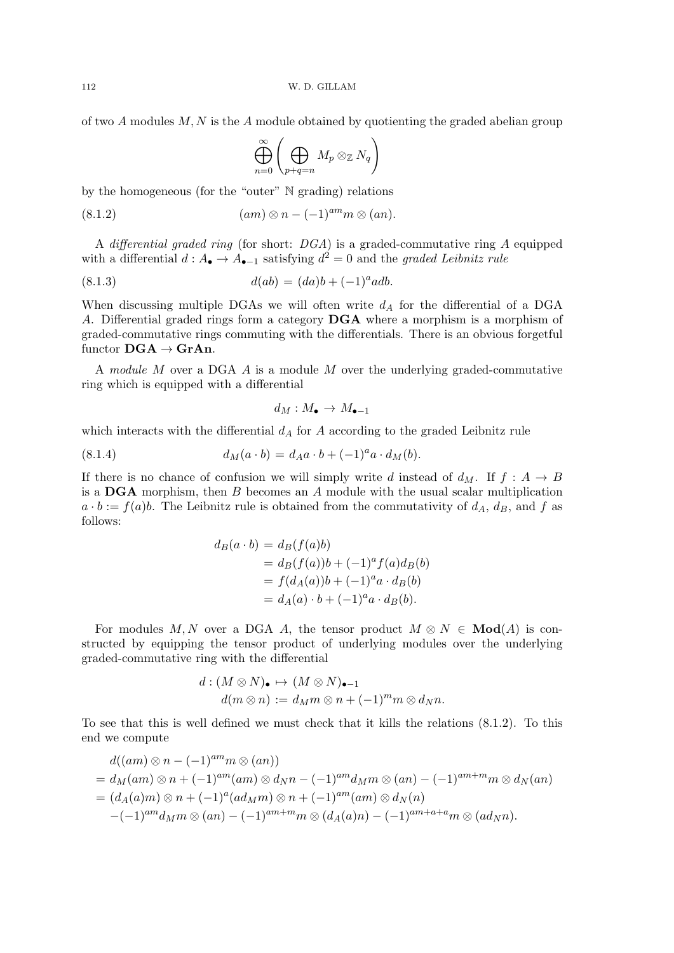of two  $A$  modules  $M, N$  is the  $A$  module obtained by quotienting the graded abelian group

$$
\bigoplus_{n=0}^{\infty} \left( \bigoplus_{p+q=n} M_p \otimes_{\mathbb{Z}} N_q \right)
$$

by the homogeneous (for the "outer" N grading) relations

(am) ⊗ n − (−1) (8.1.2) amm ⊗ (an).

A differential graded ring (for short:  $DGA$ ) is a graded-commutative ring A equipped with a differential  $d: A_{\bullet} \to A_{\bullet-1}$  satisfying  $d^2 = 0$  and the graded Leibnitz rule

(8.1.3) 
$$
d(ab) = (da)b + (-1)^a adb.
$$

When discussing multiple DGAs we will often write  $d_A$  for the differential of a DGA A. Differential graded rings form a category DGA where a morphism is a morphism of graded-commutative rings commuting with the differentials. There is an obvious forgetful functor  $\bf DGA \rightarrow GrAn$ .

A module M over a DGA A is a module M over the underlying graded-commutative ring which is equipped with a differential

$$
d_M:M_\bullet\to M_{\bullet-1}
$$

which interacts with the differential  $d_A$  for A according to the graded Leibnitz rule

(8.1.4) 
$$
d_M(a \cdot b) = d_A a \cdot b + (-1)^a a \cdot d_M(b).
$$

If there is no chance of confusion we will simply write d instead of  $d_M$ . If  $f : A \rightarrow B$ is a  $\bf{DGA}$  morphism, then B becomes an A module with the usual scalar multiplication  $a \cdot b := f(a)b$ . The Leibnitz rule is obtained from the commutativity of  $d_A$ ,  $d_B$ , and f as follows:

$$
d_B(a \cdot b) = d_B(f(a)b)
$$
  
=  $d_B(f(a))b + (-1)^a f(a) d_B(b)$   
=  $f(d_A(a))b + (-1)^a a \cdot d_B(b)$   
=  $d_A(a) \cdot b + (-1)^a a \cdot d_B(b)$ .

For modules M, N over a DGA A, the tensor product  $M \otimes N \in Mod(A)$  is constructed by equipping the tensor product of underlying modules over the underlying graded-commutative ring with the differential

$$
d: (M \otimes N)_{\bullet} \mapsto (M \otimes N)_{\bullet-1}
$$
  

$$
d(m \otimes n) := d_{M}m \otimes n + (-1)^{m}m \otimes d_{N}n.
$$

To see that this is well defined we must check that it kills the relations (8.1.2). To this end we compute

$$
d((am) \otimes n - (-1)^{am} m \otimes (an))
$$
  
=  $d_M(am) \otimes n + (-1)^{am}(am) \otimes d_Nn - (-1)^{am}d_Mm \otimes (an) - (-1)^{am+m}m \otimes d_N(an)$   
=  $(d_A(a)m) \otimes n + (-1)^a(ad_Mm) \otimes n + (-1)^{am}(am) \otimes d_N(n)$   
 $-(-1)^{am}d_Mm \otimes (an) - (-1)^{am+m}m \otimes (d_A(a)n) - (-1)^{am+a+a}m \otimes (ad_Nn).$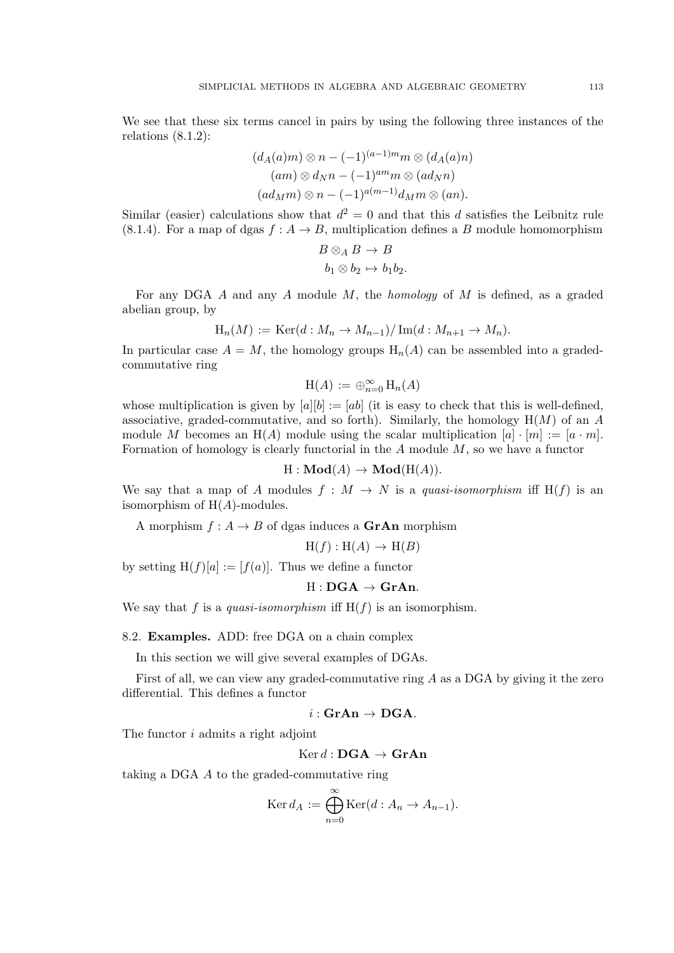We see that these six terms cancel in pairs by using the following three instances of the relations  $(8.1.2)$ :

$$
(d_A(a)m) \otimes n - (-1)^{(a-1)m}m \otimes (d_A(a)n)
$$
  
\n
$$
(am) \otimes d_Nn - (-1)^{am}m \otimes (ad_Nn)
$$
  
\n
$$
(ad_Mm) \otimes n - (-1)^{a(m-1)}d_Mm \otimes (an).
$$

Similar (easier) calculations show that  $d^2 = 0$  and that this d satisfies the Leibnitz rule (8.1.4). For a map of dgas  $f : A \rightarrow B$ , multiplication defines a B module homomorphism

$$
B \otimes_A B \to B
$$
  

$$
b_1 \otimes b_2 \mapsto b_1 b_2.
$$

For any DGA  $A$  and any  $A$  module  $M$ , the *homology* of  $M$  is defined, as a graded abelian group, by

$$
H_n(M) := \text{Ker}(d: M_n \to M_{n-1})/\text{Im}(d: M_{n+1} \to M_n).
$$

In particular case  $A = M$ , the homology groups  $H_n(A)$  can be assembled into a gradedcommutative ring

$$
\mathrm{H}(A):=\oplus_{n=0}^\infty\,\mathrm{H}_n(A)
$$

whose multiplication is given by  $[a][b] := [ab]$  (it is easy to check that this is well-defined, associative, graded-commutative, and so forth). Similarly, the homology  $H(M)$  of an A module M becomes an H(A) module using the scalar multiplication  $[a] \cdot [m] := [a \cdot m]$ . Formation of homology is clearly functorial in the  $A$  module  $M$ , so we have a functor

 $H: \mathbf{Mod}(A) \to \mathbf{Mod}(H(A)).$ 

We say that a map of A modules  $f : M \to N$  is a quasi-isomorphism iff H(f) is an isomorphism of  $H(A)$ -modules.

A morphism  $f : A \to B$  of dgas induces a **GrAn** morphism

$$
H(f) : H(A) \to H(B)
$$

by setting  $H(f)[a] := [f(a)]$ . Thus we define a functor

$$
H: \mathbf{DGA} \to \mathbf{GrAn}.
$$

We say that f is a quasi-isomorphism iff  $H(f)$  is an isomorphism.

### 8.2. Examples. ADD: free DGA on a chain complex

In this section we will give several examples of DGAs.

First of all, we can view any graded-commutative ring  $A$  as a DGA by giving it the zero differential. This defines a functor

$$
i: {\mathbf{GrAn}} \to \mathbf{DGA}.
$$

The functor i admits a right adjoint

 $Ker d : \textbf{DGA} \rightarrow \textbf{GrAn}$ 

taking a DGA A to the graded-commutative ring

$$
\operatorname{Ker} d_A := \bigoplus_{n=0}^{\infty} \operatorname{Ker}(d : A_n \to A_{n-1}).
$$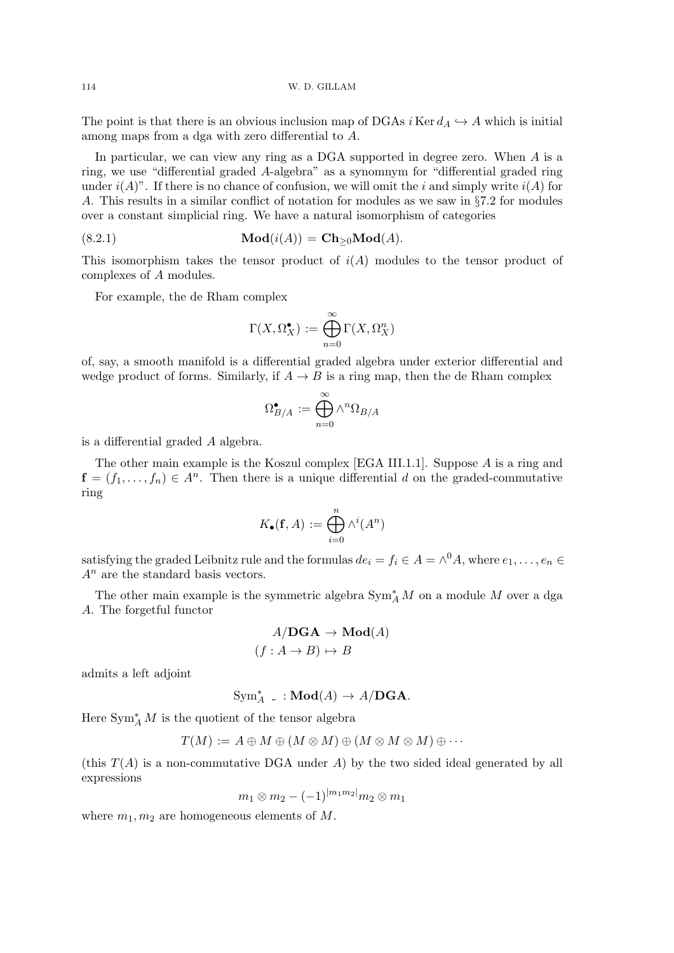The point is that there is an obvious inclusion map of DGAs  $i$  Ker  $d_A \hookrightarrow A$  which is initial among maps from a dga with zero differential to A.

In particular, we can view any ring as a DGA supported in degree zero. When A is a ring, we use "differential graded A-algebra" as a synomnym for "differential graded ring under  $i(A)$ ". If there is no chance of confusion, we will omit the i and simply write  $i(A)$  for A. This results in a similar conflict of notation for modules as we saw in §7.2 for modules over a constant simplicial ring. We have a natural isomorphism of categories

(8.2.1) 
$$
\mathbf{Mod}(i(A)) = \mathbf{Ch}_{\geq 0} \mathbf{Mod}(A).
$$

This isomorphism takes the tensor product of  $i(A)$  modules to the tensor product of complexes of A modules.

For example, the de Rham complex

$$
\Gamma(X,\Omega_X^{\bullet}) := \bigoplus_{n=0}^{\infty} \Gamma(X,\Omega_X^n)
$$

of, say, a smooth manifold is a differential graded algebra under exterior differential and wedge product of forms. Similarly, if  $A \to B$  is a ring map, then the de Rham complex

$$
\Omega^{\bullet}_{B/A}:=\bigoplus_{n=0}^{\infty}\wedge^n \Omega_{B/A}
$$

is a differential graded A algebra.

The other main example is the Koszul complex [EGA III.1.1]. Suppose A is a ring and  $f = (f_1, \ldots, f_n) \in A^n$ . Then there is a unique differential d on the graded-commutative ring

$$
K_{\bullet}(\mathbf{f}, A) := \bigoplus_{i=0}^{n} \wedge^{i}(A^{n})
$$

satisfying the graded Leibnitz rule and the formulas  $de_i = f_i \in A = \wedge^0 A$ , where  $e_1, \ldots, e_n \in A$  $A<sup>n</sup>$  are the standard basis vectors.

The other main example is the symmetric algebra  $\text{Sym}_{A}^*M$  on a module  $M$  over a dga A. The forgetful functor

$$
A/\mathbf{DGA} \to \mathbf{Mod}(A)
$$

$$
(f: A \to B) \mapsto B
$$

admits a left adjoint

$$
Sym_A^* \ . \ : \mathbf{Mod}(A) \to A/\mathbf{DGA}.
$$

Here  $\text{Sym}_{A}^{*} M$  is the quotient of the tensor algebra

$$
T(M) := A \oplus M \oplus (M \otimes M) \oplus (M \otimes M \otimes M) \oplus \cdots
$$

(this  $T(A)$ ) is a non-commutative DGA under A) by the two sided ideal generated by all expressions

$$
m_1 \otimes m_2 - (-1)^{|m_1m_2|} m_2 \otimes m_1
$$

where  $m_1, m_2$  are homogeneous elements of M.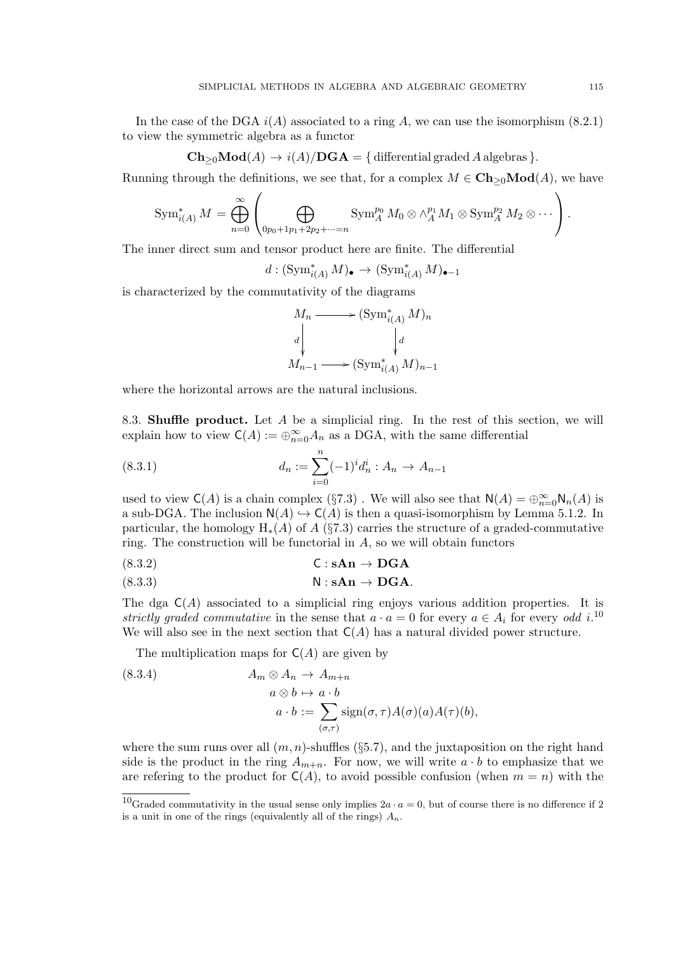In the case of the DGA  $i(A)$  associated to a ring A, we can use the isomorphism (8.2.1) to view the symmetric algebra as a functor

$$
Ch_{\geq 0}Mod(A) \to i(A)/DGA = \{ \text{ differential graded } A \text{ algebras } \}.
$$

Running through the definitions, we see that, for a complex  $M \in \mathbf{Ch}_{\geq 0}\mathbf{Mod}(A)$ , we have

$$
\operatorname{Sym}_{i(A)}^* M = \bigoplus_{n=0}^{\infty} \left( \bigoplus_{0p_0+1p_1+2p_2+\cdots=n} \operatorname{Sym}_A^{p_0} M_0 \otimes \wedge_A^{p_1} M_1 \otimes \operatorname{Sym}_A^{p_2} M_2 \otimes \cdots \right).
$$

The inner direct sum and tensor product here are finite. The differential

 $d : (\text{Sym}_{i(A)}^* M)_\bullet \to (\text{Sym}_{i(A)}^* M)_{\bullet-1}$ 

is characterized by the commutativity of the diagrams

$$
M_n \longrightarrow (\text{Sym}_{i(A)}^* M)_n
$$
  
\n
$$
d \downarrow \qquad \qquad d
$$
  
\n
$$
M_{n-1} \longrightarrow (\text{Sym}_{i(A)}^* M)_{n-1}
$$

where the horizontal arrows are the natural inclusions.

8.3. **Shuffle product.** Let  $A$  be a simplicial ring. In the rest of this section, we will explain how to view  $C(A) := \bigoplus_{n=0}^{\infty} A_n$  as a DGA, with the same differential

(8.3.1) 
$$
d_n := \sum_{i=0}^n (-1)^i d_n^i : A_n \to A_{n-1}
$$

used to view  $C(A)$  is a chain complex (§7.3). We will also see that  $N(A) = \bigoplus_{n=0}^{\infty} N_n(A)$  is a sub-DGA. The inclusion  $N(A) \hookrightarrow C(A)$  is then a quasi-isomorphism by Lemma 5.1.2. In particular, the homology  $H_*(A)$  of A (§7.3) carries the structure of a graded-commutative ring. The construction will be functorial in  $A$ , so we will obtain functors

(8.3.2) C : sAn → DGA

(8.3.3) N : sAn → DGA.

The dga  $C(A)$  associated to a simplicial ring enjoys various addition properties. It is strictly graded commutative in the sense that  $a \cdot a = 0$  for every  $a \in A_i$  for every odd i.<sup>10</sup> We will also see in the next section that  $C(A)$  has a natural divided power structure.

The multiplication maps for  $C(A)$  are given by

(8.3.4) 
$$
A_m \otimes A_n \to A_{m+n}
$$

$$
a \otimes b \mapsto a \cdot b
$$

$$
a \cdot b := \sum_{(\sigma,\tau)} sign(\sigma,\tau) A(\sigma)(a) A(\tau)(b),
$$

where the sum runs over all  $(m, n)$ -shuffles (§5.7), and the juxtaposition on the right hand side is the product in the ring  $A_{m+n}$ . For now, we will write  $a \cdot b$  to emphasize that we are refering to the product for  $C(A)$ , to avoid possible confusion (when  $m = n$ ) with the

<sup>&</sup>lt;sup>10</sup>Graded commutativity in the usual sense only implies  $2a \cdot a = 0$ , but of course there is no difference if 2 is a unit in one of the rings (equivalently all of the rings)  $A_n$ .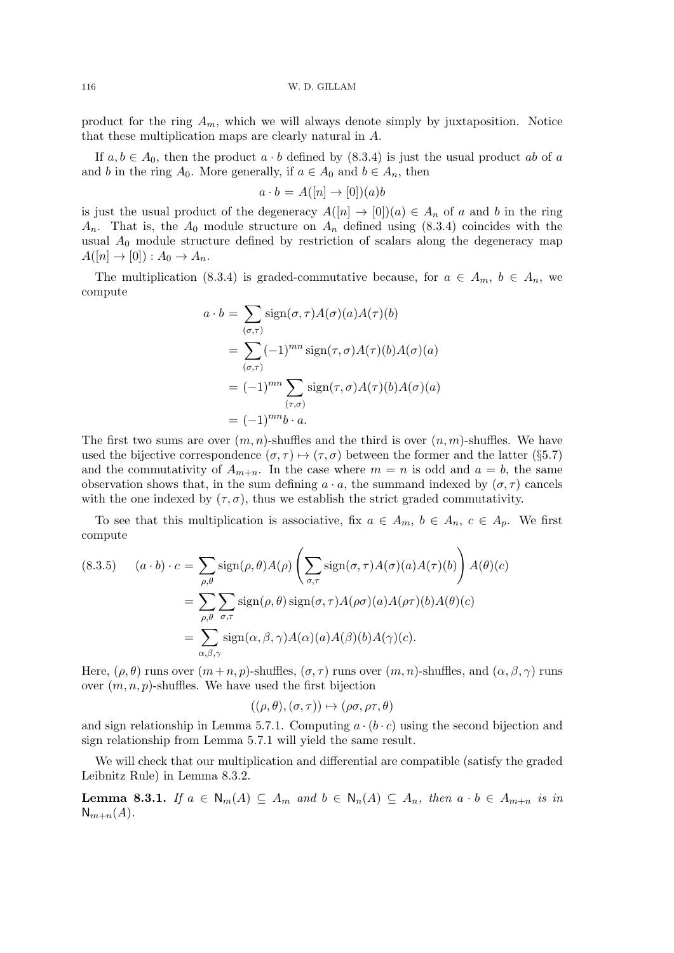116 W. D. GILLAM

product for the ring  $A_m$ , which we will always denote simply by juxtaposition. Notice that these multiplication maps are clearly natural in A.

If  $a, b \in A_0$ , then the product  $a \cdot b$  defined by  $(8.3.4)$  is just the usual product ab of a and b in the ring  $A_0$ . More generally, if  $a \in A_0$  and  $b \in A_n$ , then

$$
a \cdot b = A([n] \to [0])(a)b
$$

is just the usual product of the degeneracy  $A([n] \to [0])(a) \in A_n$  of a and b in the ring  $A_n$ . That is, the  $A_0$  module structure on  $A_n$  defined using (8.3.4) coincides with the usual  $A_0$  module structure defined by restriction of scalars along the degeneracy map  $A([n] \rightarrow [0]) : A_0 \rightarrow A_n.$ 

The multiplication (8.3.4) is graded-commutative because, for  $a \in A_m$ ,  $b \in A_n$ , we compute

$$
a \cdot b = \sum_{(\sigma,\tau)} sign(\sigma,\tau) A(\sigma)(a) A(\tau)(b)
$$
  
= 
$$
\sum_{(\sigma,\tau)} (-1)^{mn} sign(\tau,\sigma) A(\tau)(b) A(\sigma)(a)
$$
  
= 
$$
(-1)^{mn} \sum_{(\tau,\sigma)} sign(\tau,\sigma) A(\tau)(b) A(\sigma)(a)
$$
  
= 
$$
(-1)^{mn} b \cdot a.
$$

The first two sums are over  $(m, n)$ -shuffles and the third is over  $(n, m)$ -shuffles. We have used the bijective correspondence  $(\sigma, \tau) \mapsto (\tau, \sigma)$  between the former and the latter (§5.7) and the commutativity of  $A_{m+n}$ . In the case where  $m = n$  is odd and  $a = b$ , the same observation shows that, in the sum defining  $a \cdot a$ , the summand indexed by  $(\sigma, \tau)$  cancels with the one indexed by  $(\tau, \sigma)$ , thus we establish the strict graded commutativity.

To see that this multiplication is associative, fix  $a \in A_m$ ,  $b \in A_n$ ,  $c \in A_p$ . We first compute

(8.3.5) 
$$
(a \cdot b) \cdot c = \sum_{\rho,\theta} \text{sign}(\rho,\theta) A(\rho) \left( \sum_{\sigma,\tau} \text{sign}(\sigma,\tau) A(\sigma)(a) A(\tau)(b) \right) A(\theta)(c)
$$

$$
= \sum_{\rho,\theta} \sum_{\sigma,\tau} \text{sign}(\rho,\theta) \text{sign}(\sigma,\tau) A(\rho\sigma)(a) A(\rho\tau)(b) A(\theta)(c)
$$

$$
= \sum_{\alpha,\beta,\gamma} \text{sign}(\alpha,\beta,\gamma) A(\alpha)(a) A(\beta)(b) A(\gamma)(c).
$$

Here,  $(\rho, \theta)$  runs over  $(m+n, p)$ -shuffles,  $(\sigma, \tau)$  runs over  $(m, n)$ -shuffles, and  $(\alpha, \beta, \gamma)$  runs over  $(m, n, p)$ -shuffles. We have used the first bijection

$$
((\rho, \theta), (\sigma, \tau)) \mapsto (\rho \sigma, \rho \tau, \theta)
$$

and sign relationship in Lemma 5.7.1. Computing  $a \cdot (b \cdot c)$  using the second bijection and sign relationship from Lemma 5.7.1 will yield the same result.

We will check that our multiplication and differential are compatible (satisfy the graded Leibnitz Rule) in Lemma 8.3.2.

**Lemma 8.3.1.** If  $a \in N_m(A) \subseteq A_m$  and  $b \in N_n(A) \subseteq A_n$ , then  $a \cdot b \in A_{m+n}$  is in  $N_{m+n}(A)$ .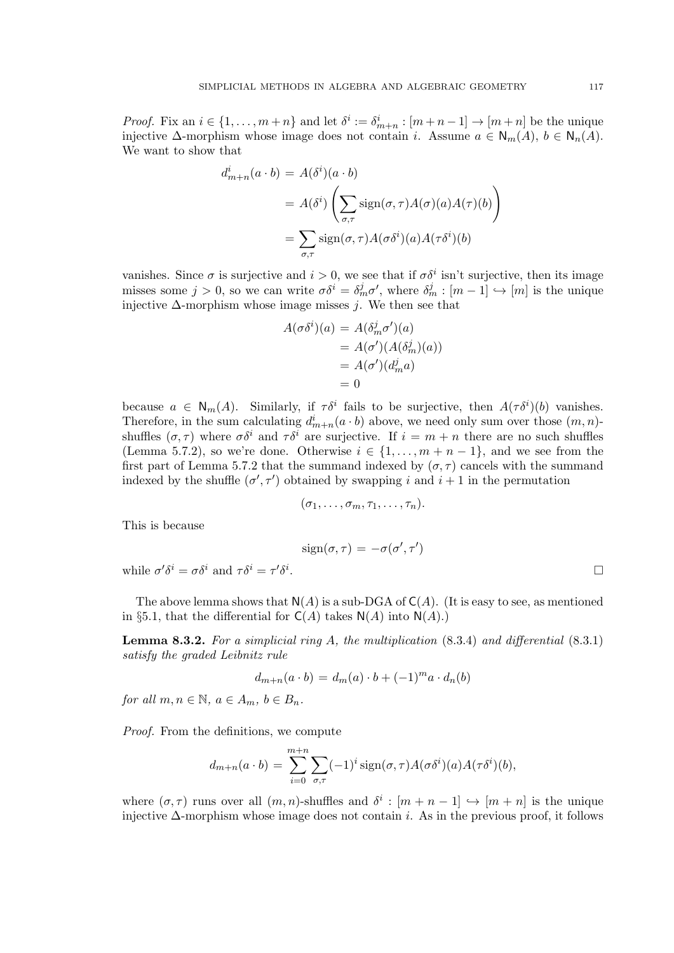*Proof.* Fix an  $i \in \{1, ..., m+n\}$  and let  $\delta^i := \delta^i_{m+n} : [m+n-1] \to [m+n]$  be the unique injective  $\Delta$ -morphism whose image does not contain *i*. Assume  $a \in N_m(A)$ ,  $b \in N_n(A)$ . We want to show that

$$
d_{m+n}^i(a \cdot b) = A(\delta^i)(a \cdot b)
$$
  
=  $A(\delta^i) \left( \sum_{\sigma,\tau} sign(\sigma, \tau) A(\sigma)(a) A(\tau)(b) \right)$   
=  $\sum_{\sigma,\tau} sign(\sigma, \tau) A(\sigma \delta^i)(a) A(\tau \delta^i)(b)$ 

vanishes. Since  $\sigma$  is surjective and  $i > 0$ , we see that if  $\sigma \delta^i$  isn't surjective, then its image misses some  $j > 0$ , so we can write  $\sigma \delta^i = \delta^j_m \sigma'$ , where  $\delta^j_m : [m-1] \hookrightarrow [m]$  is the unique injective  $\Delta$ -morphism whose image misses j. We then see that

$$
A(\sigma \delta^{i})(a) = A(\delta^{j}_{m} \sigma')(a)
$$
  
=  $A(\sigma')(A(\delta^{j}_{m})(a))$   
=  $A(\sigma')(d^{j}_{m} a)$   
= 0

because  $a \in N_m(A)$ . Similarly, if  $\tau \delta^i$  fails to be surjective, then  $A(\tau \delta^i)(b)$  vanishes. Therefore, in the sum calculating  $d_{m+n}^i(a \cdot b)$  above, we need only sum over those  $(m, n)$ shuffles  $(\sigma, \tau)$  where  $\sigma \delta^i$  and  $\tau \delta^i$  are surjective. If  $i = m + n$  there are no such shuffles (Lemma 5.7.2), so we're done. Otherwise  $i \in \{1, \ldots, m+n-1\}$ , and we see from the first part of Lemma 5.7.2 that the summand indexed by  $(\sigma, \tau)$  cancels with the summand indexed by the shuffle  $(\sigma', \tau')$  obtained by swapping i and  $i + 1$  in the permutation

$$
(\sigma_1,\ldots,\sigma_m,\tau_1,\ldots,\tau_n).
$$

This is because

$$
\operatorname{sign}(\sigma,\tau)=-\sigma(\sigma',\tau')
$$

while  $\sigma' \delta^i = \sigma \delta^i$  and  $\tau \delta^i = \tau' \delta^i$ 

The above lemma shows that  $N(A)$  is a sub-DGA of  $C(A)$ . (It is easy to see, as mentioned in §5.1, that the differential for  $C(A)$  takes  $N(A)$  into  $N(A)$ .)

**Lemma 8.3.2.** For a simplicial ring A, the multiplication  $(8.3.4)$  and differential  $(8.3.1)$ satisfy the graded Leibnitz rule

$$
d_{m+n}(a \cdot b) = d_m(a) \cdot b + (-1)^m a \cdot d_n(b)
$$

for all  $m, n \in \mathbb{N}$ ,  $a \in A_m$ ,  $b \in B_n$ .

Proof. From the definitions, we compute

$$
d_{m+n}(a \cdot b) = \sum_{i=0}^{m+n} \sum_{\sigma,\tau} (-1)^i \operatorname{sign}(\sigma,\tau) A(\sigma \delta^i)(a) A(\tau \delta^i)(b),
$$

where  $(\sigma, \tau)$  runs over all  $(m, n)$ -shuffles and  $\delta^i : [m + n - 1] \hookrightarrow [m + n]$  is the unique injective  $\Delta$ -morphism whose image does not contain i. As in the previous proof, it follows

.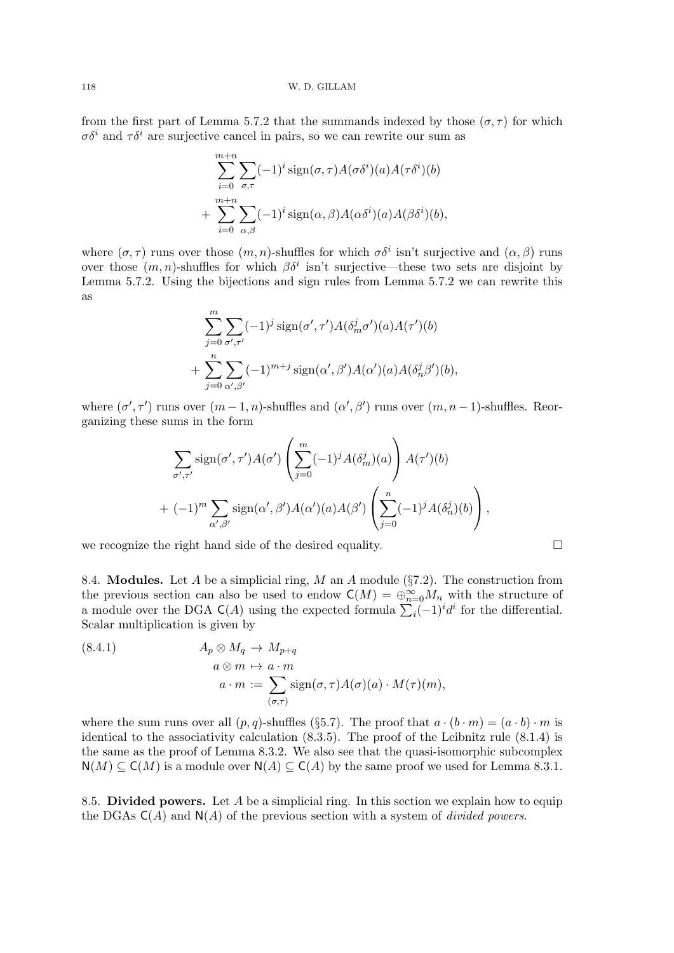from the first part of Lemma 5.7.2 that the summands indexed by those  $(\sigma, \tau)$  for which  $\sigma \delta^i$  and  $\tau \delta^i$  are surjective cancel in pairs, so we can rewrite our sum as

$$
\sum_{i=0}^{m+n} \sum_{\sigma,\tau} (-1)^i \operatorname{sign}(\sigma,\tau) A(\sigma \delta^i)(a) A(\tau \delta^i)(b) + \sum_{i=0}^{m+n} \sum_{\alpha,\beta} (-1)^i \operatorname{sign}(\alpha,\beta) A(\alpha \delta^i)(a) A(\beta \delta^i)(b),
$$

where  $(\sigma, \tau)$  runs over those  $(m, n)$ -shuffles for which  $\sigma \delta^i$  isn't surjective and  $(\alpha, \beta)$  runs over those  $(m, n)$ -shuffles for which  $\beta \delta^i$  isn't surjective—these two sets are disjoint by Lemma 5.7.2. Using the bijections and sign rules from Lemma 5.7.2 we can rewrite this as

$$
\sum_{j=0}^{m} \sum_{\sigma',\tau'} (-1)^j \operatorname{sign}(\sigma',\tau') A(\delta_m^j \sigma')(a) A(\tau')(b)
$$
  
+ 
$$
\sum_{j=0}^{n} \sum_{\alpha',\beta'} (-1)^{m+j} \operatorname{sign}(\alpha',\beta') A(\alpha')(a) A(\delta_n^j \beta')(b),
$$

where  $(\sigma', \tau')$  runs over  $(m-1, n)$ -shuffles and  $(\alpha', \beta')$  runs over  $(m, n-1)$ -shuffles. Reorganizing these sums in the form

$$
\sum_{\sigma',\tau'} sign(\sigma',\tau')A(\sigma')\left(\sum_{j=0}^m (-1)^j A(\delta_m^j)(a)\right) A(\tau')(b)
$$
  
+ 
$$
(-1)^m \sum_{\alpha',\beta'} sign(\alpha',\beta')A(\alpha')(a)A(\beta')\left(\sum_{j=0}^n (-1)^j A(\delta_n^j)(b)\right),
$$

we recognize the right hand side of the desired equality.  $\Box$ 

8.4. **Modules.** Let A be a simplicial ring, M an A module ( $\S7.2$ ). The construction from the previous section can also be used to endow  $C(M) = \bigoplus_{n=0}^{\infty} M_n$  with the structure of a module over the DGA  $C(A)$  using the expected formula  $\sum_i (-1)^i d^i$  for the differential. Scalar multiplication is given by

(8.4.1) 
$$
A_p \otimes M_q \to M_{p+q}
$$

$$
a \otimes m \mapsto a \cdot m
$$

$$
a \cdot m := \sum_{(\sigma,\tau)} sign(\sigma,\tau) A(\sigma)(a) \cdot M(\tau)(m),
$$

where the sum runs over all  $(p, q)$ -shuffles (§5.7). The proof that  $a \cdot (b \cdot m) = (a \cdot b) \cdot m$  is identical to the associativity calculation (8.3.5). The proof of the Leibnitz rule (8.1.4) is the same as the proof of Lemma 8.3.2. We also see that the quasi-isomorphic subcomplex  $N(M) \subseteq C(M)$  is a module over  $N(A) \subseteq C(A)$  by the same proof we used for Lemma 8.3.1.

8.5. Divided powers. Let  $A$  be a simplicial ring. In this section we explain how to equip the DGAs  $C(A)$  and  $N(A)$  of the previous section with a system of *divided powers*.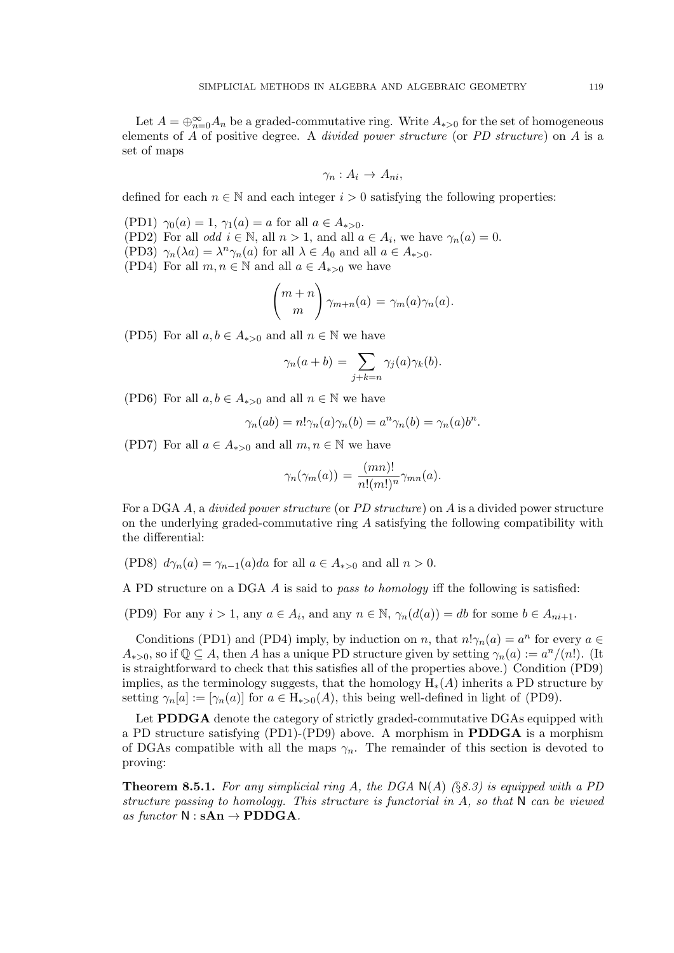Let  $A = \bigoplus_{n=0}^{\infty} A_n$  be a graded-commutative ring. Write  $A_{*>0}$  for the set of homogeneous elements of A of positive degree. A divided power structure (or PD structure) on A is a set of maps

$$
\gamma_n:A_i\to A_{ni},
$$

defined for each  $n \in \mathbb{N}$  and each integer  $i > 0$  satisfying the following properties:

(PD1)  $\gamma_0(a) = 1$ ,  $\gamma_1(a) = a$  for all  $a \in A_{*>0}$ . (PD2) For all *odd*  $i \in \mathbb{N}$ , all  $n > 1$ , and all  $a \in A_i$ , we have  $\gamma_n(a) = 0$ .

(PD3)  $\gamma_n(\lambda a) = \lambda^n \gamma_n(a)$  for all  $\lambda \in A_0$  and all  $a \in A_{*>0}$ . (PD4) For all  $m, n \in \mathbb{N}$  and all  $a \in A_{*>0}$  we have

$$
\binom{m+n}{m}\gamma_{m+n}(a)=\gamma_m(a)\gamma_n(a).
$$

(PD5) For all  $a, b \in A_{*>0}$  and all  $n \in \mathbb{N}$  we have

$$
\gamma_n(a+b) = \sum_{j+k=n} \gamma_j(a)\gamma_k(b).
$$

(PD6) For all  $a, b \in A_{*>0}$  and all  $n \in \mathbb{N}$  we have

$$
\gamma_n(ab) = n! \gamma_n(a) \gamma_n(b) = a^n \gamma_n(b) = \gamma_n(a) b^n.
$$

(PD7) For all  $a \in A_{*>0}$  and all  $m, n \in \mathbb{N}$  we have

$$
\gamma_n(\gamma_m(a)) = \frac{(mn)!}{n!(m!)^n} \gamma_{mn}(a).
$$

For a DGA A, a divided power structure (or PD structure) on A is a divided power structure on the underlying graded-commutative ring A satisfying the following compatibility with the differential:

(PD8)  $d\gamma_n(a) = \gamma_{n-1}(a)da$  for all  $a \in A_{\ast > 0}$  and all  $n > 0$ .

A PD structure on a DGA A is said to pass to homology iff the following is satisfied:

(PD9) For any  $i > 1$ , any  $a \in A_i$ , and any  $n \in \mathbb{N}$ ,  $\gamma_n(d(a)) = db$  for some  $b \in A_{ni+1}$ .

Conditions (PD1) and (PD4) imply, by induction on n, that  $n! \gamma_n(a) = a^n$  for every  $a \in$  $A_{*>0}$ , so if  $\mathbb{Q} \subseteq A$ , then A has a unique PD structure given by setting  $\gamma_n(a) := a^n/(n!)$ . (It is straightforward to check that this satisfies all of the properties above.) Condition (PD9) implies, as the terminology suggests, that the homology  $H_*(A)$  inherits a PD structure by setting  $\gamma_n[a] := [\gamma_n(a)]$  for  $a \in H_{*>0}(A)$ , this being well-defined in light of (PD9).

Let **PDDGA** denote the category of strictly graded-commutative DGAs equipped with a PD structure satisfying (PD1)-(PD9) above. A morphism in PDDGA is a morphism of DGAs compatible with all the maps  $\gamma_n$ . The remainder of this section is devoted to proving:

**Theorem 8.5.1.** For any simplicial ring A, the DGA  $N(A)$  (§8.3) is equipped with a PD structure passing to homology. This structure is functorial in A, so that N can be viewed as functor  $N : sAn \rightarrow \text{PDDGA}$ .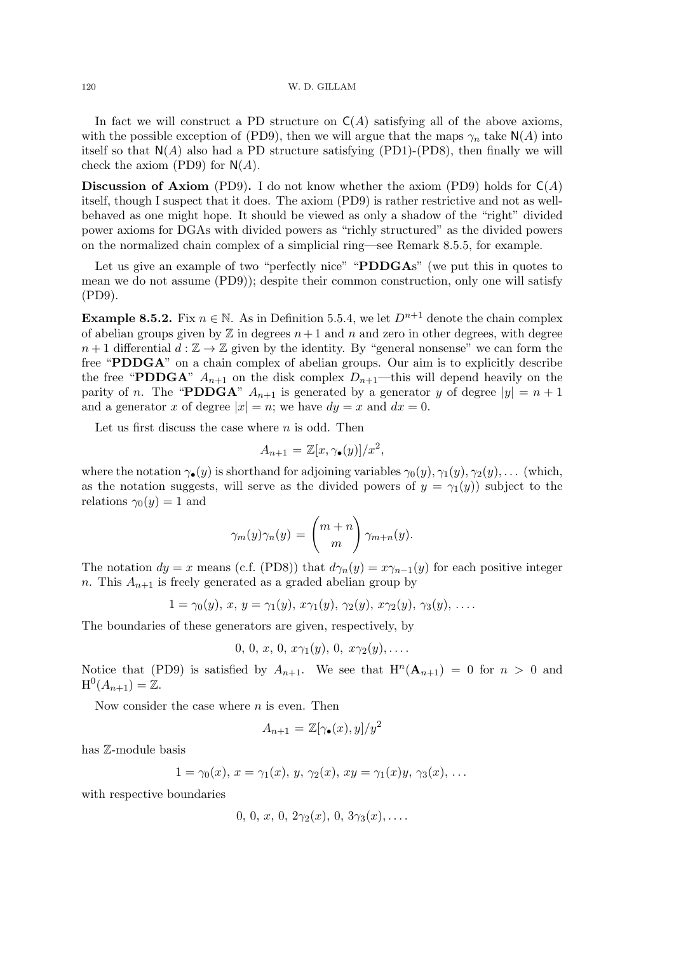In fact we will construct a PD structure on  $C(A)$  satisfying all of the above axioms, with the possible exception of (PD9), then we will argue that the maps  $\gamma_n$  take N(A) into itself so that  $N(A)$  also had a PD structure satisfying (PD1)-(PD8), then finally we will check the axiom (PD9) for  $N(A)$ .

**Discussion of Axiom** (PD9). I do not know whether the axiom (PD9) holds for  $C(A)$ itself, though I suspect that it does. The axiom (PD9) is rather restrictive and not as wellbehaved as one might hope. It should be viewed as only a shadow of the "right" divided power axioms for DGAs with divided powers as "richly structured" as the divided powers on the normalized chain complex of a simplicial ring—see Remark 8.5.5, for example.

Let us give an example of two "perfectly nice" "PDDGAs" (we put this in quotes to mean we do not assume (PD9)); despite their common construction, only one will satisfy (PD9).

Example 8.5.2. Fix  $n \in \mathbb{N}$ . As in Definition 5.5.4, we let  $D^{n+1}$  denote the chain complex of abelian groups given by  $\mathbb Z$  in degrees  $n+1$  and n and zero in other degrees, with degree  $n+1$  differential  $d:\mathbb{Z}\to\mathbb{Z}$  given by the identity. By "general nonsense" we can form the free "PDDGA" on a chain complex of abelian groups. Our aim is to explicitly describe the free "PDDGA"  $A_{n+1}$  on the disk complex  $D_{n+1}$ —this will depend heavily on the parity of n. The "PDDGA"  $A_{n+1}$  is generated by a generator y of degree  $|y| = n + 1$ and a generator x of degree  $|x| = n$ ; we have  $dy = x$  and  $dx = 0$ .

Let us first discuss the case where  $n$  is odd. Then

$$
A_{n+1} = \mathbb{Z}[x, \gamma_{\bullet}(y)]/x^2,
$$

where the notation  $\gamma_{\bullet}(y)$  is shorthand for adjoining variables  $\gamma_{0}(y), \gamma_{1}(y), \gamma_{2}(y), \ldots$  (which, as the notation suggests, will serve as the divided powers of  $y = \gamma_1(y)$  subject to the relations  $\gamma_0(y) = 1$  and

$$
\gamma_m(y)\gamma_n(y) = \binom{m+n}{m}\gamma_{m+n}(y).
$$

The notation  $dy = x$  means (c.f. (PD8)) that  $d\gamma_n(y) = x\gamma_{n-1}(y)$  for each positive integer n. This  $A_{n+1}$  is freely generated as a graded abelian group by

$$
1 = \gamma_0(y), x, y = \gamma_1(y), x\gamma_1(y), \gamma_2(y), x\gamma_2(y), \gamma_3(y), \ldots
$$

The boundaries of these generators are given, respectively, by

$$
0, 0, x, 0, x\gamma_1(y), 0, x\gamma_2(y), \ldots
$$

Notice that (PD9) is satisfied by  $A_{n+1}$ . We see that  $H^n(A_{n+1}) = 0$  for  $n > 0$  and  $H^0(A_{n+1}) = \mathbb{Z}.$ 

Now consider the case where  $n$  is even. Then

$$
A_{n+1} = \mathbb{Z}[\gamma_{\bullet}(x), y]/y^2
$$

has Z-module basis

$$
1 = \gamma_0(x), x = \gamma_1(x), y, \gamma_2(x), xy = \gamma_1(x)y, \gamma_3(x), \dots
$$

with respective boundaries

$$
0, 0, x, 0, 2\gamma_2(x), 0, 3\gamma_3(x), \ldots
$$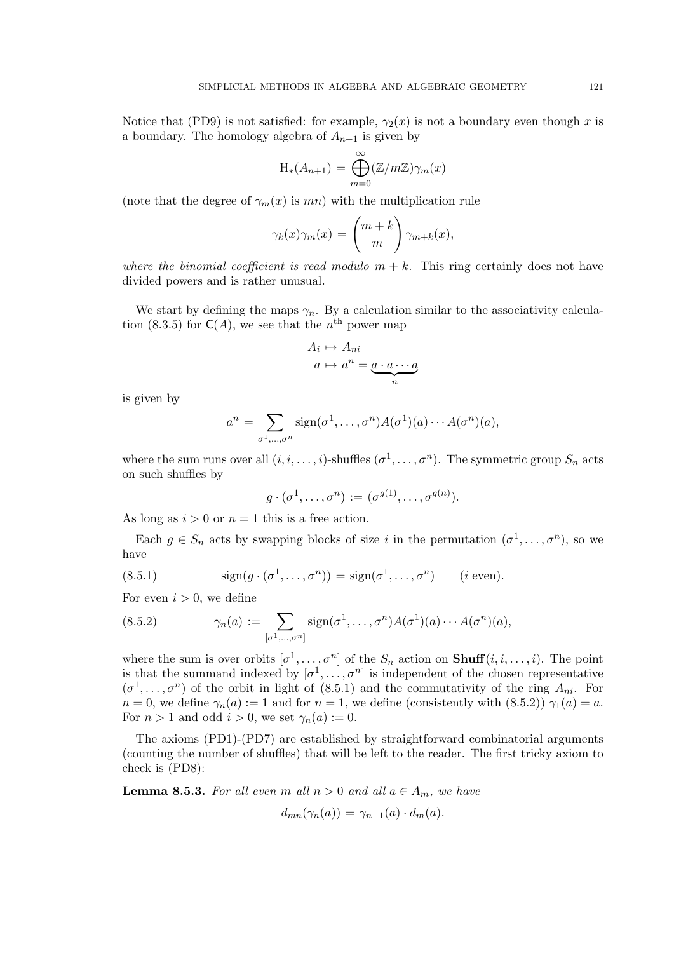Notice that (PD9) is not satisfied: for example,  $\gamma_2(x)$  is not a boundary even though x is a boundary. The homology algebra of  $A_{n+1}$  is given by

$$
H_*(A_{n+1}) = \bigoplus_{m=0}^{\infty} (\mathbb{Z}/m\mathbb{Z})\gamma_m(x)
$$

(note that the degree of  $\gamma_m(x)$  is mn) with the multiplication rule

$$
\gamma_k(x)\gamma_m(x) = \binom{m+k}{m}\gamma_{m+k}(x),
$$

where the binomial coefficient is read modulo  $m + k$ . This ring certainly does not have divided powers and is rather unusual.

We start by defining the maps  $\gamma_n$ . By a calculation similar to the associativity calculation (8.3.5) for  $C(A)$ , we see that the  $n<sup>th</sup>$  power map

$$
A_i \mapsto A_{ni}
$$

$$
a \mapsto a^n = \underbrace{a \cdot a \cdots a}_{n}
$$

is given by

$$
a^n = \sum_{\sigma^1,\ldots,\sigma^n} sign(\sigma^1,\ldots,\sigma^n) A(\sigma^1)(a) \cdots A(\sigma^n)(a),
$$

where the sum runs over all  $(i, i, \ldots, i)$ -shuffles  $(\sigma^1, \ldots, \sigma^n)$ . The symmetric group  $S_n$  acts on such shuffles by

$$
g \cdot (\sigma^1, \ldots, \sigma^n) := (\sigma^{g(1)}, \ldots, \sigma^{g(n)}).
$$

As long as  $i > 0$  or  $n = 1$  this is a free action.

Each  $g \in S_n$  acts by swapping blocks of size i in the permutation  $(\sigma^1, \ldots, \sigma^n)$ , so we have

(8.5.1) 
$$
\text{sign}(g \cdot (\sigma^1, \dots, \sigma^n)) = \text{sign}(\sigma^1, \dots, \sigma^n) \qquad (i \text{ even}).
$$

For even  $i > 0$ , we define

(8.5.2) 
$$
\gamma_n(a) := \sum_{[\sigma^1,\ldots,\sigma^n]} sign(\sigma^1,\ldots,\sigma^n) A(\sigma^1)(a) \cdots A(\sigma^n)(a),
$$

where the sum is over orbits  $[\sigma^1, \ldots, \sigma^n]$  of the  $S_n$  action on **Shuff** $(i, i, \ldots, i)$ . The point is that the summand indexed by  $[\sigma^1, \ldots, \sigma^n]$  is independent of the chosen representative  $(\sigma^1, \ldots, \sigma^n)$  of the orbit in light of (8.5.1) and the commutativity of the ring  $A_{ni}$ . For  $n = 0$ , we define  $\gamma_n(a) := 1$  and for  $n = 1$ , we define (consistently with  $(8.5.2)$ )  $\gamma_1(a) = a$ . For  $n > 1$  and odd  $i > 0$ , we set  $\gamma_n(a) := 0$ .

The axioms (PD1)-(PD7) are established by straightforward combinatorial arguments (counting the number of shuffles) that will be left to the reader. The first tricky axiom to check is (PD8):

**Lemma 8.5.3.** For all even m all  $n > 0$  and all  $a \in A_m$ , we have

$$
d_{mn}(\gamma_n(a)) = \gamma_{n-1}(a) \cdot d_m(a).
$$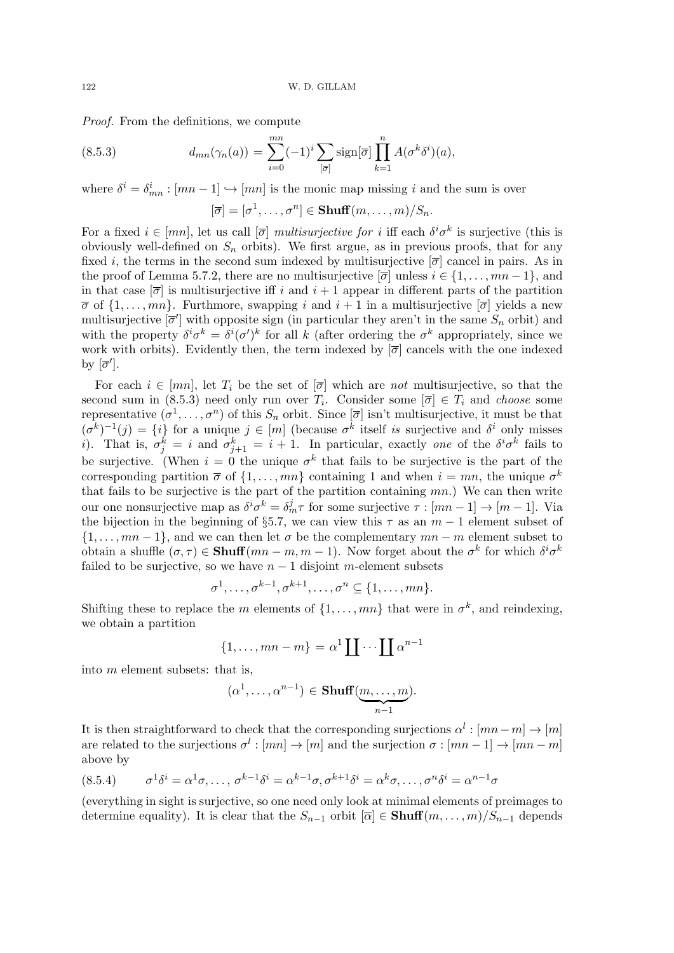Proof. From the definitions, we compute

(8.5.3) 
$$
d_{mn}(\gamma_n(a)) = \sum_{i=0}^{mn} (-1)^i \sum_{[\overline{\sigma}]} sign[\overline{\sigma}] \prod_{k=1}^n A(\sigma^k \delta^i)(a),
$$

where  $\delta^i = \delta^i_{mn} : [mn-1] \hookrightarrow [mn]$  is the monic map missing i and the sum is over

$$
[\overline{\sigma}] = [\sigma^1, \dots, \sigma^n] \in \mathbf{Shuff}(m, \dots, m)/S_n.
$$

For a fixed  $i \in [mn]$ , let us call  $[\overline{\sigma}]$  multisurjective for i iff each  $\delta^i \sigma^k$  is surjective (this is obviously well-defined on  $S_n$  orbits). We first argue, as in previous proofs, that for any fixed i, the terms in the second sum indexed by multisurjective  $[\overline{\sigma}]$  cancel in pairs. As in the proof of Lemma 5.7.2, there are no multisurjective  $[\overline{\sigma}]$  unless  $i \in \{1, \ldots, mn-1\}$ , and in that case  $[\overline{\sigma}]$  is multisurjective iff i and  $i + 1$  appear in different parts of the partition  $\overline{\sigma}$  of  $\{1,\ldots,mn\}$ . Furthmore, swapping i and  $i+1$  in a multisurjective  $[\overline{\sigma}]$  yields a new multisurjective  $[\bar{\sigma}']$  with opposite sign (in particular they aren't in the same  $S_n$  orbit) and with the property  $\delta^i \sigma^k = \delta^i (\sigma')^k$  for all k (after ordering the  $\sigma^k$  appropriately, since we work with orbits). Evidently then, the term indexed by  $[\overline{\sigma}]$  cancels with the one indexed by  $[\overline{\sigma}']$ .

For each  $i \in [mn]$ , let  $T_i$  be the set of  $[\overline{\sigma}]$  which are not multisurjective, so that the second sum in (8.5.3) need only run over  $T_i$ . Consider some  $[\overline{\sigma}] \in T_i$  and *choose* some representative  $(\sigma^1, \ldots, \sigma^n)$  of this  $S_n$  orbit. Since  $[\overline{\sigma}]$  isn't multisurjective, it must be that  $(\sigma^k)^{-1}(j) = \{i\}$  for a unique  $j \in [m]$  (because  $\sigma^k$  itself is surjective and  $\delta^i$  only misses i). That is,  $\sigma_j^k = i$  and  $\sigma_{j+1}^k = i + 1$ . In particular, exactly one of the  $\delta^i \sigma^k$  fails to be surjective. (When  $i = 0$  the unique  $\sigma^k$  that fails to be surjective is the part of the corresponding partition  $\bar{\sigma}$  of  $\{1, \ldots, mn\}$  containing 1 and when  $i = mn$ , the unique  $\sigma^k$ that fails to be surjective is the part of the partition containing  $mn$ .) We can then write our one nonsurjective map as  $\delta^i \sigma^k = \delta^j_m \tau$  for some surjective  $\tau : [mn-1] \to [m-1]$ . Via the bijection in the beginning of §5.7, we can view this  $\tau$  as an  $m-1$  element subset of  $\{1, \ldots, mn-1\}$ , and we can then let  $\sigma$  be the complementary  $mn-m$  element subset to obtain a shuffle  $(\sigma, \tau) \in \textbf{Shuff}(mn - m, m - 1)$ . Now forget about the  $\sigma^k$  for which  $\delta^i \sigma^k$ failed to be surjective, so we have  $n-1$  disjoint m-element subsets

$$
\sigma^1, \ldots, \sigma^{k-1}, \sigma^{k+1}, \ldots, \sigma^n \subseteq \{1, \ldots, mn\}.
$$

Shifting these to replace the m elements of  $\{1, \ldots, mn\}$  that were in  $\sigma^k$ , and reindexing, we obtain a partition

$$
\{1,\ldots,mn-m\} = \alpha^1 \coprod \cdots \coprod \alpha^{n-1}
$$

into m element subsets: that is,

$$
(\alpha^1, \ldots, \alpha^{n-1}) \in \mathbf{Shuff}(\underbrace{m, \ldots, m}_{n-1}).
$$

It is then straightforward to check that the corresponding surjections  $\alpha^l : [mn-m] \to [m]$ are related to the surjections  $\sigma^l : [mn] \to [m]$  and the surjection  $\sigma : [mn-1] \to [mn-m]$ above by

(8.5.4) 
$$
\sigma^1 \delta^i = \alpha^1 \sigma, \dots, \sigma^{k-1} \delta^i = \alpha^{k-1} \sigma, \sigma^{k+1} \delta^i = \alpha^k \sigma, \dots, \sigma^n \delta^i = \alpha^{n-1} \sigma
$$

(everything in sight is surjective, so one need only look at minimal elements of preimages to determine equality). It is clear that the  $S_{n-1}$  orbit  $[\overline{\alpha}] \in \text{Shuff}(m, \ldots, m)/S_{n-1}$  depends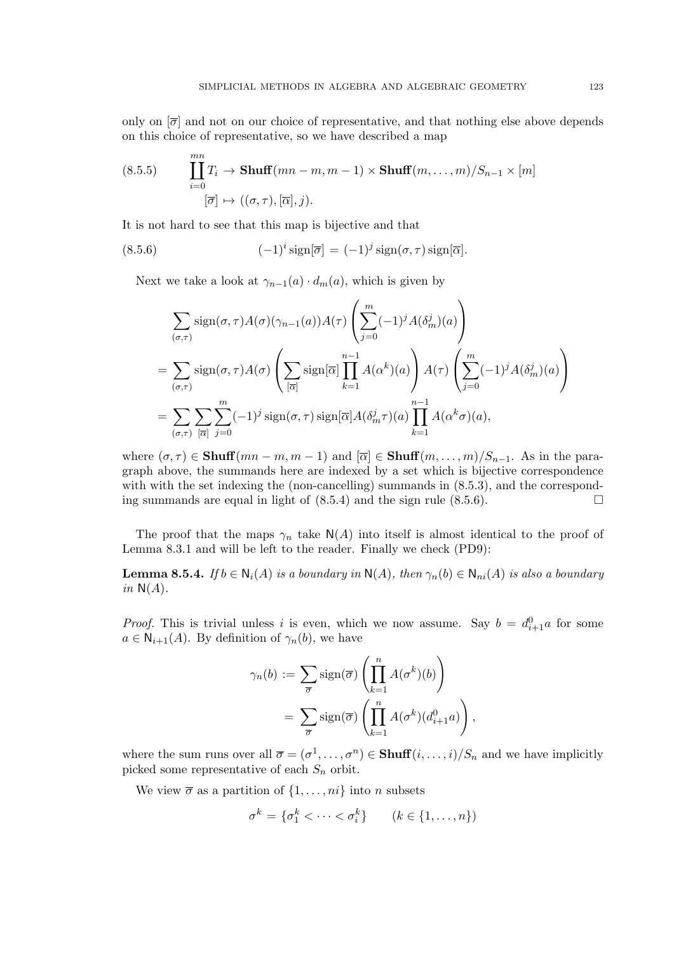only on  $[\bar{\sigma}]$  and not on our choice of representative, and that nothing else above depends on this choice of representative, so we have described a map

(8.5.5) 
$$
\prod_{i=0}^{mn} T_i \to \text{Shuff}(mn-m, m-1) \times \text{Shuff}(m, ..., m)/S_{n-1} \times [m]
$$

$$
[\overline{\sigma}] \mapsto ((\sigma, \tau), [\overline{\alpha}], j).
$$

It is not hard to see that this map is bijective and that

(8.5.6) 
$$
(-1)^i \operatorname{sign}[\overline{\sigma}] = (-1)^j \operatorname{sign}(\sigma, \tau) \operatorname{sign}[\overline{\alpha}].
$$

Next we take a look at  $\gamma_{n-1}(a) \cdot d_m(a)$ , which is given by

$$
\sum_{(\sigma,\tau)} sign(\sigma,\tau) A(\sigma)(\gamma_{n-1}(a)) A(\tau) \left( \sum_{j=0}^{m} (-1)^j A(\delta_m^j)(a) \right)
$$
  
= 
$$
\sum_{(\sigma,\tau)} sign(\sigma,\tau) A(\sigma) \left( \sum_{[\overline{\alpha}]} sign[\overline{\alpha}] \prod_{k=1}^{n-1} A(\alpha^k)(a) \right) A(\tau) \left( \sum_{j=0}^{m} (-1)^j A(\delta_m^j)(a) \right)
$$
  
= 
$$
\sum_{(\sigma,\tau)} \sum_{[\overline{\alpha}]} \sum_{j=0}^{m} (-1)^j sign(\sigma,\tau) sign[\overline{\alpha}] A(\delta_m^j \tau)(a) \prod_{k=1}^{n-1} A(\alpha^k \sigma)(a),
$$

where  $(\sigma, \tau) \in \text{Shuff}(mn - m, m - 1)$  and  $[\overline{\alpha}] \in \text{Shuff}(m, \ldots, m)/S_{n-1}$ . As in the paragraph above, the summands here are indexed by a set which is bijective correspondence with with the set indexing the (non-cancelling) summands in  $(8.5.3)$ , and the corresponding summands are equal in light of  $(8.5.4)$  and the sign rule  $(8.5.6)$ .

The proof that the maps  $\gamma_n$  take  $N(A)$  into itself is almost identical to the proof of Lemma 8.3.1 and will be left to the reader. Finally we check (PD9):

**Lemma 8.5.4.** If  $b \in N_i(A)$  is a boundary in  $N(A)$ , then  $\gamma_n(b) \in N_{ni}(A)$  is also a boundary in  $N(A)$ .

*Proof.* This is trivial unless i is even, which we now assume. Say  $b = d_{i+1}^0 a$  for some  $a \in \mathsf{N}_{i+1}(A)$ . By definition of  $\gamma_n(b)$ , we have

$$
\gamma_n(b) := \sum_{\overline{\sigma}} sign(\overline{\sigma}) \left( \prod_{k=1}^n A(\sigma^k)(b) \right)
$$

$$
= \sum_{\overline{\sigma}} sign(\overline{\sigma}) \left( \prod_{k=1}^n A(\sigma^k)(d_{i+1}^0 a) \right),
$$

where the sum runs over all  $\overline{\sigma} = (\sigma^1, \ldots, \sigma^n) \in \textbf{Shuff}(i, \ldots, i)/S_n$  and we have implicitly picked some representative of each  $S_n$  orbit.

We view  $\overline{\sigma}$  as a partition of  $\{1, \ldots, ni\}$  into n subsets

$$
\sigma^k = \{\sigma_1^k < \cdots < \sigma_i^k\} \qquad (k \in \{1, \ldots, n\})
$$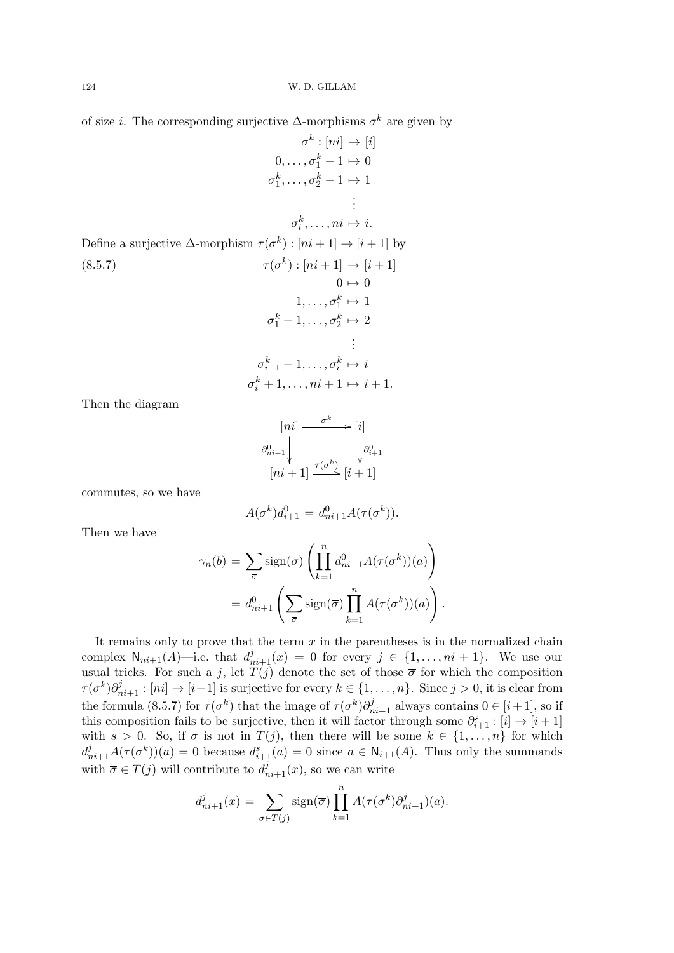of size *i*. The corresponding surjective  $\Delta$ -morphisms  $\sigma^k$  are given by

$$
\sigma^{k}: [ni] \rightarrow [i]
$$
  
\n
$$
0, \ldots, \sigma_{1}^{k} - 1 \mapsto 0
$$
  
\n
$$
\sigma_{1}^{k}, \ldots, \sigma_{2}^{k} - 1 \mapsto 1
$$
  
\n
$$
\vdots
$$
  
\n
$$
\sigma_{i}^{k}, \ldots, ni \mapsto i.
$$
  
\nDefine a surjective  $\Delta$ -morphism  $\tau(\sigma^{k}) : [ni + 1] \rightarrow [i + 1]$  by  
\n
$$
(\sigma^{k}) : [ni + 1] \rightarrow [i + 1]
$$
  
\n
$$
0 \mapsto 0
$$
  
\n
$$
1, \ldots, \sigma_{1}^{k} \mapsto 1
$$
  
\n
$$
\sigma_{1}^{k} + 1, \ldots, \sigma_{2}^{k} \mapsto 2
$$
  
\n
$$
\vdots
$$
  
\n
$$
\sigma_{i-1}^{k} + 1, \ldots, \sigma_{i}^{k} \mapsto i
$$
  
\n
$$
\sigma_{i}^{k} + 1, \ldots, ni + 1 \mapsto i + 1.
$$

Then the diagram

$$
[ni] \xrightarrow{\sigma^k} [i]
$$

$$
\partial_{n_{i+1}}^0 \downarrow \qquad \qquad \downarrow \partial_{i+1}^0
$$

$$
[ni+1] \xrightarrow{\tau(\sigma^k)} [i+1]
$$

commutes, so we have

$$
A(\sigma^k)d_{i+1}^0 = d_{ni+1}^0 A(\tau(\sigma^k)).
$$

Then we have

$$
\gamma_n(b) = \sum_{\overline{\sigma}} sign(\overline{\sigma}) \left( \prod_{k=1}^n d_{ni+1}^0 A(\tau(\sigma^k))(a) \right)
$$

$$
= d_{ni+1}^0 \left( \sum_{\overline{\sigma}} sign(\overline{\sigma}) \prod_{k=1}^n A(\tau(\sigma^k))(a) \right).
$$

It remains only to prove that the term  $x$  in the parentheses is in the normalized chain complex  $\mathsf{N}_{ni+1}(A)$ —i.e. that  $d_{ni+1}^j(x) = 0$  for every  $j \in \{1, \ldots, ni+1\}$ . We use our usual tricks. For such a j, let  $\tilde{T}(j)$  denote the set of those  $\bar{\sigma}$  for which the composition  $\tau(\sigma^k)\partial_{ni+1}^j : [ni] \to [i+1]$  is surjective for every  $k \in \{1, \ldots, n\}$ . Since  $j > 0$ , it is clear from the formula (8.5.7) for  $\tau(\sigma^k)$  that the image of  $\tau(\sigma^k)\partial_{ni+1}^j$  always contains  $0 \in [i+1]$ , so if this composition fails to be surjective, then it will factor through some  $\partial_{i+1}^s : [i] \to [i+1]$ with  $s > 0$ . So, if  $\overline{\sigma}$  is not in  $T(j)$ , then there will be some  $k \in \{1, \ldots, n\}$  for which  $d_{ni+1}^j A(\tau(\sigma^k))(a) = 0$  because  $d_{i+1}^s(a) = 0$  since  $a \in \mathsf{N}_{i+1}(A)$ . Thus only the summands with  $\overline{\sigma} \in T(j)$  will contribute to  $d_{ni+1}^j(x)$ , so we can write

$$
d^j_{ni+1}(x) = \sum_{\overline{\sigma} \in T(j)} \text{sign}(\overline{\sigma}) \prod_{k=1}^n A(\tau(\sigma^k) \partial^j_{ni+1})(a).
$$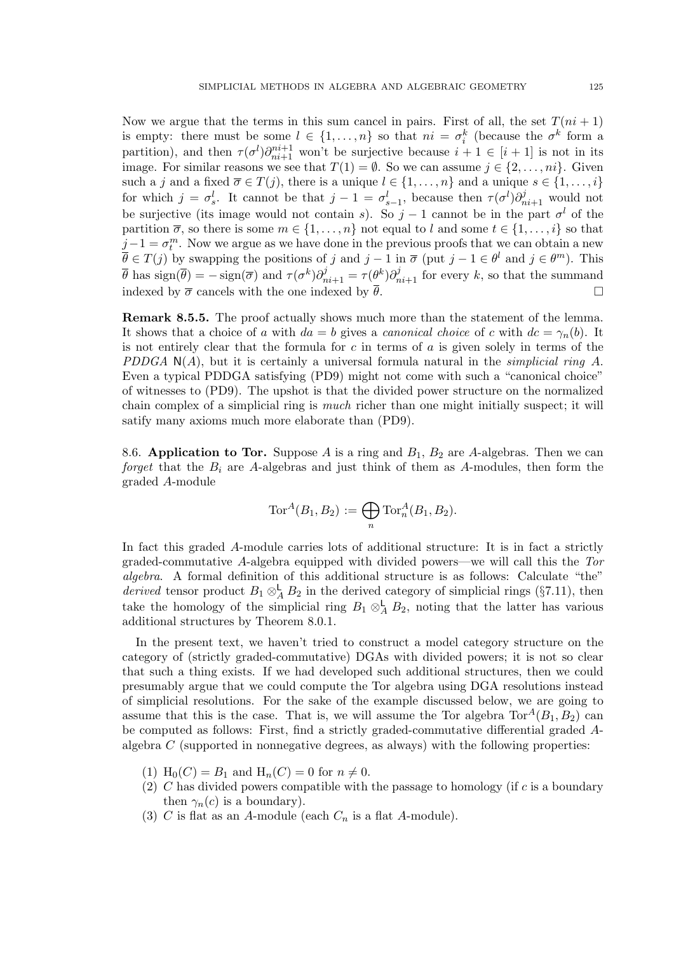Now we argue that the terms in this sum cancel in pairs. First of all, the set  $T(ni + 1)$ is empty: there must be some  $l \in \{1, ..., n\}$  so that  $ni = \sigma_i^k$  (because the  $\sigma^k$  form a partition), and then  $\tau(\sigma^l)\partial_{ni+1}^{ni+1}$  won't be surjective because  $i+1 \in [i+1]$  is not in its image. For similar reasons we see that  $T(1) = \emptyset$ . So we can assume  $j \in \{2, ..., ni\}$ . Given such a j and a fixed  $\overline{\sigma} \in T(j)$ , there is a unique  $l \in \{1, \ldots, n\}$  and a unique  $s \in \{1, \ldots, i\}$ for which  $j = \sigma_s^l$ . It cannot be that  $j - 1 = \sigma_{s-1}^l$ , because then  $\tau(\sigma^l) \partial_{ni+1}^j$  would not be surjective (its image would not contain s). So  $j-1$  cannot be in the part  $\sigma^{l}$  of the partition  $\overline{\sigma}$ , so there is some  $m \in \{1, \ldots, n\}$  not equal to l and some  $t \in \{1, \ldots, i\}$  so that  $j-1 = \sigma_t^m$ . Now we argue as we have done in the previous proofs that we can obtain a new  $\overline{\theta} \in T(j)$  by swapping the positions of j and  $j-1$  in  $\overline{\sigma}$  (put  $j-1 \in \theta^l$  and  $j \in \theta^m$ ). This  $\overline{\theta}$  has sign( $\overline{\theta}$ ) =  $-\text{sign}(\overline{\sigma})$  and  $\tau(\sigma^k)\partial_{ni+1}^j = \tau(\theta^k)\partial_{ni+1}^j$  for every k, so that the summand indexed by  $\bar{\sigma}$  cancels with the one indexed by  $\bar{\theta}$ .

Remark 8.5.5. The proof actually shows much more than the statement of the lemma. It shows that a choice of a with  $da = b$  gives a *canonical choice* of c with  $dc = \gamma_n(b)$ . It is not entirely clear that the formula for  $c$  in terms of  $a$  is given solely in terms of the PDDGA  $N(A)$ , but it is certainly a universal formula natural in the *simplicial ring A*. Even a typical PDDGA satisfying (PD9) might not come with such a "canonical choice" of witnesses to (PD9). The upshot is that the divided power structure on the normalized chain complex of a simplicial ring is much richer than one might initially suspect; it will satify many axioms much more elaborate than (PD9).

8.6. Application to Tor. Suppose A is a ring and  $B_1$ ,  $B_2$  are A-algebras. Then we can forget that the  $B_i$  are A-algebras and just think of them as A-modules, then form the graded A-module

$$
\operatorname{Tor}^A(B_1,B_2) := \bigoplus_n \operatorname{Tor}^A_n(B_1,B_2).
$$

In fact this graded A-module carries lots of additional structure: It is in fact a strictly graded-commutative A-algebra equipped with divided powers—we will call this the Tor algebra. A formal definition of this additional structure is as follows: Calculate "the" derived tensor product  $B_1 \otimes_A^{\mathsf{L}} B_2$  in the derived category of simplicial rings (§7.11), then take the homology of the simplicial ring  $B_1 \otimes_A^{\mathsf{L}} B_2$ , noting that the latter has various additional structures by Theorem 8.0.1.

In the present text, we haven't tried to construct a model category structure on the category of (strictly graded-commutative) DGAs with divided powers; it is not so clear that such a thing exists. If we had developed such additional structures, then we could presumably argue that we could compute the Tor algebra using DGA resolutions instead of simplicial resolutions. For the sake of the example discussed below, we are going to assume that this is the case. That is, we will assume the Tor algebra  $Tor^A(B_1, B_2)$  can be computed as follows: First, find a strictly graded-commutative differential graded Aalgebra  $C$  (supported in nonnegative degrees, as always) with the following properties:

- (1)  $H_0(C) = B_1$  and  $H_n(C) = 0$  for  $n \neq 0$ .
- (2) C has divided powers compatible with the passage to homology (if  $c$  is a boundary then  $\gamma_n(c)$  is a boundary).
- (3)  $C$  is flat as an A-module (each  $C_n$  is a flat A-module).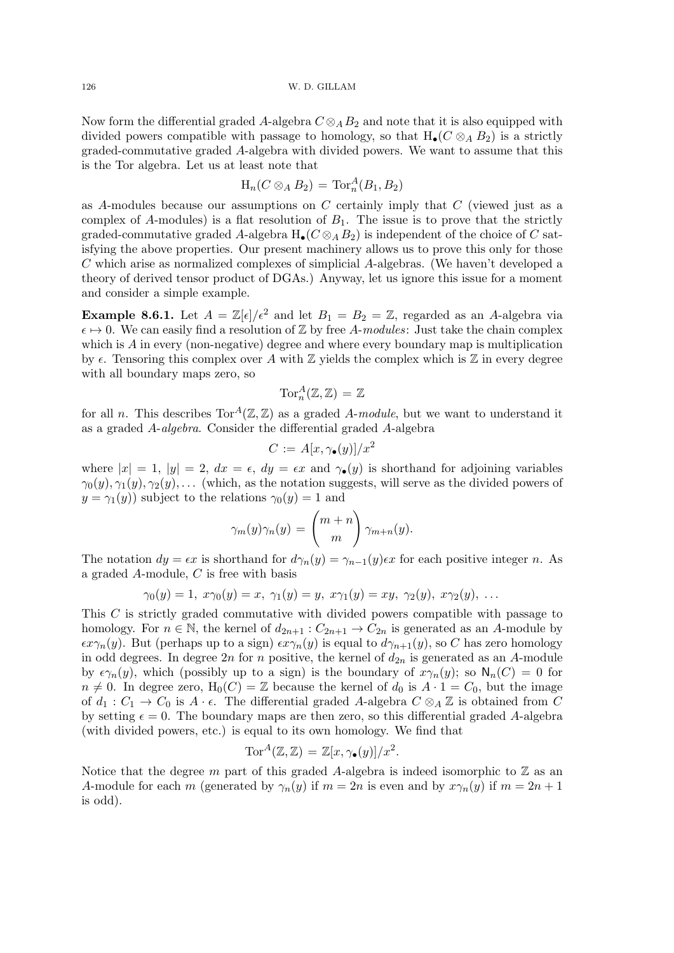126 W. D. GILLAM

Now form the differential graded A-algebra  $C \otimes_A B_2$  and note that it is also equipped with divided powers compatible with passage to homology, so that  $H_{\bullet}(C \otimes_A B_2)$  is a strictly graded-commutative graded A-algebra with divided powers. We want to assume that this is the Tor algebra. Let us at least note that

$$
\mathrm{H}_n(C\otimes_A B_2)=\mathrm{Tor}_n^A(B_1,B_2)
$$

as A-modules because our assumptions on  $C$  certainly imply that  $C$  (viewed just as a complex of A-modules) is a flat resolution of  $B_1$ . The issue is to prove that the strictly graded-commutative graded A-algebra  $H_{\bullet}(C \otimes_A B_2)$  is independent of the choice of C satisfying the above properties. Our present machinery allows us to prove this only for those C which arise as normalized complexes of simplicial A-algebras. (We haven't developed a theory of derived tensor product of DGAs.) Anyway, let us ignore this issue for a moment and consider a simple example.

**Example 8.6.1.** Let  $A = \mathbb{Z}[\epsilon]/\epsilon^2$  and let  $B_1 = B_2 = \mathbb{Z}$ , regarded as an A-algebra via  $\epsilon \mapsto 0$ . We can easily find a resolution of Z by free A-modules: Just take the chain complex which is  $A$  in every (non-negative) degree and where every boundary map is multiplication by  $\epsilon$ . Tensoring this complex over A with  $\mathbb Z$  yields the complex which is  $\mathbb Z$  in every degree with all boundary maps zero, so

$$
\operatorname{Tor}^A_n(\mathbb{Z}, \mathbb{Z}) = \mathbb{Z}
$$

for all n. This describes  $Tor^A(\mathbb{Z}, \mathbb{Z})$  as a graded A-module, but we want to understand it as a graded A-algebra. Consider the differential graded A-algebra

$$
C := A[x, \gamma_{\bullet}(y)]/x^2
$$

where  $|x| = 1$ ,  $|y| = 2$ ,  $dx = \epsilon$ ,  $dy = \epsilon x$  and  $\gamma_{\bullet}(y)$  is shorthand for adjoining variables  $\gamma_0(y), \gamma_1(y), \gamma_2(y), \ldots$  (which, as the notation suggests, will serve as the divided powers of  $y = \gamma_1(y)$  subject to the relations  $\gamma_0(y) = 1$  and

$$
\gamma_m(y)\gamma_n(y) = \binom{m+n}{m}\gamma_{m+n}(y).
$$

The notation  $dy = \epsilon x$  is shorthand for  $d\gamma_n(y) = \gamma_{n-1}(y)\epsilon x$  for each positive integer n. As a graded A-module, C is free with basis

$$
\gamma_0(y)=1, \ x\gamma_0(y)=x, \ \gamma_1(y)=y, \ x\gamma_1(y)=xy, \ \gamma_2(y), \ x\gamma_2(y), \ \ldots
$$

This C is strictly graded commutative with divided powers compatible with passage to homology. For  $n \in \mathbb{N}$ , the kernel of  $d_{2n+1}$  :  $C_{2n+1} \to C_{2n}$  is generated as an A-module by  $\epsilon x\gamma_n(y)$ . But (perhaps up to a sign)  $\epsilon x\gamma_n(y)$  is equal to  $d\gamma_{n+1}(y)$ , so C has zero homology in odd degrees. In degree 2n for n positive, the kernel of  $d_{2n}$  is generated as an A-module by  $\epsilon \gamma_n(y)$ , which (possibly up to a sign) is the boundary of  $x\gamma_n(y)$ ; so  $\mathsf{N}_n(C) = 0$  for  $n \neq 0$ . In degree zero,  $H_0(C) = \mathbb{Z}$  because the kernel of  $d_0$  is  $A \cdot 1 = C_0$ , but the image of  $d_1: C_1 \to C_0$  is  $A \cdot \epsilon$ . The differential graded A-algebra  $C \otimes_A \mathbb{Z}$  is obtained from C by setting  $\epsilon = 0$ . The boundary maps are then zero, so this differential graded A-algebra (with divided powers, etc.) is equal to its own homology. We find that

$$
\operatorname{Tor}^A(\mathbb{Z}, \mathbb{Z}) = \mathbb{Z}[x, \gamma_{\bullet}(y)]/x^2.
$$

Notice that the degree m part of this graded A-algebra is indeed isomorphic to  $\mathbb Z$  as an A-module for each m (generated by  $\gamma_n(y)$  if  $m = 2n$  is even and by  $x\gamma_n(y)$  if  $m = 2n + 1$ is odd).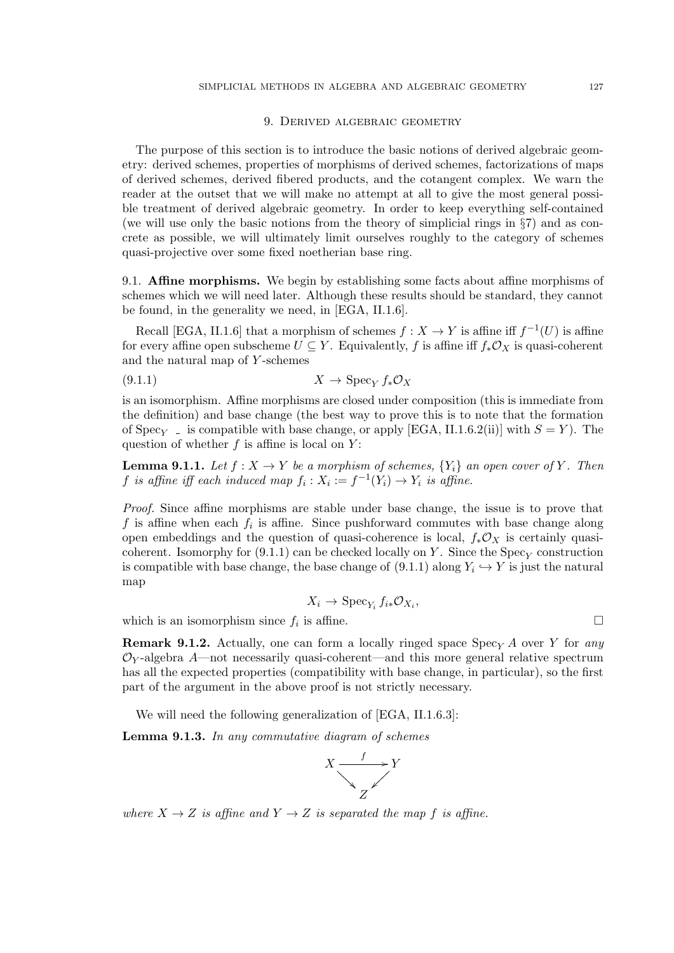### 9. Derived algebraic geometry

The purpose of this section is to introduce the basic notions of derived algebraic geometry: derived schemes, properties of morphisms of derived schemes, factorizations of maps of derived schemes, derived fibered products, and the cotangent complex. We warn the reader at the outset that we will make no attempt at all to give the most general possible treatment of derived algebraic geometry. In order to keep everything self-contained (we will use only the basic notions from the theory of simplicial rings in §7) and as concrete as possible, we will ultimately limit ourselves roughly to the category of schemes quasi-projective over some fixed noetherian base ring.

9.1. Affine morphisms. We begin by establishing some facts about affine morphisms of schemes which we will need later. Although these results should be standard, they cannot be found, in the generality we need, in [EGA, II.1.6].

Recall [EGA, II.1.6] that a morphism of schemes  $f: X \to Y$  is affine iff  $f^{-1}(U)$  is affine for every affine open subscheme  $U \subseteq Y$ . Equivalently, f is affine iff  $f_*\mathcal{O}_X$  is quasi-coherent and the natural map of  $Y$ -schemes

$$
(9.1.1) \t\t X \to \text{Spec}_Y f_* \mathcal{O}_X
$$

is an isomorphism. Affine morphisms are closed under composition (this is immediate from the definition) and base change (the best way to prove this is to note that the formation of Spec<sub>Y</sub> – is compatible with base change, or apply [EGA, II.1.6.2(ii)] with  $S = Y$ ). The question of whether  $f$  is affine is local on  $Y$ :

**Lemma 9.1.1.** Let  $f : X \to Y$  be a morphism of schemes,  $\{Y_i\}$  an open cover of Y. Then f is affine iff each induced map  $f_i: X_i := f^{-1}(Y_i) \to Y_i$  is affine.

Proof. Since affine morphisms are stable under base change, the issue is to prove that f is affine when each  $f_i$  is affine. Since pushforward commutes with base change along open embeddings and the question of quasi-coherence is local,  $f_*\mathcal{O}_X$  is certainly quasicoherent. Isomorphy for  $(9.1.1)$  can be checked locally on Y. Since the  $Spec_Y$  construction is compatible with base change, the base change of  $(9.1.1)$  along  $Y_i \hookrightarrow Y$  is just the natural map

$$
X_i \to \operatorname{Spec}_{Y_i} f_{i*} \mathcal{O}_{X_i},
$$

which is an isomorphism since  $f_i$  is affine.

**Remark 9.1.2.** Actually, one can form a locally ringed space  $Spec_Y A$  over Y for any  $\mathcal{O}_Y$ -algebra A—not necessarily quasi-coherent—and this more general relative spectrum has all the expected properties (compatibility with base change, in particular), so the first part of the argument in the above proof is not strictly necessary.

We will need the following generalization of [EGA, II.1.6.3]:

Lemma 9.1.3. In any commutative diagram of schemes



where  $X \to Z$  is affine and  $Y \to Z$  is separated the map f is affine.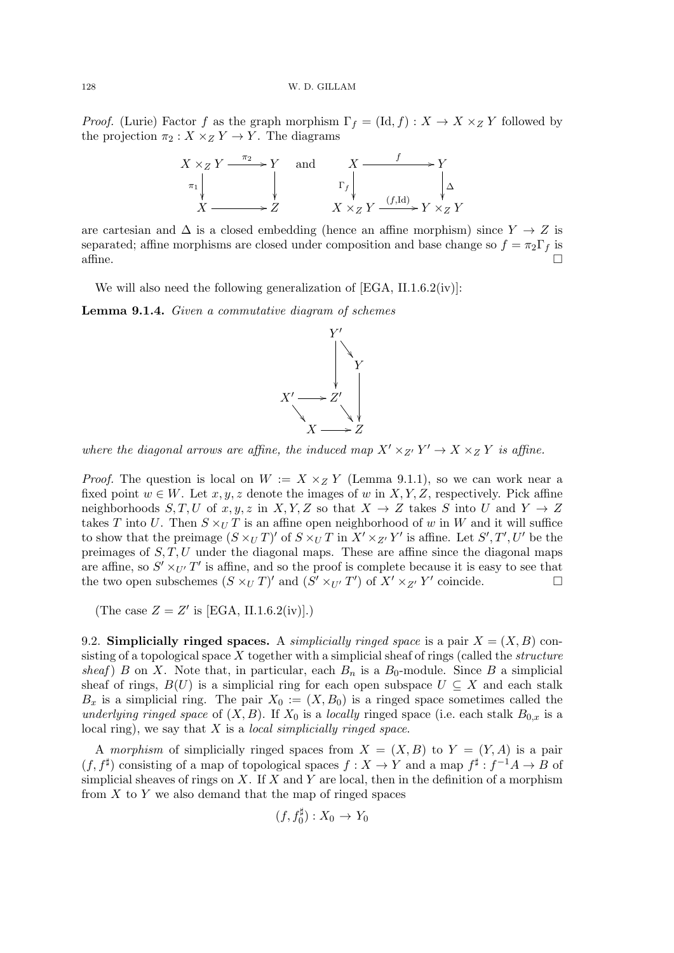*Proof.* (Lurie) Factor f as the graph morphism  $\Gamma_f = (\text{Id}, f) : X \to X \times Z Y$  followed by the projection  $\pi_2 : X \times_Z Y \to Y$ . The diagrams



are cartesian and  $\Delta$  is a closed embedding (hence an affine morphism) since  $Y \to Z$  is separated; affine morphisms are closed under composition and base change so  $f = \pi_2 \Gamma_f$  is  $\alpha$  affine.

We will also need the following generalization of [EGA, II.1.6.2(iv)]:

Lemma 9.1.4. Given a commutative diagram of schemes



where the diagonal arrows are affine, the induced map  $X' \times_{Z'} Y' \to X \times_Z Y$  is affine.

*Proof.* The question is local on  $W := X \times_Z Y$  (Lemma 9.1.1), so we can work near a fixed point  $w \in W$ . Let  $x, y, z$  denote the images of w in  $X, Y, Z$ , respectively. Pick affine neighborhoods  $S, T, U$  of  $x, y, z$  in  $X, Y, Z$  so that  $X \to Z$  takes S into U and  $Y \to Z$ takes T into U. Then  $S \times_U T$  is an affine open neighborhood of w in W and it will suffice to show that the preimage  $(S \times_U T)'$  of  $S \times_U T$  in  $X' \times_{Z'} Y'$  is affine. Let  $S', T', U'$  be the preimages of  $S, T, U$  under the diagonal maps. These are affine since the diagonal maps are affine, so  $S' \times_{U'} T'$  is affine, and so the proof is complete because it is easy to see that the two open subschemes  $(S \times_U T)'$  and  $(S' \times_{U'} T')$  of  $X' \times_{Z'} Y'$  coincide.

(The case  $Z = Z'$  is [EGA, II.1.6.2(iv)].)

9.2. Simplicially ringed spaces. A simplicially ringed space is a pair  $X = (X, B)$  consisting of a topological space  $X$  together with a simplicial sheaf of rings (called the *structure* sheaf) B on X. Note that, in particular, each  $B_n$  is a  $B_0$ -module. Since B a simplicial sheaf of rings,  $B(U)$  is a simplicial ring for each open subspace  $U \subseteq X$  and each stalk  $B_x$  is a simplicial ring. The pair  $X_0 := (X, B_0)$  is a ringed space sometimes called the underlying ringed space of  $(X, B)$ . If  $X_0$  is a locally ringed space (i.e. each stalk  $B_{0,x}$  is a local ring), we say that  $X$  is a *local simplicially ringed space*.

A morphism of simplicially ringed spaces from  $X = (X, B)$  to  $Y = (Y, A)$  is a pair  $(f, f^{\sharp})$  consisting of a map of topological spaces  $f: X \to Y$  and a map  $f^{\sharp}: f^{-1}A \to B$  of simplicial sheaves of rings on  $X$ . If  $X$  and  $Y$  are local, then in the definition of a morphism from  $X$  to  $Y$  we also demand that the map of ringed spaces

$$
(f, f_0^{\sharp}): X_0 \to Y_0
$$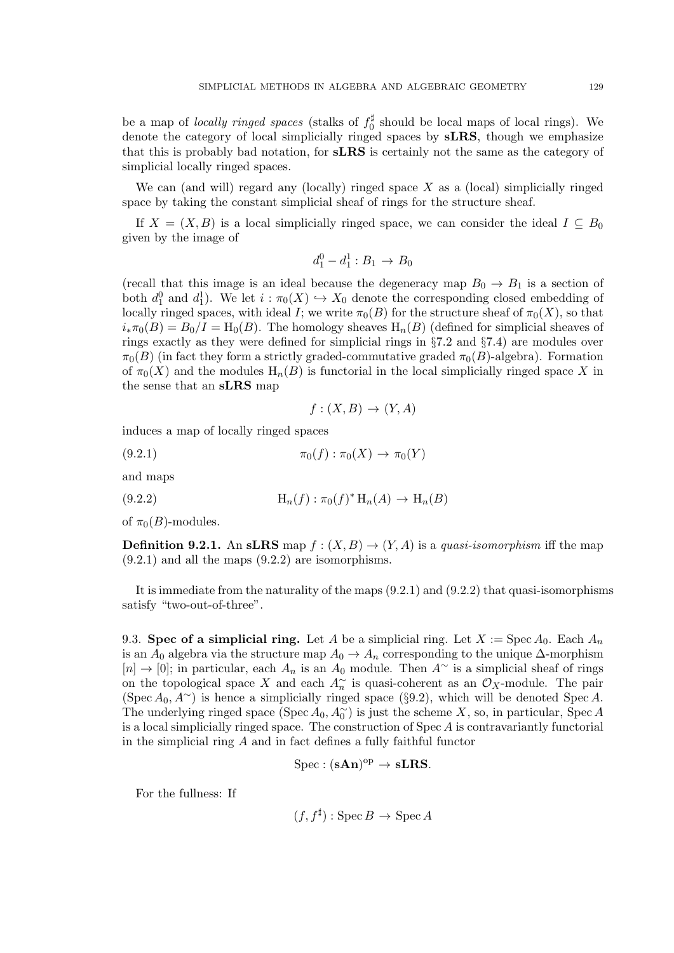be a map of *locally ringed spaces* (stalks of  $f_0^{\sharp}$  $_{0}^{\frac{1}{r}}$  should be local maps of local rings). We denote the category of local simplicially ringed spaces by sLRS, though we emphasize that this is probably bad notation, for sLRS is certainly not the same as the category of simplicial locally ringed spaces.

We can (and will) regard any (locally) ringed space  $X$  as a (local) simplicially ringed space by taking the constant simplicial sheaf of rings for the structure sheaf.

If  $X = (X, B)$  is a local simplicially ringed space, we can consider the ideal  $I \subseteq B_0$ given by the image of

$$
d_1^0 - d_1^1 : B_1 \to B_0
$$

(recall that this image is an ideal because the degeneracy map  $B_0 \to B_1$  is a section of both  $d_1^0$  and  $d_1^1$ ). We let  $i : \pi_0(X) \hookrightarrow X_0$  denote the corresponding closed embedding of locally ringed spaces, with ideal I; we write  $\pi_0(B)$  for the structure sheaf of  $\pi_0(X)$ , so that  $i_*\pi_0(B) = B_0/I = H_0(B)$ . The homology sheaves  $H_n(B)$  (defined for simplicial sheaves of rings exactly as they were defined for simplicial rings in §7.2 and §7.4) are modules over  $\pi_0(B)$  (in fact they form a strictly graded-commutative graded  $\pi_0(B)$ -algebra). Formation of  $\pi_0(X)$  and the modules  $H_n(B)$  is functorial in the local simplicially ringed space X in the sense that an sLRS map

$$
f: (X, B) \to (Y, A)
$$

induces a map of locally ringed spaces

(9.2.1) 
$$
\pi_0(f) : \pi_0(X) \to \pi_0(Y)
$$

and maps

(9.2.2) 
$$
H_n(f) : \pi_0(f)^* H_n(A) \to H_n(B)
$$

of  $\pi_0(B)$ -modules.

**Definition 9.2.1.** An sLRS map  $f : (X, B) \to (Y, A)$  is a quasi-isomorphism iff the map  $(9.2.1)$  and all the maps  $(9.2.2)$  are isomorphisms.

It is immediate from the naturality of the maps  $(9.2.1)$  and  $(9.2.2)$  that quasi-isomorphisms satisfy "two-out-of-three".

9.3. Spec of a simplicial ring. Let A be a simplicial ring. Let  $X := \text{Spec } A_0$ . Each  $A_n$ is an  $A_0$  algebra via the structure map  $A_0 \to A_n$  corresponding to the unique  $\Delta$ -morphism  $[n] \to [0]$ ; in particular, each  $A_n$  is an  $A_0$  module. Then  $A^{\sim}$  is a simplicial sheaf of rings on the topological space X and each  $A_n^{\sim}$  is quasi-coherent as an  $\mathcal{O}_X$ -module. The pair (Spec  $A_0, A^{\sim}$ ) is hence a simplicially ringed space (§9.2), which will be denoted Spec A. The underlying ringed space (Spec  $A_0, A_0^{\sim}$ ) is just the scheme X, so, in particular, Spec A is a local simplicially ringed space. The construction of  $\text{Spec } A$  is contravariantly functorial in the simplicial ring  $A$  and in fact defines a fully faithful functor

$$
\mathrm{Spec} : (\mathbf{sAn})^\mathrm{op} \to \mathbf{sLRS}.
$$

For the fullness: If

 $(f, f^{\sharp}) : \operatorname{Spec} B \to \operatorname{Spec} A$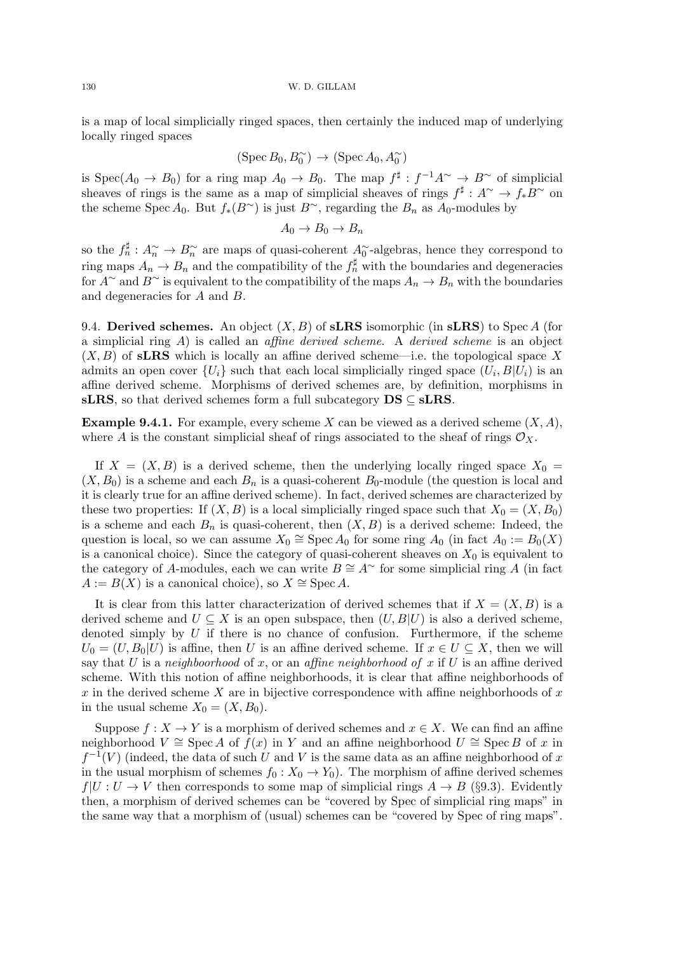is a map of local simplicially ringed spaces, then certainly the induced map of underlying locally ringed spaces

$$
(\operatorname{Spec} B_0, B_0^{\sim}) \to (\operatorname{Spec} A_0, A_0^{\sim})
$$

is  $Spec(A_0 \to B_0)$  for a ring map  $A_0 \to B_0$ . The map  $f^{\sharp}: f^{-1}A^{\sim} \to B^{\sim}$  of simplicial sheaves of rings is the same as a map of simplicial sheaves of rings  $f^{\sharp}: A^{\sim} \to f_*B^{\sim}$  on the scheme Spec A<sub>0</sub>. But  $f_*(B^{\sim})$  is just  $B^{\sim}$ , regarding the  $B_n$  as A<sub>0</sub>-modules by

$$
A_0 \to B_0 \to B_n
$$

so the  $f_n^{\sharp}: A_n^{\sim} \to B_n^{\sim}$  are maps of quasi-coherent  $A_0^{\sim}$ -algebras, hence they correspond to ring maps  $A_n \to B_n$  and the compatibility of the  $f_n^{\sharp}$  with the boundaries and degeneracies for  $A^{\sim}$  and  $B^{\sim}$  is equivalent to the compatibility of the maps  $A_n \to B_n$  with the boundaries and degeneracies for A and B.

9.4. Derived schemes. An object  $(X, B)$  of sLRS isomorphic (in sLRS) to Spec A (for a simplicial ring  $A$ ) is called an *affine derived scheme*. A *derived scheme* is an object  $(X, B)$  of **sLRS** which is locally an affine derived scheme—i.e. the topological space X admits an open cover  $\{U_i\}$  such that each local simplicially ringed space  $(U_i, B|U_i)$  is an affine derived scheme. Morphisms of derived schemes are, by definition, morphisms in sLRS, so that derived schemes form a full subcategory  $DS \subseteq$  sLRS.

**Example 9.4.1.** For example, every scheme X can be viewed as a derived scheme  $(X, A)$ , where A is the constant simplicial sheaf of rings associated to the sheaf of rings  $\mathcal{O}_X$ .

If  $X = (X, B)$  is a derived scheme, then the underlying locally ringed space  $X_0 =$  $(X, B_0)$  is a scheme and each  $B_n$  is a quasi-coherent  $B_0$ -module (the question is local and it is clearly true for an affine derived scheme). In fact, derived schemes are characterized by these two properties: If  $(X, B)$  is a local simplicially ringed space such that  $X_0 = (X, B_0)$ is a scheme and each  $B_n$  is quasi-coherent, then  $(X, B)$  is a derived scheme: Indeed, the question is local, so we can assume  $X_0 \cong \operatorname{Spec} A_0$  for some ring  $A_0$  (in fact  $A_0 := B_0(X)$ ) is a canonical choice). Since the category of quasi-coherent sheaves on  $X_0$  is equivalent to the category of A-modules, each we can write  $B \cong A^{\sim}$  for some simplicial ring A (in fact  $A := B(X)$  is a canonical choice), so  $X \cong \operatorname{Spec} A$ .

It is clear from this latter characterization of derived schemes that if  $X = (X, B)$  is a derived scheme and  $U \subseteq X$  is an open subspace, then  $(U, B|U)$  is also a derived scheme, denoted simply by  $U$  if there is no chance of confusion. Furthermore, if the scheme  $U_0 = (U, B_0 | U)$  is affine, then U is an affine derived scheme. If  $x \in U \subseteq X$ , then we will say that U is a neighboorhood of x, or an affine neighborhood of x if U is an affine derived scheme. With this notion of affine neighborhoods, it is clear that affine neighborhoods of x in the derived scheme X are in bijective correspondence with affine neighborhoods of x in the usual scheme  $X_0 = (X, B_0)$ .

Suppose  $f: X \to Y$  is a morphism of derived schemes and  $x \in X$ . We can find an affine neighborhood  $V \cong$  Spec A of  $f(x)$  in Y and an affine neighborhood  $U \cong$  Spec B of x in  $f^{-1}(V)$  (indeed, the data of such U and V is the same data as an affine neighborhood of x in the usual morphism of schemes  $f_0 : X_0 \to Y_0$ . The morphism of affine derived schemes  $f|U: U \to V$  then corresponds to some map of simplicial rings  $A \to B$  (§9.3). Evidently then, a morphism of derived schemes can be "covered by Spec of simplicial ring maps" in the same way that a morphism of (usual) schemes can be "covered by Spec of ring maps".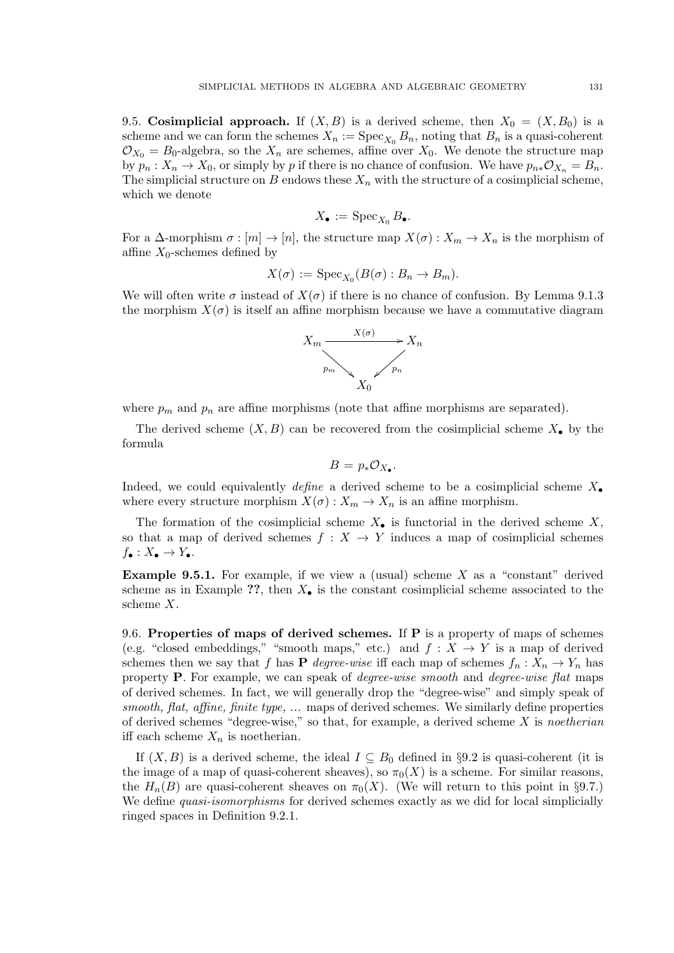9.5. Cosimplicial approach. If  $(X, B)$  is a derived scheme, then  $X_0 = (X, B_0)$  is a scheme and we can form the schemes  $X_n := \text{Spec}_{X_0} B_n$ , noting that  $B_n$  is a quasi-coherent  $\mathcal{O}_{X_0} = B_0$ -algebra, so the  $X_n$  are schemes, affine over  $X_0$ . We denote the structure map by  $p_n : X_n \to X_0$ , or simply by p if there is no chance of confusion. We have  $p_{n*} \mathcal{O}_{X_n} = B_n$ . The simplicial structure on B endows these  $X_n$  with the structure of a cosimplicial scheme, which we denote

$$
X_{\bullet} := \operatorname{Spec}_{X_0} B_{\bullet}.
$$

For a  $\Delta$ -morphism  $\sigma : [m] \to [n]$ , the structure map  $X(\sigma) : X_m \to X_n$  is the morphism of affine  $X_0$ -schemes defined by

$$
X(\sigma) := \operatorname{Spec}_{X_0}(B(\sigma) : B_n \to B_m).
$$

We will often write  $\sigma$  instead of  $X(\sigma)$  if there is no chance of confusion. By Lemma 9.1.3 the morphism  $X(\sigma)$  is itself an affine morphism because we have a commutative diagram



where  $p_m$  and  $p_n$  are affine morphisms (note that affine morphisms are separated).

The derived scheme  $(X, B)$  can be recovered from the cosimplicial scheme  $X_{\bullet}$  by the formula

$$
B=p_*\mathcal{O}_{X_{\bullet}}.
$$

Indeed, we could equivalently *define* a derived scheme to be a cosimplicial scheme  $X_{\bullet}$ where every structure morphism  $X(\sigma) : X_m \to X_n$  is an affine morphism.

The formation of the cosimplicial scheme  $X_{\bullet}$  is functorial in the derived scheme X. so that a map of derived schemes  $f : X \to Y$  induces a map of cosimplicial schemes  $f_{\bullet}: X_{\bullet} \to Y_{\bullet}.$ 

**Example 9.5.1.** For example, if we view a (usual) scheme  $X$  as a "constant" derived scheme as in Example ??, then  $X_{\bullet}$  is the constant cosimplicial scheme associated to the scheme X.

9.6. Properties of maps of derived schemes. If  $P$  is a property of maps of schemes (e.g. "closed embeddings," "smooth maps," etc.) and  $f: X \to Y$  is a map of derived schemes then we say that f has **P** degree-wise iff each map of schemes  $f_n: X_n \to Y_n$  has property P. For example, we can speak of degree-wise smooth and degree-wise flat maps of derived schemes. In fact, we will generally drop the "degree-wise" and simply speak of smooth, flat, affine, finite type,  $\dots$  maps of derived schemes. We similarly define properties of derived schemes "degree-wise," so that, for example, a derived scheme  $X$  is noetherian iff each scheme  $X_n$  is noetherian.

If  $(X, B)$  is a derived scheme, the ideal  $I \subseteq B_0$  defined in §9.2 is quasi-coherent (it is the image of a map of quasi-coherent sheaves), so  $\pi_0(X)$  is a scheme. For similar reasons, the  $H_n(B)$  are quasi-coherent sheaves on  $\pi_0(X)$ . (We will return to this point in §9.7.) We define *quasi-isomorphisms* for derived schemes exactly as we did for local simplicially ringed spaces in Definition 9.2.1.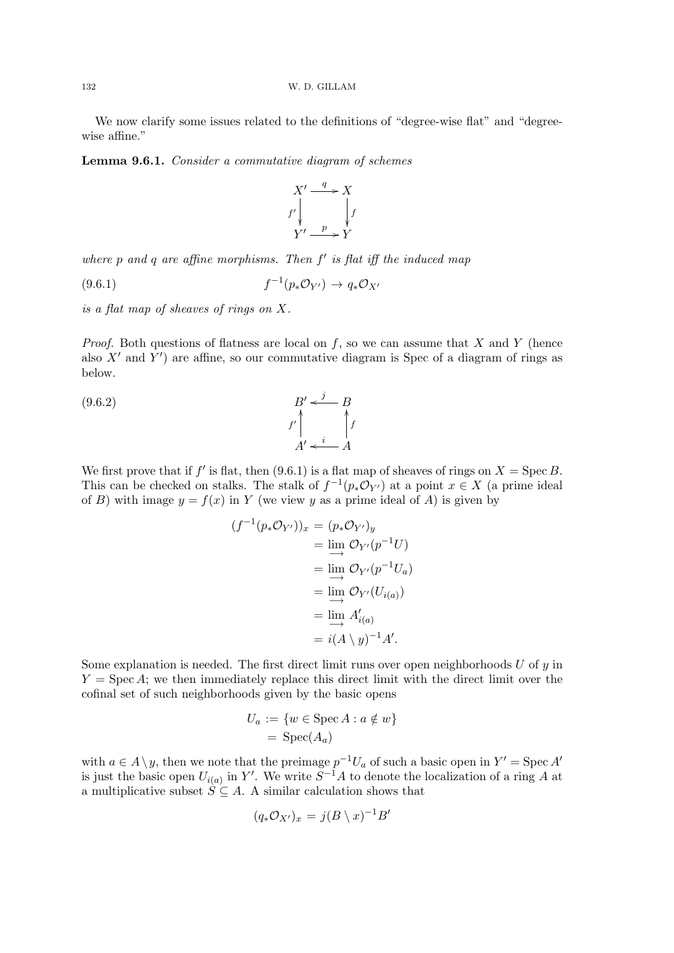We now clarify some issues related to the definitions of "degree-wise flat" and "degreewise affine."

Lemma 9.6.1. Consider a commutative diagram of schemes



where  $p$  and  $q$  are affine morphisms. Then  $f'$  is flat iff the induced map

$$
(9.6.1) \t\t f^{-1}(p_*\mathcal{O}_{Y'}) \to q_*\mathcal{O}_{X'}
$$

is a flat map of sheaves of rings on X.

*Proof.* Both questions of flatness are local on  $f$ , so we can assume that  $X$  and  $Y$  (hence also  $X'$  and  $Y'$ ) are affine, so our commutative diagram is Spec of a diagram of rings as below.

$$
\begin{array}{ccc}\n(9.6.2) & B' & \xrightarrow{j} & B \\
\downarrow^{f} & \uparrow^{f} & \uparrow^{f} \\
A' & \xleftarrow{i} & A\n\end{array}
$$

We first prove that if f' is flat, then (9.6.1) is a flat map of sheaves of rings on  $X = \text{Spec } B$ . This can be checked on stalks. The stalk of  $f^{-1}(p_*\mathcal{O}_{Y'})$  at a point  $x \in X$  (a prime ideal of B) with image  $y = f(x)$  in Y (we view y as a prime ideal of A) is given by

$$
(f^{-1}(p_*\mathcal{O}_{Y'}))_x = (p_*\mathcal{O}_{Y'})_y
$$
  
=  $\lim_{x \to 0} \mathcal{O}_{Y'}(p^{-1}U)$   
=  $\lim_{x \to 0} \mathcal{O}_{Y'}(p^{-1}U_a)$   
=  $\lim_{x \to 0} \mathcal{O}_{Y'}(U_{i(a)})$   
=  $\lim_{x \to 0} A'_{i(a)}$   
=  $i(A \setminus y)^{-1}A'.$ 

Some explanation is needed. The first direct limit runs over open neighborhoods  $U$  of  $y$  in  $Y = \text{Spec } A$ ; we then immediately replace this direct limit with the direct limit over the cofinal set of such neighborhoods given by the basic opens

$$
U_a := \{ w \in \text{Spec } A : a \notin w \}
$$
  
= Spec $(A_a)$ 

with  $a \in A \setminus y$ , then we note that the preimage  $p^{-1}U_a$  of such a basic open in  $Y' = \text{Spec } A'$ is just the basic open  $U_{i(a)}$  in Y'. We write  $S^{-1}A$  to denote the localization of a ring A at a multiplicative subset  $\hat{S} \subseteq A$ . A similar calculation shows that

$$
(q_*\mathcal{O}_{X'})_x = j(B \setminus x)^{-1}B'
$$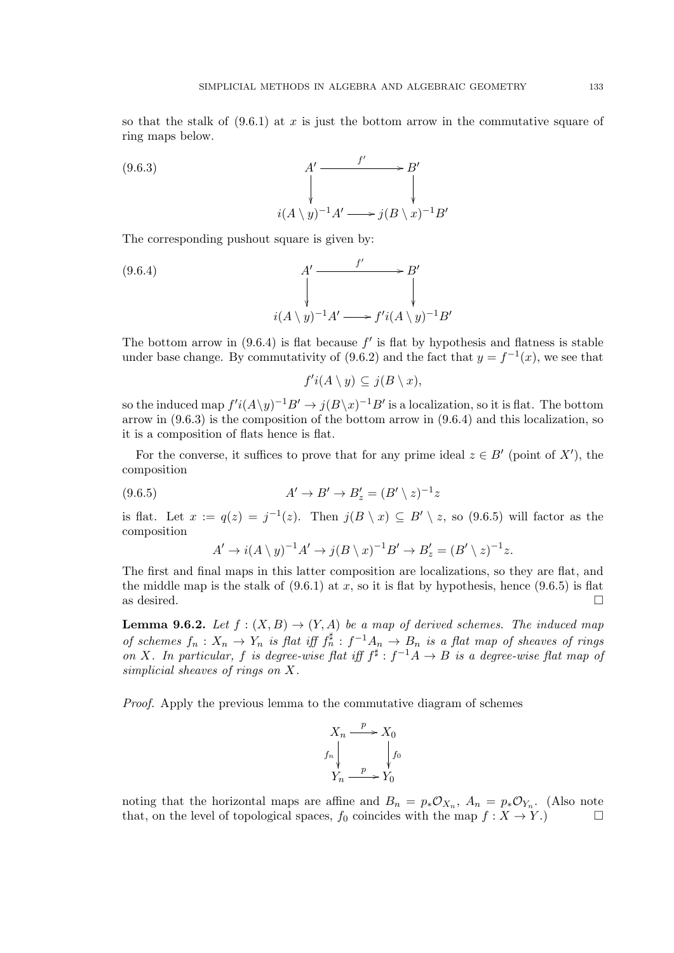so that the stalk of  $(9.6.1)$  at x is just the bottom arrow in the commutative square of ring maps below.

$$
(9.6.3)
$$
\n
$$
A' \xrightarrow{f'} B'
$$
\n
$$
\downarrow
$$
\n
$$
i(A \setminus y)^{-1}A' \longrightarrow j(B \setminus x)^{-1}B'
$$

The corresponding pushout square is given by:

(9.6.4)  

$$
\begin{array}{ccc}\nA' & \xrightarrow{f'} & B' \\
\downarrow & & \downarrow \\
i(A \setminus y)^{-1}A' & \xrightarrow{f'i(A \setminus y)^{-1}B'}\n\end{array}
$$

The bottom arrow in  $(9.6.4)$  is flat because  $f'$  is flat by hypothesis and flatness is stable under base change. By commutativity of (9.6.2) and the fact that  $y = f^{-1}(x)$ , we see that

 $f'i(A \setminus y) \subseteq j(B \setminus x),$ 

so the induced map  $f'i(A\y)^{-1}B' \to j(B\y)^{-1}B'$  is a localization, so it is flat. The bottom arrow in (9.6.3) is the composition of the bottom arrow in (9.6.4) and this localization, so it is a composition of flats hence is flat.

For the converse, it suffices to prove that for any prime ideal  $z \in B'$  (point of X'), the composition

(9.6.5) 
$$
A' \to B' \to B'_z = (B' \setminus z)^{-1}z
$$

is flat. Let  $x := q(z) = j^{-1}(z)$ . Then  $j(B \setminus x) \subseteq B' \setminus z$ , so  $(9.6.5)$  will factor as the composition

$$
A' \to i(A \setminus y)^{-1}A' \to j(B \setminus x)^{-1}B' \to B'_z = (B' \setminus z)^{-1}z.
$$

The first and final maps in this latter composition are localizations, so they are flat, and the middle map is the stalk of  $(9.6.1)$  at x, so it is flat by hypothesis, hence  $(9.6.5)$  is flat as desired.  $\Box$ 

**Lemma 9.6.2.** Let  $f : (X, B) \to (Y, A)$  be a map of derived schemes. The induced map of schemes  $f_n: X_n \to Y_n$  is flat iff  $f_n^{\sharp}: f^{-1}A_n \to B_n$  is a flat map of sheaves of rings on X. In particular, f is degree-wise flat iff  $f^{\sharp}: f^{-1}A \to B$  is a degree-wise flat map of simplicial sheaves of rings on X.

Proof. Apply the previous lemma to the commutative diagram of schemes



noting that the horizontal maps are affine and  $B_n = p_*\mathcal{O}_{X_n}$ ,  $A_n = p_*\mathcal{O}_{Y_n}$ . (Also note that, on the level of topological spaces,  $f_0$  coincides with the map  $f : X \to Y$ .)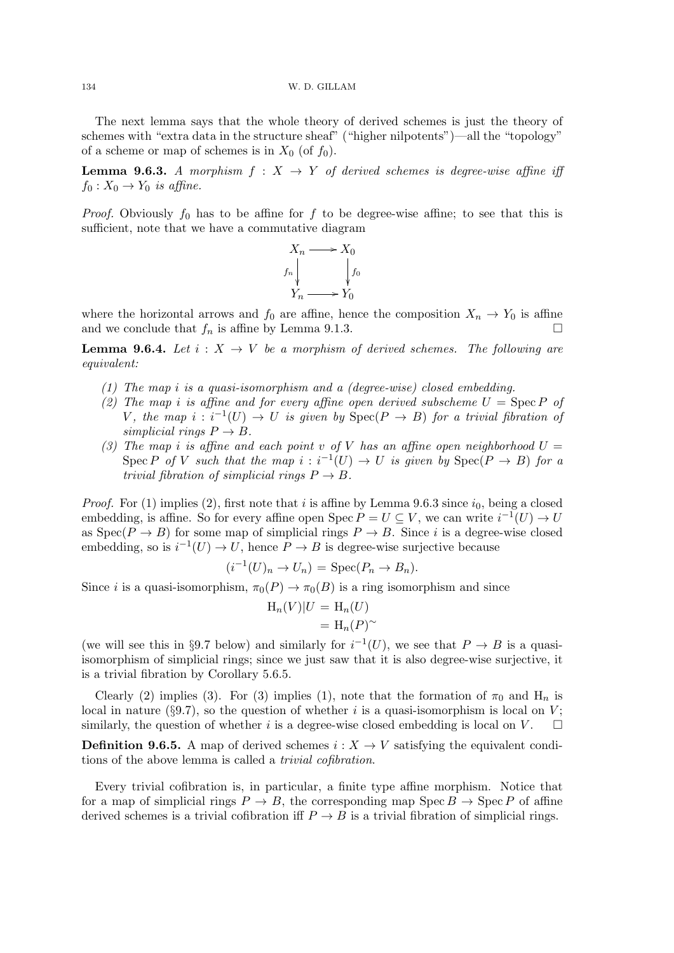134 W. D. GILLAM

The next lemma says that the whole theory of derived schemes is just the theory of schemes with "extra data in the structure sheaf" ("higher nilpotents")—all the "topology" of a scheme or map of schemes is in  $X_0$  (of  $f_0$ ).

**Lemma 9.6.3.** A morphism  $f : X \rightarrow Y$  of derived schemes is degree-wise affine iff  $f_0: X_0 \to Y_0$  is affine.

*Proof.* Obviously  $f_0$  has to be affine for  $f$  to be degree-wise affine; to see that this is sufficient, note that we have a commutative diagram



where the horizontal arrows and  $f_0$  are affine, hence the composition  $X_n \to Y_0$  is affine and we conclude that  $f_n$  is affine by Lemma 9.1.3.

**Lemma 9.6.4.** Let  $i: X \rightarrow V$  be a morphism of derived schemes. The following are equivalent:

- (1) The map i is a quasi-isomorphism and a (degree-wise) closed embedding.
- (2) The map i is affine and for every affine open derived subscheme  $U = \text{Spec } P$  of V, the map  $i : i^{-1}(U) \to U$  is given by  $Spec(P \to B)$  for a trivial fibration of simplicial rings  $P \to B$ .
- (3) The map i is affine and each point v of V has an affine open neighborhood  $U =$ Spec P of V such that the map  $i : i^{-1}(U) \to U$  is given by  $Spec(P \to B)$  for a trivial fibration of simplicial rings  $P \to B$ .

*Proof.* For (1) implies (2), first note that i is affine by Lemma 9.6.3 since  $i_0$ , being a closed embedding, is affine. So for every affine open Spec  $P = U \subseteq V$ , we can write  $i^{-1}(U) \to U$ as  $Spec(P \to B)$  for some map of simplicial rings  $P \to B$ . Since i is a degree-wise closed embedding, so is  $i^{-1}(U) \to U$ , hence  $P \to B$  is degree-wise surjective because

$$
(i^{-1}(U)_n \to U_n) = \operatorname{Spec}(P_n \to B_n).
$$

Since *i* is a quasi-isomorphism,  $\pi_0(P) \to \pi_0(B)$  is a ring isomorphism and since

$$
H_n(V)|U = H_n(U)
$$
  
=  $H_n(P)^\sim$ 

(we will see this in §9.7 below) and similarly for  $i^{-1}(U)$ , we see that  $P \to B$  is a quasiisomorphism of simplicial rings; since we just saw that it is also degree-wise surjective, it is a trivial fibration by Corollary 5.6.5.

Clearly (2) implies (3). For (3) implies (1), note that the formation of  $\pi_0$  and H<sub>n</sub> is local in nature (§9.7), so the question of whether i is a quasi-isomorphism is local on  $V$ ; similarly, the question of whether i is a degree-wise closed embedding is local on V.  $\square$ 

**Definition 9.6.5.** A map of derived schemes  $i: X \to V$  satisfying the equivalent conditions of the above lemma is called a trivial cofibration.

Every trivial cofibration is, in particular, a finite type affine morphism. Notice that for a map of simplicial rings  $P \to B$ , the corresponding map  $\text{Spec } B \to \text{Spec } P$  of affine derived schemes is a trivial cofibration iff  $P \to B$  is a trivial fibration of simplicial rings.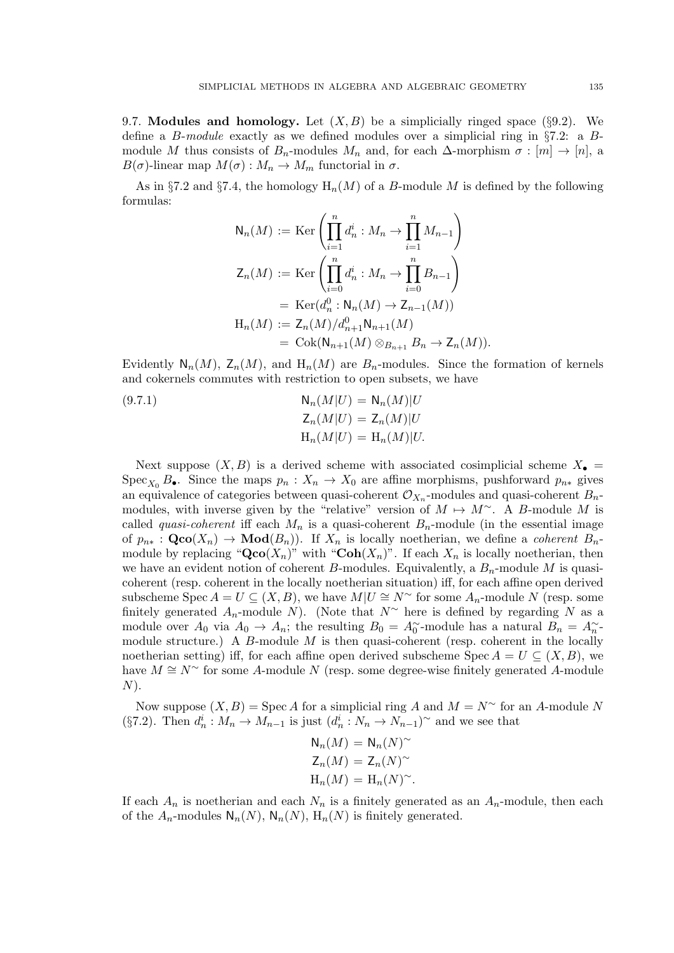9.7. Modules and homology. Let  $(X, B)$  be a simplicially ringed space (§9.2). We define a B-module exactly as we defined modules over a simplicial ring in §7.2: a Bmodule M thus consists of  $B_n$ -modules  $M_n$  and, for each  $\Delta$ -morphism  $\sigma : [m] \to [n]$ , a  $B(\sigma)$ -linear map  $M(\sigma) : M_n \to M_m$  functorial in  $\sigma$ .

As in §7.2 and §7.4, the homology  $H_n(M)$  of a B-module M is defined by the following formulas:

$$
N_n(M) := \text{Ker}\left(\prod_{i=1}^n d_n^i : M_n \to \prod_{i=1}^n M_{n-1}\right)
$$
  
\n
$$
Z_n(M) := \text{Ker}\left(\prod_{i=0}^n d_n^i : M_n \to \prod_{i=0}^n B_{n-1}\right)
$$
  
\n
$$
= \text{Ker}(d_n^0 : N_n(M) \to Z_{n-1}(M))
$$
  
\n
$$
H_n(M) := Z_n(M)/d_{n+1}^0 N_{n+1}(M)
$$
  
\n
$$
= \text{Cok}(N_{n+1}(M) \otimes_{B_{n+1}} B_n \to Z_n(M)).
$$

Evidently  $N_n(M)$ ,  $\mathsf{Z}_n(M)$ , and  $\mathsf{H}_n(M)$  are  $B_n$ -modules. Since the formation of kernels and cokernels commutes with restriction to open subsets, we have

(9.7.1) 
$$
N_n(M|U) = N_n(M)|U
$$

$$
Z_n(M|U) = Z_n(M)|U
$$

$$
H_n(M|U) = H_n(M)|U.
$$

Next suppose  $(X, B)$  is a derived scheme with associated cosimplicial scheme  $X_{\bullet} =$ Spec<sub>X0</sub> B•. Since the maps  $p_n : X_n \to X_0$  are affine morphisms, pushforward  $p_{n*}$  gives an equivalence of categories between quasi-coherent  $\mathcal{O}_{X_n}$ -modules and quasi-coherent  $B_n$ modules, with inverse given by the "relative" version of  $M \mapsto M^{\sim}$ . A B-module M is called *quasi-coherent* iff each  $M_n$  is a quasi-coherent  $B_n$ -module (in the essential image of  $p_{n*} : \mathbf{Qco}(X_n) \to \mathbf{Mod}(B_n)$ . If  $X_n$  is locally noetherian, we define a *coherent*  $B_n$ module by replacing " $Qco(X_n)$ " with "Coh $(X_n)$ ". If each  $X_n$  is locally noetherian, then we have an evident notion of coherent B-modules. Equivalently, a  $B_n$ -module M is quasicoherent (resp. coherent in the locally noetherian situation) iff, for each affine open derived subscheme Spec  $A = U \subseteq (X, B)$ , we have  $M|U \cong N^{\sim}$  for some  $A_n$ -module N (resp. some finitely generated  $A_n$ -module N). (Note that  $N^{\sim}$  here is defined by regarding N as a module over  $A_0$  via  $A_0 \to A_n$ ; the resulting  $B_0 = A_0$  module has a natural  $B_n = A_n$ module structure.) A  $B$ -module  $M$  is then quasi-coherent (resp. coherent in the locally noetherian setting) iff, for each affine open derived subscheme Spec  $A = U \subseteq (X, B)$ , we have  $M \cong N^{\sim}$  for some A-module N (resp. some degree-wise finitely generated A-module  $N$ ).

Now suppose  $(X, B)$  = Spec A for a simplicial ring A and  $M = N^{\sim}$  for an A-module N (§7.2). Then  $d_n^i : M_n \to M_{n-1}$  is just  $(d_n^i : N_n \to N_{n-1})^{\sim}$  and we see that

$$
N_n(M) = N_n(N)^{\sim}
$$
  
\n
$$
Z_n(M) = Z_n(N)^{\sim}
$$
  
\n
$$
H_n(M) = H_n(N)^{\sim}.
$$

If each  $A_n$  is noetherian and each  $N_n$  is a finitely generated as an  $A_n$ -module, then each of the  $A_n$ -modules  $\mathsf{N}_n(N)$ ,  $\mathsf{N}_n(N)$ ,  $\mathrm{H}_n(N)$  is finitely generated.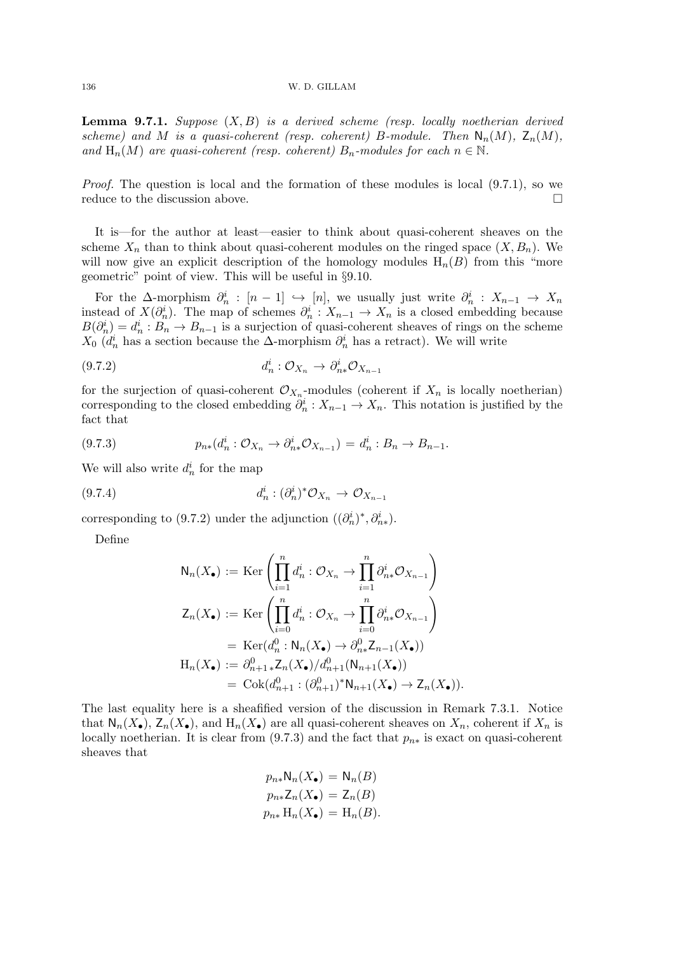136 W. D. GILLAM

**Lemma 9.7.1.** Suppose  $(X, B)$  is a derived scheme (resp. locally noetherian derived scheme) and M is a quasi-coherent (resp. coherent) B-module. Then  $\mathsf{N}_n(M)$ ,  $\mathsf{Z}_n(M)$ , and  $H_n(M)$  are quasi-coherent (resp. coherent)  $B_n$ -modules for each  $n \in \mathbb{N}$ .

Proof. The question is local and the formation of these modules is local (9.7.1), so we reduce to the discussion above.

It is—for the author at least—easier to think about quasi-coherent sheaves on the scheme  $X_n$  than to think about quasi-coherent modules on the ringed space  $(X, B_n)$ . We will now give an explicit description of the homology modules  $H_n(B)$  from this "more geometric" point of view. This will be useful in §9.10.

For the  $\Delta$ -morphism  $\partial_n^i : [n-1] \hookrightarrow [n]$ , we usually just write  $\partial_n^i : X_{n-1} \to X_n$ instead of  $X(\partial_n^i)$ . The map of schemes  $\partial_n^i: X_{n-1} \to X_n$  is a closed embedding because  $B(\partial_n^i) = d_n^i : B_n \to B_{n-1}$  is a surjection of quasi-coherent sheaves of rings on the scheme  $X_0$  ( $d_n^i$  has a section because the  $\Delta$ -morphism  $\partial_n^i$  has a retract). We will write

$$
(9.7.2) \t d_n^i: \mathcal{O}_{X_n} \to \partial_{n*}^i \mathcal{O}_{X_{n-1}}
$$

for the surjection of quasi-coherent  $\mathcal{O}_{X_n}$ -modules (coherent if  $X_n$  is locally noetherian) corresponding to the closed embedding  $\partial_n^i: X_{n-1} \to X_n$ . This notation is justified by the fact that

$$
(9.7.3) \t\t p_{n*}(d_n^i: \mathcal{O}_{X_n} \to \partial_{n*}^i \mathcal{O}_{X_{n-1}}) = d_n^i: B_n \to B_{n-1}.
$$

We will also write  $d_n^i$  for the map

$$
(9.7.4) \t d_n^i : (\partial_n^i)^* \mathcal{O}_{X_n} \to \mathcal{O}_{X_{n-1}}
$$

corresponding to (9.7.2) under the adjunction  $((\partial_n^i)^*, \partial_{n*}^i)$ .

Define

$$
N_n(X_{\bullet}) := \text{Ker}\left(\prod_{i=1}^n d_n^i : \mathcal{O}_{X_n} \to \prod_{i=1}^n \partial_{n*}^i \mathcal{O}_{X_{n-1}}\right)
$$
  
\n
$$
Z_n(X_{\bullet}) := \text{Ker}\left(\prod_{i=0}^n d_n^i : \mathcal{O}_{X_n} \to \prod_{i=0}^n \partial_{n*}^i \mathcal{O}_{X_{n-1}}\right)
$$
  
\n
$$
= \text{Ker}(d_n^0 : N_n(X_{\bullet}) \to \partial_{n*}^0 Z_{n-1}(X_{\bullet}))
$$
  
\n
$$
H_n(X_{\bullet}) := \partial_{n+1*}^0 Z_n(X_{\bullet}) / d_{n+1}^0(N_{n+1}(X_{\bullet}))
$$
  
\n
$$
= \text{Cok}(d_{n+1}^0 : (\partial_{n+1}^0)^* N_{n+1}(X_{\bullet}) \to Z_n(X_{\bullet})).
$$

The last equality here is a sheafified version of the discussion in Remark 7.3.1. Notice that  $\mathsf{N}_n(X_\bullet), \mathsf{Z}_n(X_\bullet)$ , and  $\mathsf{H}_n(X_\bullet)$  are all quasi-coherent sheaves on  $X_n$ , coherent if  $X_n$  is locally noetherian. It is clear from  $(9.7.3)$  and the fact that  $p_{n*}$  is exact on quasi-coherent sheaves that

$$
p_{n*}N_n(X_{\bullet}) = N_n(B)
$$
  
\n
$$
p_{n*}Z_n(X_{\bullet}) = Z_n(B)
$$
  
\n
$$
p_{n*}H_n(X_{\bullet}) = H_n(B).
$$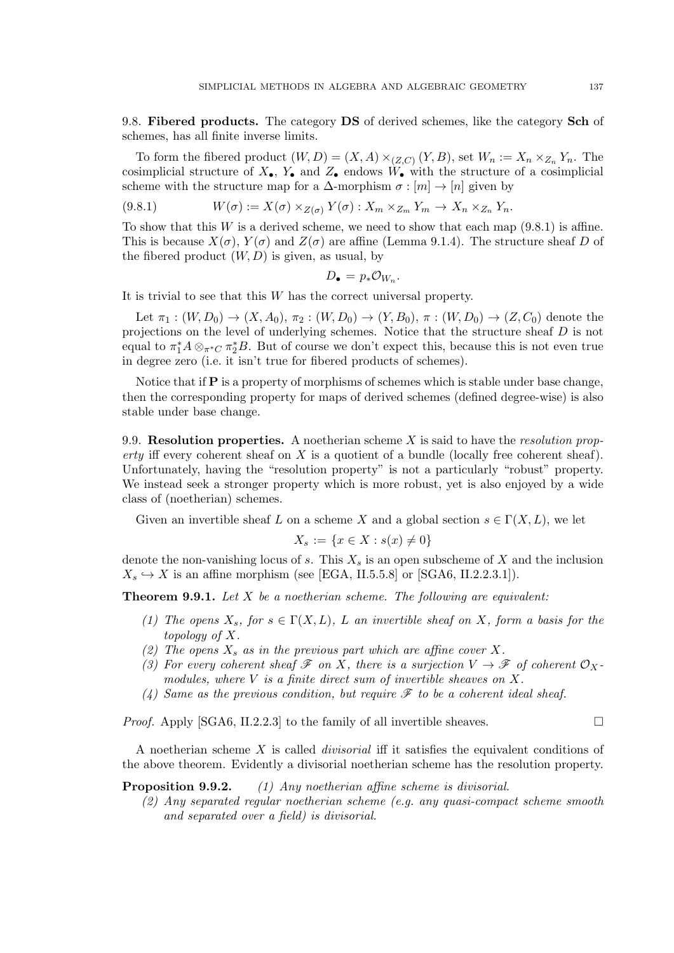9.8. Fibered products. The category DS of derived schemes, like the category Sch of schemes, has all finite inverse limits.

To form the fibered product  $(W, D) = (X, A) \times_{(Z, C)} (Y, B)$ , set  $W_n := X_n \times_{Z_n} Y_n$ . The cosimplicial structure of  $X_{\bullet}$ ,  $Y_{\bullet}$  and  $Z_{\bullet}$  endows  $W_{\bullet}$  with the structure of a cosimplicial scheme with the structure map for a  $\Delta$ -morphism  $\sigma : [m] \to [n]$  given by

(9.8.1) 
$$
W(\sigma) := X(\sigma) \times_{Z(\sigma)} Y(\sigma) : X_m \times_{Z_m} Y_m \to X_n \times_{Z_n} Y_n.
$$

To show that this W is a derived scheme, we need to show that each map  $(9.8.1)$  is affine. This is because  $X(\sigma)$ ,  $Y(\sigma)$  and  $Z(\sigma)$  are affine (Lemma 9.1.4). The structure sheaf D of the fibered product  $(W, D)$  is given, as usual, by

$$
D_{\bullet} = p_{*}\mathcal{O}_{W_n}.
$$

It is trivial to see that this W has the correct universal property.

Let  $\pi_1 : (W, D_0) \to (X, A_0), \pi_2 : (W, D_0) \to (Y, B_0), \pi : (W, D_0) \to (Z, C_0)$  denote the projections on the level of underlying schemes. Notice that the structure sheaf D is not equal to  $\pi_1^* A \otimes_{\pi^* C} \pi_2^* B$ . But of course we don't expect this, because this is not even true in degree zero (i.e. it isn't true for fibered products of schemes).

Notice that if P is a property of morphisms of schemes which is stable under base change, then the corresponding property for maps of derived schemes (defined degree-wise) is also stable under base change.

9.9. Resolution properties. A noetherian scheme  $X$  is said to have the *resolution prop*erty iff every coherent sheaf on  $X$  is a quotient of a bundle (locally free coherent sheaf). Unfortunately, having the "resolution property" is not a particularly "robust" property. We instead seek a stronger property which is more robust, yet is also enjoyed by a wide class of (noetherian) schemes.

Given an invertible sheaf L on a scheme X and a global section  $s \in \Gamma(X, L)$ , we let

$$
X_s := \{ x \in X : s(x) \neq 0 \}
$$

denote the non-vanishing locus of s. This  $X_s$  is an open subscheme of X and the inclusion  $X_s \hookrightarrow X$  is an affine morphism (see [EGA, II.5.5.8] or [SGA6, II.2.2.3.1]).

**Theorem 9.9.1.** Let  $X$  be a noetherian scheme. The following are equivalent:

- (1) The opens  $X_s$ , for  $s \in \Gamma(X, L)$ , L an invertible sheaf on X, form a basis for the topology of X.
- (2) The opens  $X_s$  as in the previous part which are affine cover X.
- (3) For every coherent sheaf  $\mathscr F$  on X, there is a surjection  $V \to \mathscr F$  of coherent  $\mathcal O_X$ . modules, where V is a finite direct sum of invertible sheaves on X.
- (4) Same as the previous condition, but require  $\mathscr F$  to be a coherent ideal sheaf.

*Proof.* Apply [SGA6, II.2.2.3] to the family of all invertible sheaves.  $\Box$ 

A noetherian scheme X is called *divisorial* iff it satisfies the equivalent conditions of the above theorem. Evidently a divisorial noetherian scheme has the resolution property.

**Proposition 9.9.2.** (1) Any noetherian affine scheme is divisorial.

(2) Any separated regular noetherian scheme (e.g. any quasi-compact scheme smooth and separated over a field) is divisorial.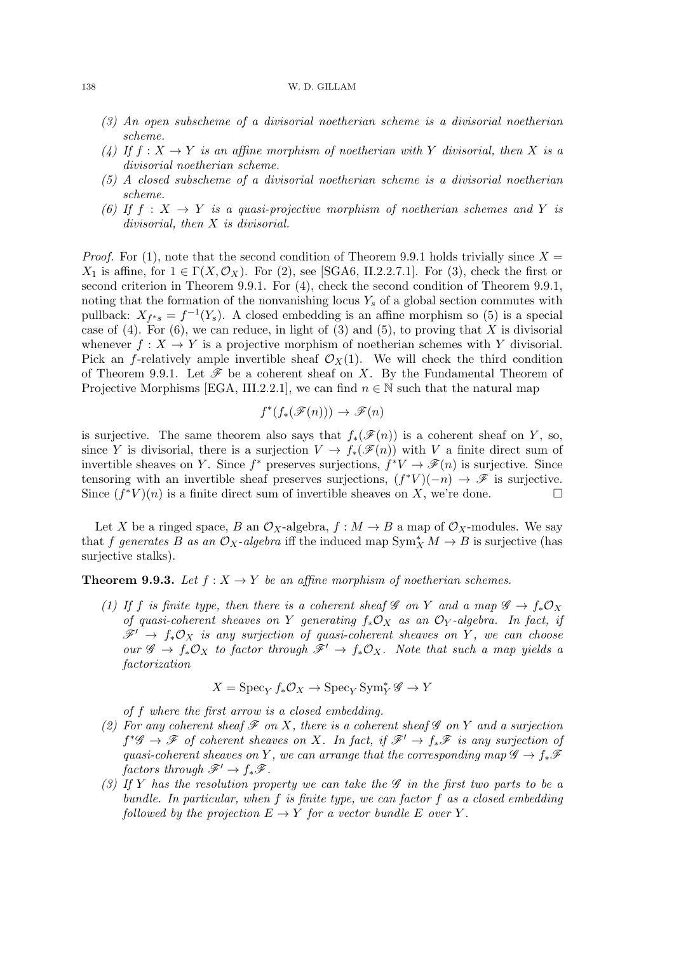#### 138 W. D. GILLAM

- (3) An open subscheme of a divisorial noetherian scheme is a divisorial noetherian scheme.
- (4) If  $f: X \to Y$  is an affine morphism of noetherian with Y divisorial, then X is a divisorial noetherian scheme.
- (5) A closed subscheme of a divisorial noetherian scheme is a divisorial noetherian scheme.
- (6) If  $f: X \to Y$  is a quasi-projective morphism of noetherian schemes and Y is divisorial, then X is divisorial.

*Proof.* For (1), note that the second condition of Theorem 9.9.1 holds trivially since  $X =$  $X_1$  is affine, for  $1 \in \Gamma(X, \mathcal{O}_X)$ . For (2), see [SGA6, II.2.2.7.1]. For (3), check the first or second criterion in Theorem 9.9.1. For (4), check the second condition of Theorem 9.9.1, noting that the formation of the nonvanishing locus  $Y_s$  of a global section commutes with pullback:  $X_{f^*s} = f^{-1}(Y_s)$ . A closed embedding is an affine morphism so (5) is a special case of (4). For (6), we can reduce, in light of (3) and (5), to proving that X is divisorial whenever  $f: X \to Y$  is a projective morphism of noetherian schemes with Y divisorial. Pick an f-relatively ample invertible sheaf  $\mathcal{O}_X(1)$ . We will check the third condition of Theorem 9.9.1. Let  $\mathscr F$  be a coherent sheaf on X. By the Fundamental Theorem of Projective Morphisms [EGA, III.2.2.1], we can find  $n \in \mathbb{N}$  such that the natural map

$$
f^*(f_*(\mathscr{F}(n))) \to \mathscr{F}(n)
$$

is surjective. The same theorem also says that  $f_*(\mathscr{F}(n))$  is a coherent sheaf on Y, so, since Y is divisorial, there is a surjection  $V \to f_*(\mathscr{F}(n))$  with V a finite direct sum of invertible sheaves on Y. Since  $f^*$  preserves surjections,  $f^*V \to \mathscr{F}(n)$  is surjective. Since tensoring with an invertible sheaf preserves surjections,  $(f^*V)(-n) \to \mathscr{F}$  is surjective. Since  $(f^*V)(n)$  is a finite direct sum of invertible sheaves on X, we're done.

Let X be a ringed space, B an  $\mathcal{O}_X$ -algebra,  $f : M \to B$  a map of  $\mathcal{O}_X$ -modules. We say that f generates B as an  $\mathcal{O}_X$ -algebra iff the induced map  $\text{Sym}_X^* M \to B$  is surjective (has surjective stalks).

**Theorem 9.9.3.** Let  $f: X \to Y$  be an affine morphism of noetherian schemes.

(1) If f is finite type, then there is a coherent sheaf G on Y and a map  $\mathscr{G} \to f_* \mathscr{O}_X$ of quasi-coherent sheaves on Y generating  $f_*\mathcal{O}_X$  as an  $\mathcal{O}_Y$ -algebra. In fact, if  $\mathscr{F}' \to f_*\mathcal{O}_X$  is any surjection of quasi-coherent sheaves on Y, we can choose our  $\mathscr{G} \to f_*\mathcal{O}_X$  to factor through  $\mathscr{F}' \to f_*\mathcal{O}_X$ . Note that such a map yields a factorization

$$
X = \operatorname{Spec}_Y f_* \mathcal{O}_X \to \operatorname{Spec}_Y \operatorname{Sym}_Y^* \mathscr{G} \to Y
$$

of f where the first arrow is a closed embedding.

- (2) For any coherent sheaf  $\mathscr F$  on X, there is a coherent sheaf  $\mathscr G$  on Y and a surjection  $f^*\mathscr{G} \to \mathscr{F}$  of coherent sheaves on X. In fact, if  $\mathscr{F}' \to f_*\mathscr{F}$  is any surjection of quasi-coherent sheaves on Y, we can arrange that the corresponding map  $\mathscr{G} \to f_*\mathscr{F}$ factors through  $\mathscr{F}' \to f_*\mathscr{F}$ .
- (3) If Y has the resolution property we can take the  $\mathscr G$  in the first two parts to be a bundle. In particular, when  $f$  is finite type, we can factor  $f$  as a closed embedding followed by the projection  $E \to Y$  for a vector bundle E over Y.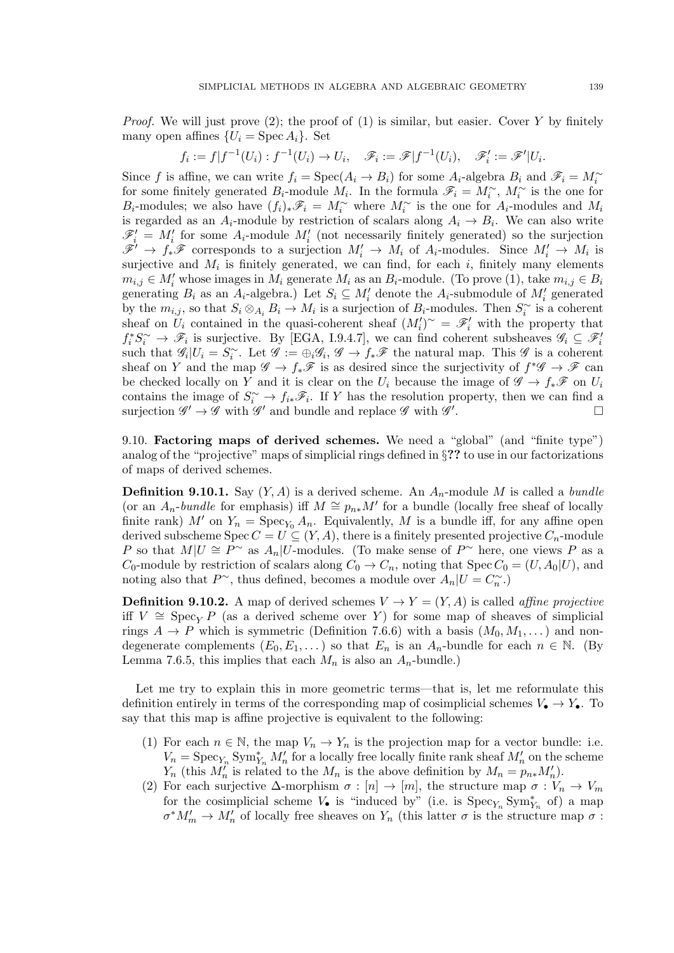*Proof.* We will just prove  $(2)$ ; the proof of  $(1)$  is similar, but easier. Cover Y by finitely many open affines  $\{U_i = \text{Spec } A_i\}$ . Set

$$
f_i := f | f^{-1}(U_i) : f^{-1}(U_i) \to U_i, \quad \mathscr{F}_i := \mathscr{F} | f^{-1}(U_i), \quad \mathscr{F}'_i := \mathscr{F}' | U_i.
$$

Since f is affine, we can write  $f_i = \text{Spec}(A_i \to B_i)$  for some  $A_i$ -algebra  $B_i$  and  $\mathscr{F}_i = M_i^{\sim}$ for some finitely generated  $B_i$ -module  $M_i$ . In the formula  $\mathscr{F}_i = M_i^{\sim}$ ,  $M_i^{\sim}$  is the one for B<sub>i</sub>-modules; we also have  $(f_i)_*\mathscr{F}_i = M_i^{\sim}$  where  $M_i^{\sim}$  is the one for  $A_i$ -modules and  $M_i$ is regarded as an  $A_i$ -module by restriction of scalars along  $A_i \to B_i$ . We can also write  $\mathscr{F}'_i = M'_i$  for some  $A_i$ -module  $M'_i$  (not necessarily finitely generated) so the surjection  $\mathscr{F}' \to f_*\mathscr{F}$  corresponds to a surjection  $M'_i \to M_i$  of  $A_i$ -modules. Since  $M'_i \to M_i$  is surjective and  $M_i$  is finitely generated, we can find, for each i, finitely many elements  $m_{i,j} \in M'_i$  whose images in  $M_i$  generate  $M_i$  as an  $B_i$ -module. (To prove (1), take  $m_{i,j} \in B_i$ generating  $B_i$  as an  $A_i$ -algebra.) Let  $S_i \subseteq M'_i$  denote the  $A_i$ -submodule of  $M'_i$  generated by the  $m_{i,j}$ , so that  $S_i \otimes_{A_i} B_i \to M_i$  is a surjection of  $B_i$ -modules. Then  $S_i^{\sim}$  is a coherent sheaf on  $\tilde{U}_i$  contained in the quasi-coherent sheaf  $(M_i')^{\sim} = \mathscr{F}_i'$  with the property that  $f_i^* S_i^{\sim} \to \mathscr{F}_i$  is surjective. By [EGA, I.9.4.7], we can find coherent subsheaves  $\mathscr{G}_i \subseteq \mathscr{F}_i'$ such that  $\mathscr{G}_i|U_i=S_i^{\sim}$ . Let  $\mathscr{G}:=\bigoplus_i \mathscr{G}_i, \mathscr{G} \to f_*\mathscr{F}$  the natural map. This  $\mathscr{G}$  is a coherent sheaf on Y and the map  $\mathscr{G} \to f_*\mathscr{F}$  is as desired since the surjectivity of  $f^*\mathscr{G} \to \mathscr{F}$  can be checked locally on Y and it is clear on the  $U_i$  because the image of  $\mathscr{G} \to f_*\mathscr{F}$  on  $U_i$ contains the image of  $S_i^{\sim} \to f_{i*} \mathscr{F}_{i}$ . If Y has the resolution property, then we can find a surjection  $\mathscr{G}' \to \mathscr{G}$  with  $\mathscr{G}'$  and bundle and replace  $\mathscr{G}$  with  $\mathscr{G}'$ .

9.10. Factoring maps of derived schemes. We need a "global" (and "finite type") analog of the "projective" maps of simplicial rings defined in §?? to use in our factorizations of maps of derived schemes.

**Definition 9.10.1.** Say  $(Y, A)$  is a derived scheme. An  $A_n$ -module M is called a bundle (or an  $A_n$ -bundle for emphasis) iff  $M \cong p_{n*}M'$  for a bundle (locally free sheaf of locally finite rank) M' on  $Y_n = \text{Spec}_{Y_0} A_n$ . Equivalently, M is a bundle iff, for any affine open derived subscheme Spec  $C = U \subseteq (Y, A)$ , there is a finitely presented projective  $C_n$ -module P so that  $M|U \cong P^{\sim}$  as  $A_n|U$ -modules. (To make sense of P $^{\sim}$  here, one views P as a  $C_0$ -module by restriction of scalars along  $C_0 \to C_n$ , noting that Spec  $C_0 = (U, A_0 | U)$ , and noting also that  $P^{\sim}$ , thus defined, becomes a module over  $A_n|U = C_n^{\sim}$ .

**Definition 9.10.2.** A map of derived schemes  $V \to Y = (Y, A)$  is called *affine projective* iff  $V \cong \operatorname{Spec}_Y P$  (as a derived scheme over Y) for some map of sheaves of simplicial rings  $A \to P$  which is symmetric (Definition 7.6.6) with a basis  $(M_0, M_1, \dots)$  and nondegenerate complements  $(E_0, E_1, \dots)$  so that  $E_n$  is an  $A_n$ -bundle for each  $n \in \mathbb{N}$ . (By Lemma 7.6.5, this implies that each  $M_n$  is also an  $A_n$ -bundle.)

Let me try to explain this in more geometric terms—that is, let me reformulate this definition entirely in terms of the corresponding map of cosimplicial schemes  $V_{\bullet} \to Y_{\bullet}$ . To say that this map is affine projective is equivalent to the following:

- (1) For each  $n \in \mathbb{N}$ , the map  $V_n \to Y_n$  is the projection map for a vector bundle: i.e.  $V_n = \text{Spec}_{Y_n} \text{Sym}_{Y_n}^* M'_n$  for a locally free locally finite rank sheaf  $M'_n$  on the scheme  $Y_n$  (this  $M_n^j$  is related to the  $M_n$  is the above definition by  $M_n = p_{n*} M_n'$ ).
- (2) For each surjective  $\Delta$ -morphism  $\sigma : [n] \to [m]$ , the structure map  $\sigma : V_n \to V_m$ for the cosimplicial scheme  $V_{\bullet}$  is "induced by" (i.e. is  $\mathrm{Spec}_{Y_n} \mathrm{Sym}_{Y_n}^*$  of) a map  $\sigma^* M'_m \to M'_n$  of locally free sheaves on  $Y_n$  (this latter  $\sigma$  is the structure map  $\sigma$ :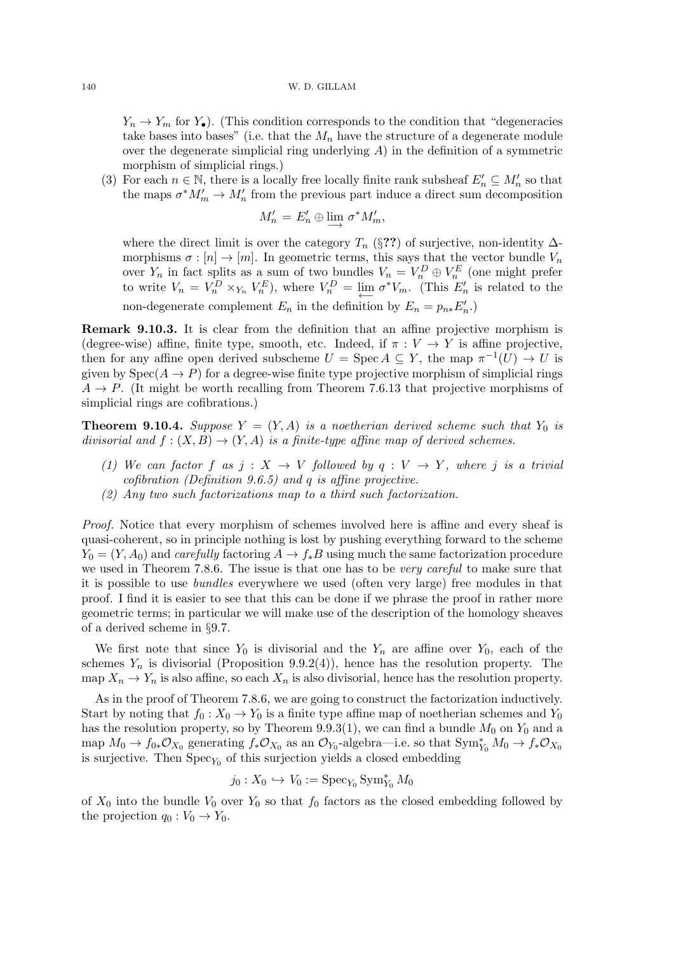$Y_n \to Y_m$  for  $Y_{\bullet}$ ). (This condition corresponds to the condition that "degeneracies" take bases into bases" (i.e. that the  $M_n$  have the structure of a degenerate module over the degenerate simplicial ring underlying  $A$ ) in the definition of a symmetric morphism of simplicial rings.)

(3) For each  $n \in \mathbb{N}$ , there is a locally free locally finite rank subsheaf  $E'_n \subseteq M'_n$  so that the maps  $\sigma^* M'_m \to M'_n$  from the previous part induce a direct sum decomposition

$$
M'_n = E'_n \oplus \lim_{n \to \infty} \sigma^* M'_m,
$$

where the direct limit is over the category  $T_n$  (§??) of surjective, non-identity  $\Delta$ morphisms  $\sigma : [n] \to [m]$ . In geometric terms, this says that the vector bundle  $V_n$ over  $Y_n$  in fact splits as a sum of two bundles  $V_n = V_n^D \oplus V_n^E$  (one might prefer to write  $V_n = V_n^D \times_{Y_n} V_n^E$ ), where  $V_n^D = \lim_{\longleftarrow} \sigma^* V_m$ . (This  $E'_n$  is related to the non-degenerate complement  $E_n$  in the definition by  $E_n = p_{n*} E'_n$ .

Remark 9.10.3. It is clear from the definition that an affine projective morphism is (degree-wise) affine, finite type, smooth, etc. Indeed, if  $\pi: V \to Y$  is affine projective, then for any affine open derived subscheme  $U = \operatorname{Spec} A \subseteq Y$ , the map  $\pi^{-1}(U) \to U$  is given by  $Spec(A \rightarrow P)$  for a degree-wise finite type projective morphism of simplicial rings  $A \rightarrow P$ . (It might be worth recalling from Theorem 7.6.13 that projective morphisms of simplicial rings are cofibrations.)

**Theorem 9.10.4.** Suppose  $Y = (Y, A)$  is a noetherian derived scheme such that  $Y_0$  is divisorial and  $f : (X, B) \to (Y, A)$  is a finite-type affine map of derived schemes.

- (1) We can factor f as  $j: X \to V$  followed by  $q: V \to Y$ , where j is a trivial cofibration (Definition 9.6.5) and q is affine projective.
- (2) Any two such factorizations map to a third such factorization.

Proof. Notice that every morphism of schemes involved here is affine and every sheaf is quasi-coherent, so in principle nothing is lost by pushing everything forward to the scheme  $Y_0 = (Y, A_0)$  and carefully factoring  $A \to f_*B$  using much the same factorization procedure we used in Theorem 7.8.6. The issue is that one has to be very careful to make sure that it is possible to use bundles everywhere we used (often very large) free modules in that proof. I find it is easier to see that this can be done if we phrase the proof in rather more geometric terms; in particular we will make use of the description of the homology sheaves of a derived scheme in §9.7.

We first note that since  $Y_0$  is divisorial and the  $Y_n$  are affine over  $Y_0$ , each of the schemes  $Y_n$  is divisorial (Proposition 9.9.2(4)), hence has the resolution property. The map  $X_n \to Y_n$  is also affine, so each  $X_n$  is also divisorial, hence has the resolution property.

As in the proof of Theorem 7.8.6, we are going to construct the factorization inductively. Start by noting that  $f_0 : X_0 \to Y_0$  is a finite type affine map of noetherian schemes and  $Y_0$ has the resolution property, so by Theorem 9.9.3(1), we can find a bundle  $M_0$  on  $Y_0$  and a map  $M_0 \to f_{0*}\mathcal{O}_{X_0}$  generating  $f_*\mathcal{O}_{X_0}$  as an  $\mathcal{O}_{Y_0}$ -algebra—i.e. so that  $\text{Sym}_{Y_0}^* M_0 \to f_*\mathcal{O}_{X_0}$ is surjective. Then  $\mathrm{Spec}_{Y_0}$  of this surjection yields a closed embedding

$$
j_0: X_0 \hookrightarrow V_0 := \operatorname{Spec}_{Y_0} \operatorname{Sym}_{Y_0}^* M_0
$$

of  $X_0$  into the bundle  $V_0$  over  $Y_0$  so that  $f_0$  factors as the closed embedding followed by the projection  $q_0 : V_0 \to Y_0$ .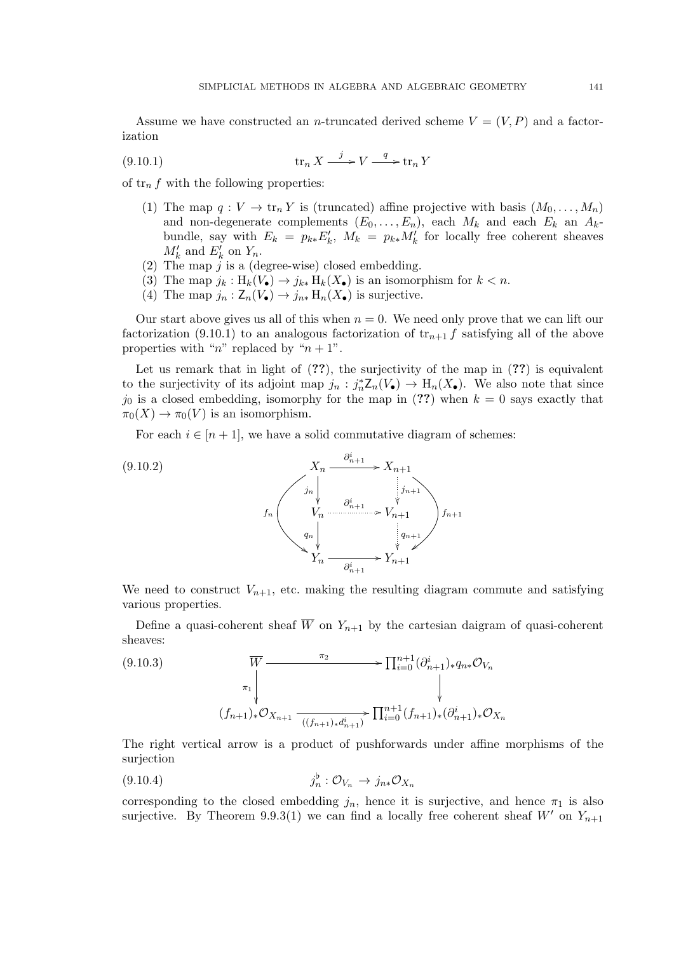Assume we have constructed an *n*-truncated derived scheme  $V = (V, P)$  and a factorization

tr<sup>n</sup> X j /V q / (9.10.1) tr<sup>n</sup> Y

of  $\text{tr}_n f$  with the following properties:

- (1) The map  $q: V \to \text{tr}_n Y$  is (truncated) affine projective with basis  $(M_0, \ldots, M_n)$ and non-degenerate complements  $(E_0, \ldots, E_n)$ , each  $M_k$  and each  $E_k$  an  $A_k$ bundle, say with  $E_k = p_{k*} E'_k$ ,  $M_k = p_{k*} M'_k$  for locally free coherent sheaves  $M'_k$  and  $E'_k$  on  $Y_n$ .
- (2) The map  $j$  is a (degree-wise) closed embedding.
- (3) The map  $j_k : H_k(V_{\bullet}) \to j_{k*} H_k(X_{\bullet})$  is an isomorphism for  $k < n$ .
- (4) The map  $j_n : \mathsf{Z}_n(V_\bullet) \to j_{n*} \, \mathrm{H}_n(X_\bullet)$  is surjective.

Our start above gives us all of this when  $n = 0$ . We need only prove that we can lift our factorization (9.10.1) to an analogous factorization of  $tr_{n+1} f$  satisfying all of the above properties with "n" replaced by " $n + 1$ ".

Let us remark that in light of  $(??)$ , the surjectivity of the map in  $(??)$  is equivalent to the surjectivity of its adjoint map  $j_n : j_n^* \mathbb{Z}_n(V_{\bullet}) \to \mathbb{H}_n(X_{\bullet})$ . We also note that since  $j_0$  is a closed embedding, isomorphy for the map in (??) when  $k = 0$  says exactly that  $\pi_0(X) \to \pi_0(V)$  is an isomorphism.

For each  $i \in [n+1]$ , we have a solid commutative diagram of schemes:



We need to construct  $V_{n+1}$ , etc. making the resulting diagram commute and satisfying various properties.

Define a quasi-coherent sheaf  $\overline{W}$  on  $Y_{n+1}$  by the cartesian daigram of quasi-coherent sheaves:

$$
(9.10.3) \quad \overline{W} \xrightarrow{\pi_2} \prod_{i=0}^{n+1} (\partial_{n+1}^i)_* q_{n*} \mathcal{O}_{V_n}
$$
\n
$$
\downarrow
$$
\n
$$
(f_{n+1})_* \mathcal{O}_{X_{n+1}} \xrightarrow{\pi_2} \prod_{i=0}^{n+1} (f_{n+1})_* (\partial_{n+1}^i)_* \mathcal{O}_{X_n}
$$

The right vertical arrow is a product of pushforwards under affine morphisms of the surjection

$$
(9.10.4) \t j_n^{\flat} : \mathcal{O}_{V_n} \to j_{n*} \mathcal{O}_{X_n}
$$

corresponding to the closed embedding  $j_n$ , hence it is surjective, and hence  $\pi_1$  is also surjective. By Theorem 9.9.3(1) we can find a locally free coherent sheaf  $W'$  on  $Y_{n+1}$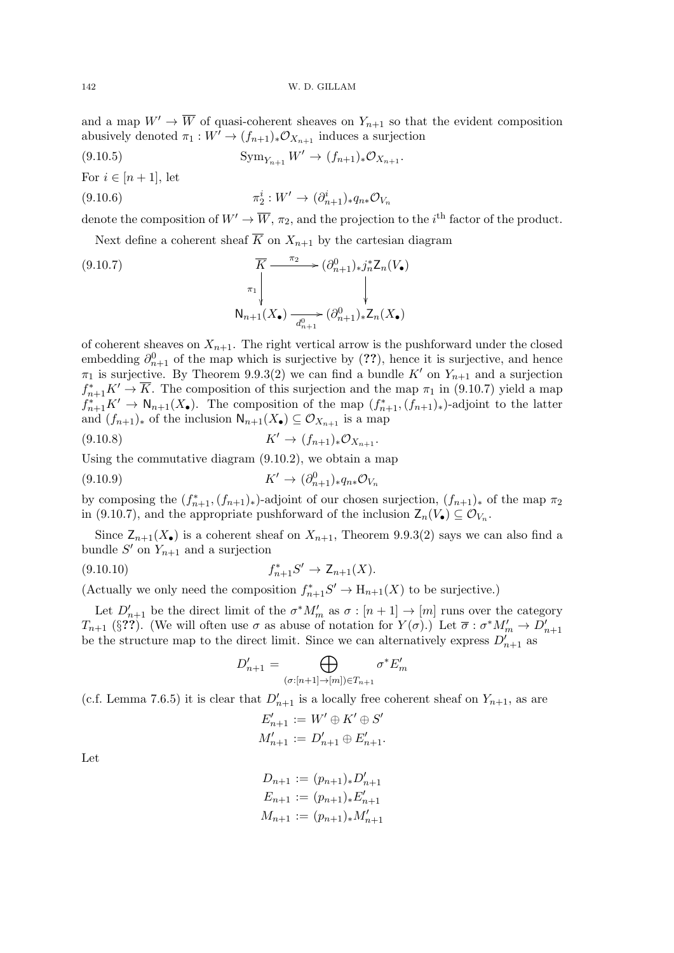and a map  $W' \to \overline{W}$  of quasi-coherent sheaves on  $Y_{n+1}$  so that the evident composition abusively denoted  $\pi_1 : W^{\overline{\prime}} \to (f_{n+1})_* \mathcal{O}_{X_{n+1}}$  induces a surjection

(9.10.5) 
$$
\text{Sym}_{Y_{n+1}} W' \to (f_{n+1})_* \mathcal{O}_{X_{n+1}}.
$$

For  $i \in [n+1]$ , let

(9.10.6) 
$$
\pi_2^i : W' \to (\partial_{n+1}^i)_* q_{n*} \mathcal{O}_{V_n}
$$

denote the composition of  $W' \to \overline{W}$ ,  $\pi_2$ , and the projection to the i<sup>th</sup> factor of the product.

Next define a coherent sheaf  $\overline{K}$  on  $X_{n+1}$  by the cartesian diagram

(9.10.7)  
\n
$$
\overline{K} \xrightarrow{\pi_2} (\partial_{n+1}^0)_* j_n^* Z_n(V_{\bullet})
$$
\n
$$
\uparrow \qquad \qquad \downarrow
$$
\n
$$
N_{n+1}(X_{\bullet}) \xrightarrow[d_{n+1}^0]{} (\partial_{n+1}^0)_* Z_n(X_{\bullet})
$$

of coherent sheaves on  $X_{n+1}$ . The right vertical arrow is the pushforward under the closed embedding  $\partial_{n+1}^0$  of the map which is surjective by (??), hence it is surjective, and hence  $\pi_1$  is surjective. By Theorem 9.9.3(2) we can find a bundle K' on  $Y_{n+1}$  and a surjection  $f_{n+1}^* K' \to \overline{K}$ . The composition of this surjection and the map  $\pi_1$  in (9.10.7) yield a map  $f_{n+1}^* K' \to \mathsf{N}_{n+1}(X_{\bullet})$ . The composition of the map  $(f_{n+1}^*,(f_{n+1})_*)$ -adjoint to the latter and  $(f_{n+1})_*$  of the inclusion  $\mathsf{N}_{n+1}(X_{\bullet}) \subseteq \mathcal{O}_{X_{n+1}}$  is a map

(9.10.8) 
$$
K' \to (f_{n+1})_* \mathcal{O}_{X_{n+1}}.
$$

Using the commutative diagram (9.10.2), we obtain a map

$$
(9.10.9) \t\t K' \to (\partial_{n+1}^0)_* q_{n*} \mathcal{O}_{V_n}
$$

by composing the  $(f_{n+1}^*,(f_{n+1})_*)$ -adjoint of our chosen surjection,  $(f_{n+1})_*$  of the map  $\pi_2$ in (9.10.7), and the appropriate pushforward of the inclusion  $Z_n(V_\bullet) \subseteq \mathcal{O}_{V_n}$ .

Since  $Z_{n+1}(X_{\bullet})$  is a coherent sheaf on  $X_{n+1}$ , Theorem 9.9.3(2) says we can also find a bundle  $S'$  on  $Y_{n+1}$  and a surjection

(9.10.10) 
$$
f_{n+1}^* S' \to Z_{n+1}(X).
$$

(Actually we only need the composition  $f_{n+1}^*S' \to \mathcal{H}_{n+1}(X)$  to be surjective.)

Let  $D'_{n+1}$  be the direct limit of the  $\sigma^* M'_m$  as  $\sigma : [n+1] \to [m]$  runs over the category  $T_{n+1}$  (§??). (We will often use  $\sigma$  as abuse of notation for  $Y(\sigma)$ .) Let  $\overline{\sigma}: \sigma^* M'_m \to D'_{n+1}$ be the structure map to the direct limit. Since we can alternatively express  $D'_{n+1}$  as

$$
D'_{n+1} = \bigoplus_{(\sigma:[n+1]\to[m]) \in T_{n+1}} \sigma^* E'_m
$$

(c.f. Lemma 7.6.5) it is clear that  $D'_{n+1}$  is a locally free coherent sheaf on  $Y_{n+1}$ , as are

$$
E'_{n+1} := W' \oplus K' \oplus S'
$$
  

$$
M'_{n+1} := D'_{n+1} \oplus E'_{n+1}.
$$

Let

$$
D_{n+1} := (p_{n+1})_* D'_{n+1}
$$
  
\n
$$
E_{n+1} := (p_{n+1})_* E'_{n+1}
$$
  
\n
$$
M_{n+1} := (p_{n+1})_* M'_{n+1}
$$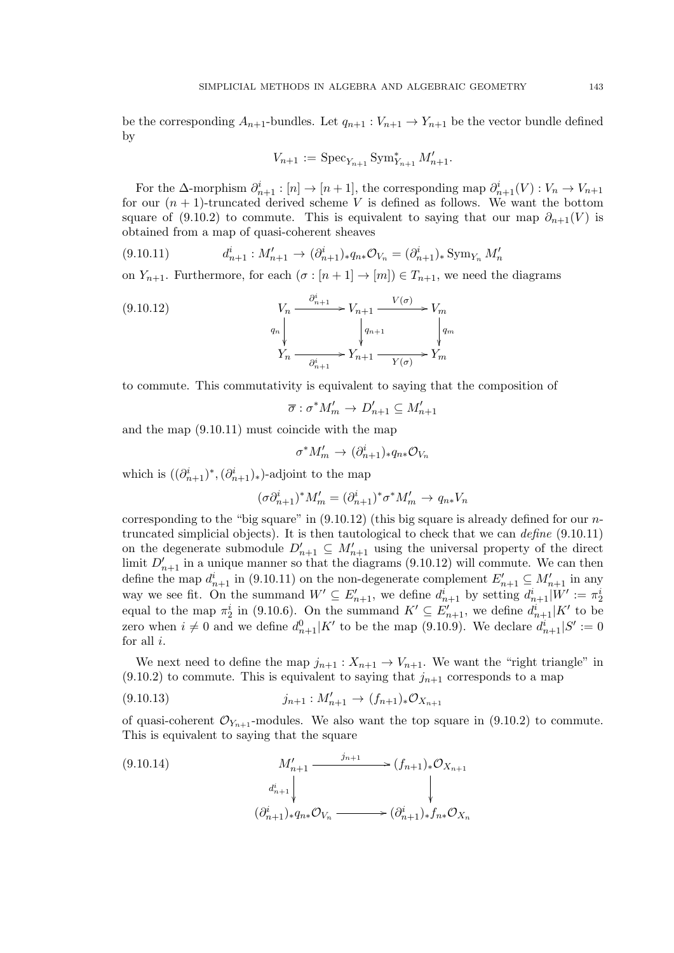be the corresponding  $A_{n+1}$ -bundles. Let  $q_{n+1} : V_{n+1} \to Y_{n+1}$  be the vector bundle defined by

$$
V_{n+1} := \mathrm{Spec}_{Y_{n+1}} \mathrm{Sym}_{Y_{n+1}}^* M'_{n+1}.
$$

For the  $\Delta$ -morphism  $\partial_{n+1}^i : [n] \to [n+1]$ , the corresponding map  $\partial_{n+1}^i(V) : V_n \to V_{n+1}$ for our  $(n + 1)$ -truncated derived scheme V is defined as follows. We want the bottom square of (9.10.2) to commute. This is equivalent to saying that our map  $\partial_{n+1}(V)$  is obtained from a map of quasi-coherent sheaves

 $d_{n+1}^i : M_{n+1}' \to (\partial_{n+1}^i)_* q_{n*} \mathcal{O}_{V_n} = (\partial_{n+1}^i)_* \text{Sym}_{Y_n} M_n'$  $(9.10.11)$ 

on  $Y_{n+1}$ . Furthermore, for each  $(\sigma : [n+1] \to [m]) \in T_{n+1}$ , we need the diagrams

$$
(9.10.12)
$$
\n
$$
V_n \xrightarrow{\partial_{n+1}^i} V_{n+1} \xrightarrow{V(\sigma)} V_m
$$
\n
$$
q_n \downarrow \qquad \qquad \downarrow q_{n+1}
$$
\n
$$
Y_n \xrightarrow{\partial_{n+1}^i} Y_{n+1} \xrightarrow{V(\sigma)} Y_m
$$

to commute. This commutativity is equivalent to saying that the composition of

$$
\overline{\sigma} : \sigma^* M_m' \to D_{n+1}' \subseteq M_{n+1}'
$$

and the map (9.10.11) must coincide with the map

$$
\sigma^* M'_m \to (\partial^i_{n+1})_* q_{n*} \mathcal{O}_{V_n}
$$

which is  $((\partial_{n+1}^i)^*,(\partial_{n+1}^i)_*)$ -adjoint to the map

$$
(\sigma\partial_{n+1}^i)^*M_m'=(\partial_{n+1}^i)^*\sigma^*M_m'\to q_{n*}V_n
$$

corresponding to the "big square" in  $(9.10.12)$  (this big square is already defined for our *n*truncated simplicial objects). It is then tautological to check that we can define (9.10.11) on the degenerate submodule  $D'_{n+1} \subseteq M'_{n+1}$  using the universal property of the direct limit  $D'_{n+1}$  in a unique manner so that the diagrams (9.10.12) will commute. We can then define the map  $d_{n+1}^i$  in (9.10.11) on the non-degenerate complement  $E'_{n+1} \subseteq M'_{n+1}$  in any way we see fit. On the summand  $W' \subseteq E'_{n+1}$ , we define  $d_{n+1}^i$  by setting  $d_{n+1}^i|W' := \pi_2^i$ equal to the map  $\pi_2^i$  in (9.10.6). On the summand  $K' \subseteq E'_{n+1}$ , we define  $d_{n+1}^i|K'$  to be zero when  $i \neq 0$  and we define  $d_{n+1}^0 | K'$  to be the map (9.10.9). We declare  $d_{n+1}^i | S' := 0$ for all  $i$ .

We next need to define the map  $j_{n+1}: X_{n+1} \to V_{n+1}$ . We want the "right triangle" in  $(9.10.2)$  to commute. This is equivalent to saying that  $j_{n+1}$  corresponds to a map

$$
(9.10.13) \t j_{n+1} : M'_{n+1} \to (f_{n+1})_* \mathcal{O}_{X_{n+1}}
$$

of quasi-coherent  $\mathcal{O}_{Y_{n+1}}$ -modules. We also want the top square in (9.10.2) to commute. This is equivalent to saying that the square

(9.10.14)  
\n
$$
M'_{n+1} \xrightarrow{j_{n+1}} (f_{n+1})_* \mathcal{O}_{X_{n+1}}
$$
\n
$$
d_{n+1}^i \downarrow \qquad \qquad \downarrow
$$
\n
$$
(\partial_{n+1}^i)_* q_{n*} \mathcal{O}_{V_n} \xrightarrow{\qquad \qquad } (\partial_{n+1}^i)_* f_{n*} \mathcal{O}_{X_n}
$$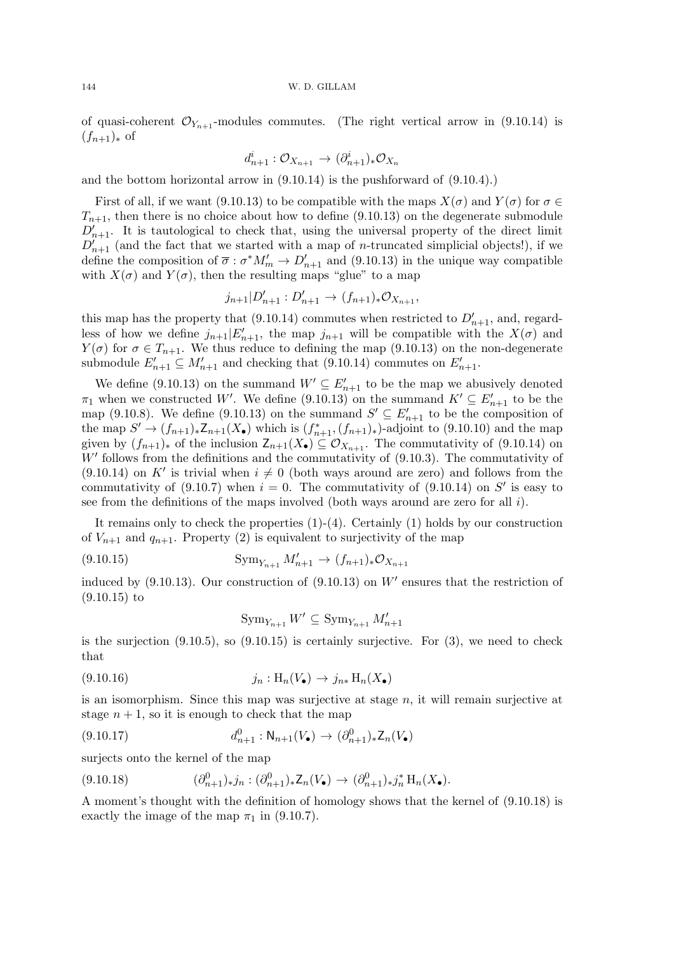of quasi-coherent  $\mathcal{O}_{Y_{n+1}}$ -modules commutes. (The right vertical arrow in (9.10.14) is  $(f_{n+1})_*$  of

$$
d_{n+1}^i: \mathcal{O}_{X_{n+1}} \to (\partial_{n+1}^i)_* \mathcal{O}_{X_n}
$$

and the bottom horizontal arrow in (9.10.14) is the pushforward of (9.10.4).)

First of all, if we want (9.10.13) to be compatible with the maps  $X(\sigma)$  and  $Y(\sigma)$  for  $\sigma \in$  $T_{n+1}$ , then there is no choice about how to define (9.10.13) on the degenerate submodule  $D'_{n+1}$ . It is tautological to check that, using the universal property of the direct limit  $D_{n+1}$  (and the fact that we started with a map of *n*-truncated simplicial objects!), if we define the composition of  $\overline{\sigma} : \sigma^* M'_m \to D'_{n+1}$  and (9.10.13) in the unique way compatible with  $X(\sigma)$  and  $Y(\sigma)$ , then the resulting maps "glue" to a map

$$
j_{n+1}|D'_{n+1}:D'_{n+1}\to (f_{n+1})_*\mathcal{O}_{X_{n+1}},
$$

this map has the property that (9.10.14) commutes when restricted to  $D'_{n+1}$ , and, regardless of how we define  $j_{n+1}|E'_{n+1}$ , the map  $j_{n+1}$  will be compatible with the  $X(\sigma)$  and  $Y(\sigma)$  for  $\sigma \in T_{n+1}$ . We thus reduce to defining the map (9.10.13) on the non-degenerate submodule  $E'_{n+1} \subseteq M'_{n+1}$  and checking that (9.10.14) commutes on  $E'_{n+1}$ .

We define (9.10.13) on the summand  $W' \subseteq E'_{n+1}$  to be the map we abusively denoted  $\pi_1$  when we constructed W'. We define (9.10.13) on the summand  $K' \subseteq E'_{n+1}$  to be the map (9.10.8). We define (9.10.13) on the summand  $S' \subseteq E'_{n+1}$  to be the composition of the map  $S' \to (f_{n+1})_* Z_{n+1}(X_{\bullet})$  which is  $(f_{n+1}^*, (f_{n+1})_*)$ -adjoint to  $(9.10.10)$  and the map given by  $(f_{n+1})_*$  of the inclusion  $Z_{n+1}(X_\bullet) \subseteq \mathcal{O}_{X_{n+1}}$ . The commutativity of (9.10.14) on  $W'$  follows from the definitions and the commutativity of  $(9.10.3)$ . The commutativity of  $(9.10.14)$  on K' is trivial when  $i \neq 0$  (both ways around are zero) and follows from the commutativity of  $(9.10.7)$  when  $i = 0$ . The commutativity of  $(9.10.14)$  on S' is easy to see from the definitions of the maps involved (both ways around are zero for all  $i$ ).

It remains only to check the properties  $(1)-(4)$ . Certainly  $(1)$  holds by our construction of  $V_{n+1}$  and  $q_{n+1}$ . Property (2) is equivalent to surjectivity of the map

(9.10.15) 
$$
\text{Sym}_{Y_{n+1}} M'_{n+1} \to (f_{n+1})_* \mathcal{O}_{X_{n+1}}
$$

induced by  $(9.10.13)$ . Our construction of  $(9.10.13)$  on W' ensures that the restriction of (9.10.15) to

$$
\mathrm{Sym}_{Y_{n+1}} W' \subseteq \mathrm{Sym}_{Y_{n+1}} M'_{n+1}
$$

is the surjection  $(9.10.5)$ , so  $(9.10.15)$  is certainly surjective. For  $(3)$ , we need to check that

$$
(9.10.16) \t j_n: H_n(V_\bullet) \to j_{n*} H_n(X_\bullet)
$$

is an isomorphism. Since this map was surjective at stage  $n$ , it will remain surjective at stage  $n + 1$ , so it is enough to check that the map

$$
(9.10.17) \t d_{n+1}^0 : \mathsf{N}_{n+1}(V_\bullet) \to (\partial_{n+1}^0)_* \mathsf{Z}_n(V_\bullet)
$$

surjects onto the kernel of the map

$$
(9.10.18) \qquad (\partial_{n+1}^0)_* j_n : (\partial_{n+1}^0)_* \mathsf{Z}_n(V_\bullet) \to (\partial_{n+1}^0)_* j_n^* \mathsf{H}_n(X_\bullet).
$$

A moment's thought with the definition of homology shows that the kernel of (9.10.18) is exactly the image of the map  $\pi_1$  in (9.10.7).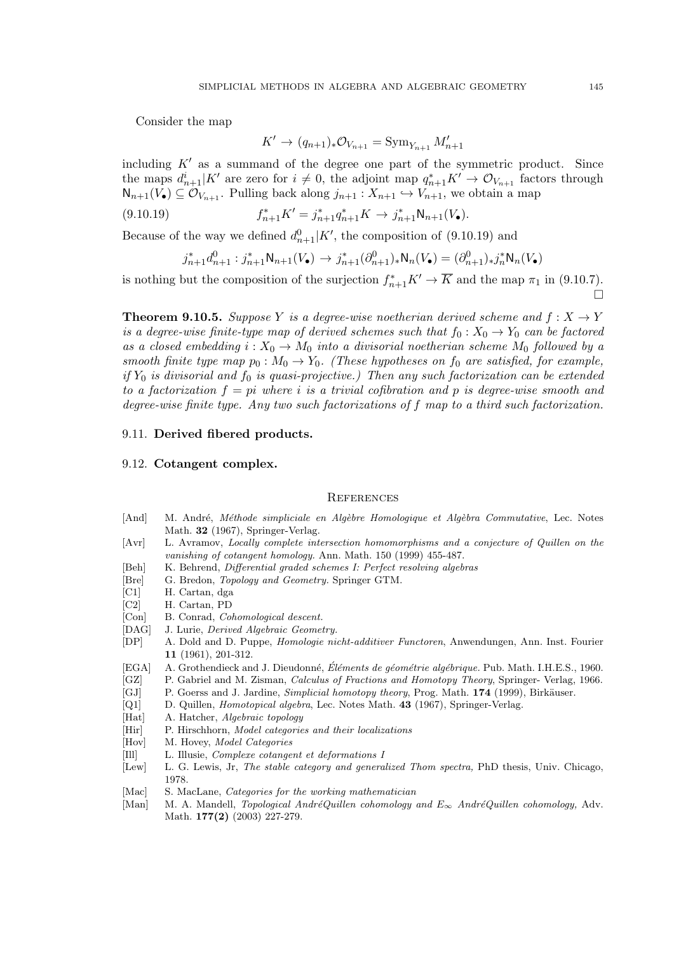Consider the map

$$
K' \to (q_{n+1})_* \mathcal{O}_{V_{n+1}} = \text{Sym}_{Y_{n+1}} M'_{n+1}
$$

including  $K'$  as a summand of the degree one part of the symmetric product. Since the maps  $d_{n+1}^i|K'$  are zero for  $i \neq 0$ , the adjoint map  $q_{n+1}^*K' \to \mathcal{O}_{V_{n+1}}$  factors through  $\mathsf{N}_{n+1}(V_{\bullet}) \subseteq \mathcal{O}_{V_{n+1}}$ . Pulling back along  $j_{n+1} : X_{n+1} \hookrightarrow V_{n+1}$ , we obtain a map

(9.10.19) 
$$
f_{n+1}^* K' = j_{n+1}^* q_{n+1}^* K \to j_{n+1}^* \mathsf{N}_{n+1}(V_{\bullet}).
$$

Because of the way we defined  $d_{n+1}^0|K'$ , the composition of (9.10.19) and

$$
j_{n+1}^*d_{n+1}^0:j_{n+1}^*\mathsf{N}_{n+1}(V_\bullet)\to j_{n+1}^*(\partial_{n+1}^0)_*\mathsf{N}_n(V_\bullet)=(\partial_{n+1}^0)_*j_n^*\mathsf{N}_n(V_\bullet)
$$

is nothing but the composition of the surjection  $f_{n+1}^* K' \to \overline{K}$  and the map  $\pi_1$  in (9.10.7). È

**Theorem 9.10.5.** Suppose Y is a degree-wise noetherian derived scheme and  $f: X \rightarrow Y$ is a degree-wise finite-type map of derived schemes such that  $f_0 : X_0 \to Y_0$  can be factored as a closed embedding  $i: X_0 \to M_0$  into a divisorial noetherian scheme  $M_0$  followed by a smooth finite type map  $p_0 : M_0 \to Y_0$ . (These hypotheses on  $f_0$  are satisfied, for example, if  $Y_0$  is divisorial and  $f_0$  is quasi-projective.) Then any such factorization can be extended to a factorization  $f = pi$  where i is a trivial cofibration and p is degree-wise smooth and degree-wise finite type. Any two such factorizations of f map to a third such factorization.

## 9.11. Derived fibered products.

## 9.12. Cotangent complex.

## **REFERENCES**

- [And] M. André, *Méthode simpliciale en Algèbre Homologique et Algèbra Commutative*, Lec. Notes Math. 32 (1967), Springer-Verlag.
- [Avr] L. Avramov, Locally complete intersection homomorphisms and a conjecture of Quillen on the vanishing of cotangent homology. Ann. Math. 150 (1999) 455-487.
- [Beh] K. Behrend, *Differential graded schemes I: Perfect resolving algebras*
- [Bre] G. Bredon, Topology and Geometry. Springer GTM.
- [C1] H. Cartan, dga
- [C2] H. Cartan, PD
- [Con] B. Conrad, Cohomological descent.
- [DAG] J. Lurie, Derived Algebraic Geometry.
- [DP] A. Dold and D. Puppe, Homologie nicht-additiver Functoren, Anwendungen, Ann. Inst. Fourier 11 (1961), 201-312.
- [EGA] A. Grothendieck and J. Dieudonné, Éléments de géométrie algébrique. Pub. Math. I.H.E.S., 1960.
- [GZ] P. Gabriel and M. Zisman, *Calculus of Fractions and Homotopy Theory*, Springer- Verlag, 1966.
- [GJ] P. Goerss and J. Jardine, Simplicial homotopy theory, Prog. Math. 174 (1999), Birkäuser.
- [Q1] D. Quillen, Homotopical algebra, Lec. Notes Math. 43 (1967), Springer-Verlag.
- [Hat] A. Hatcher, Algebraic topology
- [Hir] P. Hirschhorn, *Model categories and their localizations*
- [Hov] M. Hovey, *Model Categories*
- [Ill] L. Illusie, Complexe cotangent et deformations I
- [Lew] L. G. Lewis, Jr, The stable category and generalized Thom spectra, PhD thesis, Univ. Chicago, 1978.
- [Mac] S. MacLane, *Categories for the working mathematician*
- [Man] M. A. Mandell, Topological AndréQuillen cohomology and  $E_{\infty}$  AndréQuillen cohomology, Adv. Math. 177(2) (2003) 227-279.